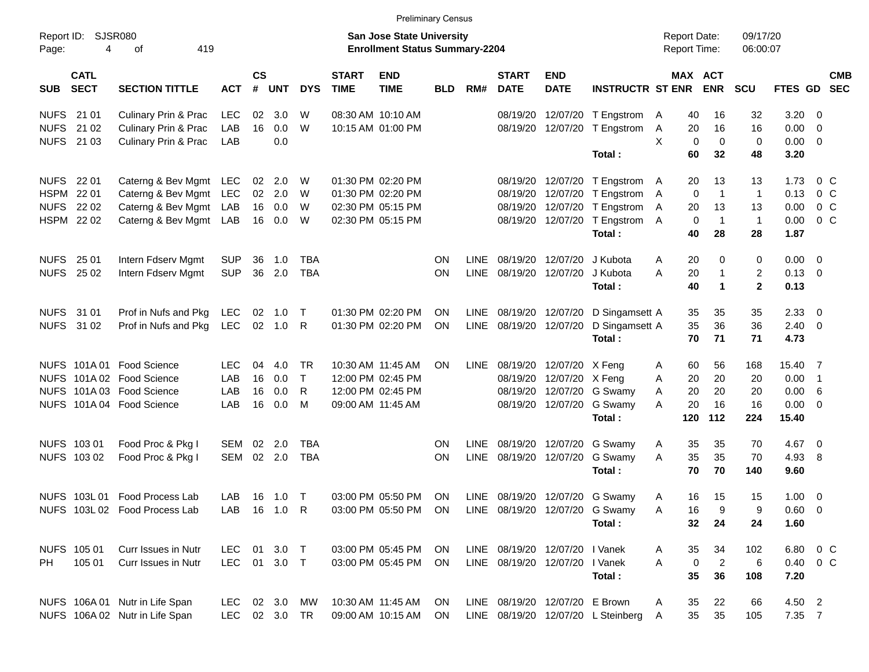|                     |                            |                                |               |               |            |            |                             |                                                                           | <b>Preliminary Census</b> |             |                                |                           |                                    |                                     |             |                      |             |                           |
|---------------------|----------------------------|--------------------------------|---------------|---------------|------------|------------|-----------------------------|---------------------------------------------------------------------------|---------------------------|-------------|--------------------------------|---------------------------|------------------------------------|-------------------------------------|-------------|----------------------|-------------|---------------------------|
| Report ID:<br>Page: | 4                          | SJSR080<br>419<br>οf           |               |               |            |            |                             | <b>San Jose State University</b><br><b>Enrollment Status Summary-2204</b> |                           |             |                                |                           |                                    | <b>Report Date:</b><br>Report Time: |             | 09/17/20<br>06:00:07 |             |                           |
| <b>SUB</b>          | <b>CATL</b><br><b>SECT</b> | <b>SECTION TITTLE</b>          | <b>ACT</b>    | $\mathsf{cs}$ | # UNT      | <b>DYS</b> | <b>START</b><br><b>TIME</b> | <b>END</b><br><b>TIME</b>                                                 | <b>BLD</b>                | RM#         | <b>START</b><br><b>DATE</b>    | <b>END</b><br><b>DATE</b> | <b>INSTRUCTR ST ENR</b>            | MAX ACT                             | <b>ENR</b>  | <b>SCU</b>           |             | <b>CMB</b><br>FTES GD SEC |
| <b>NUFS</b>         | 21 01                      | Culinary Prin & Prac           | LEC           | 02            | 3.0        | W          |                             | 08:30 AM 10:10 AM                                                         |                           |             | 08/19/20                       |                           | 12/07/20 T Engstrom                | 40<br>A                             | 16          | 32                   | 3.20        | $\overline{\phantom{0}}$  |
| <b>NUFS</b>         | 21 02                      | Culinary Prin & Prac           | LAB           | 16            | 0.0        | W          |                             | 10:15 AM 01:00 PM                                                         |                           |             | 08/19/20                       |                           | 12/07/20 T Engstrom                | A<br>20                             | 16          | 16                   | 0.00        | $\overline{\mathbf{0}}$   |
|                     | NUFS 21 03                 | Culinary Prin & Prac           | LAB           |               | 0.0        |            |                             |                                                                           |                           |             |                                |                           |                                    | X<br>$\mathbf 0$                    | 0           | 0                    | 0.00        | $\overline{\mathbf{0}}$   |
|                     |                            |                                |               |               |            |            |                             |                                                                           |                           |             |                                |                           | Total:                             | 60                                  | 32          | 48                   | 3.20        |                           |
| <b>NUFS</b>         | 22 01                      | Caterng & Bev Mgmt LEC         |               | 02            | 2.0        | W          |                             | 01:30 PM 02:20 PM                                                         |                           |             | 08/19/20                       |                           | 12/07/20 T Engstrom                | 20<br>A                             | 13          | 13                   | 1.73        | 0 C                       |
|                     | HSPM 22 01                 | Caterng & Bev Mgmt LEC         |               |               | 02 2.0     | W          |                             | 01:30 PM 02:20 PM                                                         |                           |             | 08/19/20                       |                           | 12/07/20 T Engstrom                | 0<br>A                              | $\mathbf 1$ | $\overline{1}$       | 0.13        | $0\,$ C                   |
| <b>NUFS</b>         | 22 02                      | Caterng & Bev Mgmt LAB         |               |               | 16  0.0    | W          |                             | 02:30 PM 05:15 PM                                                         |                           |             | 08/19/20                       |                           | 12/07/20 T Engstrom                | 20<br>A                             | 13          | 13                   | 0.00        | $0\,C$                    |
|                     | HSPM 22 02                 | Caterng & Bev Mgmt LAB         |               |               | 16  0.0    | W          |                             | 02:30 PM 05:15 PM                                                         |                           |             | 08/19/20                       |                           | 12/07/20 T Engstrom                | 0<br>A                              | $\mathbf 1$ | $\overline{1}$       | 0.00        | 0 <sup>o</sup>            |
|                     |                            |                                |               |               |            |            |                             |                                                                           |                           |             |                                |                           | Total:                             | 40                                  | 28          | 28                   | 1.87        |                           |
| <b>NUFS</b>         | 25 01                      | Intern Fdserv Mgmt             | <b>SUP</b>    | 36            | 1.0        | <b>TBA</b> |                             |                                                                           | <b>ON</b>                 | LINE        | 08/19/20                       |                           | 12/07/20 J Kubota                  | 20<br>Α                             | 0           | 0                    | $0.00 \t 0$ |                           |
|                     | NUFS 25 02                 | Intern Fdserv Mgmt             | <b>SUP</b>    | 36            | 2.0        | <b>TBA</b> |                             |                                                                           | <b>ON</b>                 |             | LINE 08/19/20                  |                           | 12/07/20 J Kubota                  | A<br>20                             | $\mathbf 1$ | 2                    | $0.13 \ 0$  |                           |
|                     |                            |                                |               |               |            |            |                             |                                                                           |                           |             |                                |                           | Total:                             | 40                                  | $\mathbf 1$ | $\overline{2}$       | 0.13        |                           |
|                     | NUFS 31 01                 | Prof in Nufs and Pkg           | LEC           | 02            | 1.0        | $\top$     |                             | 01:30 PM 02:20 PM                                                         | ON                        | LINE        | 08/19/20                       |                           | 12/07/20 D Singamsett A            | 35                                  | 35          | 35                   | 2.33        | $\overline{\phantom{0}}$  |
|                     | NUFS 31 02                 | Prof in Nufs and Pkg           | LEC           |               | 02 1.0     | - R        |                             | 01:30 PM 02:20 PM                                                         | <b>ON</b>                 | <b>LINE</b> | 08/19/20                       |                           | 12/07/20 D Singamsett A            | 35                                  | 36          | 36                   | $2.40 \ 0$  |                           |
|                     |                            |                                |               |               |            |            |                             |                                                                           |                           |             |                                |                           | Total:                             | 70                                  | 71          | 71                   | 4.73        |                           |
|                     |                            | NUFS 101A 01 Food Science      | <b>LEC</b>    | 04            | 4.0        | TR         |                             | 10:30 AM 11:45 AM                                                         | ON.                       |             | LINE 08/19/20                  | 12/07/20 X Feng           |                                    | 60<br>A                             | 56          | 168                  | 15.40 7     |                           |
|                     |                            | NUFS 101A 02 Food Science      | LAB           | 16            | 0.0        | $\top$     |                             | 12:00 PM 02:45 PM                                                         |                           |             | 08/19/20                       | 12/07/20 X Feng           |                                    | 20<br>A                             | 20          | 20                   | $0.00$ 1    |                           |
|                     |                            | NUFS 101A 03 Food Science      | LAB           | 16            | 0.0        | R          |                             | 12:00 PM 02:45 PM                                                         |                           |             | 08/19/20                       |                           | 12/07/20 G Swamy                   | 20<br>A                             | 20          | 20                   | 0.00        | - 6                       |
|                     |                            | NUFS 101A 04 Food Science      | LAB           | 16            | 0.0        | M          |                             | 09:00 AM 11:45 AM                                                         |                           |             | 08/19/20                       |                           | 12/07/20 G Swamy                   | A<br>20                             | 16          | 16                   | 0.00        | - 0                       |
|                     |                            |                                |               |               |            |            |                             |                                                                           |                           |             |                                |                           | Total:                             | 120                                 | 112         | 224                  | 15.40       |                           |
|                     | NUFS 103 01                | Food Proc & Pkg I              | SEM           | 02            | 2.0        | TBA        |                             |                                                                           | <b>ON</b>                 | <b>LINE</b> | 08/19/20                       |                           | 12/07/20 G Swamy                   | 35<br>A                             | 35          | 70                   | 4.67        | $\overline{\mathbf{0}}$   |
|                     | NUFS 103 02                | Food Proc & Pkg I              | SEM           |               | 02 2.0     | <b>TBA</b> |                             |                                                                           | <b>ON</b>                 | LINE        | 08/19/20                       |                           | 12/07/20 G Swamy                   | 35<br>A                             | 35          | 70                   | 4.93        | -8                        |
|                     |                            |                                |               |               |            |            |                             |                                                                           |                           |             |                                |                           | Total:                             | 70                                  | 70          | 140                  | 9.60        |                           |
|                     |                            | NUFS 103L 01 Food Process Lab  | LAB.          |               | 16  1.0  T |            |                             | 03:00 PM 05:50 PM                                                         | ON                        |             |                                |                           | LINE 08/19/20 12/07/20 G Swamy     | A<br>16                             | 15          | 15                   | $1.00 \t 0$ |                           |
|                     |                            | NUFS 103L 02 Food Process Lab  | LAB 16 1.0 R  |               |            |            |                             | 03:00 PM 05:50 PM ON LINE 08/19/20 12/07/20 G Swamy                       |                           |             |                                |                           |                                    | 16<br>Α                             | 9           | 9                    | $0.60 \t 0$ |                           |
|                     |                            |                                |               |               |            |            |                             |                                                                           |                           |             |                                |                           | Total:                             | 32                                  | 24          | 24                   | 1.60        |                           |
|                     | NUFS 105 01                | Curr Issues in Nutr            | LEC 01 3.0 T  |               |            |            |                             | 03:00 PM 05:45 PM                                                         | ON                        |             | LINE 08/19/20 12/07/20 I Vanek |                           |                                    | 35<br>A                             | 34          | 102                  |             | 6.80 0 C                  |
| PH                  | 105 01                     | Curr Issues in Nutr            | LEC 01 3.0 T  |               |            |            |                             | 03:00 PM 05:45 PM                                                         | ON                        |             | LINE 08/19/20 12/07/20 I Vanek |                           |                                    | A<br>$\mathbf 0$                    | $\sqrt{2}$  | $\,6$                | 0.40        | $0\,C$                    |
|                     |                            |                                |               |               |            |            |                             |                                                                           |                           |             |                                |                           | Total:                             | 35                                  | 36          | 108                  | 7.20        |                           |
|                     |                            | NUFS 106A 01 Nutr in Life Span | LEC 02 3.0 MW |               |            |            |                             | 10:30 AM 11:45 AM                                                         | ON.                       |             | LINE 08/19/20 12/07/20 E Brown |                           |                                    | 35<br>A                             | 22          | 66                   | 4.50 2      |                           |
|                     |                            | NUFS 106A 02 Nutr in Life Span | LEC 02 3.0 TR |               |            |            |                             | 09:00 AM 10:15 AM                                                         | ON                        |             |                                |                           | LINE 08/19/20 12/07/20 L Steinberg | 35<br>A                             | 35          | 105                  | 7.35 7      |                           |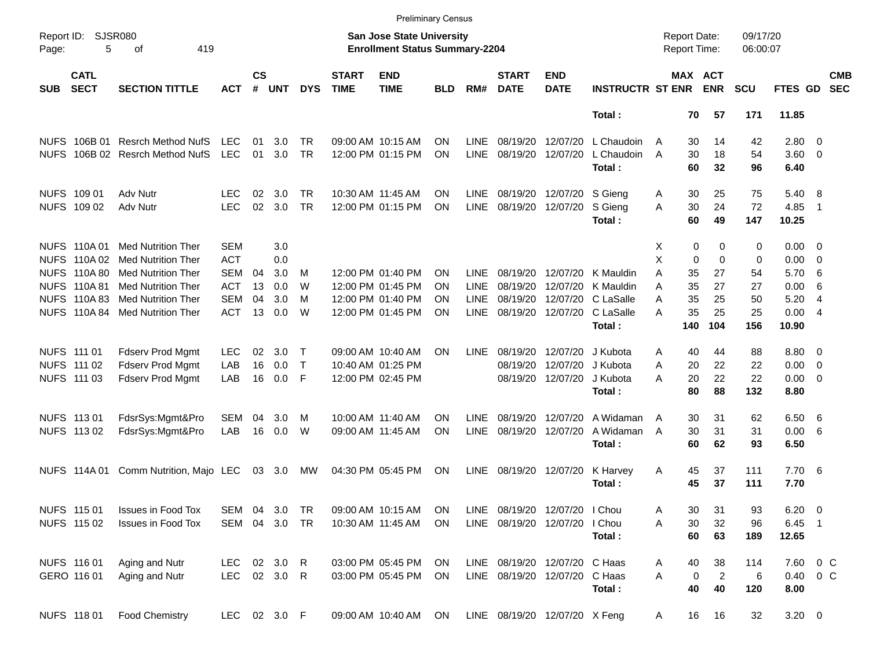|                     |                            |                            |                    |                    |            |                 |                             | <b>Preliminary Census</b>                                                 |            |                            |                               |                           |                         |        |                                     |                       |                      |              |                |                          |
|---------------------|----------------------------|----------------------------|--------------------|--------------------|------------|-----------------|-----------------------------|---------------------------------------------------------------------------|------------|----------------------------|-------------------------------|---------------------------|-------------------------|--------|-------------------------------------|-----------------------|----------------------|--------------|----------------|--------------------------|
| Report ID:<br>Page: | <b>SJSR080</b><br>5        | 419<br>оf                  |                    |                    |            |                 |                             | <b>San Jose State University</b><br><b>Enrollment Status Summary-2204</b> |            |                            |                               |                           |                         |        | <b>Report Date:</b><br>Report Time: |                       | 09/17/20<br>06:00:07 |              |                |                          |
| <b>SUB</b>          | <b>CATL</b><br><b>SECT</b> | <b>SECTION TITTLE</b>      | <b>ACT</b>         | $\mathsf{cs}$<br># | <b>UNT</b> | <b>DYS</b>      | <b>START</b><br><b>TIME</b> | <b>END</b><br><b>TIME</b>                                                 | <b>BLD</b> | RM#                        | <b>START</b><br><b>DATE</b>   | <b>END</b><br><b>DATE</b> | <b>INSTRUCTR ST ENR</b> |        |                                     | MAX ACT<br><b>ENR</b> | <b>SCU</b>           | FTES GD      |                | <b>CMB</b><br><b>SEC</b> |
|                     |                            |                            |                    |                    |            |                 |                             |                                                                           |            |                            |                               |                           | Total :                 |        | 70                                  | 57                    | 171                  | 11.85        |                |                          |
|                     | NUFS 106B 01               | <b>Resrch Method NufS</b>  | <b>LEC</b>         | 01                 | 3.0        | TR.             |                             | 09:00 AM 10:15 AM                                                         | ΟN         | LINE                       | 08/19/20                      | 12/07/20                  | L Chaudoin              | A      | 30                                  | 14                    | 42                   | $2.80 \t 0$  |                |                          |
| <b>NUFS</b>         |                            | 106B 02 Resrch Method NufS | <b>LEC</b>         | 01                 | 3.0        | <b>TR</b>       |                             | 12:00 PM 01:15 PM                                                         | ΟN         | <b>LINE</b>                | 08/19/20                      | 12/07/20                  | L Chaudoin<br>Total:    | A      | 30<br>60                            | 18<br>32              | 54<br>96             | 3.60<br>6.40 | $\overline{0}$ |                          |
|                     |                            |                            |                    |                    |            |                 |                             |                                                                           |            |                            |                               |                           |                         |        |                                     |                       |                      |              |                |                          |
|                     | NUFS 109 01<br>NUFS 109 02 | Adv Nutr<br>Adv Nutr       | LEC.<br><b>LEC</b> | 02<br>02           | 3.0<br>3.0 | TR<br><b>TR</b> |                             | 10:30 AM 11:45 AM<br>12:00 PM 01:15 PM                                    | ON<br>ΟN   | <b>LINE</b><br><b>LINE</b> | 08/19/20<br>08/19/20          | 12/07/20<br>12/07/20      | S Gieng<br>S Gieng      | Α<br>A | 30<br>30                            | 25<br>24              | 75<br>72             | 5.40<br>4.85 | - 8<br>-1      |                          |
|                     |                            |                            |                    |                    |            |                 |                             |                                                                           |            |                            |                               |                           | Total:                  |        | 60                                  | 49                    | 147                  | 10.25        |                |                          |
|                     | NUFS 110A 01               | <b>Med Nutrition Ther</b>  | <b>SEM</b>         |                    | 3.0        |                 |                             |                                                                           |            |                            |                               |                           |                         | Χ      | 0                                   | 0                     | 0                    | $0.00 \t 0$  |                |                          |
| <b>NUFS</b>         | 110A 02                    | <b>Med Nutrition Ther</b>  | <b>ACT</b>         |                    | 0.0        |                 |                             |                                                                           |            |                            |                               |                           |                         | X      | 0                                   | $\mathbf 0$           | 0                    | 0.00         | - 0            |                          |
| <b>NUFS</b>         | 110A 80                    | <b>Med Nutrition Ther</b>  | <b>SEM</b>         | 04                 | 3.0        | M               |                             | 12:00 PM 01:40 PM                                                         | ΟN         | <b>LINE</b>                | 08/19/20                      | 12/07/20                  | K Mauldin               | Α      | 35                                  | 27                    | 54                   | 5.70         | -6             |                          |
| <b>NUFS</b>         | 110A 81                    | <b>Med Nutrition Ther</b>  | <b>ACT</b>         | 13                 | 0.0        | W               |                             | 12:00 PM 01:45 PM                                                         | ΟN         | <b>LINE</b>                | 08/19/20                      | 12/07/20                  | K Mauldin               | Α      | 35                                  | 27                    | 27                   | 0.00         | 6              |                          |
| <b>NUFS</b>         | 110A 83                    | <b>Med Nutrition Ther</b>  | <b>SEM</b>         | 04                 | 3.0        | M               |                             | 12:00 PM 01:40 PM                                                         | ΟN         | <b>LINE</b>                | 08/19/20                      | 12/07/20                  | C LaSalle               | Α      | 35                                  | 25                    | 50                   | 5.20         | -4             |                          |
|                     | <b>NUFS 110A 84</b>        | <b>Med Nutrition Ther</b>  | <b>ACT</b>         | 13                 | 0.0        | W               |                             | 12:00 PM 01:45 PM                                                         | ΟN         | <b>LINE</b>                | 08/19/20                      | 12/07/20                  | C LaSalle               | А      | 35                                  | 25                    | 25                   | 0.00         | -4             |                          |
|                     |                            |                            |                    |                    |            |                 |                             |                                                                           |            |                            |                               |                           | Total:                  |        | 140                                 | 104                   | 156                  | 10.90        |                |                          |
| NUFS 111 01         |                            | <b>Fdserv Prod Mgmt</b>    | <b>LEC</b>         | 02                 | 3.0        | $\top$          |                             | 09:00 AM 10:40 AM                                                         | ON         | LINE                       | 08/19/20                      | 12/07/20                  | J Kubota                | A      | 40                                  | 44                    | 88                   | 8.80         | - 0            |                          |
|                     | NUFS 111 02                | Fdserv Prod Mgmt           | LAB                | 16                 | 0.0        | $\mathsf{T}$    |                             | 10:40 AM 01:25 PM                                                         |            |                            | 08/19/20                      | 12/07/20                  | J Kubota                | Α      | 20                                  | 22                    | 22                   | 0.00         | 0              |                          |
|                     | NUFS 111 03                | <b>Fdserv Prod Mgmt</b>    | LAB                | 16                 | 0.0        | F               |                             | 12:00 PM 02:45 PM                                                         |            |                            | 08/19/20                      | 12/07/20                  | J Kubota                | Α      | 20                                  | 22                    | 22                   | 0.00         | - 0            |                          |
|                     |                            |                            |                    |                    |            |                 |                             |                                                                           |            |                            |                               |                           | Total:                  |        | 80                                  | 88                    | 132                  | 8.80         |                |                          |
|                     | NUFS 113 01                | FdsrSys:Mgmt&Pro           | SEM                | 04                 | 3.0        | м               |                             | 10:00 AM 11:40 AM                                                         | ΟN         | <b>LINE</b>                | 08/19/20                      | 12/07/20                  | A Widaman               | A      | 30                                  | 31                    | 62                   | 6.50         | - 6            |                          |
|                     | NUFS 113 02                | FdsrSys:Mgmt&Pro           | LAB                | 16                 | 0.0        | W               |                             | 09:00 AM 11:45 AM                                                         | ΟN         | <b>LINE</b>                | 08/19/20                      | 12/07/20                  | A Widaman               | A      | 30                                  | 31                    | 31                   | 0.00         | -6             |                          |
|                     |                            |                            |                    |                    |            |                 |                             |                                                                           |            |                            |                               |                           | Total:                  |        | 60                                  | 62                    | 93                   | 6.50         |                |                          |
|                     | NUFS 114A 01               | Comm Nutrition, Majo LEC   |                    | 03                 | 3.0        | MW              |                             | 04:30 PM 05:45 PM                                                         | ON         | <b>LINE</b>                | 08/19/20                      | 12/07/20                  | K Harvey                | A      | 45                                  | 37                    | 111                  | 7.706        |                |                          |
|                     |                            |                            |                    |                    |            |                 |                             |                                                                           |            |                            |                               |                           | Total:                  |        | 45                                  | 37                    | 111                  | 7.70         |                |                          |
|                     | NUFS 115 01                | <b>Issues in Food Tox</b>  | SEM                | 04                 | 3.0        | TR              |                             | 09:00 AM 10:15 AM                                                         | <b>ON</b>  |                            | LINE 08/19/20 12/07/20        |                           | I Chou                  | Α      | 30                                  | 31                    | 93                   | $6.20 \ 0$   |                |                          |
|                     | NUFS 115 02                | <b>Issues in Food Tox</b>  | SEM                |                    | 04 3.0 TR  |                 |                             | 10:30 AM 11:45 AM                                                         | <b>ON</b>  |                            | LINE 08/19/20 12/07/20        |                           | I Chou                  | Α      | 30                                  | 32                    | 96                   | $6.45$ 1     |                |                          |
|                     |                            |                            |                    |                    |            |                 |                             |                                                                           |            |                            |                               |                           | Total:                  |        | 60                                  | 63                    | 189                  | 12.65        |                |                          |
|                     | NUFS 116 01                | Aging and Nutr             | LEC                |                    | 02 3.0 R   |                 |                             | 03:00 PM 05:45 PM                                                         | ON         |                            | LINE 08/19/20 12/07/20 C Haas |                           |                         | Α      | 40                                  | 38                    | 114                  | 7.60 0 C     |                |                          |
|                     | GERO 116 01                | Aging and Nutr             | LEC 02 3.0 R       |                    |            |                 |                             | 03:00 PM 05:45 PM                                                         | <b>ON</b>  |                            | LINE 08/19/20 12/07/20 C Haas |                           |                         | Α      | 0                                   | $\overline{c}$        | 6                    | 0.40 0 C     |                |                          |
|                     |                            |                            |                    |                    |            |                 |                             |                                                                           |            |                            |                               |                           | Total:                  |        | 40                                  | 40                    | 120                  | 8.00         |                |                          |
|                     | NUFS 118 01                | <b>Food Chemistry</b>      | LEC 02 3.0 F       |                    |            |                 |                             | 09:00 AM 10:40 AM ON                                                      |            |                            | LINE 08/19/20 12/07/20 X Feng |                           |                         | A      | 16                                  | 16                    | 32                   | $3.20 \ 0$   |                |                          |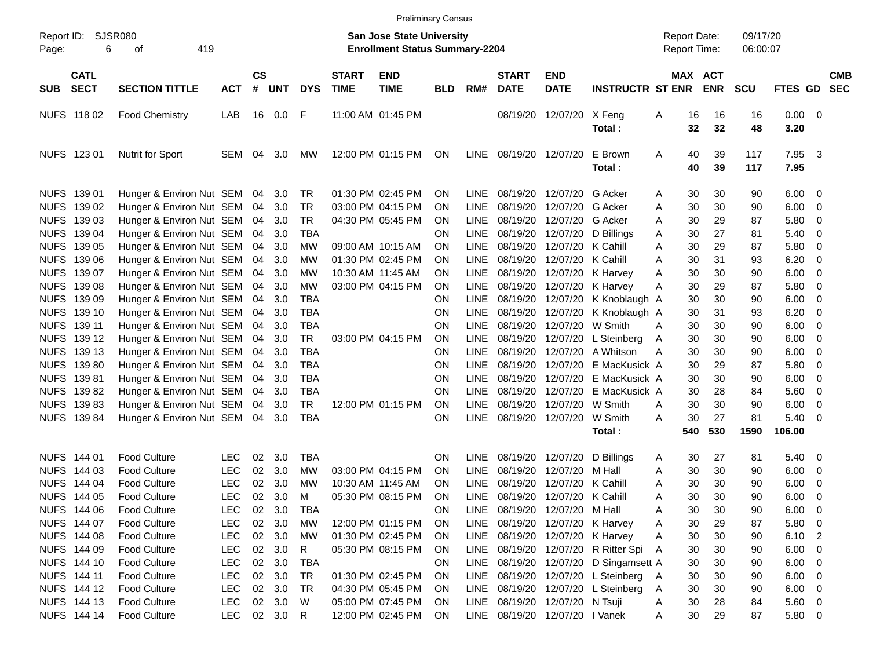|                     |                            |                          |            |                    |            |              |                             | <b>Preliminary Census</b>                                                 |            |             |                                 |                           |                                 |              |          |                                            |                      |              |                          |                          |
|---------------------|----------------------------|--------------------------|------------|--------------------|------------|--------------|-----------------------------|---------------------------------------------------------------------------|------------|-------------|---------------------------------|---------------------------|---------------------------------|--------------|----------|--------------------------------------------|----------------------|--------------|--------------------------|--------------------------|
| Report ID:<br>Page: | <b>SJSR080</b><br>6        | 419<br>оf                |            |                    |            |              |                             | <b>San Jose State University</b><br><b>Enrollment Status Summary-2204</b> |            |             |                                 |                           |                                 |              |          | <b>Report Date:</b><br><b>Report Time:</b> | 09/17/20<br>06:00:07 |              |                          |                          |
| <b>SUB</b>          | <b>CATL</b><br><b>SECT</b> | <b>SECTION TITTLE</b>    | <b>ACT</b> | $\mathsf{cs}$<br># | <b>UNT</b> | <b>DYS</b>   | <b>START</b><br><b>TIME</b> | <b>END</b><br><b>TIME</b>                                                 | <b>BLD</b> | RM#         | <b>START</b><br><b>DATE</b>     | <b>END</b><br><b>DATE</b> | <b>INSTRUCTR ST ENR</b>         |              |          | MAX ACT<br><b>ENR</b>                      | <b>SCU</b>           | FTES GD      |                          | <b>CMB</b><br><b>SEC</b> |
|                     | NUFS 11802                 | <b>Food Chemistry</b>    | LAB        | 16                 | 0.0        | F            |                             | 11:00 AM 01:45 PM                                                         |            |             | 08/19/20                        | 12/07/20                  | X Feng<br>Total:                | A            | 16<br>32 | 16<br>32                                   | 16<br>48             | 0.00<br>3.20 | $\overline{\mathbf{0}}$  |                          |
|                     | NUFS 123 01                | <b>Nutrit for Sport</b>  | <b>SEM</b> | 04                 | 3.0        | MW.          |                             | 12:00 PM 01:15 PM                                                         | <b>ON</b>  | LINE        | 08/19/20 12/07/20               |                           | E Brown<br>Total:               | A            | 40<br>40 | 39<br>39                                   | 117<br>117           | 7.95<br>7.95 | $\overline{\mathbf{3}}$  |                          |
|                     | NUFS 139 01                | Hunger & Environ Nut SEM |            | 04                 | 3.0        | TR           |                             | 01:30 PM 02:45 PM                                                         | <b>ON</b>  | <b>LINE</b> | 08/19/20                        | 12/07/20                  | G Acker                         | A            | 30       | 30                                         | 90                   | 6.00         | $\overline{0}$           |                          |
|                     | NUFS 139 02                | Hunger & Environ Nut SEM |            | 04                 | 3.0        | <b>TR</b>    |                             | 03:00 PM 04:15 PM                                                         | <b>ON</b>  | <b>LINE</b> | 08/19/20                        | 12/07/20                  | G Acker                         | A            | 30       | 30                                         | 90                   | 6.00         | 0                        |                          |
|                     | NUFS 139 03                | Hunger & Environ Nut SEM |            | 04                 | 3.0        | <b>TR</b>    |                             | 04:30 PM 05:45 PM                                                         | <b>ON</b>  | <b>LINE</b> | 08/19/20                        | 12/07/20                  | G Acker                         | A            | 30       | 29                                         | 87                   | 5.80         | 0                        |                          |
|                     | NUFS 139 04                | Hunger & Environ Nut SEM |            | 04                 | 3.0        | <b>TBA</b>   |                             |                                                                           | <b>ON</b>  | <b>LINE</b> | 08/19/20                        | 12/07/20                  | D Billings                      | A            | 30       | 27                                         | 81                   | 5.40         | 0                        |                          |
|                     | NUFS 139 05                | Hunger & Environ Nut SEM |            | 04                 | 3.0        | МW           |                             | 09:00 AM 10:15 AM                                                         | <b>ON</b>  | <b>LINE</b> | 08/19/20                        | 12/07/20                  | K Cahill                        | A            | 30       | 29                                         | 87                   | 5.80         | 0                        |                          |
|                     | NUFS 139 06                | Hunger & Environ Nut SEM |            | 04                 | 3.0        | <b>MW</b>    |                             | 01:30 PM 02:45 PM                                                         | <b>ON</b>  | <b>LINE</b> | 08/19/20                        | 12/07/20                  | K Cahill                        | A            | 30       | 31                                         | 93                   | 6.20         | 0                        |                          |
|                     | NUFS 139 07                | Hunger & Environ Nut SEM |            | 04                 | 3.0        | <b>MW</b>    |                             | 10:30 AM 11:45 AM                                                         | <b>ON</b>  | <b>LINE</b> | 08/19/20                        | 12/07/20                  | K Harvey                        | A            | 30       | 30                                         | 90                   | 6.00         | 0                        |                          |
|                     | NUFS 139 08                | Hunger & Environ Nut SEM |            | 04                 | 3.0        | <b>MW</b>    |                             | 03:00 PM 04:15 PM                                                         | <b>ON</b>  | <b>LINE</b> | 08/19/20                        | 12/07/20                  | K Harvey                        | A            | 30       | 29                                         | 87                   | 5.80         | 0                        |                          |
|                     | NUFS 139 09                | Hunger & Environ Nut SEM |            | 04                 | 3.0        | <b>TBA</b>   |                             |                                                                           | ΟN         | <b>LINE</b> | 08/19/20                        | 12/07/20                  | K Knoblaugh A                   |              | 30       | 30                                         | 90                   | 6.00         | 0                        |                          |
|                     | NUFS 139 10                | Hunger & Environ Nut SEM |            | 04                 | 3.0        | <b>TBA</b>   |                             |                                                                           | <b>ON</b>  | <b>LINE</b> | 08/19/20                        | 12/07/20                  | K Knoblaugh A                   |              | 30       | 31                                         | 93                   | 6.20         | 0                        |                          |
|                     | NUFS 139 11                | Hunger & Environ Nut SEM |            | 04                 | 3.0        | <b>TBA</b>   |                             |                                                                           | ON         | <b>LINE</b> | 08/19/20                        | 12/07/20                  | W Smith                         | A            | 30       | 30                                         | 90                   | 6.00         | 0                        |                          |
|                     | NUFS 139 12                | Hunger & Environ Nut SEM |            | 04                 | 3.0        | <b>TR</b>    |                             | 03:00 PM 04:15 PM                                                         | <b>ON</b>  | <b>LINE</b> | 08/19/20                        | 12/07/20                  | L Steinberg                     | Α            | 30       | 30                                         | 90                   | 6.00         | 0                        |                          |
|                     | NUFS 139 13                | Hunger & Environ Nut SEM |            | 04                 | 3.0        | <b>TBA</b>   |                             |                                                                           | ΟN         | <b>LINE</b> | 08/19/20                        | 12/07/20                  | A Whitson                       | A            | 30       | 30                                         | 90                   | 6.00         | 0                        |                          |
|                     | NUFS 139 80                | Hunger & Environ Nut SEM |            | 04                 | 3.0        | <b>TBA</b>   |                             |                                                                           | <b>ON</b>  | <b>LINE</b> | 08/19/20                        | 12/07/20                  | E MacKusick A                   |              | 30       | 29                                         | 87                   | 5.80         | 0                        |                          |
|                     | NUFS 139 81                | Hunger & Environ Nut SEM |            | 04                 | 3.0        | <b>TBA</b>   |                             |                                                                           | ON         | <b>LINE</b> | 08/19/20                        | 12/07/20                  | E MacKusick A                   |              | 30       | 30                                         | 90                   | 6.00         | 0                        |                          |
|                     | NUFS 139 82                | Hunger & Environ Nut SEM |            | 04                 | 3.0        | <b>TBA</b>   |                             |                                                                           | ON         | <b>LINE</b> | 08/19/20                        | 12/07/20                  | E MacKusick A                   |              | 30       | 28                                         | 84                   | 5.60         | 0                        |                          |
|                     | NUFS 139 83                | Hunger & Environ Nut SEM |            | 04                 | 3.0        | TR           |                             | 12:00 PM 01:15 PM                                                         | <b>ON</b>  | <b>LINE</b> | 08/19/20                        | 12/07/20                  | W Smith                         | A            | 30       | 30                                         | 90                   | 6.00         | 0                        |                          |
|                     | NUFS 139 84                | Hunger & Environ Nut SEM |            | 04                 | 3.0        | <b>TBA</b>   |                             |                                                                           | ON         | <b>LINE</b> | 08/19/20                        | 12/07/20                  | W Smith                         | A            | 30       | 27                                         | 81                   | 5.40         | - 0                      |                          |
|                     |                            |                          |            |                    |            |              |                             |                                                                           |            |             |                                 |                           | Total:                          |              | 540      | 530                                        | 1590                 | 106.00       |                          |                          |
|                     | NUFS 144 01                | <b>Food Culture</b>      | <b>LEC</b> | 02                 | 3.0        | <b>TBA</b>   |                             |                                                                           | ΟN         | <b>LINE</b> | 08/19/20                        | 12/07/20                  | D Billings                      | A            | 30       | 27                                         | 81                   | 5.40         | $\overline{0}$           |                          |
|                     | NUFS 144 03                | <b>Food Culture</b>      | <b>LEC</b> | 02                 | 3.0        | MW           |                             | 03:00 PM 04:15 PM                                                         | <b>ON</b>  | <b>LINE</b> | 08/19/20                        | 12/07/20                  | M Hall                          | A            | 30       | 30                                         | 90                   | 6.00         | 0                        |                          |
|                     | NUFS 144 04                | <b>Food Culture</b>      | <b>LEC</b> | 02                 | 3.0        | <b>MW</b>    |                             | 10:30 AM 11:45 AM                                                         | <b>ON</b>  | LINE        | 08/19/20                        | 12/07/20                  | K Cahill                        | A            | 30       | 30                                         | 90                   | 6.00         | 0                        |                          |
|                     | NUFS 144 05                | <b>Food Culture</b>      | <b>LEC</b> | 02                 | 3.0        | M            |                             | 05:30 PM 08:15 PM                                                         | ON         | <b>LINE</b> |                                 | 08/19/20 12/07/20         | K Cahill                        | A            | 30       | 30                                         | 90                   | 6.00         | 0                        |                          |
|                     | NUFS 144 06                | <b>Food Culture</b>      | <b>LEC</b> | 02                 | 3.0        | TBA          |                             |                                                                           | ON         | LINE        |                                 | 08/19/20 12/07/20 M Hall  |                                 | A            | 30       | 30                                         | 90                   | 6.00         | $\overline{\mathbf{0}}$  |                          |
|                     | NUFS 144 07                | Food Culture             | <b>LEC</b> | 02                 | 3.0        | <b>MW</b>    |                             | 12:00 PM 01:15 PM                                                         | <b>ON</b>  | LINE        |                                 |                           | 08/19/20 12/07/20 K Harvey      | Α            | 30       | 29                                         | 87                   | 5.80         | $\overline{\phantom{0}}$ |                          |
|                     | NUFS 144 08                | <b>Food Culture</b>      | <b>LEC</b> |                    | 02 3.0     | МW           |                             | 01:30 PM 02:45 PM                                                         | <b>ON</b>  |             | LINE 08/19/20 12/07/20 K Harvey |                           |                                 | A            | 30       | 30                                         | 90                   | 6.10         | $\overline{\phantom{0}}$ |                          |
|                     | NUFS 144 09                | <b>Food Culture</b>      | <b>LEC</b> | 02                 | 3.0        | $\mathsf{R}$ |                             | 05:30 PM 08:15 PM                                                         | <b>ON</b>  | LINE        |                                 | 08/19/20 12/07/20         | R Ritter Spi A                  |              | 30       | 30                                         | 90                   | 6.00         | $\overline{\mathbf{0}}$  |                          |
|                     | NUFS 144 10                | <b>Food Culture</b>      | <b>LEC</b> | 02                 | 3.0        | <b>TBA</b>   |                             |                                                                           | ON         | LINE        |                                 | 08/19/20 12/07/20         | D Singamsett A                  |              | 30       | 30                                         | 90                   | 6.00         | $\overline{\phantom{0}}$ |                          |
|                     | NUFS 144 11                | <b>Food Culture</b>      | <b>LEC</b> | 02                 | 3.0        | TR           |                             | 01:30 PM 02:45 PM                                                         | <b>ON</b>  | LINE        |                                 |                           | 08/19/20 12/07/20 L Steinberg A |              | 30       | 30                                         | 90                   | 6.00         | $\overline{\phantom{0}}$ |                          |
|                     | NUFS 144 12                | <b>Food Culture</b>      | <b>LEC</b> | 02                 | 3.0        | TR           |                             | 04:30 PM 05:45 PM                                                         | <b>ON</b>  | LINE        |                                 |                           | 08/19/20 12/07/20 L Steinberg   | A            | 30       | 30                                         | 90                   | 6.00         | $\overline{\phantom{0}}$ |                          |
|                     | NUFS 144 13                | <b>Food Culture</b>      | <b>LEC</b> | 02                 | 3.0        | W            |                             | 05:00 PM 07:45 PM                                                         | <b>ON</b>  | LINE        |                                 | 08/19/20 12/07/20 N Tsuji |                                 | A            | 30       | 28                                         | 84                   | 5.60 0       |                          |                          |
|                     | NUFS 144 14                | Food Culture             | LEC        |                    | 02 3.0 R   |              |                             | 12:00 PM 02:45 PM                                                         | ON         |             | LINE 08/19/20 12/07/20 I Vanek  |                           |                                 | $\mathsf{A}$ | 30       | 29                                         | 87                   | 5.80 0       |                          |                          |
|                     |                            |                          |            |                    |            |              |                             |                                                                           |            |             |                                 |                           |                                 |              |          |                                            |                      |              |                          |                          |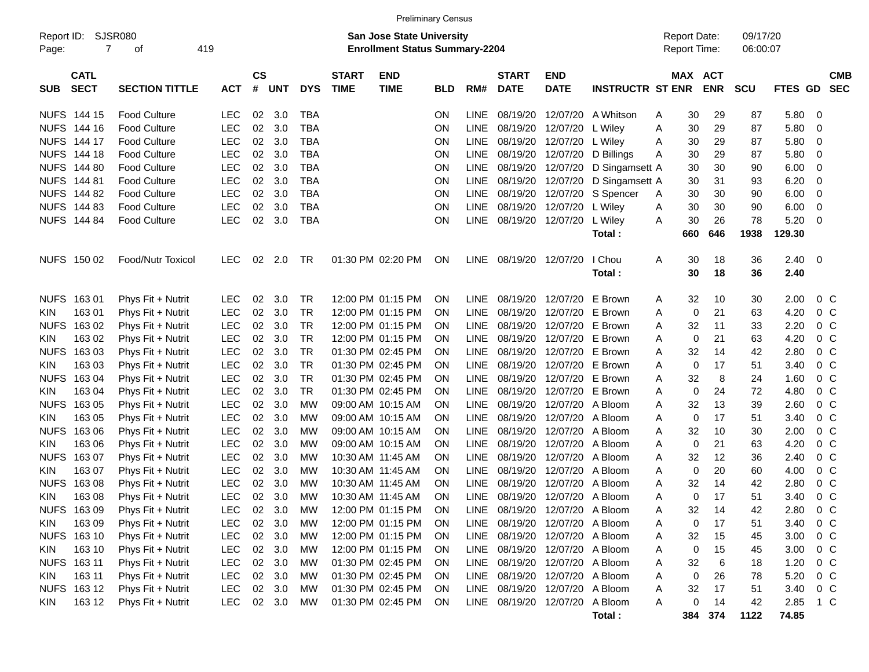|                     | <b>Preliminary Census</b><br>SJSR080<br><b>San Jose State University</b> |                       |            |                    |            |            |                             |                                       |            |             |                             |                                |                         |   |                                            |                          |                      |         |                 |                          |
|---------------------|--------------------------------------------------------------------------|-----------------------|------------|--------------------|------------|------------|-----------------------------|---------------------------------------|------------|-------------|-----------------------------|--------------------------------|-------------------------|---|--------------------------------------------|--------------------------|----------------------|---------|-----------------|--------------------------|
| Report ID:<br>Page: | $\overline{7}$                                                           | 419<br>οf             |            |                    |            |            |                             | <b>Enrollment Status Summary-2204</b> |            |             |                             |                                |                         |   | <b>Report Date:</b><br><b>Report Time:</b> |                          | 09/17/20<br>06:00:07 |         |                 |                          |
| <b>SUB</b>          | <b>CATL</b><br><b>SECT</b>                                               | <b>SECTION TITTLE</b> | <b>ACT</b> | $\mathsf{cs}$<br># | <b>UNT</b> | <b>DYS</b> | <b>START</b><br><b>TIME</b> | <b>END</b><br><b>TIME</b>             | <b>BLD</b> | RM#         | <b>START</b><br><b>DATE</b> | <b>END</b><br><b>DATE</b>      | <b>INSTRUCTR ST ENR</b> |   | MAX                                        | <b>ACT</b><br><b>ENR</b> | <b>SCU</b>           | FTES GD |                 | <b>CMB</b><br><b>SEC</b> |
|                     | NUFS 144 15                                                              | <b>Food Culture</b>   | <b>LEC</b> | 02                 | 3.0        | <b>TBA</b> |                             |                                       | <b>ON</b>  | <b>LINE</b> | 08/19/20                    | 12/07/20                       | A Whitson               | A | 30                                         | 29                       | 87                   | 5.80    | 0               |                          |
|                     | NUFS 144 16                                                              | <b>Food Culture</b>   | <b>LEC</b> | 02                 | 3.0        | <b>TBA</b> |                             |                                       | ON         | LINE        | 08/19/20                    | 12/07/20                       | L Wiley                 | A | 30                                         | 29                       | 87                   | 5.80    | 0               |                          |
| <b>NUFS</b>         | 144 17                                                                   | <b>Food Culture</b>   | <b>LEC</b> | 02                 | 3.0        | <b>TBA</b> |                             |                                       | ON         | <b>LINE</b> | 08/19/20                    | 12/07/20 L Wiley               |                         | A | 30                                         | 29                       | 87                   | 5.80    | 0               |                          |
| <b>NUFS</b>         | 144 18                                                                   | <b>Food Culture</b>   | <b>LEC</b> | 02                 | 3.0        | <b>TBA</b> |                             |                                       | ON         | <b>LINE</b> | 08/19/20                    | 12/07/20                       | D Billings              | A | 30                                         | 29                       | 87                   | 5.80    | 0               |                          |
| <b>NUFS</b>         | 144 80                                                                   | <b>Food Culture</b>   | LEC        | 02                 | 3.0        | <b>TBA</b> |                             |                                       | ON         | <b>LINE</b> | 08/19/20                    | 12/07/20                       | D Singamsett A          |   | 30                                         | 30                       | 90                   | 6.00    | 0               |                          |
| <b>NUFS</b>         | 144 81                                                                   | <b>Food Culture</b>   | <b>LEC</b> | 02                 | 3.0        | <b>TBA</b> |                             |                                       | ON         | <b>LINE</b> | 08/19/20                    | 12/07/20                       | D Singamsett A          |   | 30                                         | 31                       | 93                   | 6.20    | 0               |                          |
| <b>NUFS</b>         | 144 82                                                                   | <b>Food Culture</b>   | LEC        | 02                 | 3.0        | <b>TBA</b> |                             |                                       | ON         | LINE        | 08/19/20                    | 12/07/20                       | S Spencer               | A | 30                                         | 30                       | 90                   | 6.00    | 0               |                          |
|                     | NUFS 144 83                                                              | <b>Food Culture</b>   | LEC        | 02                 | 3.0        | <b>TBA</b> |                             |                                       | ON         | <b>LINE</b> | 08/19/20                    | 12/07/20                       | L Wiley                 | A | 30                                         | 30                       | 90                   | 6.00    | 0               |                          |
|                     | <b>NUFS 144 84</b>                                                       | <b>Food Culture</b>   | LEC        | 02                 | 3.0        | <b>TBA</b> |                             |                                       | ON         | <b>LINE</b> | 08/19/20                    | 12/07/20                       | L Wiley                 | A | 30                                         | 26                       | 78                   | 5.20    | 0               |                          |
|                     |                                                                          |                       |            |                    |            |            |                             |                                       |            |             |                             |                                | Total:                  |   | 660                                        | 646                      | 1938                 | 129.30  |                 |                          |
|                     | NUFS 150 02                                                              | Food/Nutr Toxicol     | <b>LEC</b> | 02                 | 2.0        | TR         |                             | 01:30 PM 02:20 PM                     | ON         |             | LINE 08/19/20               | 12/07/20                       | I Chou                  | A | 30                                         | 18                       | 36                   | 2.40    | 0               |                          |
|                     |                                                                          |                       |            |                    |            |            |                             |                                       |            |             |                             |                                | Total:                  |   | 30                                         | 18                       | 36                   | 2.40    |                 |                          |
| <b>NUFS</b>         | 16301                                                                    | Phys Fit + Nutrit     | <b>LEC</b> | 02                 | 3.0        | TR         |                             | 12:00 PM 01:15 PM                     | ON         | <b>LINE</b> | 08/19/20                    | 12/07/20                       | E Brown                 | A | 32                                         | 10                       | 30                   | 2.00    | $0\,C$          |                          |
| <b>KIN</b>          | 16301                                                                    | Phys Fit + Nutrit     | <b>LEC</b> | 02                 | 3.0        | TR         |                             | 12:00 PM 01:15 PM                     | ON         | LINE        | 08/19/20                    | 12/07/20                       | E Brown                 | A | 0                                          | 21                       | 63                   | 4.20    | 0 <sup>C</sup>  |                          |
| <b>NUFS</b>         | 163 02                                                                   | Phys Fit + Nutrit     | <b>LEC</b> | 02                 | 3.0        | TR         |                             | 12:00 PM 01:15 PM                     | ON         | <b>LINE</b> | 08/19/20                    | 12/07/20                       | E Brown                 | A | 32                                         | 11                       | 33                   | 2.20    | 0 <sup>C</sup>  |                          |
| <b>KIN</b>          | 163 02                                                                   | Phys Fit + Nutrit     | <b>LEC</b> | 02                 | 3.0        | TR         |                             | 12:00 PM 01:15 PM                     | ON         | <b>LINE</b> | 08/19/20                    | 12/07/20                       | E Brown                 | A | 0                                          | 21                       | 63                   | 4.20    | 0 <sup>C</sup>  |                          |
| <b>NUFS</b>         | 16303                                                                    | Phys Fit + Nutrit     | <b>LEC</b> | 02                 | 3.0        | <b>TR</b>  |                             | 01:30 PM 02:45 PM                     | ON         | <b>LINE</b> | 08/19/20                    | 12/07/20                       | E Brown                 | A | 32                                         | 14                       | 42                   | 2.80    | 0 <sup>C</sup>  |                          |
| <b>KIN</b>          | 163 03                                                                   | Phys Fit + Nutrit     | <b>LEC</b> | 02                 | 3.0        | TR         |                             | 01:30 PM 02:45 PM                     | ON         | <b>LINE</b> | 08/19/20                    | 12/07/20                       | E Brown                 | A | 0                                          | 17                       | 51                   | 3.40    | 0 <sup>C</sup>  |                          |
| <b>NUFS</b>         | 16304                                                                    | Phys Fit + Nutrit     | <b>LEC</b> | 02                 | 3.0        | TR         |                             | 01:30 PM 02:45 PM                     | ON         | <b>LINE</b> | 08/19/20                    | 12/07/20                       | E Brown                 | Α | 32                                         | 8                        | 24                   | 1.60    | 0 <sup>C</sup>  |                          |
| <b>KIN</b>          | 16304                                                                    | Phys Fit + Nutrit     | <b>LEC</b> | 02                 | 3.0        | TR         |                             | 01:30 PM 02:45 PM                     | ON         | <b>LINE</b> | 08/19/20                    | 12/07/20                       | E Brown                 | A | 0                                          | 24                       | 72                   | 4.80    | 0 <sup>C</sup>  |                          |
| <b>NUFS</b>         | 163 05                                                                   | Phys Fit + Nutrit     | <b>LEC</b> | 02                 | 3.0        | <b>MW</b>  |                             | 09:00 AM 10:15 AM                     | ON         | <b>LINE</b> | 08/19/20                    | 12/07/20                       | A Bloom                 | A | 32                                         | 13                       | 39                   | 2.60    | 0 <sup>C</sup>  |                          |
| <b>KIN</b>          | 163 05                                                                   | Phys Fit + Nutrit     | <b>LEC</b> | 02                 | 3.0        | <b>MW</b>  |                             | 09:00 AM 10:15 AM                     | ON         | <b>LINE</b> | 08/19/20                    | 12/07/20                       | A Bloom                 | A | 0                                          | 17                       | 51                   | 3.40    | 0 <sup>C</sup>  |                          |
| <b>NUFS</b>         | 16306                                                                    | Phys Fit + Nutrit     | <b>LEC</b> | 02                 | 3.0        | МW         |                             | 09:00 AM 10:15 AM                     | ON         | <b>LINE</b> | 08/19/20                    | 12/07/20                       | A Bloom                 | Α | 32                                         | 10                       | 30                   | 2.00    | 0 <sup>C</sup>  |                          |
| <b>KIN</b>          | 163 06                                                                   | Phys Fit + Nutrit     | <b>LEC</b> | 02                 | 3.0        | MW         |                             | 09:00 AM 10:15 AM                     | ON         | <b>LINE</b> | 08/19/20                    | 12/07/20                       | A Bloom                 | A | 0                                          | 21                       | 63                   | 4.20    | 0 <sup>C</sup>  |                          |
| <b>NUFS</b>         | 16307                                                                    | Phys Fit + Nutrit     | <b>LEC</b> | 02                 | 3.0        | MW         | 10:30 AM 11:45 AM           |                                       | ΟN         | <b>LINE</b> | 08/19/20                    | 12/07/20                       | A Bloom                 | A | 32                                         | 12                       | 36                   | 2.40    | 0 <sup>C</sup>  |                          |
| <b>KIN</b>          | 163 07                                                                   | Phys Fit + Nutrit     | <b>LEC</b> | 02                 | 3.0        | MW         | 10:30 AM 11:45 AM           |                                       | <b>ON</b>  | LINE        | 08/19/20                    | 12/07/20                       | A Bloom                 | A | 0                                          | 20                       | 60                   | 4.00    | 0 <sup>C</sup>  |                          |
| <b>NUFS</b>         | 16308                                                                    | Phys Fit + Nutrit     | <b>LEC</b> | 02                 | 3.0        | МW         | 10:30 AM 11:45 AM           |                                       | ON         | <b>LINE</b> | 08/19/20                    | 12/07/20                       | A Bloom                 | A | 32                                         | 14                       | 42                   | 2.80    | 0 <sup>C</sup>  |                          |
| KIN                 | 16308                                                                    | Phys Fit + Nutrit     | <b>LEC</b> | 02                 | 3.0        | МW         |                             | 10:30 AM 11:45 AM                     | <b>ON</b>  | LINE        |                             | 08/19/20 12/07/20 A Bloom      |                         | A | $\mathbf 0$                                | 17                       | 51                   | 3.40    | $0\,C$          |                          |
|                     | NUFS 163 09                                                              | Phys Fit + Nutrit     | LEC        |                    | 02 3.0     | <b>MW</b>  |                             | 12:00 PM 01:15 PM                     | ON         |             |                             | LINE 08/19/20 12/07/20 A Bloom |                         | A | 32                                         | 14                       | 42                   | 2.80    | $0\thinspace$ C |                          |
| KIN                 | 163 09                                                                   | Phys Fit + Nutrit     | <b>LEC</b> | 02                 | 3.0        | МW         |                             | 12:00 PM 01:15 PM                     | ON         |             |                             | LINE 08/19/20 12/07/20 A Bloom |                         | A | 0                                          | 17                       | 51                   | 3.40    | 0 <sup>C</sup>  |                          |
|                     | NUFS 163 10                                                              | Phys Fit + Nutrit     | <b>LEC</b> |                    | 02 3.0     | <b>MW</b>  |                             | 12:00 PM 01:15 PM                     | ON         |             |                             | LINE 08/19/20 12/07/20 A Bloom |                         | A | 32                                         | 15                       | 45                   | 3.00    | $0\quad C$      |                          |
| KIN                 | 163 10                                                                   | Phys Fit + Nutrit     | <b>LEC</b> |                    | 02 3.0     | <b>MW</b>  |                             | 12:00 PM 01:15 PM                     | <b>ON</b>  |             |                             | LINE 08/19/20 12/07/20 A Bloom |                         | Α | 0                                          | 15                       | 45                   | 3.00    | $0\,C$          |                          |
|                     | NUFS 163 11                                                              | Phys Fit + Nutrit     | <b>LEC</b> | $02\,$             | 3.0        | <b>MW</b>  |                             | 01:30 PM 02:45 PM                     | ON         |             |                             | LINE 08/19/20 12/07/20 A Bloom |                         | Α | 32                                         | 6                        | 18                   | 1.20    | $0\,C$          |                          |
| KIN                 | 163 11                                                                   | Phys Fit + Nutrit     | <b>LEC</b> | 02                 | 3.0        | <b>MW</b>  |                             | 01:30 PM 02:45 PM                     | ON         |             |                             | LINE 08/19/20 12/07/20 A Bloom |                         | Α | 0                                          | 26                       | 78                   | 5.20    | $0\,C$          |                          |
|                     | NUFS 16312                                                               | Phys Fit + Nutrit     | <b>LEC</b> | 02                 | 3.0        | MW         |                             | 01:30 PM 02:45 PM                     | ON.        |             |                             | LINE 08/19/20 12/07/20 A Bloom |                         | Α | 32                                         | 17                       | 51                   | 3.40    | $0\,C$          |                          |
| KIN                 | 163 12                                                                   | Phys Fit + Nutrit     | <b>LEC</b> |                    | 02 3.0     | <b>MW</b>  |                             | 01:30 PM 02:45 PM                     | ON         |             |                             | LINE 08/19/20 12/07/20 A Bloom |                         | Α | 0                                          | 14                       | 42                   | 2.85    | $1\,C$          |                          |
|                     |                                                                          |                       |            |                    |            |            |                             |                                       |            |             |                             |                                | Total:                  |   | 384                                        | 374                      | 1122                 | 74.85   |                 |                          |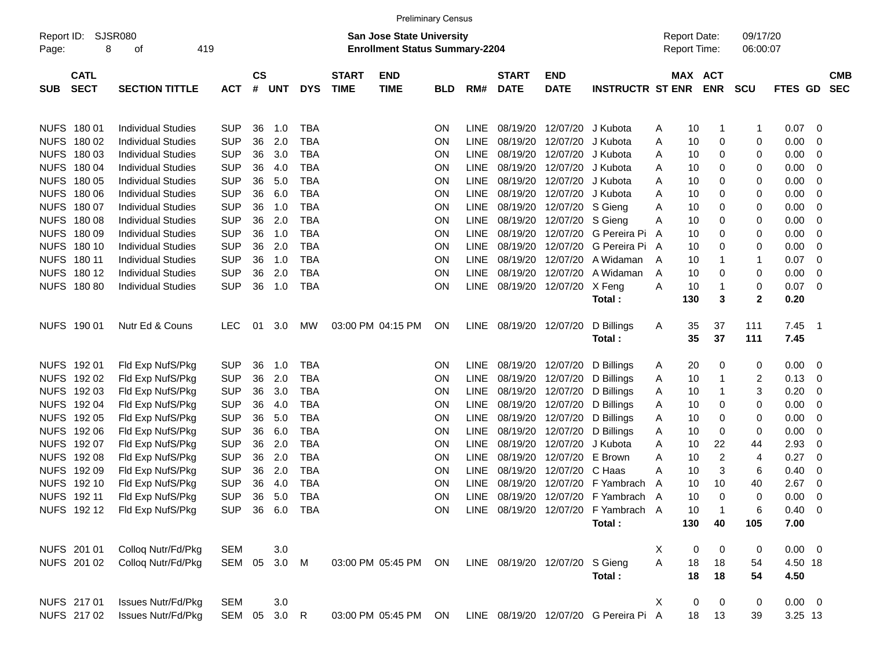|                     |                            |                              |                |                    |            |            |                             | <b>Preliminary Census</b>                                          |            |             |                             |                           |                                       |   |     |                                     |                      |                |                         |                          |
|---------------------|----------------------------|------------------------------|----------------|--------------------|------------|------------|-----------------------------|--------------------------------------------------------------------|------------|-------------|-----------------------------|---------------------------|---------------------------------------|---|-----|-------------------------------------|----------------------|----------------|-------------------------|--------------------------|
| Report ID:<br>Page: | 8                          | SJSR080<br>419<br>οf         |                |                    |            |            |                             | San Jose State University<br><b>Enrollment Status Summary-2204</b> |            |             |                             |                           |                                       |   |     | <b>Report Date:</b><br>Report Time: | 09/17/20<br>06:00:07 |                |                         |                          |
| <b>SUB</b>          | <b>CATL</b><br><b>SECT</b> | <b>SECTION TITTLE</b>        | <b>ACT</b>     | $\mathsf{cs}$<br># | <b>UNT</b> | <b>DYS</b> | <b>START</b><br><b>TIME</b> | <b>END</b><br><b>TIME</b>                                          | <b>BLD</b> | RM#         | <b>START</b><br><b>DATE</b> | <b>END</b><br><b>DATE</b> | <b>INSTRUCTR ST ENR</b>               |   |     | <b>MAX ACT</b><br><b>ENR</b>        | <b>SCU</b>           | FTES GD        |                         | <b>CMB</b><br><b>SEC</b> |
|                     | NUFS 180 01                | <b>Individual Studies</b>    | <b>SUP</b>     | 36                 | 1.0        | <b>TBA</b> |                             |                                                                    | ON         | LINE        | 08/19/20                    | 12/07/20                  | J Kubota                              | Α | 10  | 1                                   | -1                   | 0.07           | 0                       |                          |
|                     | NUFS 180 02                | <b>Individual Studies</b>    | <b>SUP</b>     | 36                 | 2.0        | <b>TBA</b> |                             |                                                                    | ON         | <b>LINE</b> | 08/19/20                    | 12/07/20                  | J Kubota                              | Α | 10  | 0                                   | 0                    | 0.00           | 0                       |                          |
|                     | NUFS 180 03                | <b>Individual Studies</b>    | <b>SUP</b>     | 36                 | 3.0        | <b>TBA</b> |                             |                                                                    | ON         | <b>LINE</b> | 08/19/20                    | 12/07/20                  | J Kubota                              | Α | 10  | 0                                   | 0                    | 0.00           | 0                       |                          |
|                     | NUFS 180 04                | <b>Individual Studies</b>    | <b>SUP</b>     | 36                 | 4.0        | <b>TBA</b> |                             |                                                                    | ON         | <b>LINE</b> | 08/19/20                    | 12/07/20                  | J Kubota                              | Α | 10  | 0                                   | 0                    | 0.00           | 0                       |                          |
|                     | NUFS 180 05                | <b>Individual Studies</b>    | <b>SUP</b>     | 36                 | 5.0        | <b>TBA</b> |                             |                                                                    | ON         | <b>LINE</b> | 08/19/20                    | 12/07/20                  | J Kubota                              | Α | 10  | 0                                   | 0                    | 0.00           | 0                       |                          |
|                     | NUFS 180 06                | <b>Individual Studies</b>    | <b>SUP</b>     | 36                 | 6.0        | <b>TBA</b> |                             |                                                                    | ON         | <b>LINE</b> | 08/19/20                    | 12/07/20                  | J Kubota                              | A | 10  | 0                                   | 0                    | 0.00           | 0                       |                          |
|                     | NUFS 180 07                | <b>Individual Studies</b>    | <b>SUP</b>     | 36                 | 1.0        | <b>TBA</b> |                             |                                                                    | ON         | LINE        | 08/19/20                    | 12/07/20                  | S Gieng                               | Α | 10  | 0                                   | 0                    | 0.00           | 0                       |                          |
|                     | <b>NUFS 18008</b>          | <b>Individual Studies</b>    | <b>SUP</b>     | 36                 | 2.0        | <b>TBA</b> |                             |                                                                    | ON         | LINE        | 08/19/20                    | 12/07/20                  | S Gieng                               | Α | 10  | 0                                   | 0                    | 0.00           | 0                       |                          |
|                     | NUFS 180 09                | <b>Individual Studies</b>    | <b>SUP</b>     | 36                 | 1.0        | <b>TBA</b> |                             |                                                                    | ON         | <b>LINE</b> | 08/19/20                    | 12/07/20                  | G Pereira Pi                          | A | 10  | 0                                   | 0                    | 0.00           | 0                       |                          |
|                     | <b>NUFS 18010</b>          | <b>Individual Studies</b>    | <b>SUP</b>     | 36                 | 2.0        | <b>TBA</b> |                             |                                                                    | ON         | <b>LINE</b> | 08/19/20                    | 12/07/20                  | G Pereira Pi A                        |   | 10  | 0                                   | 0                    | 0.00           | 0                       |                          |
|                     | <b>NUFS 18011</b>          | <b>Individual Studies</b>    | <b>SUP</b>     | 36                 | 1.0        | <b>TBA</b> |                             |                                                                    | ON         | <b>LINE</b> | 08/19/20                    | 12/07/20                  | A Widaman                             | A | 10  |                                     | -1                   | 0.07           | 0                       |                          |
|                     | NUFS 180 12                | <b>Individual Studies</b>    | <b>SUP</b>     | 36                 | 2.0        | <b>TBA</b> |                             |                                                                    | ON         | <b>LINE</b> | 08/19/20                    | 12/07/20                  | A Widaman                             | A | 10  | 0                                   | 0                    | 0.00           | 0                       |                          |
|                     | <b>NUFS 180 80</b>         | <b>Individual Studies</b>    | <b>SUP</b>     | 36                 | 1.0        | <b>TBA</b> |                             |                                                                    | ON         | LINE        | 08/19/20                    | 12/07/20                  | X Feng                                | A | 10  |                                     | 0                    | 0.07           | $\overline{\mathbf{0}}$ |                          |
|                     |                            |                              |                |                    |            |            |                             |                                                                    |            |             |                             |                           | Total :                               |   | 130 | 3                                   | $\mathbf{2}$         | 0.20           |                         |                          |
|                     | NUFS 190 01                | Nutr Ed & Couns              | <b>LEC</b>     | 01                 | 3.0        | МW         |                             | 03:00 PM 04:15 PM                                                  | ON         | LINE        | 08/19/20 12/07/20           |                           | D Billings                            | A | 35  | 37                                  | 111                  | 7.45           | - 1                     |                          |
|                     |                            |                              |                |                    |            |            |                             |                                                                    |            |             |                             |                           | Total:                                |   | 35  | 37                                  | 111                  | 7.45           |                         |                          |
|                     | NUFS 192 01                | Fld Exp NufS/Pkg             | <b>SUP</b>     | 36                 | 1.0        | <b>TBA</b> |                             |                                                                    | ON         | LINE        | 08/19/20                    | 12/07/20                  | D Billings                            | A | 20  | 0                                   | 0                    | 0.00           | $\overline{\mathbf{0}}$ |                          |
|                     | NUFS 192 02                | Fld Exp NufS/Pkg             | <b>SUP</b>     | 36                 | 2.0        | <b>TBA</b> |                             |                                                                    | ON         | <b>LINE</b> | 08/19/20                    | 12/07/20                  | D Billings                            | A | 10  | 1                                   | 2                    | 0.13           | 0                       |                          |
|                     | NUFS 192 03                | Fld Exp NufS/Pkg             | <b>SUP</b>     | 36                 | 3.0        | <b>TBA</b> |                             |                                                                    | ON         | <b>LINE</b> | 08/19/20                    | 12/07/20                  | D Billings                            | Α | 10  |                                     | 3                    | 0.20           | 0                       |                          |
|                     | NUFS 192 04                | Fld Exp NufS/Pkg             | <b>SUP</b>     | 36                 | 4.0        | <b>TBA</b> |                             |                                                                    | ON         | LINE        | 08/19/20                    | 12/07/20                  | D Billings                            | A | 10  | 0                                   | 0                    | 0.00           | 0                       |                          |
|                     | NUFS 192 05                | Fld Exp NufS/Pkg             | <b>SUP</b>     | 36                 | 5.0        | <b>TBA</b> |                             |                                                                    | ON         | LINE        | 08/19/20                    | 12/07/20                  | D Billings                            | A | 10  | 0                                   | 0                    | 0.00           | 0                       |                          |
|                     | NUFS 192 06                | Fld Exp NufS/Pkg             | <b>SUP</b>     | 36                 | 6.0        | <b>TBA</b> |                             |                                                                    | ON         | <b>LINE</b> | 08/19/20                    | 12/07/20                  | D Billings                            | Α | 10  | 0                                   | 0                    | 0.00           | 0                       |                          |
|                     | NUFS 192 07                | Fld Exp NufS/Pkg             | <b>SUP</b>     | 36                 | 2.0        | <b>TBA</b> |                             |                                                                    | ON         | <b>LINE</b> | 08/19/20                    | 12/07/20                  | J Kubota                              | Α | 10  | 22                                  | 44                   | 2.93           | 0                       |                          |
|                     | NUFS 192 08                | Fld Exp NufS/Pkg             | <b>SUP</b>     | 36                 | 2.0        | <b>TBA</b> |                             |                                                                    | ON         | <b>LINE</b> | 08/19/20                    | 12/07/20                  | E Brown                               | Α | 10  | 2                                   | 4                    | 0.27           | 0                       |                          |
|                     | NUFS 192 09                | Fld Exp NufS/Pkg             | <b>SUP</b>     | 36                 | 2.0        | <b>TBA</b> |                             |                                                                    | ON         | <b>LINE</b> | 08/19/20                    | 12/07/20                  | C Haas                                | Α | 10  | 3                                   | 6                    | 0.40           | 0                       |                          |
|                     | NUFS 192 10                | Fld Exp NufS/Pkg             | <b>SUP</b>     | 36                 | 4.0        | <b>TBA</b> |                             |                                                                    | ON         | <b>LINE</b> | 08/19/20                    | 12/07/20                  | F Yambrach                            | A | 10  | 10                                  | 40                   | 2.67           | 0                       |                          |
|                     | NUFS 192 11                | Fld Exp NufS/Pkg             | <b>SUP</b>     | 36                 | 5.0        | <b>TBA</b> |                             |                                                                    | <b>ON</b>  | <b>LINE</b> |                             |                           | 08/19/20 12/07/20 F Yambrach A        |   | 10  | $\Omega$                            | 0                    | 0.00           | 0                       |                          |
|                     |                            | NUFS 192 12 Fld Exp NufS/Pkg | SUP 36 6.0 TBA |                    |            |            |                             |                                                                    | <b>ON</b>  |             |                             |                           | LINE 08/19/20 12/07/20 F Yambrach A   |   | 10  |                                     | 6                    | $0.40 \quad 0$ |                         |                          |
|                     |                            |                              |                |                    |            |            |                             |                                                                    |            |             |                             |                           | Total:                                |   | 130 | 40                                  | 105                  | 7.00           |                         |                          |
|                     | NUFS 201 01                | Colloq Nutr/Fd/Pkg           | <b>SEM</b>     |                    | 3.0        |            |                             |                                                                    |            |             |                             |                           |                                       | X | 0   | 0                                   | 0                    | $0.00 \t 0$    |                         |                          |
|                     | NUFS 201 02                | Collog Nutr/Fd/Pkg           | SEM 05         |                    | 3.0 M      |            |                             | 03:00 PM 05:45 PM ON                                               |            |             |                             | LINE 08/19/20 12/07/20    | S Gieng                               | Α | 18  | 18                                  | 54                   | 4.50 18        |                         |                          |
|                     |                            |                              |                |                    |            |            |                             |                                                                    |            |             |                             |                           | Total:                                |   | 18  | 18                                  | 54                   | 4.50           |                         |                          |
|                     | NUFS 217 01                | <b>Issues Nutr/Fd/Pkg</b>    | <b>SEM</b>     |                    | 3.0        |            |                             |                                                                    |            |             |                             |                           |                                       | X | 0   | 0                                   | 0                    | $0.00 \t 0$    |                         |                          |
|                     | NUFS 217 02                | <b>Issues Nutr/Fd/Pkg</b>    | SEM 05         |                    | $3.0$ R    |            |                             | 03:00 PM 05:45 PM                                                  | ON         |             |                             |                           | LINE 08/19/20 12/07/20 G Pereira Pi A |   | 18  | 13                                  | 39                   | 3.25 13        |                         |                          |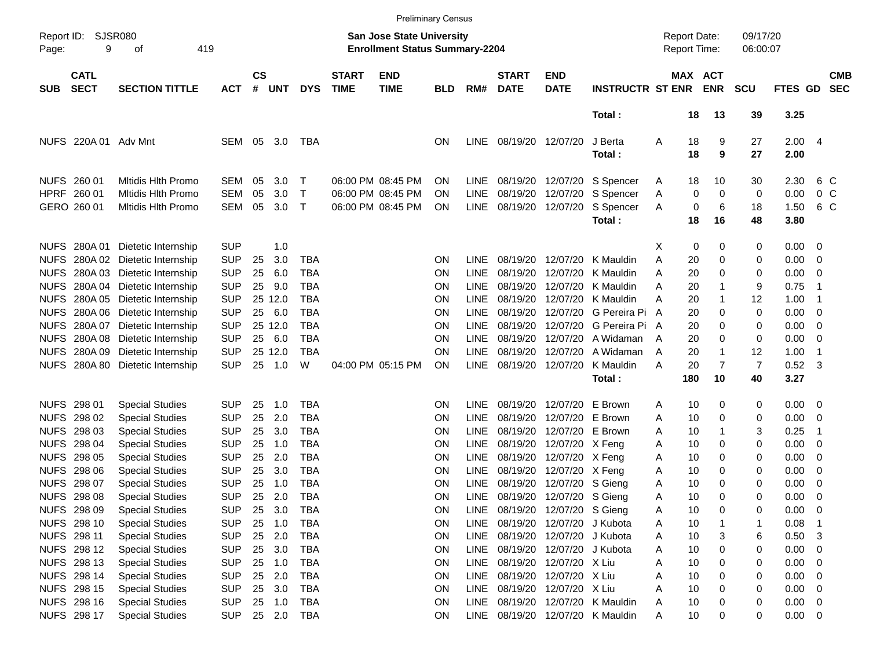|                     |                            |                             |            |                |            |              |                             |                                                                    | <b>Preliminary Census</b> |             |                             |                            |                             |                                     |                       |                      |                        |                          |                          |
|---------------------|----------------------------|-----------------------------|------------|----------------|------------|--------------|-----------------------------|--------------------------------------------------------------------|---------------------------|-------------|-----------------------------|----------------------------|-----------------------------|-------------------------------------|-----------------------|----------------------|------------------------|--------------------------|--------------------------|
| Report ID:<br>Page: | <b>SJSR080</b><br>9        | 419<br>οf                   |            |                |            |              |                             | San Jose State University<br><b>Enrollment Status Summary-2204</b> |                           |             |                             |                            |                             | <b>Report Date:</b><br>Report Time: |                       | 09/17/20<br>06:00:07 |                        |                          |                          |
| <b>SUB</b>          | <b>CATL</b><br><b>SECT</b> | <b>SECTION TITTLE</b>       | <b>ACT</b> | <b>CS</b><br># | <b>UNT</b> | <b>DYS</b>   | <b>START</b><br><b>TIME</b> | <b>END</b><br><b>TIME</b>                                          | <b>BLD</b>                | RM#         | <b>START</b><br><b>DATE</b> | <b>END</b><br><b>DATE</b>  | <b>INSTRUCTR ST ENR</b>     |                                     | MAX ACT<br><b>ENR</b> | <b>SCU</b>           | <b>FTES GD</b>         |                          | <b>CMB</b><br><b>SEC</b> |
|                     |                            |                             |            |                |            |              |                             |                                                                    |                           |             |                             |                            | Total:                      |                                     | 18<br>13              | 39                   | 3.25                   |                          |                          |
|                     | NUFS 220A 01 Adv Mnt       |                             | <b>SEM</b> | 05             | 3.0        | TBA          |                             |                                                                    | ΟN                        | <b>LINE</b> | 08/19/20 12/07/20           |                            | J Berta<br>Total:           | Α                                   | 18<br>9<br>18<br>9    | 27<br>27             | $2.00 \quad 4$<br>2.00 |                          |                          |
|                     | NUFS 260 01                | <b>Mitidis Hith Promo</b>   | <b>SEM</b> | 05             | 3.0        | $\mathsf T$  |                             | 06:00 PM 08:45 PM                                                  | ΟN                        | <b>LINE</b> |                             | 08/19/20 12/07/20          | S Spencer                   | A                                   | 18<br>10              | 30                   | 2.30                   |                          | 6 C                      |
|                     | HPRF 260 01                | <b>Mitidis Hith Promo</b>   | <b>SEM</b> | 05             | 3.0        | $\top$       |                             | 06:00 PM 08:45 PM                                                  | OΝ                        | <b>LINE</b> | 08/19/20                    | 12/07/20                   | S Spencer                   | Α                                   | 0<br>0                | 0                    | 0.00                   |                          | 0 <sup>o</sup>           |
|                     | GERO 260 01                | <b>Mitidis Hith Promo</b>   | <b>SEM</b> | 05             | 3.0        | $\mathsf{T}$ |                             | 06:00 PM 08:45 PM                                                  | ΟN                        | LINE        | 08/19/20 12/07/20           |                            | S Spencer<br>Total:         | Α                                   | 0<br>6<br>18<br>16    | 18<br>48             | 1.50<br>3.80           |                          | 6 C                      |
|                     | NUFS 280A01                | Dietetic Internship         | <b>SUP</b> |                | 1.0        |              |                             |                                                                    |                           |             |                             |                            |                             | х                                   | 0<br>0                | 0                    | 0.00                   | 0                        |                          |
| <b>NUFS</b>         |                            | 280A 02 Dietetic Internship | <b>SUP</b> | 25             | 3.0        | <b>TBA</b>   |                             |                                                                    | ΟN                        | <b>LINE</b> |                             | 08/19/20 12/07/20          | K Mauldin                   | Α                                   | 20<br>0               | 0                    | 0.00                   | 0                        |                          |
| <b>NUFS</b>         | 280A03                     | Dietetic Internship         | <b>SUP</b> | 25             | 6.0        | <b>TBA</b>   |                             |                                                                    | ΟN                        | <b>LINE</b> |                             | 08/19/20 12/07/20          | K Mauldin                   | A                                   | 20<br>0               | 0                    | 0.00                   | 0                        |                          |
| <b>NUFS</b>         | 280A 04                    | Dietetic Internship         | <b>SUP</b> | 25             | 9.0        | <b>TBA</b>   |                             |                                                                    | ΟN                        | <b>LINE</b> |                             | 08/19/20 12/07/20          | K Mauldin                   | A                                   | 20                    | 9                    | 0.75                   | -1                       |                          |
| <b>NUFS</b>         | 280A 05                    | Dietetic Internship         | <b>SUP</b> | 25 12.0        |            | <b>TBA</b>   |                             |                                                                    | ΟN                        | <b>LINE</b> |                             | 08/19/20 12/07/20          | K Mauldin                   | Α                                   | 20                    | 12                   | 1.00                   | -1                       |                          |
| <b>NUFS</b>         | 280A 06                    | Dietetic Internship         | <b>SUP</b> | 25 6.0         |            | <b>TBA</b>   |                             |                                                                    | ΟN                        | <b>LINE</b> |                             | 08/19/20 12/07/20          | G Pereira Pi                | A                                   | 20<br>0               | 0                    | 0.00                   | 0                        |                          |
| <b>NUFS</b>         | 280A 07                    | Dietetic Internship         | <b>SUP</b> | 25 12.0        |            | TBA          |                             |                                                                    | ΟN                        | <b>LINE</b> | 08/19/20                    | 12/07/20                   | G Pereira Pi A              |                                     | 20<br>0               | 0                    | 0.00                   | 0                        |                          |
| <b>NUFS</b>         | 280A 08                    | Dietetic Internship         | <b>SUP</b> | 25 6.0         |            | <b>TBA</b>   |                             |                                                                    | ΟN                        | <b>LINE</b> | 08/19/20                    | 12/07/20                   | A Widaman                   | A                                   | 20<br>0               | 0                    | 0.00                   | 0                        |                          |
| <b>NUFS</b>         | 280A09                     | Dietetic Internship         | <b>SUP</b> | 25 12.0        |            | <b>TBA</b>   |                             |                                                                    | ΟN                        | LINE        | 08/19/20                    | 12/07/20                   | A Widaman                   | A                                   | 20<br>1               | 12                   | 1.00                   | -1                       |                          |
|                     | <b>NUFS 280A80</b>         | Dietetic Internship         | <b>SUP</b> | 25             | 1.0        | W            |                             | 04:00 PM 05:15 PM                                                  | ΟN                        | <b>LINE</b> |                             | 08/19/20 12/07/20          | K Mauldin                   | A                                   | 20<br>7               | 7                    | 0.52                   | -3                       |                          |
|                     |                            |                             |            |                |            |              |                             |                                                                    |                           |             |                             |                            | Total:                      | 180                                 | 10                    | 40                   | 3.27                   |                          |                          |
|                     | NUFS 298 01                | <b>Special Studies</b>      | <b>SUP</b> | 25             | 1.0        | <b>TBA</b>   |                             |                                                                    | ΟN                        | <b>LINE</b> |                             | 08/19/20 12/07/20          | E Brown                     | Α                                   | 10<br>0               | 0                    | 0.00                   | - 0                      |                          |
|                     | NUFS 298 02                | <b>Special Studies</b>      | <b>SUP</b> | 25             | 2.0        | <b>TBA</b>   |                             |                                                                    | ΟN                        | <b>LINE</b> | 08/19/20                    | 12/07/20                   | E Brown                     | Α                                   | 10<br>0               | 0                    | 0.00                   | 0                        |                          |
|                     | NUFS 298 03                | <b>Special Studies</b>      | <b>SUP</b> | 25             | 3.0        | <b>TBA</b>   |                             |                                                                    | OΝ                        | <b>LINE</b> | 08/19/20                    | 12/07/20                   | E Brown                     | Α                                   | 10                    | 3                    | 0.25                   | -1                       |                          |
|                     | NUFS 298 04                | <b>Special Studies</b>      | <b>SUP</b> | 25             | 1.0        | <b>TBA</b>   |                             |                                                                    | OΝ                        | <b>LINE</b> |                             | 08/19/20 12/07/20 X Feng   |                             | Α                                   | 10<br>0               | 0                    | 0.00                   | 0                        |                          |
|                     | NUFS 298 05                | <b>Special Studies</b>      | <b>SUP</b> | 25             | 2.0        | <b>TBA</b>   |                             |                                                                    | ΟN                        | <b>LINE</b> |                             | 08/19/20 12/07/20 X Feng   |                             | Α                                   | 10<br>0               | 0                    | 0.00                   | 0                        |                          |
|                     | NUFS 298 06                | <b>Special Studies</b>      | <b>SUP</b> | 25             | 3.0        | TBA          |                             |                                                                    | 0N                        | LINE        |                             | 08/19/20 12/07/20 X Feng   |                             | Α                                   | 10<br>0               | 0                    | 0.00                   | 0                        |                          |
|                     | NUFS 298 07                | <b>Special Studies</b>      | <b>SUP</b> | 25             | 1.0        | <b>TBA</b>   |                             |                                                                    | ΟN                        | <b>LINE</b> |                             | 08/19/20 12/07/20 S Gieng  |                             | Α                                   | 10<br>0               | 0                    | 0.00                   | 0                        |                          |
|                     | NUFS 298 08                | <b>Special Studies</b>      | <b>SUP</b> | 25             | 2.0        | <b>TBA</b>   |                             |                                                                    | ΟN                        | <b>LINE</b> |                             | 08/19/20 12/07/20 S Gieng  |                             | Α                                   | 10<br>0               | 0                    | 0.00                   | 0                        |                          |
|                     | NUFS 298 09                | <b>Special Studies</b>      | <b>SUP</b> | 25             | 3.0        | <b>TBA</b>   |                             |                                                                    | ON                        | LINE        |                             | 08/19/20 12/07/20 S Gieng  |                             | A                                   | 10<br>0               | 0                    | 0.00                   | $\overline{\mathbf{0}}$  |                          |
|                     | NUFS 298 10                | <b>Special Studies</b>      | <b>SUP</b> | 25             | 1.0        | <b>TBA</b>   |                             |                                                                    | ON                        | LINE        |                             | 08/19/20 12/07/20 J Kubota |                             | A                                   | 10                    |                      | 0.08                   | -1                       |                          |
|                     | NUFS 298 11                | <b>Special Studies</b>      | <b>SUP</b> | 25 2.0         |            | TBA          |                             |                                                                    | ON                        | LINE        |                             | 08/19/20 12/07/20 J Kubota |                             | Α                                   | 10<br>3               | 6                    | 0.50                   | -3                       |                          |
|                     | NUFS 298 12                | <b>Special Studies</b>      | <b>SUP</b> | 25             | 3.0        | TBA          |                             |                                                                    | ON                        | LINE        |                             | 08/19/20 12/07/20 J Kubota |                             | Α                                   | 10<br>0               | 0                    | 0.00                   | 0                        |                          |
|                     | NUFS 298 13                | <b>Special Studies</b>      | <b>SUP</b> | 25             | 1.0        | TBA          |                             |                                                                    | ON                        | LINE        |                             | 08/19/20 12/07/20 X Liu    |                             | Α                                   | 10<br>0               | 0                    | 0.00                   | 0                        |                          |
|                     | NUFS 298 14                | <b>Special Studies</b>      | <b>SUP</b> | 25 2.0         |            | TBA          |                             |                                                                    | ON                        | LINE        |                             | 08/19/20 12/07/20 X Liu    |                             | Α                                   | 10<br>0               | 0                    | 0.00                   | 0                        |                          |
|                     | NUFS 298 15                | <b>Special Studies</b>      | <b>SUP</b> | 25             | 3.0        | TBA          |                             |                                                                    | ON                        | LINE        |                             | 08/19/20 12/07/20 X Liu    |                             | Α                                   | 10<br>0               | 0                    | 0.00                   | 0                        |                          |
|                     | NUFS 298 16                | <b>Special Studies</b>      | <b>SUP</b> | 25 1.0         |            | TBA          |                             |                                                                    | ON                        | LINE        |                             |                            | 08/19/20 12/07/20 K Mauldin | Α                                   | 10                    | 0                    | 0.00                   | $\overline{\phantom{0}}$ |                          |
|                     | NUFS 298 17                | <b>Special Studies</b>      | <b>SUP</b> |                |            | 25 2.0 TBA   |                             |                                                                    | ON                        | LINE        |                             |                            | 08/19/20 12/07/20 K Mauldin | A                                   | 10<br>0               | 0                    | $0.00 \t 0$            |                          |                          |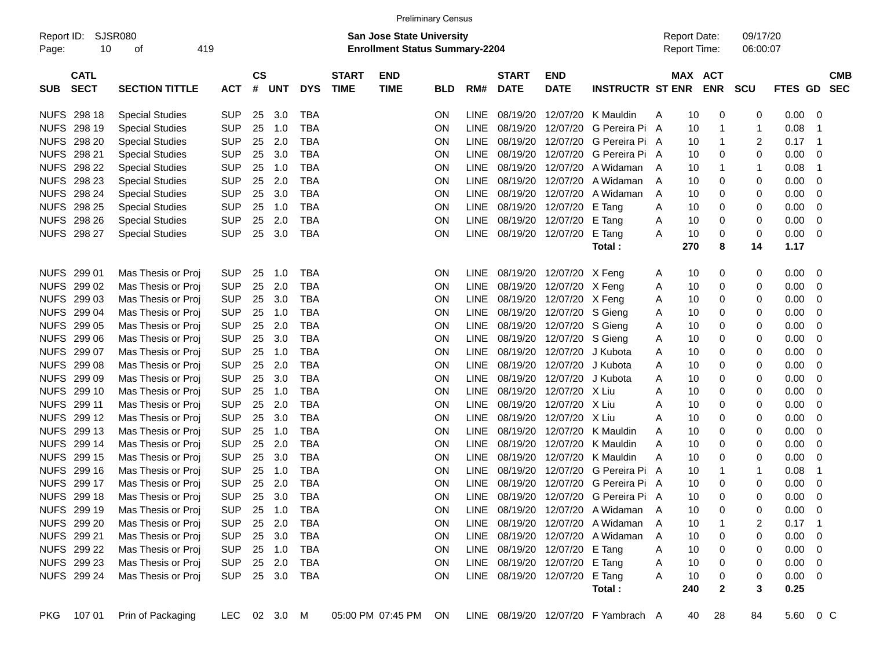|                     | <b>Preliminary Census</b><br>SJSR080<br><b>San Jose State University</b> |                        |              |                    |            |            |                             |                                       |            |             |                             |                               |                                     |                                            |                       |                      |          |                          |
|---------------------|--------------------------------------------------------------------------|------------------------|--------------|--------------------|------------|------------|-----------------------------|---------------------------------------|------------|-------------|-----------------------------|-------------------------------|-------------------------------------|--------------------------------------------|-----------------------|----------------------|----------|--------------------------|
| Report ID:<br>Page: | 10                                                                       | 419<br>οf              |              |                    |            |            |                             | <b>Enrollment Status Summary-2204</b> |            |             |                             |                               |                                     | <b>Report Date:</b><br><b>Report Time:</b> |                       | 09/17/20<br>06:00:07 |          |                          |
| <b>SUB</b>          | <b>CATL</b><br><b>SECT</b>                                               | <b>SECTION TITTLE</b>  | <b>ACT</b>   | $\mathsf{cs}$<br># | <b>UNT</b> | <b>DYS</b> | <b>START</b><br><b>TIME</b> | <b>END</b><br><b>TIME</b>             | <b>BLD</b> | RM#         | <b>START</b><br><b>DATE</b> | <b>END</b><br><b>DATE</b>     | <b>INSTRUCTR ST ENR</b>             |                                            | MAX ACT<br><b>ENR</b> | <b>SCU</b>           | FTES GD  | <b>CMB</b><br><b>SEC</b> |
| <b>NUFS</b>         | 298 18                                                                   | <b>Special Studies</b> | <b>SUP</b>   | 25                 | 3.0        | <b>TBA</b> |                             |                                       | ΟN         | <b>LINE</b> | 08/19/20                    | 12/07/20                      | K Mauldin                           | A                                          | 0<br>10               | 0                    | 0.00     | 0                        |
| <b>NUFS</b>         | 298 19                                                                   | <b>Special Studies</b> | <b>SUP</b>   | 25                 | 1.0        | <b>TBA</b> |                             |                                       | ON         | LINE        | 08/19/20                    | 12/07/20                      | G Pereira Pi A                      |                                            | 1<br>10               | 1                    | 0.08     | 1                        |
| <b>NUFS</b>         | 298 20                                                                   | <b>Special Studies</b> | <b>SUP</b>   | 25                 | 2.0        | <b>TBA</b> |                             |                                       | ON         | <b>LINE</b> | 08/19/20                    | 12/07/20                      | G Pereira Pi A                      |                                            | 10<br>1               | 2                    | 0.17     | $\mathbf 1$              |
| <b>NUFS</b>         | 298 21                                                                   | <b>Special Studies</b> | <b>SUP</b>   | 25                 | 3.0        | <b>TBA</b> |                             |                                       | ON         | <b>LINE</b> | 08/19/20                    | 12/07/20                      | G Pereira Pi A                      |                                            | 10<br>0               | 0                    | 0.00     | 0                        |
| <b>NUFS</b>         | 298 22                                                                   | <b>Special Studies</b> | <b>SUP</b>   | 25                 | 1.0        | <b>TBA</b> |                             |                                       | ON         | <b>LINE</b> | 08/19/20                    | 12/07/20                      | A Widaman                           | A                                          | 10<br>1               | 1                    | 0.08     | 1                        |
| <b>NUFS</b>         | 298 23                                                                   | <b>Special Studies</b> | <b>SUP</b>   | 25                 | 2.0        | <b>TBA</b> |                             |                                       | ON         | <b>LINE</b> | 08/19/20                    | 12/07/20                      | A Widaman                           | A                                          | 10<br>0               | 0                    | 0.00     | 0                        |
| <b>NUFS</b>         | 298 24                                                                   | <b>Special Studies</b> | <b>SUP</b>   | 25                 | 3.0        | <b>TBA</b> |                             |                                       | ON         | <b>LINE</b> | 08/19/20                    | 12/07/20                      | A Widaman                           | A                                          | 10<br>0               | 0                    | 0.00     | 0                        |
| <b>NUFS</b>         | 298 25                                                                   | <b>Special Studies</b> | <b>SUP</b>   | 25                 | 1.0        | <b>TBA</b> |                             |                                       | ON         | <b>LINE</b> | 08/19/20                    | 12/07/20                      | E Tang                              | Α                                          | 10<br>0               | 0                    | 0.00     | 0                        |
| <b>NUFS</b>         | 298 26                                                                   | <b>Special Studies</b> | <b>SUP</b>   | 25                 | 2.0        | <b>TBA</b> |                             |                                       | ON         | <b>LINE</b> | 08/19/20                    | 12/07/20                      | E Tang                              | A                                          | 10<br>0               | 0                    | 0.00     | 0                        |
| <b>NUFS</b>         | 298 27                                                                   | <b>Special Studies</b> | <b>SUP</b>   | 25                 | 3.0        | <b>TBA</b> |                             |                                       | ON         | <b>LINE</b> | 08/19/20                    | 12/07/20                      | E Tang                              | A                                          | 0<br>10               | 0                    | 0.00     | 0                        |
|                     |                                                                          |                        |              |                    |            |            |                             |                                       |            |             |                             |                               | Total:                              | 270                                        | 8                     | 14                   | 1.17     |                          |
| <b>NUFS</b>         | 299 01                                                                   | Mas Thesis or Proj     | <b>SUP</b>   | 25                 | 1.0        | <b>TBA</b> |                             |                                       | <b>ON</b>  | <b>LINE</b> |                             | 08/19/20 12/07/20 X Feng      |                                     | A                                          | 0<br>10               | 0                    | 0.00     | 0                        |
| <b>NUFS</b>         | 299 02                                                                   | Mas Thesis or Proj     | <b>SUP</b>   | 25                 | 2.0        | <b>TBA</b> |                             |                                       | ON         | <b>LINE</b> | 08/19/20                    | 12/07/20                      | X Feng                              | Α                                          | 10<br>0               | 0                    | 0.00     | 0                        |
| <b>NUFS</b>         | 299 03                                                                   | Mas Thesis or Proj     | <b>SUP</b>   | 25                 | 3.0        | <b>TBA</b> |                             |                                       | ON         | <b>LINE</b> | 08/19/20                    | 12/07/20                      | X Feng                              | Α                                          | 10<br>0               | 0                    | 0.00     | 0                        |
| <b>NUFS</b>         | 299 04                                                                   | Mas Thesis or Proj     | <b>SUP</b>   | 25                 | 1.0        | <b>TBA</b> |                             |                                       | ON         | <b>LINE</b> | 08/19/20                    | 12/07/20                      | S Gieng                             | A                                          | 0<br>10               | 0                    | 0.00     | 0                        |
| <b>NUFS</b>         | 299 05                                                                   | Mas Thesis or Proj     | <b>SUP</b>   | 25                 | 2.0        | <b>TBA</b> |                             |                                       | ON         | <b>LINE</b> | 08/19/20                    | 12/07/20                      | S Gieng                             | A                                          | 0<br>10               | 0                    | 0.00     | 0                        |
| <b>NUFS</b>         | 299 06                                                                   | Mas Thesis or Proj     | <b>SUP</b>   | 25                 | 3.0        | <b>TBA</b> |                             |                                       | ON         | <b>LINE</b> | 08/19/20                    | 12/07/20                      | S Gieng                             | A                                          | 10<br>0               | 0                    | 0.00     | 0                        |
| <b>NUFS</b>         | 299 07                                                                   | Mas Thesis or Proj     | <b>SUP</b>   | 25                 | 1.0        | <b>TBA</b> |                             |                                       | ON         | <b>LINE</b> | 08/19/20                    | 12/07/20                      | J Kubota                            | Α                                          | 10<br>0               | 0                    | 0.00     | 0                        |
| <b>NUFS</b>         | 299 08                                                                   | Mas Thesis or Proj     | <b>SUP</b>   | 25                 | 2.0        | <b>TBA</b> |                             |                                       | ON         | <b>LINE</b> | 08/19/20                    | 12/07/20                      | J Kubota                            | Α                                          | 10<br>0               | 0                    | 0.00     | 0                        |
| <b>NUFS</b>         | 299 09                                                                   | Mas Thesis or Proj     | <b>SUP</b>   | 25                 | 3.0        | <b>TBA</b> |                             |                                       | ON         | <b>LINE</b> | 08/19/20                    | 12/07/20                      | J Kubota                            | A                                          | 10<br>0               | 0                    | 0.00     | 0                        |
| <b>NUFS</b>         | 299 10                                                                   | Mas Thesis or Proj     | <b>SUP</b>   | 25                 | 1.0        | <b>TBA</b> |                             |                                       | ON         | <b>LINE</b> | 08/19/20                    | 12/07/20                      | X Liu                               | A                                          | 10<br>0               | 0                    | 0.00     | 0                        |
| <b>NUFS</b>         | 299 11                                                                   | Mas Thesis or Proj     | <b>SUP</b>   | 25                 | 2.0        | <b>TBA</b> |                             |                                       | ON         | <b>LINE</b> | 08/19/20                    | 12/07/20                      | X Liu                               | A                                          | 10<br>0               | 0                    | 0.00     | 0                        |
| <b>NUFS</b>         | 299 12                                                                   | Mas Thesis or Proj     | <b>SUP</b>   | 25                 | 3.0        | <b>TBA</b> |                             |                                       | ON         | <b>LINE</b> | 08/19/20                    | 12/07/20                      | X Liu                               | A                                          | 10<br>0               | 0                    | 0.00     | 0                        |
| <b>NUFS</b>         | 299 13                                                                   | Mas Thesis or Proj     | <b>SUP</b>   | 25                 | 1.0        | <b>TBA</b> |                             |                                       | ON         | LINE        | 08/19/20                    | 12/07/20                      | K Mauldin                           | A                                          | 10<br>0               | 0                    | 0.00     | 0                        |
| <b>NUFS</b>         | 299 14                                                                   | Mas Thesis or Proj     | <b>SUP</b>   | 25                 | 2.0        | <b>TBA</b> |                             |                                       | ON         | <b>LINE</b> | 08/19/20                    | 12/07/20                      | K Mauldin                           | A                                          | 10<br>0               | 0                    | 0.00     | 0                        |
| <b>NUFS</b>         | 299 15                                                                   | Mas Thesis or Proj     | <b>SUP</b>   | 25                 | 3.0        | <b>TBA</b> |                             |                                       | ON         | <b>LINE</b> | 08/19/20                    | 12/07/20                      | K Mauldin                           | A                                          | 10<br>0               | 0                    | 0.00     | 0                        |
| <b>NUFS</b>         | 299 16                                                                   | Mas Thesis or Proj     | <b>SUP</b>   | 25                 | 1.0        | <b>TBA</b> |                             |                                       | ON         | <b>LINE</b> | 08/19/20                    | 12/07/20                      | G Pereira Pi A                      |                                            | 10<br>1               | 1                    | 0.08     | 1                        |
| <b>NUFS</b>         | 299 17                                                                   | Mas Thesis or Proj     | <b>SUP</b>   | 25                 | 2.0        | <b>TBA</b> |                             |                                       | ON         | LINE        | 08/19/20                    | 12/07/20                      | G Pereira Pi A                      |                                            | 10<br>0               | 0                    | 0.00     | 0                        |
| <b>NUFS</b>         | 299 18                                                                   | Mas Thesis or Proi     | <b>SUP</b>   | 25                 | 3.0        | <b>TBA</b> |                             |                                       | ΟN         | <b>LINE</b> |                             | 08/19/20 12/07/20             | G Pereira Pi A                      |                                            | 10<br>0               | 0                    | 0.00     | 0                        |
|                     | NUFS 299 19                                                              | Mas Thesis or Proj     | <b>SUP</b>   | 25                 | 1.0        | TBA        |                             |                                       | <b>ON</b>  | <b>LINE</b> |                             |                               | 08/19/20 12/07/20 A Widaman         | A                                          | 10<br>0               | 0                    | $0.00\,$ | $\overline{0}$           |
|                     | NUFS 299 20                                                              | Mas Thesis or Proj     | <b>SUP</b>   | 25                 | 2.0        | <b>TBA</b> |                             |                                       | ON         | <b>LINE</b> |                             | 08/19/20 12/07/20             | A Widaman                           | A                                          | 10                    | 2                    | 0.17     | $\mathbf 1$              |
|                     | NUFS 299 21                                                              | Mas Thesis or Proj     | <b>SUP</b>   |                    | 25 3.0     | <b>TBA</b> |                             |                                       | ON         |             |                             | LINE 08/19/20 12/07/20        | A Widaman                           | A                                          | 10<br>0               | 0                    | 0.00     | 0                        |
|                     | NUFS 299 22                                                              | Mas Thesis or Proj     | <b>SUP</b>   |                    | 25 1.0     | <b>TBA</b> |                             |                                       | ON         |             |                             | LINE 08/19/20 12/07/20        | E Tang                              | A                                          | 10<br>0               | 0                    | 0.00     | 0                        |
|                     | NUFS 299 23                                                              | Mas Thesis or Proj     | <b>SUP</b>   |                    | 25 2.0     | <b>TBA</b> |                             |                                       | ON         |             |                             | LINE 08/19/20 12/07/20        | E Tang                              | A                                          | 10<br>0               | 0                    | 0.00     | 0                        |
|                     | NUFS 299 24                                                              | Mas Thesis or Proj     | <b>SUP</b>   |                    | 25 3.0     | TBA        |                             |                                       | <b>ON</b>  |             |                             | LINE 08/19/20 12/07/20 E Tang |                                     | A                                          | 0<br>10               | 0                    | 0.00     | 0                        |
|                     |                                                                          |                        |              |                    |            |            |                             |                                       |            |             |                             |                               | Total:                              | 240                                        | 2                     | 3                    | 0.25     |                          |
| PKG                 | 107 01                                                                   | Prin of Packaging      | LEC 02 3.0 M |                    |            |            |                             | 05:00 PM 07:45 PM                     | ON.        |             |                             |                               | LINE 08/19/20 12/07/20 F Yambrach A |                                            | 28<br>40              | 84                   | 5.60     | $0\,$ C                  |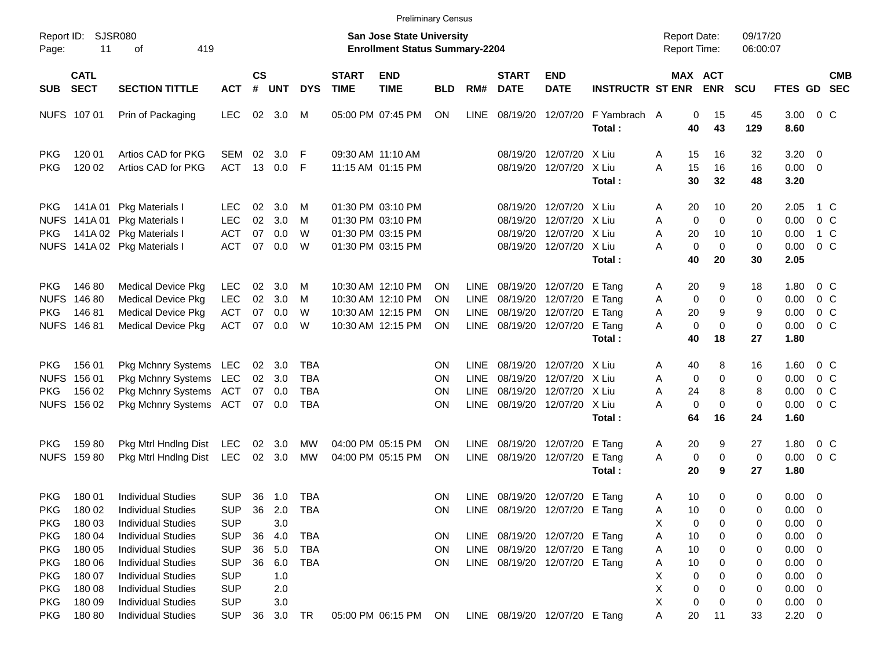|                                                                    |                                               |                                                                                                                                               |                                                                    |                      |                                 |                                                      |                             |                                                                                  | Preliminary Census                        |                                            |                                                                                          |                                                                                  |                                                |                                                   |                                              |                          |                                                                         |                                                               |
|--------------------------------------------------------------------|-----------------------------------------------|-----------------------------------------------------------------------------------------------------------------------------------------------|--------------------------------------------------------------------|----------------------|---------------------------------|------------------------------------------------------|-----------------------------|----------------------------------------------------------------------------------|-------------------------------------------|--------------------------------------------|------------------------------------------------------------------------------------------|----------------------------------------------------------------------------------|------------------------------------------------|---------------------------------------------------|----------------------------------------------|--------------------------|-------------------------------------------------------------------------|---------------------------------------------------------------|
| Report ID:<br>Page:                                                | 11                                            | SJSR080<br>419<br>оf                                                                                                                          |                                                                    |                      |                                 |                                                      |                             | San Jose State University<br><b>Enrollment Status Summary-2204</b>               |                                           |                                            |                                                                                          |                                                                                  |                                                | <b>Report Date:</b><br>Report Time:               |                                              | 09/17/20<br>06:00:07     |                                                                         |                                                               |
| <b>SUB</b>                                                         | <b>CATL</b><br><b>SECT</b>                    | <b>SECTION TITTLE</b>                                                                                                                         | <b>ACT</b>                                                         | <b>CS</b><br>#       | <b>UNT</b>                      | <b>DYS</b>                                           | <b>START</b><br><b>TIME</b> | <b>END</b><br><b>TIME</b>                                                        | <b>BLD</b>                                | RM#                                        | <b>START</b><br><b>DATE</b>                                                              | <b>END</b><br><b>DATE</b>                                                        | <b>INSTRUCTR ST ENR</b>                        |                                                   | <b>MAX ACT</b><br><b>ENR</b>                 | <b>SCU</b>               |                                                                         | <b>CMB</b><br>FTES GD SEC                                     |
|                                                                    | NUFS 107 01                                   | Prin of Packaging                                                                                                                             | LEC.                                                               | 02                   | 3.0                             | M                                                    |                             | 05:00 PM 07:45 PM                                                                | ON                                        | LINE                                       | 08/19/20                                                                                 | 12/07/20                                                                         | F Yambrach A<br>Total:                         | 0<br>40                                           | 15<br>43                                     | 45<br>129                | 3.00<br>8.60                                                            | $0\,$ C                                                       |
| <b>PKG</b><br><b>PKG</b>                                           | 120 01<br>120 02                              | Artios CAD for PKG<br>Artios CAD for PKG                                                                                                      | <b>SEM</b><br><b>ACT</b>                                           | 02<br>13             | 3.0<br>0.0                      | F<br>F                                               | 09:30 AM 11:10 AM           | 11:15 AM 01:15 PM                                                                |                                           |                                            | 08/19/20                                                                                 | 12/07/20<br>08/19/20 12/07/20                                                    | X Liu<br>X Liu<br>Total:                       | A<br>15<br>A<br>15<br>30                          | 16<br>16<br>32                               | 32<br>16<br>48           | 3.20<br>$0.00 \t 0$<br>3.20                                             | $\overline{\mathbf{0}}$                                       |
| PKG<br><b>NUFS</b><br><b>PKG</b><br><b>NUFS</b>                    | 141A 01                                       | Pkg Materials I<br>141A 01 Pkg Materials I<br>141A 02 Pkg Materials I<br>141A 02 Pkg Materials I                                              | <b>LEC</b><br><b>LEC</b><br><b>ACT</b><br><b>ACT</b>               | 02<br>02<br>07<br>07 | 3.0<br>3.0<br>0.0<br>0.0        | M<br>M<br>W<br>W                                     |                             | 01:30 PM 03:10 PM<br>01:30 PM 03:10 PM<br>01:30 PM 03:15 PM<br>01:30 PM 03:15 PM |                                           |                                            | 08/19/20                                                                                 | 12/07/20<br>08/19/20 12/07/20<br>08/19/20 12/07/20<br>08/19/20 12/07/20          | X Liu<br>X Liu<br>X Liu<br>X Liu<br>Total:     | 20<br>A<br>Α<br>0<br>Α<br>20<br>0<br>Α<br>40      | 10<br>$\mathbf 0$<br>10<br>$\mathbf 0$<br>20 | 20<br>0<br>10<br>0<br>30 | 2.05<br>0.00<br>0.00<br>0.00<br>2.05                                    | 1 C<br>$0\,C$<br>1 C<br>0 <sup>o</sup>                        |
| <b>PKG</b><br><b>NUFS</b><br><b>PKG</b>                            | 14680<br>146 80<br>14681<br>NUFS 146 81       | <b>Medical Device Pkg</b><br><b>Medical Device Pkg</b><br><b>Medical Device Pkg</b><br><b>Medical Device Pkg</b>                              | <b>LEC</b><br><b>LEC</b><br><b>ACT</b><br><b>ACT</b>               | 02<br>02<br>07<br>07 | 3.0<br>3.0<br>0.0<br>0.0        | M<br>M<br>W<br>W                                     |                             | 10:30 AM 12:10 PM<br>10:30 AM 12:10 PM<br>10:30 AM 12:15 PM<br>10:30 AM 12:15 PM | <b>ON</b><br><b>ON</b><br><b>ON</b><br>ON | <b>LINE</b><br><b>LINE</b><br><b>LINE</b>  | 08/19/20 12/07/20<br>08/19/20 12/07/20<br>08/19/20 12/07/20<br>LINE 08/19/20 12/07/20    |                                                                                  | E Tang<br>E Tang<br>E Tang<br>E Tang<br>Total: | 20<br>A<br>0<br>A<br>Α<br>20<br>0<br>Α<br>40      | 9<br>0<br>9<br>0<br>18                       | 18<br>0<br>9<br>0<br>27  | 1.80<br>0.00<br>0.00<br>0.00<br>1.80                                    | $0\,$ C<br>0 <sup>o</sup><br>0 <sup>o</sup><br>0 <sup>o</sup> |
| <b>PKG</b><br><b>NUFS</b><br><b>PKG</b><br><b>NUFS</b>             | 156 01<br>156 01<br>156 02<br>156 02          | Pkg Mchnry Systems LEC<br>Pkg Mchnry Systems<br>Pkg Mchnry Systems<br>Pkg Mchnry Systems ACT                                                  | LEC<br>ACT                                                         | 02<br>07             | 3.0<br>02 3.0<br>0.0<br>07 0.0  | <b>TBA</b><br><b>TBA</b><br><b>TBA</b><br><b>TBA</b> |                             |                                                                                  | <b>ON</b><br><b>ON</b><br>ON<br><b>ON</b> | <b>LINE</b><br>LINE<br><b>LINE</b><br>LINE |                                                                                          | 08/19/20 12/07/20<br>08/19/20 12/07/20<br>08/19/20 12/07/20<br>08/19/20 12/07/20 | X Liu<br>X Liu<br>X Liu<br>X Liu<br>Total:     | 40<br>A<br>Α<br>0<br>24<br>Α<br>0<br>Α<br>64      | 8<br>0<br>8<br>0<br>16                       | 16<br>0<br>8<br>0<br>24  | 1.60<br>0.00<br>0.00<br>0.00<br>1.60                                    | $0\,$ C<br>0 <sup>o</sup><br>0 <sup>o</sup><br>0 <sup>o</sup> |
| <b>PKG</b>                                                         | 15980<br>NUFS 159 80                          | Pkg Mtrl Hndlng Dist<br>Pkg Mtrl Hndlng Dist                                                                                                  | <b>LEC</b><br><b>LEC</b>                                           | 02                   | 3.0<br>02 3.0                   | MW<br>MW                                             |                             | 04:00 PM 05:15 PM<br>04:00 PM 05:15 PM                                           | ON<br>ON                                  | LINE<br>LINE                               | 08/19/20 12/07/20<br>08/19/20 12/07/20                                                   |                                                                                  | E Tang<br>E Tang<br>Total:                     | 20<br>A<br>Α<br>0<br>20                           | 9<br>0<br>9                                  | 27<br>0<br>27            | 1.80<br>0.00<br>1.80                                                    | $0\,$ C<br>0 <sup>o</sup>                                     |
| PKG<br><b>PKG</b>                                                  | 18001<br>180 03                               | <b>Individual Studies</b><br>PKG 180 02 Individual Studies<br><b>Individual Studies</b>                                                       | <b>SUP</b><br>SUP 36 2.0<br><b>SUP</b>                             |                      | 36 1.0<br>3.0                   | TBA<br><b>TBA</b>                                    |                             |                                                                                  | ON.                                       |                                            | LINE 08/19/20 12/07/20 E Tang<br>ON LINE 08/19/20 12/07/20 E Tang                        |                                                                                  |                                                | 10<br>A<br>Α<br>Х<br>0                            | 0<br>10<br>$\overline{0}$<br>0               | 0<br>0<br>0              | 0.00<br>$0.00 \t 0$<br>0.00                                             | $\overline{\mathbf{0}}$<br>$\overline{\phantom{0}}$           |
| <b>PKG</b><br><b>PKG</b><br><b>PKG</b><br><b>PKG</b><br><b>PKG</b> | 180 04<br>180 05<br>180 06<br>180 07<br>18008 | <b>Individual Studies</b><br><b>Individual Studies</b><br><b>Individual Studies</b><br><b>Individual Studies</b><br><b>Individual Studies</b> | <b>SUP</b><br><b>SUP</b><br><b>SUP</b><br><b>SUP</b><br><b>SUP</b> | 36<br>36<br>36       | 4.0<br>5.0<br>6.0<br>1.0<br>2.0 | TBA<br>TBA<br><b>TBA</b>                             |                             |                                                                                  | <b>ON</b><br>ON<br>ON                     |                                            | LINE 08/19/20 12/07/20 E Tang<br>LINE 08/19/20 12/07/20<br>LINE 08/19/20 12/07/20 E Tang |                                                                                  | E Tang                                         | Α<br>10<br>10<br>A<br>10<br>A<br>X<br>0<br>X<br>0 | 0<br>0<br>0<br>0<br>0                        | 0<br>0<br>0<br>0<br>0    | $0.00 \t 0$<br>$0.00 \t 0$<br>$0.00 \t 0$<br>$0.00 \t 0$<br>$0.00 \t 0$ |                                                               |
| <b>PKG</b><br><b>PKG</b>                                           | 180 09<br>180 80                              | <b>Individual Studies</b><br><b>Individual Studies</b>                                                                                        | <b>SUP</b><br><b>SUP</b>                                           |                      | 3.0<br>36 3.0 TR                |                                                      |                             | 05:00 PM 06:15 PM ON                                                             |                                           |                                            | LINE 08/19/20 12/07/20 E Tang                                                            |                                                                                  |                                                | X<br>0<br>A<br>20                                 | 0<br>11                                      | 0<br>33                  | $0.00 \t 0$<br>$2.20 \t 0$                                              |                                                               |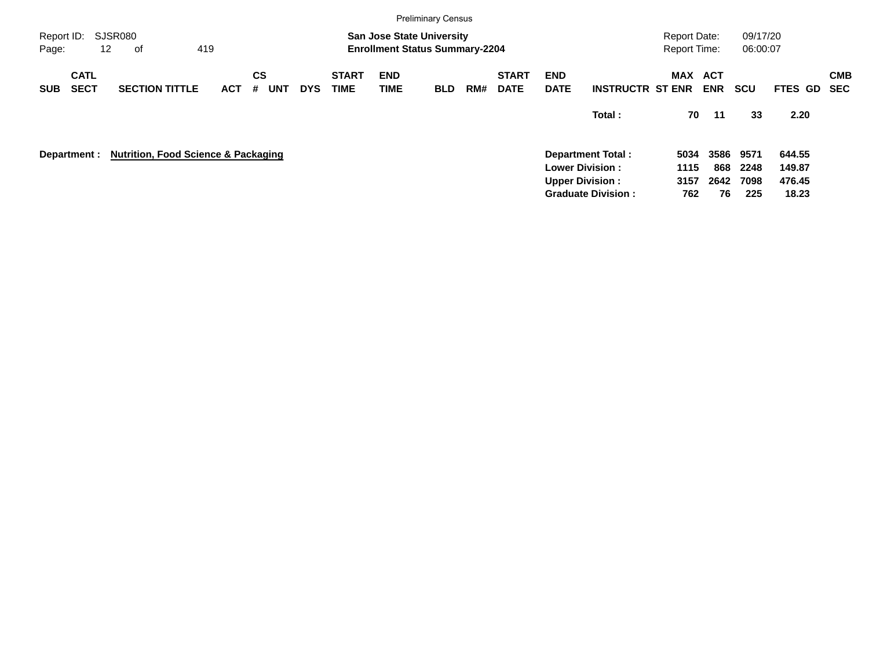|                     |                            |                                                |            |                       |            |                             |                           | <b>Preliminary Census</b>                                                 |     |                             |                           |                           |                                     |                          |                      |                |                          |
|---------------------|----------------------------|------------------------------------------------|------------|-----------------------|------------|-----------------------------|---------------------------|---------------------------------------------------------------------------|-----|-----------------------------|---------------------------|---------------------------|-------------------------------------|--------------------------|----------------------|----------------|--------------------------|
| Report ID:<br>Page: |                            | SJSR080<br>12<br>оf                            | 419        |                       |            |                             |                           | <b>San Jose State University</b><br><b>Enrollment Status Summary-2204</b> |     |                             |                           |                           | <b>Report Date:</b><br>Report Time: |                          | 09/17/20<br>06:00:07 |                |                          |
| <b>SUB</b>          | <b>CATL</b><br><b>SECT</b> | <b>SECTION TITTLE</b>                          | <b>ACT</b> | <b>CS</b><br>UNT<br># | <b>DYS</b> | <b>START</b><br><b>TIME</b> | <b>END</b><br><b>TIME</b> | <b>BLD</b>                                                                | RM# | <b>START</b><br><b>DATE</b> | <b>END</b><br><b>DATE</b> | <b>INSTRUCTR ST ENR</b>   | MAX                                 | <b>ACT</b><br><b>ENR</b> | <b>SCU</b>           | <b>FTES GD</b> | <b>CMB</b><br><b>SEC</b> |
|                     |                            |                                                |            |                       |            |                             |                           |                                                                           |     |                             |                           | Total:                    | 70                                  | 11                       | 33                   | 2.20           |                          |
|                     | Department :               | <b>Nutrition, Food Science &amp; Packaging</b> |            |                       |            |                             |                           |                                                                           |     |                             |                           | <b>Department Total:</b>  | 5034                                | 3586                     | 9571                 | 644.55         |                          |
|                     |                            |                                                |            |                       |            |                             |                           |                                                                           |     |                             |                           | <b>Lower Division:</b>    | 1115                                | 868                      | 2248                 | 149.87         |                          |
|                     |                            |                                                |            |                       |            |                             |                           |                                                                           |     |                             |                           | <b>Upper Division:</b>    | 3157                                | 2642                     | 7098                 | 476.45         |                          |
|                     |                            |                                                |            |                       |            |                             |                           |                                                                           |     |                             |                           | <b>Graduate Division:</b> | 762                                 | 76                       | 225                  | 18.23          |                          |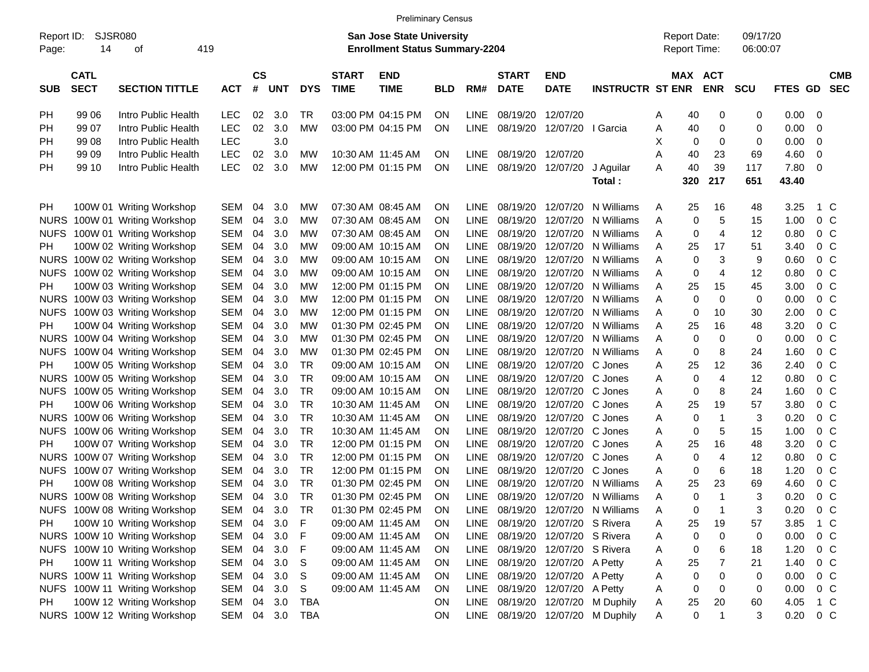|                     |                            |                               |            |                |            |            |                             | <b>Preliminary Census</b>                                                 |            |             |                             |                                 |                                  |   |                     |                       |                      |               |                          |                          |
|---------------------|----------------------------|-------------------------------|------------|----------------|------------|------------|-----------------------------|---------------------------------------------------------------------------|------------|-------------|-----------------------------|---------------------------------|----------------------------------|---|---------------------|-----------------------|----------------------|---------------|--------------------------|--------------------------|
| Report ID:<br>Page: | 14                         | <b>SJSR080</b><br>419<br>οf   |            |                |            |            |                             | <b>San Jose State University</b><br><b>Enrollment Status Summary-2204</b> |            |             |                             |                                 |                                  |   | <b>Report Date:</b> | <b>Report Time:</b>   | 09/17/20<br>06:00:07 |               |                          |                          |
| <b>SUB</b>          | <b>CATL</b><br><b>SECT</b> | <b>SECTION TITTLE</b>         | <b>ACT</b> | <b>CS</b><br># | <b>UNT</b> | <b>DYS</b> | <b>START</b><br><b>TIME</b> | <b>END</b><br><b>TIME</b>                                                 | <b>BLD</b> | RM#         | <b>START</b><br><b>DATE</b> | <b>END</b><br><b>DATE</b>       | <b>INSTRUCTR ST ENR</b>          |   |                     | MAX ACT<br><b>ENR</b> | <b>SCU</b>           | FTES GD       |                          | <b>CMB</b><br><b>SEC</b> |
| РH                  | 99 06                      | Intro Public Health           | <b>LEC</b> | 02             | 3.0        | TR         |                             | 03:00 PM 04:15 PM                                                         | ΟN         | <b>LINE</b> | 08/19/20                    | 12/07/20                        |                                  | Α | 40                  | 0                     | 0                    | $0.00 \t 0$   |                          |                          |
| РH                  | 99 07                      | Intro Public Health           | <b>LEC</b> | 02             | 3.0        | <b>MW</b>  |                             | 03:00 PM 04:15 PM                                                         | ON         | <b>LINE</b> | 08/19/20                    | 12/07/20   Garcia               |                                  | Α | 40                  | 0                     | 0                    | 0.00          | - 0                      |                          |
| РH                  | 99 08                      | Intro Public Health           | <b>LEC</b> |                | 3.0        |            |                             |                                                                           |            |             |                             |                                 |                                  | х | 0                   | 0                     | 0                    | 0.00          | $\overline{\mathbf{0}}$  |                          |
| РH                  | 99 09                      | Intro Public Health           | <b>LEC</b> | 02             | 3.0        | MW         |                             | 10:30 AM 11:45 AM                                                         | ΟN         | <b>LINE</b> | 08/19/20 12/07/20           |                                 |                                  | Α | 40                  | 23                    | 69                   | 4.60          | - 0                      |                          |
| РH                  | 99 10                      | Intro Public Health           | <b>LEC</b> | 02             | 3.0        | MW         |                             | 12:00 PM 01:15 PM                                                         | ΟN         | <b>LINE</b> |                             | 08/19/20 12/07/20               | J Aguilar                        | Α | 40                  | 39                    | 117                  | 7.80          | $\overline{\phantom{0}}$ |                          |
|                     |                            |                               |            |                |            |            |                             |                                                                           |            |             |                             |                                 | Total :                          |   | 320                 | 217                   | 651                  | 43.40         |                          |                          |
| PН                  |                            | 100W 01 Writing Workshop      | SEM        | 04             | 3.0        | MW         |                             | 07:30 AM 08:45 AM                                                         | ΟN         | LINE.       | 08/19/20                    | 12/07/20                        | N Williams                       | Α | 25                  | 16                    | 48                   | 3.25          | 1 C                      |                          |
| <b>NURS</b>         |                            | 100W 01 Writing Workshop      | SEM        | 04             | 3.0        | MW         |                             | 07:30 AM 08:45 AM                                                         | ΟN         | LINE.       | 08/19/20                    | 12/07/20                        | N Williams                       | Α | 0                   | 5                     | 15                   | 1.00          | 0 <sup>o</sup>           |                          |
| <b>NUFS</b>         |                            | 100W 01 Writing Workshop      | SEM        | 04             | 3.0        | MW         |                             | 07:30 AM 08:45 AM                                                         | ΟN         | <b>LINE</b> | 08/19/20                    |                                 | 12/07/20 N Williams              | Α | 0                   | 4                     | 12                   | 0.80          | 0 <sup>o</sup>           |                          |
| PН                  |                            | 100W 02 Writing Workshop      | SEM        | 04             | 3.0        | MW         |                             | 09:00 AM 10:15 AM                                                         | ΟN         | <b>LINE</b> | 08/19/20                    |                                 | 12/07/20 N Williams              | Α | 25                  | 17                    | 51                   | 3.40          | 0 <sup>o</sup>           |                          |
|                     |                            | NURS 100W 02 Writing Workshop | SEM        | 04             | 3.0        | MW         |                             | 09:00 AM 10:15 AM                                                         | ΟN         | <b>LINE</b> | 08/19/20                    |                                 | 12/07/20 N Williams              | Α | 0                   | 3                     | 9                    | 0.60          | 0 C                      |                          |
|                     |                            | NUFS 100W 02 Writing Workshop | SEM        | 04             | 3.0        | MW         |                             | 09:00 AM 10:15 AM                                                         | ΟN         | <b>LINE</b> | 08/19/20                    |                                 | 12/07/20 N Williams              | Α | 0                   | 4                     | 12                   | 0.80          | 0 <sup>o</sup>           |                          |
| PН                  |                            | 100W 03 Writing Workshop      | SEM        | 04             | 3.0        | MW         |                             | 12:00 PM 01:15 PM                                                         | ΟN         | <b>LINE</b> | 08/19/20                    |                                 | 12/07/20 N Williams              | Α | 25                  | 15                    | 45                   | 3.00          | 0 C                      |                          |
|                     |                            | NURS 100W 03 Writing Workshop | SEM        | 04             | 3.0        | MW         |                             | 12:00 PM 01:15 PM                                                         | ΟN         | <b>LINE</b> | 08/19/20                    |                                 | 12/07/20 N Williams              | Α | 0                   | 0                     | 0                    | 0.00          | 0 C                      |                          |
|                     |                            | NUFS 100W 03 Writing Workshop | SEM        | 04             | 3.0        | MW         |                             | 12:00 PM 01:15 PM                                                         | ΟN         | <b>LINE</b> | 08/19/20                    |                                 | 12/07/20 N Williams              | Α | 0                   | 10                    | 30                   | 2.00          | 0 <sup>o</sup>           |                          |
| PН                  |                            | 100W 04 Writing Workshop      | <b>SEM</b> | 04             | 3.0        | MW         |                             | 01:30 PM 02:45 PM                                                         | ΟN         | <b>LINE</b> | 08/19/20                    |                                 | 12/07/20 N Williams              | Α | 25                  | 16                    | 48                   | 3.20          | 0 <sup>o</sup>           |                          |
|                     |                            | NURS 100W 04 Writing Workshop | SEM        | 04             | 3.0        | MW         |                             | 01:30 PM 02:45 PM                                                         | ΟN         | <b>LINE</b> | 08/19/20                    |                                 | 12/07/20 N Williams              | Α | 0                   | 0                     | 0                    | 0.00          | 0 C                      |                          |
|                     |                            | NUFS 100W 04 Writing Workshop | SEM        | 04             | 3.0        | MW         |                             | 01:30 PM 02:45 PM                                                         | ΟN         | <b>LINE</b> | 08/19/20                    |                                 | 12/07/20 N Williams              | A | 0                   | 8                     | 24                   | 1.60          | 0 <sup>o</sup>           |                          |
| PН                  |                            | 100W 05 Writing Workshop      | SEM        | 04             | 3.0        | <b>TR</b>  |                             | 09:00 AM 10:15 AM                                                         | ΟN         | <b>LINE</b> | 08/19/20                    | 12/07/20 C Jones                |                                  | Α | 25                  | 12                    | 36                   | 2.40          | 0 <sup>o</sup>           |                          |
|                     |                            | NURS 100W 05 Writing Workshop | SEM        | 04             | 3.0        | TR         |                             | 09:00 AM 10:15 AM                                                         | ΟN         | <b>LINE</b> | 08/19/20                    | 12/07/20 C Jones                |                                  | Α | 0                   | 4                     | 12                   | 0.80          | 0 C                      |                          |
|                     |                            | NUFS 100W 05 Writing Workshop | SEM        | 04             | 3.0        | TR         |                             | 09:00 AM 10:15 AM                                                         | ΟN         | <b>LINE</b> | 08/19/20                    | 12/07/20 C Jones                |                                  | Α | 0                   | 8                     | 24                   | 1.60          | 0 <sup>o</sup>           |                          |
| PН                  |                            | 100W 06 Writing Workshop      | SEM        | 04             | 3.0        | TR         |                             | 10:30 AM 11:45 AM                                                         | ON         | <b>LINE</b> | 08/19/20                    | 12/07/20 C Jones                |                                  | Α | 25                  | 19                    | 57                   | 3.80          | 0 <sup>o</sup>           |                          |
|                     |                            | NURS 100W 06 Writing Workshop | SEM        | 04             | 3.0        | TR         |                             | 10:30 AM 11:45 AM                                                         | ΟN         | <b>LINE</b> | 08/19/20                    | 12/07/20 C Jones                |                                  | Α | 0                   | -1                    | 3                    | 0.20          | 0 C                      |                          |
|                     |                            | NUFS 100W 06 Writing Workshop | SEM        | 04             | 3.0        | TR         |                             | 10:30 AM 11:45 AM                                                         | ΟN         | <b>LINE</b> | 08/19/20                    | 12/07/20 C Jones                |                                  | Α | 0                   | 5                     | 15                   | 1.00          | 0 <sup>o</sup>           |                          |
| PН                  |                            | 100W 07 Writing Workshop      | SEM        | 04             | 3.0        | TR         |                             | 12:00 PM 01:15 PM                                                         | ON         | <b>LINE</b> | 08/19/20                    | 12/07/20 C Jones                |                                  | Α | 25                  | 16                    | 48                   | 3.20          | 0 <sup>o</sup>           |                          |
|                     |                            | NURS 100W 07 Writing Workshop | SEM        | 04             | 3.0        | TR         |                             | 12:00 PM 01:15 PM                                                         | ΟN         | <b>LINE</b> | 08/19/20                    | 12/07/20 C Jones                |                                  | Α | 0                   | 4                     | 12                   | 0.80          | 0 <sup>o</sup>           |                          |
|                     |                            | NUFS 100W 07 Writing Workshop | SEM        | 04             | 3.0        | TR         |                             | 12:00 PM 01:15 PM                                                         | ΟN         | <b>LINE</b> | 08/19/20                    | 12/07/20 C Jones                |                                  | A | 0                   | 6                     | 18                   | 1.20          | 0 <sup>o</sup>           |                          |
| PН                  |                            | 100W 08 Writing Workshop      | SEM        | 04             | 3.0        | <b>TR</b>  |                             | 01:30 PM 02:45 PM                                                         | ON         | <b>LINE</b> | 08/19/20                    |                                 | 12/07/20 N Williams              | Α | 25                  | 23                    | 69                   | 4.60          | $0\,$ C                  |                          |
|                     |                            | NURS 100W 08 Writing Workshop | SEM        | 04             | 3.0        | TR         |                             | 01:30 PM 02:45 PM                                                         | ON         | <b>LINE</b> | 08/19/20                    |                                 | 12/07/20 N Williams              | Α | 0                   |                       | 3                    | 0.20          | 0 <sup>o</sup>           |                          |
|                     |                            | NUFS 100W 08 Writing Workshop | SEM        | 04             | 3.0        | TR         |                             | 01:30 PM 02:45 PM                                                         | ON         | LINE        |                             |                                 | 08/19/20 12/07/20 N Williams     | A | 0                   |                       | 3                    | 0.20          | $0\,C$                   |                          |
| PH.                 |                            | 100W 10 Writing Workshop      | SEM        | 04             | 3.0        | F          |                             | 09:00 AM 11:45 AM                                                         | 0N         | LINE        |                             | 08/19/20 12/07/20 S Rivera      |                                  | Α | 25                  | 19                    | 57                   | 3.85          | 1 C                      |                          |
|                     |                            | NURS 100W 10 Writing Workshop | SEM 04     |                | 3.0        | -F         |                             | 09:00 AM 11:45 AM                                                         | ON         |             |                             | LINE 08/19/20 12/07/20 S Rivera |                                  | Α | 0                   | 0                     | 0                    | $0.00 \t 0 C$ |                          |                          |
|                     |                            | NUFS 100W 10 Writing Workshop | SEM 04     |                | 3.0        | F          |                             | 09:00 AM 11:45 AM                                                         | ON         |             |                             | LINE 08/19/20 12/07/20 S Rivera |                                  | Α | 0                   | 6                     | 18                   | 1.20          | $0\,C$                   |                          |
| PH.                 |                            | 100W 11 Writing Workshop      | SEM 04     |                | 3.0        | S          |                             | 09:00 AM 11:45 AM                                                         | ON         | LINE        |                             | 08/19/20 12/07/20 A Petty       |                                  | Α | 25                  | 7                     | 21                   | 1.40          | $0\,$ C                  |                          |
|                     |                            | NURS 100W 11 Writing Workshop | SEM 04     |                | 3.0        | S          |                             | 09:00 AM 11:45 AM                                                         | ON         | LINE        |                             | 08/19/20 12/07/20 A Petty       |                                  | Α | 0                   | 0                     | 0                    | $0.00 \t 0 C$ |                          |                          |
|                     |                            | NUFS 100W 11 Writing Workshop | SEM 04     |                | 3.0        | S          |                             | 09:00 AM 11:45 AM                                                         | ON         |             |                             | LINE 08/19/20 12/07/20 A Petty  |                                  | A | 0                   | 0                     | 0                    | $0.00 \t 0 C$ |                          |                          |
| PH                  |                            | 100W 12 Writing Workshop      | SEM 04 3.0 |                |            | TBA        |                             |                                                                           | ON         |             |                             |                                 | LINE 08/19/20 12/07/20 M Duphily | A | 25                  | 20                    | 60                   | 4.05 1 C      |                          |                          |

NURS 100W 12 Writing Workshop SEM 04 3.0 TBA ON LINE 08/19/20 12/07/20 M Duphily A 0 1 3 0.20 0 C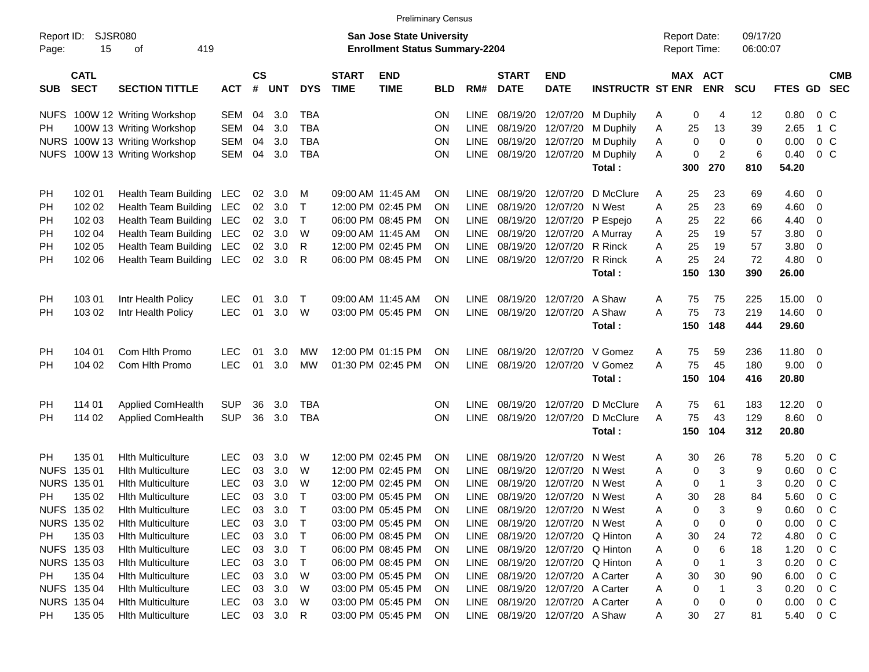|                     |                            |                               |              |                    |                |            |                             |                                                                           | <b>Preliminary Census</b> |             |                             |                                 |                         |                                     |                |                      |             |                |            |
|---------------------|----------------------------|-------------------------------|--------------|--------------------|----------------|------------|-----------------------------|---------------------------------------------------------------------------|---------------------------|-------------|-----------------------------|---------------------------------|-------------------------|-------------------------------------|----------------|----------------------|-------------|----------------|------------|
| Report ID:<br>Page: | SJSR080<br>15              | 419<br>оf                     |              |                    |                |            |                             | <b>San Jose State University</b><br><b>Enrollment Status Summary-2204</b> |                           |             |                             |                                 |                         | <b>Report Date:</b><br>Report Time: |                | 09/17/20<br>06:00:07 |             |                |            |
| <b>SUB</b>          | <b>CATL</b><br><b>SECT</b> | <b>SECTION TITTLE</b>         | <b>ACT</b>   | $\mathsf{cs}$<br># | <b>UNT</b>     | <b>DYS</b> | <b>START</b><br><b>TIME</b> | <b>END</b><br><b>TIME</b>                                                 | <b>BLD</b>                | RM#         | <b>START</b><br><b>DATE</b> | <b>END</b><br><b>DATE</b>       | <b>INSTRUCTR ST ENR</b> | MAX ACT                             | <b>ENR</b>     | <b>SCU</b>           | FTES GD SEC |                | <b>CMB</b> |
|                     |                            | NUFS 100W 12 Writing Workshop | <b>SEM</b>   | 04                 | 3.0            | <b>TBA</b> |                             |                                                                           | <b>ON</b>                 | <b>LINE</b> |                             | 08/19/20 12/07/20               | M Duphily               | 0<br>A                              | 4              | 12                   | 0.80        | $0\,$ C        |            |
| PH.                 |                            | 100W 13 Writing Workshop      | <b>SEM</b>   | 04                 | 3.0            | <b>TBA</b> |                             |                                                                           | ON                        | LINE        |                             | 08/19/20 12/07/20               | M Duphily               | Α<br>25                             | 13             | 39                   | 2.65        | 1 C            |            |
|                     |                            | NURS 100W 13 Writing Workshop | <b>SEM</b>   | 04                 | 3.0            | <b>TBA</b> |                             |                                                                           | ON                        | <b>LINE</b> | 08/19/20 12/07/20           |                                 | M Duphily               | Α<br>0                              | 0              | 0                    | 0.00        | 0 <sup>C</sup> |            |
|                     |                            | NUFS 100W 13 Writing Workshop | <b>SEM</b>   | 04                 | 3.0            | <b>TBA</b> |                             |                                                                           | <b>ON</b>                 | LINE        |                             | 08/19/20 12/07/20               | M Duphily               | Α<br>0                              | $\overline{2}$ | 6                    | 0.40        | $0\,C$         |            |
|                     |                            |                               |              |                    |                |            |                             |                                                                           |                           |             |                             |                                 | Total:                  | 300                                 | 270            | 810                  | 54.20       |                |            |
| PH                  | 102 01                     | Health Team Building          | LEC          | 02                 | 3.0            | M          |                             | 09:00 AM 11:45 AM                                                         | ON                        | <b>LINE</b> |                             | 08/19/20 12/07/20               | D McClure               | 25<br>A                             | 23             | 69                   | 4.60        | $\overline{0}$ |            |
| PH                  | 102 02                     | Health Team Building LEC      |              | 02                 | 3.0            | $\top$     |                             | 12:00 PM 02:45 PM                                                         | <b>ON</b>                 | LINE        | 08/19/20                    | 12/07/20                        | N West                  | Α<br>25                             | 23             | 69                   | 4.60        | $\mathbf 0$    |            |
| PH                  | 102 03                     | Health Team Building LEC      |              | 02                 | 3.0            | $\top$     |                             | 06:00 PM 08:45 PM                                                         | <b>ON</b>                 | LINE        |                             | 08/19/20 12/07/20               | P Espejo                | 25<br>Α                             | 22             | 66                   | 4.40        | $\mathbf 0$    |            |
| PH                  | 102 04                     | Health Team Building LEC      |              | 02 <sub>o</sub>    | 3.0            | W          |                             | 09:00 AM 11:45 AM                                                         | <b>ON</b>                 | <b>LINE</b> |                             | 08/19/20 12/07/20               | A Murray                | 25<br>Α                             | 19             | 57                   | 3.80        | 0              |            |
| PH                  | 102 05                     | Health Team Building LEC      |              | 02                 | 3.0            | R          |                             | 12:00 PM 02:45 PM                                                         | <b>ON</b>                 | <b>LINE</b> |                             | 08/19/20 12/07/20               | R Rinck                 | 25<br>Α                             | 19             | 57                   | 3.80        | 0              |            |
| PH                  | 102 06                     | Health Team Building LEC      |              |                    | $02 \quad 3.0$ | R          |                             | 06:00 PM 08:45 PM                                                         | ON                        | LINE        | 08/19/20 12/07/20           |                                 | R Rinck                 | 25<br>A                             | 24             | 72                   | 4.80        | 0              |            |
|                     |                            |                               |              |                    |                |            |                             |                                                                           |                           |             |                             |                                 | Total:                  | 150                                 | 130            | 390                  | 26.00       |                |            |
| PH                  | 103 01                     | Intr Health Policy            | <b>LEC</b>   | 01                 | 3.0            | $\top$     | 09:00 AM 11:45 AM           |                                                                           | <b>ON</b>                 | <b>LINE</b> | 08/19/20                    | 12/07/20                        | A Shaw                  | 75<br>A                             | 75             | 225                  | 15.00       | $\overline{0}$ |            |
| PH                  | 103 02                     | Intr Health Policy            | <b>LEC</b>   | 01                 | 3.0            | W          |                             | 03:00 PM 05:45 PM                                                         | <b>ON</b>                 |             | LINE 08/19/20 12/07/20      |                                 | A Shaw                  | A<br>75                             | 73             | 219                  | 14.60       | - 0            |            |
|                     |                            |                               |              |                    |                |            |                             |                                                                           |                           |             |                             |                                 | Total:                  | 150                                 | 148            | 444                  | 29.60       |                |            |
| PH                  | 104 01                     | Com Hith Promo                | <b>LEC</b>   | 01                 | 3.0            | MW         |                             | 12:00 PM 01:15 PM                                                         | <b>ON</b>                 | LINE        |                             | 08/19/20 12/07/20               | V Gomez                 | A<br>75                             | 59             | 236                  | 11.80       | $\overline{0}$ |            |
| PH                  | 104 02                     | Com Hith Promo                | <b>LEC</b>   | 01                 | 3.0            | <b>MW</b>  |                             | 01:30 PM 02:45 PM                                                         | <b>ON</b>                 |             |                             | LINE 08/19/20 12/07/20          | V Gomez                 | 75<br>A                             | 45             | 180                  | 9.00        | - 0            |            |
|                     |                            |                               |              |                    |                |            |                             |                                                                           |                           |             |                             |                                 | Total:                  | 150                                 | 104            | 416                  | 20.80       |                |            |
| PH                  | 114 01                     | Applied ComHealth             | <b>SUP</b>   | 36                 | 3.0            | <b>TBA</b> |                             |                                                                           | <b>ON</b>                 | <b>LINE</b> |                             | 08/19/20 12/07/20               | D McClure               | A<br>75                             | 61             | 183                  | 12.20       | $\overline{0}$ |            |
| PH                  | 114 02                     | Applied ComHealth             | <b>SUP</b>   | 36                 | 3.0            | <b>TBA</b> |                             |                                                                           | <b>ON</b>                 | LINE        |                             | 08/19/20 12/07/20               | D McClure               | 75<br>A                             | 43             | 129                  | 8.60        | $\overline{0}$ |            |
|                     |                            |                               |              |                    |                |            |                             |                                                                           |                           |             |                             |                                 | Total:                  | 150                                 | 104            | 312                  | 20.80       |                |            |
| <b>PH</b>           | 135 01                     | <b>Hith Multiculture</b>      | <b>LEC</b>   | 03                 | 3.0            | W          |                             | 12:00 PM 02:45 PM                                                         | <b>ON</b>                 | <b>LINE</b> | 08/19/20                    | 12/07/20                        | N West                  | 30<br>Α                             | 26             | 78                   | 5.20        | $0\,$ C        |            |
| <b>NUFS</b>         | 135 01                     | <b>Hith Multiculture</b>      | <b>LEC</b>   | 03                 | 3.0            | W          |                             | 12:00 PM 02:45 PM                                                         | <b>ON</b>                 | LINE        | 08/19/20                    | 12/07/20                        | N West                  | 0<br>Α                              | 3              | 9                    | 0.60        | 0 <sup>C</sup> |            |
|                     | NURS 135 01                | <b>Hith Multiculture</b>      | <b>LEC</b>   | 03                 | 3.0            | W          |                             | 12:00 PM 02:45 PM                                                         | <b>ON</b>                 | LINE        | 08/19/20                    | 12/07/20                        | N West                  | 0<br>Α                              | $\overline{1}$ | 3                    | 0.20        | 0 <sup>C</sup> |            |
| PH                  | 135 02                     | <b>Hith Multiculture</b>      | <b>LEC</b>   | 03                 | 3.0            | Т          |                             | 03:00 PM 05:45 PM                                                         | <b>ON</b>                 | LINE        |                             | 08/19/20 12/07/20 N West        |                         | 30<br>А                             | 28             | 84                   | 5.60        | $0\,C$         |            |
|                     | NUFS 135 02                | <b>Hith Multiculture</b>      | LEC          |                    | 03 3.0         |            |                             | 03:00 PM 05:45 PM                                                         | ON                        | LINE        |                             | 08/19/20 12/07/20 N West        |                         | 0<br>Α                              | $\sqrt{3}$     | 9                    | 0.60        | $0\,C$         |            |
|                     | NURS 135 02                | <b>Hith Multiculture</b>      | <b>LEC</b>   | 03                 | 3.0            | $\top$     |                             | 03:00 PM 05:45 PM                                                         | <b>ON</b>                 |             |                             | LINE 08/19/20 12/07/20 N West   |                         | A<br>0                              | 0              | 0                    | 0.00        | $0\,$ C        |            |
| PH.                 | 135 03                     | <b>Hith Multiculture</b>      | <b>LEC</b>   | 03                 | 3.0            | $\top$     |                             | 06:00 PM 08:45 PM                                                         | <b>ON</b>                 |             |                             | LINE 08/19/20 12/07/20 Q Hinton |                         | A<br>30                             | 24             | 72                   | 4.80        | $0\,$ C        |            |
|                     | NUFS 135 03                | <b>Hith Multiculture</b>      | <b>LEC</b>   | 03                 | 3.0            | $\top$     |                             | 06:00 PM 08:45 PM                                                         | <b>ON</b>                 |             |                             | LINE 08/19/20 12/07/20 Q Hinton |                         | 0<br>Α                              | 6              | 18                   | 1.20        | $0\,$ C        |            |
|                     | NURS 135 03                | <b>Hith Multiculture</b>      | <b>LEC</b>   | 03                 | 3.0            | $\top$     |                             | 06:00 PM 08:45 PM                                                         | <b>ON</b>                 |             |                             | LINE 08/19/20 12/07/20 Q Hinton |                         | Α<br>0                              |                | 3                    | 0.20        | $0\,$ C        |            |
| PH                  | 135 04                     | <b>Hith Multiculture</b>      | <b>LEC</b>   | 03                 | 3.0            | W          |                             | 03:00 PM 05:45 PM                                                         | <b>ON</b>                 |             |                             | LINE 08/19/20 12/07/20 A Carter |                         | 30<br>Α                             | 30             | 90                   | 6.00        | $0\,C$         |            |
|                     | NUFS 135 04                | <b>Hith Multiculture</b>      | LEC          | 03                 | 3.0            | W          |                             | 03:00 PM 05:45 PM                                                         | <b>ON</b>                 | LINE        |                             | 08/19/20 12/07/20 A Carter      |                         | 0<br>Α                              |                | 3                    | 0.20        | $0\,$ C        |            |
|                     | NURS 135 04                | <b>Hith Multiculture</b>      | <b>LEC</b>   |                    | 03 3.0         | W          |                             | 03:00 PM 05:45 PM                                                         | <b>ON</b>                 |             |                             | LINE 08/19/20 12/07/20 A Carter |                         | A<br>0                              | 0              | 0                    | 0.00        | $0\,$ C        |            |
| PH                  | 135 05                     | <b>Hith Multiculture</b>      | LEC 03 3.0 R |                    |                |            |                             | 03:00 PM 05:45 PM                                                         | ON                        |             |                             | LINE 08/19/20 12/07/20 A Shaw   |                         | 30<br>A                             | 27             | 81                   | 5.40        | $0\,C$         |            |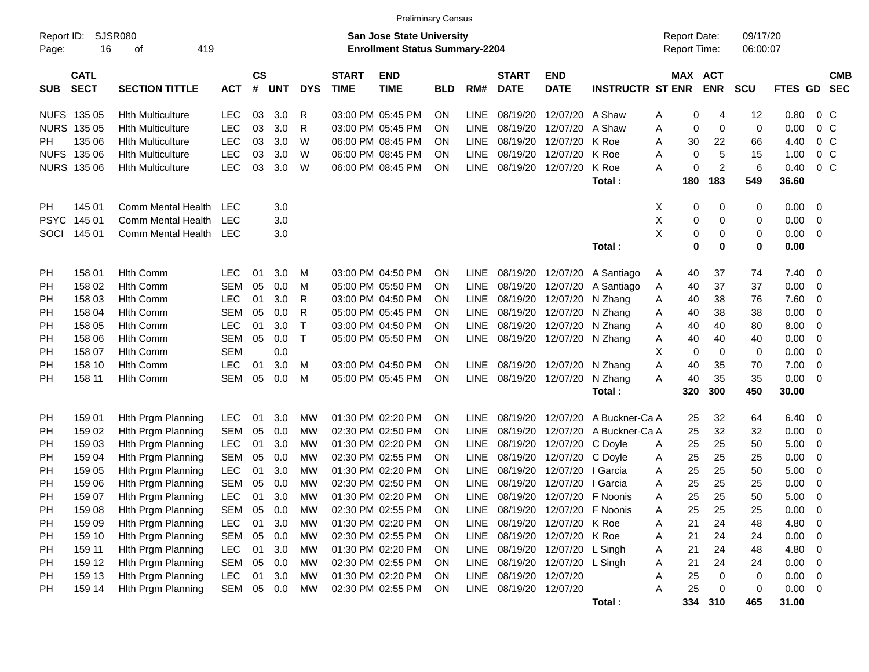|                     |                            |                           |            |                    |            |            |                             | <b>Preliminary Census</b>                                                 |            |             |                             |                           |                         |   |                                     |                |                      |             |                          |                          |
|---------------------|----------------------------|---------------------------|------------|--------------------|------------|------------|-----------------------------|---------------------------------------------------------------------------|------------|-------------|-----------------------------|---------------------------|-------------------------|---|-------------------------------------|----------------|----------------------|-------------|--------------------------|--------------------------|
| Report ID:<br>Page: | 16                         | SJSR080<br>419<br>of      |            |                    |            |            |                             | <b>San Jose State University</b><br><b>Enrollment Status Summary-2204</b> |            |             |                             |                           |                         |   | <b>Report Date:</b><br>Report Time: |                | 09/17/20<br>06:00:07 |             |                          |                          |
| <b>SUB</b>          | <b>CATL</b><br><b>SECT</b> | <b>SECTION TITTLE</b>     | <b>ACT</b> | $\mathsf{cs}$<br># | <b>UNT</b> | <b>DYS</b> | <b>START</b><br><b>TIME</b> | <b>END</b><br><b>TIME</b>                                                 | <b>BLD</b> | RM#         | <b>START</b><br><b>DATE</b> | <b>END</b><br><b>DATE</b> | <b>INSTRUCTR ST ENR</b> |   | <b>MAX ACT</b>                      | <b>ENR</b>     | <b>SCU</b>           | FTES GD     |                          | <b>CMB</b><br><b>SEC</b> |
| <b>NUFS</b>         | 135 05                     | <b>Hith Multiculture</b>  | <b>LEC</b> | 03                 | 3.0        | R          |                             | 03:00 PM 05:45 PM                                                         | ΟN         | <b>LINE</b> | 08/19/20                    | 12/07/20                  | A Shaw                  | Α | 0                                   | 4              | 12                   | 0.80        | 0 <sup>o</sup>           |                          |
|                     | NURS 135 05                | <b>Hith Multiculture</b>  | <b>LEC</b> | 03                 | 3.0        | R          |                             | 03:00 PM 05:45 PM                                                         | ΟN         | <b>LINE</b> | 08/19/20                    | 12/07/20                  | A Shaw                  | Α | 0                                   | $\mathbf 0$    | 0                    | 0.00        | $0\,C$                   |                          |
| PH                  | 135 06                     | <b>Hith Multiculture</b>  | <b>LEC</b> | 03                 | 3.0        | W          |                             | 06:00 PM 08:45 PM                                                         | ΟN         | <b>LINE</b> | 08/19/20                    | 12/07/20                  | K Roe                   | A | 30                                  | 22             | 66                   | 4.40        | $0\,C$                   |                          |
| <b>NUFS</b>         | 135 06                     | <b>Hith Multiculture</b>  | <b>LEC</b> | 03                 | 3.0        | W          |                             | 06:00 PM 08:45 PM                                                         | ΟN         | <b>LINE</b> | 08/19/20                    | 12/07/20                  | K Roe                   | A | 0                                   | 5              | 15                   | 1.00        | $0\,C$                   |                          |
|                     | NURS 135 06                | <b>Hith Multiculture</b>  | <b>LEC</b> | 03                 | 3.0        | W          |                             | 06:00 PM 08:45 PM                                                         | ON         | <b>LINE</b> | 08/19/20                    | 12/07/20                  | K Roe                   | A | 0                                   | $\overline{c}$ | 6                    | 0.40        | $0\,C$                   |                          |
|                     |                            |                           |            |                    |            |            |                             |                                                                           |            |             |                             |                           | Total:                  |   | 180                                 | 183            | 549                  | 36.60       |                          |                          |
| <b>PH</b>           | 145 01                     | Comm Mental Health        | <b>LEC</b> |                    | 3.0        |            |                             |                                                                           |            |             |                             |                           |                         | X | 0                                   | 0              | 0                    | 0.00        | - 0                      |                          |
| <b>PSYC</b>         | 145 01                     | Comm Mental Health        | <b>LEC</b> |                    | 3.0        |            |                             |                                                                           |            |             |                             |                           |                         | X | 0                                   | 0              | 0                    | 0.00        | $\overline{0}$           |                          |
| SOCI                | 145 01                     | <b>Comm Mental Health</b> | <b>LEC</b> |                    | 3.0        |            |                             |                                                                           |            |             |                             |                           |                         | Χ | 0                                   | 0              | 0                    | 0.00        | $\overline{0}$           |                          |
|                     |                            |                           |            |                    |            |            |                             |                                                                           |            |             |                             |                           | Total:                  |   | 0                                   | $\bf{0}$       | 0                    | 0.00        |                          |                          |
| PH                  | 158 01                     | <b>Hlth Comm</b>          | <b>LEC</b> | 01                 | 3.0        | M          |                             | 03:00 PM 04:50 PM                                                         | ON         | <b>LINE</b> | 08/19/20                    | 12/07/20                  | A Santiago              | Α | 40                                  | 37             | 74                   | 7.40        | - 0                      |                          |
| PH                  | 158 02                     | <b>Hlth Comm</b>          | <b>SEM</b> | 05                 | 0.0        | M          |                             | 05:00 PM 05:50 PM                                                         | ON         | <b>LINE</b> | 08/19/20                    | 12/07/20                  | A Santiago              | A | 40                                  | 37             | 37                   | 0.00        | $\overline{\mathbf{0}}$  |                          |
| PH                  | 158 03                     | <b>Hlth Comm</b>          | <b>LEC</b> | 01                 | 3.0        | R          |                             | 03:00 PM 04:50 PM                                                         | ΟN         | <b>LINE</b> | 08/19/20                    | 12/07/20                  | N Zhang                 | Α | 40                                  | 38             | 76                   | 7.60        | $\overline{0}$           |                          |
| PH                  | 158 04                     | <b>Hlth Comm</b>          | <b>SEM</b> | 05                 | 0.0        | R          |                             | 05:00 PM 05:45 PM                                                         | ON         | <b>LINE</b> | 08/19/20                    | 12/07/20                  | N Zhang                 | Α | 40                                  | 38             | 38                   | 0.00        | $\overline{0}$           |                          |
| PH                  | 158 05                     | <b>Hlth Comm</b>          | <b>LEC</b> | 01                 | 3.0        | T          |                             | 03:00 PM 04:50 PM                                                         | ΟN         | <b>LINE</b> | 08/19/20                    | 12/07/20                  | N Zhang                 | Α | 40                                  | 40             | 80                   | 8.00        | 0                        |                          |
| PH                  | 158 06                     | <b>Hlth Comm</b>          | <b>SEM</b> | 05                 | 0.0        | T          |                             | 05:00 PM 05:50 PM                                                         | ON         | LINE        | 08/19/20                    | 12/07/20                  | N Zhang                 | Α | 40                                  | 40             | 40                   | 0.00        | $\mathbf 0$              |                          |
| PH                  | 158 07                     | <b>Hlth Comm</b>          | <b>SEM</b> |                    | 0.0        |            |                             |                                                                           |            |             |                             |                           |                         | X | 0                                   | 0              | 0                    | 0.00        | $\overline{0}$           |                          |
| PH                  | 158 10                     | <b>Hlth Comm</b>          | <b>LEC</b> | 01                 | 3.0        | м          |                             | 03:00 PM 04:50 PM                                                         | ΟN         | <b>LINE</b> | 08/19/20                    | 12/07/20                  | N Zhang                 | Α | 40                                  | 35             | 70                   | 7.00        | $\mathbf 0$              |                          |
| PH                  | 158 11                     | <b>Hith Comm</b>          | <b>SEM</b> | 05                 | 0.0        | M          |                             | 05:00 PM 05:45 PM                                                         | ON         | <b>LINE</b> | 08/19/20                    | 12/07/20                  | N Zhang                 | A | 40                                  | 35             | 35                   | 0.00        | $\overline{0}$           |                          |
|                     |                            |                           |            |                    |            |            |                             |                                                                           |            |             |                             |                           | Total:                  |   | 320                                 | 300            | 450                  | 30.00       |                          |                          |
| <b>PH</b>           | 159 01                     | Hith Prgm Planning        | <b>LEC</b> | 01                 | 3.0        | MW         |                             | 01:30 PM 02:20 PM                                                         | ΟN         | <b>LINE</b> | 08/19/20                    | 12/07/20                  | A Buckner-Ca A          |   | 25                                  | 32             | 64                   | 6.40        | $\overline{\phantom{0}}$ |                          |
| PH                  | 159 02                     | Hith Prgm Planning        | <b>SEM</b> | 05                 | 0.0        | MW         |                             | 02:30 PM 02:50 PM                                                         | ΟN         | <b>LINE</b> | 08/19/20                    | 12/07/20                  | A Buckner-Ca A          |   | 25                                  | 32             | 32                   | 0.00        | $\overline{\mathbf{0}}$  |                          |
| PH                  | 159 03                     | Hith Prgm Planning        | <b>LEC</b> | 01                 | 3.0        | MW         |                             | 01:30 PM 02:20 PM                                                         | ON         | <b>LINE</b> | 08/19/20                    | 12/07/20                  | C Doyle                 | Α | 25                                  | 25             | 50                   | 5.00        | 0                        |                          |
| PH                  | 159 04                     | Hith Prgm Planning        | <b>SEM</b> | 05                 | 0.0        | MW         |                             | 02:30 PM 02:55 PM                                                         | ON         | <b>LINE</b> | 08/19/20                    | 12/07/20                  | C Doyle                 | Α | 25                                  | 25             | 25                   | 0.00        | $\mathbf 0$              |                          |
| PH                  | 159 05                     | Hith Prgm Planning        | <b>LEC</b> | 01                 | 3.0        | MW         |                             | 01:30 PM 02:20 PM                                                         | ON         | <b>LINE</b> | 08/19/20                    | 12/07/20                  | I Garcia                | Α | 25                                  | 25             | 50                   | 5.00        | 0                        |                          |
| PH                  | 159 06                     | Hith Prgm Planning        | <b>SEM</b> | 05                 | 0.0        | МW         |                             | 02:30 PM 02:50 PM                                                         | ON         | <b>LINE</b> | 08/19/20                    | 12/07/20                  | I Garcia                | Α | 25                                  | 25             | 25                   | 0.00        | 0                        |                          |
| PH                  | 159 07                     | Hith Prgm Planning        | <b>LEC</b> | 01                 | 3.0        | MW         |                             | 01:30 PM 02:20 PM                                                         | ON         | <b>LINE</b> | 08/19/20                    | 12/07/20 F Noonis         |                         | Α | 25                                  | 25             | 50                   | 5.00        | $\overline{0}$           |                          |
| PH                  | 159 08                     | Hith Prgm Planning        | <b>SEM</b> | 05                 | 0.0        | <b>MW</b>  |                             | 02:30 PM 02:55 PM                                                         | ON         | LINE        | 08/19/20                    | 12/07/20 F Noonis         |                         | Α | 25                                  | 25             | 25                   | 0.00        | - 0                      |                          |
| <b>PH</b>           | 159 09                     | Hith Prgm Planning        | <b>LEC</b> | 01                 | 3.0        | MW         |                             | 01:30 PM 02:20 PM                                                         | <b>ON</b>  | LINE        | 08/19/20                    | 12/07/20 K Roe            |                         | Α | 21                                  | 24             | 48                   | 4.80        | $\overline{\phantom{0}}$ |                          |
| PH                  | 159 10                     | Hith Prgm Planning        | <b>SEM</b> | 05                 | 0.0        | <b>MW</b>  |                             | 02:30 PM 02:55 PM                                                         | <b>ON</b>  | <b>LINE</b> | 08/19/20                    | 12/07/20 K Roe            |                         | Α | 21                                  | 24             | 24                   | 0.00        | $\overline{\phantom{0}}$ |                          |
| PH                  | 159 11                     | <b>Hith Prgm Planning</b> | LEC        | 01                 | 3.0        | MW         |                             | 01:30 PM 02:20 PM                                                         | ON         | <b>LINE</b> | 08/19/20                    | 12/07/20                  | L Singh                 | Α | 21                                  | 24             | 48                   | 4.80        | $\overline{\phantom{0}}$ |                          |
| PH                  | 159 12                     | <b>Hith Prgm Planning</b> | <b>SEM</b> | 05                 | 0.0        | MW         |                             | 02:30 PM 02:55 PM                                                         | ON         | <b>LINE</b> | 08/19/20                    | 12/07/20                  | L Singh                 | Α | 21                                  | 24             | 24                   | 0.00        | $\overline{\mathbf{0}}$  |                          |
| PН                  | 159 13                     | <b>Hith Prgm Planning</b> | LEC        | 01                 | 3.0        | <b>MW</b>  |                             | 01:30 PM 02:20 PM                                                         | ON         | <b>LINE</b> | 08/19/20                    | 12/07/20                  |                         | Α | 25                                  | 0              | 0                    | 0.00        | $\overline{\phantom{0}}$ |                          |
| PH                  | 159 14                     | <b>Hith Prgm Planning</b> | SEM        | 05                 | 0.0        | MW         |                             | 02:30 PM 02:55 PM                                                         | <b>ON</b>  | LINE        | 08/19/20                    | 12/07/20                  |                         | A | 25                                  | 0              | 0                    | $0.00 \t 0$ |                          |                          |
|                     |                            |                           |            |                    |            |            |                             |                                                                           |            |             |                             |                           | Total:                  |   |                                     | 334 310        | 465                  | 31.00       |                          |                          |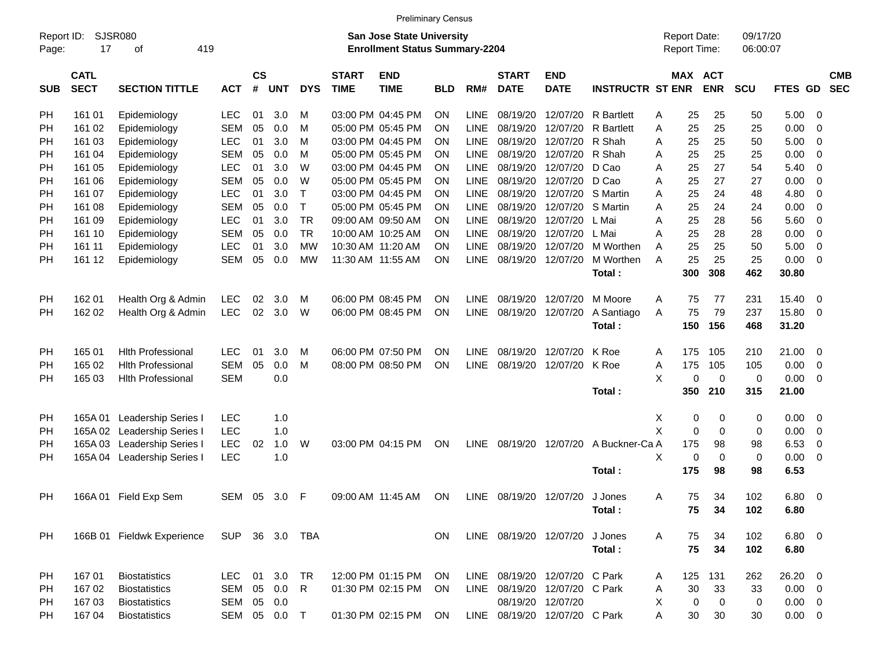|                     |                            |                             |                |                    |            |            |                             | <b>Preliminary Census</b>                                                 |           |             |                             |                               |                         |                                     |     |                       |                      |             |                         |                          |
|---------------------|----------------------------|-----------------------------|----------------|--------------------|------------|------------|-----------------------------|---------------------------------------------------------------------------|-----------|-------------|-----------------------------|-------------------------------|-------------------------|-------------------------------------|-----|-----------------------|----------------------|-------------|-------------------------|--------------------------|
| Report ID:<br>Page: | 17                         | SJSR080<br>419<br>οf        |                |                    |            |            |                             | <b>San Jose State University</b><br><b>Enrollment Status Summary-2204</b> |           |             |                             |                               |                         | <b>Report Date:</b><br>Report Time: |     |                       | 09/17/20<br>06:00:07 |             |                         |                          |
| <b>SUB</b>          | <b>CATL</b><br><b>SECT</b> | <b>SECTION TITTLE</b>       | <b>ACT</b>     | $\mathsf{cs}$<br># | <b>UNT</b> | <b>DYS</b> | <b>START</b><br><b>TIME</b> | <b>END</b><br><b>TIME</b>                                                 | BLD       | RM#         | <b>START</b><br><b>DATE</b> | <b>END</b><br><b>DATE</b>     | <b>INSTRUCTR ST ENR</b> |                                     |     | MAX ACT<br><b>ENR</b> | <b>SCU</b>           | FTES GD     |                         | <b>CMB</b><br><b>SEC</b> |
| <b>PH</b>           | 161 01                     | Epidemiology                | <b>LEC</b>     | 01                 | 3.0        | M          |                             | 03:00 PM 04:45 PM                                                         | <b>ON</b> | <b>LINE</b> | 08/19/20                    | 12/07/20                      | R Bartlett              | A                                   | 25  | 25                    | 50                   | 5.00        | 0                       |                          |
| <b>PH</b>           | 161 02                     | Epidemiology                | <b>SEM</b>     | 05                 | 0.0        | M          |                             | 05:00 PM 05:45 PM                                                         | <b>ON</b> | LINE        | 08/19/20                    | 12/07/20                      | <b>R</b> Bartlett       | A                                   | 25  | 25                    | 25                   | 0.00        | 0                       |                          |
| PH                  | 161 03                     | Epidemiology                | <b>LEC</b>     | 01                 | 3.0        | M          |                             | 03:00 PM 04:45 PM                                                         | <b>ON</b> | <b>LINE</b> | 08/19/20                    | 12/07/20                      | R Shah                  | A                                   | 25  | 25                    | 50                   | 5.00        | 0                       |                          |
| PH                  | 161 04                     | Epidemiology                | <b>SEM</b>     | 05                 | 0.0        | M          |                             | 05:00 PM 05:45 PM                                                         | <b>ON</b> | <b>LINE</b> | 08/19/20                    | 12/07/20                      | R Shah                  | A                                   | 25  | 25                    | 25                   | 0.00        | 0                       |                          |
| PH                  | 161 05                     | Epidemiology                | <b>LEC</b>     | 01                 | 3.0        | W          |                             | 03:00 PM 04:45 PM                                                         | <b>ON</b> | <b>LINE</b> | 08/19/20                    | 12/07/20                      | D Cao                   | A                                   | 25  | 27                    | 54                   | 5.40        | 0                       |                          |
| PH                  | 161 06                     | Epidemiology                | <b>SEM</b>     | 05                 | 0.0        | W          |                             | 05:00 PM 05:45 PM                                                         | <b>ON</b> | <b>LINE</b> | 08/19/20                    | 12/07/20                      | D Cao                   | A                                   | 25  | 27                    | 27                   | 0.00        | 0                       |                          |
| PH                  | 161 07                     | Epidemiology                | <b>LEC</b>     | 01                 | 3.0        | Т          |                             | 03:00 PM 04:45 PM                                                         | <b>ON</b> | <b>LINE</b> | 08/19/20                    | 12/07/20                      | S Martin                | A                                   | 25  | 24                    | 48                   | 4.80        | 0                       |                          |
| <b>PH</b>           | 161 08                     | Epidemiology                | <b>SEM</b>     | 05                 | 0.0        | Т          |                             | 05:00 PM 05:45 PM                                                         | <b>ON</b> | <b>LINE</b> | 08/19/20                    | 12/07/20                      | S Martin                | A                                   | 25  | 24                    | 24                   | 0.00        | 0                       |                          |
| PH                  | 161 09                     | Epidemiology                | <b>LEC</b>     | 01                 | 3.0        | <b>TR</b>  |                             | 09:00 AM 09:50 AM                                                         | <b>ON</b> | <b>LINE</b> | 08/19/20                    | 12/07/20                      | L Mai                   | A                                   | 25  | 28                    | 56                   | 5.60        | 0                       |                          |
| PH                  | 161 10                     | Epidemiology                | <b>SEM</b>     | 05                 | 0.0        | <b>TR</b>  |                             | 10:00 AM 10:25 AM                                                         | <b>ON</b> | <b>LINE</b> | 08/19/20                    | 12/07/20                      | L Mai                   | A                                   | 25  | 28                    | 28                   | 0.00        | 0                       |                          |
| PH                  | 161 11                     | Epidemiology                | <b>LEC</b>     | 01                 | 3.0        | МW         |                             | 10:30 AM 11:20 AM                                                         | <b>ON</b> | <b>LINE</b> | 08/19/20                    | 12/07/20                      | M Worthen               | A                                   | 25  | 25                    | 50                   | 5.00        | 0                       |                          |
| PH                  | 161 12                     | Epidemiology                | <b>SEM</b>     | 05                 | 0.0        | MW         |                             | 11:30 AM 11:55 AM                                                         | ON        | <b>LINE</b> | 08/19/20                    | 12/07/20                      | M Worthen               | A                                   | 25  | 25                    | 25                   | 0.00        | 0                       |                          |
|                     |                            |                             |                |                    |            |            |                             |                                                                           |           |             |                             |                               | Total:                  |                                     | 300 | 308                   | 462                  | 30.80       |                         |                          |
| <b>PH</b>           | 162 01                     | Health Org & Admin          | LEC            | 02                 | 3.0        | M          |                             | 06:00 PM 08:45 PM                                                         | <b>ON</b> | LINE.       | 08/19/20                    | 12/07/20                      | M Moore                 | A                                   | 75  | 77                    | 231                  | 15.40       | 0                       |                          |
| PH                  | 162 02                     | Health Org & Admin          | <b>LEC</b>     | 02                 | 3.0        | W          |                             | 06:00 PM 08:45 PM                                                         | ON        | <b>LINE</b> | 08/19/20                    | 12/07/20                      | A Santiago              | A                                   | 75  | 79                    | 237                  | 15.80       | - 0                     |                          |
|                     |                            |                             |                |                    |            |            |                             |                                                                           |           |             |                             |                               | Total:                  |                                     | 150 | 156                   | 468                  | 31.20       |                         |                          |
| <b>PH</b>           | 165 01                     | <b>Hith Professional</b>    | <b>LEC</b>     | 01                 | 3.0        | м          |                             | 06:00 PM 07:50 PM                                                         | <b>ON</b> | LINE.       | 08/19/20                    | 12/07/20                      | K Roe                   | A                                   | 175 | 105                   | 210                  | 21.00       | - 0                     |                          |
| <b>PH</b>           | 165 02                     | <b>Hith Professional</b>    | <b>SEM</b>     | 05                 | 0.0        | M          |                             | 08:00 PM 08:50 PM                                                         | ON        | <b>LINE</b> | 08/19/20                    | 12/07/20                      | K Roe                   | A                                   | 175 | 105                   | 105                  | 0.00        | 0                       |                          |
| PH                  | 165 03                     | <b>Hith Professional</b>    | <b>SEM</b>     |                    | 0.0        |            |                             |                                                                           |           |             |                             |                               |                         | X                                   | 0   | $\mathbf 0$           | 0                    | 0.00        | 0                       |                          |
|                     |                            |                             |                |                    |            |            |                             |                                                                           |           |             |                             |                               | Total:                  |                                     | 350 | 210                   | 315                  | 21.00       |                         |                          |
| <b>PH</b>           | 165A 01                    | Leadership Series I         | <b>LEC</b>     |                    | 1.0        |            |                             |                                                                           |           |             |                             |                               |                         | Х                                   | 0   | 0                     | 0                    | 0.00        | 0                       |                          |
| <b>PH</b>           |                            | 165A 02 Leadership Series I | <b>LEC</b>     |                    | 1.0        |            |                             |                                                                           |           |             |                             |                               |                         | X                                   | 0   | $\mathbf 0$           | 0                    | 0.00        | 0                       |                          |
| <b>PH</b>           |                            | 165A 03 Leadership Series I | <b>LEC</b>     | 02                 | 1.0        | W          |                             | 03:00 PM 04:15 PM                                                         | ON        |             | LINE 08/19/20 12/07/20      |                               | A Buckner-Ca A          |                                     | 175 | 98                    | 98                   | 6.53        | 0                       |                          |
| PH                  |                            | 165A 04 Leadership Series I | <b>LEC</b>     |                    | 1.0        |            |                             |                                                                           |           |             |                             |                               |                         | X                                   | 0   | $\mathbf 0$           | 0                    | 0.00        | 0                       |                          |
|                     |                            |                             |                |                    |            |            |                             |                                                                           |           |             |                             |                               | Total:                  |                                     | 175 | 98                    | 98                   | 6.53        |                         |                          |
| <b>PH</b>           |                            | 166A 01 Field Exp Sem       | SEM 05         |                    | 3.0        | -F         |                             | 09:00 AM 11:45 AM                                                         | ON        |             |                             | LINE 08/19/20 12/07/20        | J Jones                 | A                                   | 75  | 34                    | 102                  | 6.80        | $\overline{\mathbf{0}}$ |                          |
|                     |                            |                             |                |                    |            |            |                             |                                                                           |           |             |                             |                               | Total:                  |                                     | 75  | 34                    | 102                  | 6.80        |                         |                          |
| <b>PH</b>           |                            | 166B 01 Fieldwk Experience  | SUP 36 3.0 TBA |                    |            |            |                             |                                                                           | ON        |             |                             | LINE 08/19/20 12/07/20        | J Jones                 | A                                   | 75  | 34                    | 102                  | $6.80$ 0    |                         |                          |
|                     |                            |                             |                |                    |            |            |                             |                                                                           |           |             |                             |                               | Total:                  |                                     | 75  | 34                    | 102                  | 6.80        |                         |                          |
| PH                  | 16701                      | <b>Biostatistics</b>        | LEC.           |                    | 01 3.0     | TR         |                             | 12:00 PM 01:15 PM                                                         | <b>ON</b> |             |                             | LINE 08/19/20 12/07/20 C Park |                         | A                                   | 125 | 131                   | 262                  | 26.20 0     |                         |                          |
| PH                  | 16702                      | <b>Biostatistics</b>        | <b>SEM</b>     | 05                 | 0.0        | R          |                             | 01:30 PM 02:15 PM                                                         | ON        |             |                             | LINE 08/19/20 12/07/20 C Park |                         | A                                   | 30  | 33                    | 33                   | $0.00 \t 0$ |                         |                          |
| PH                  | 16703                      | <b>Biostatistics</b>        | SEM            |                    | 05 0.0     |            |                             |                                                                           |           |             |                             | 08/19/20 12/07/20             |                         | X                                   | 0   | 0                     | 0                    | $0.00 \t 0$ |                         |                          |
| PH                  | 167 04                     | <b>Biostatistics</b>        | SEM 05 0.0 T   |                    |            |            |                             | 01:30 PM 02:15 PM                                                         | ON        |             |                             | LINE 08/19/20 12/07/20 C Park |                         | A                                   | 30  | 30                    | 30                   | $0.00 \t 0$ |                         |                          |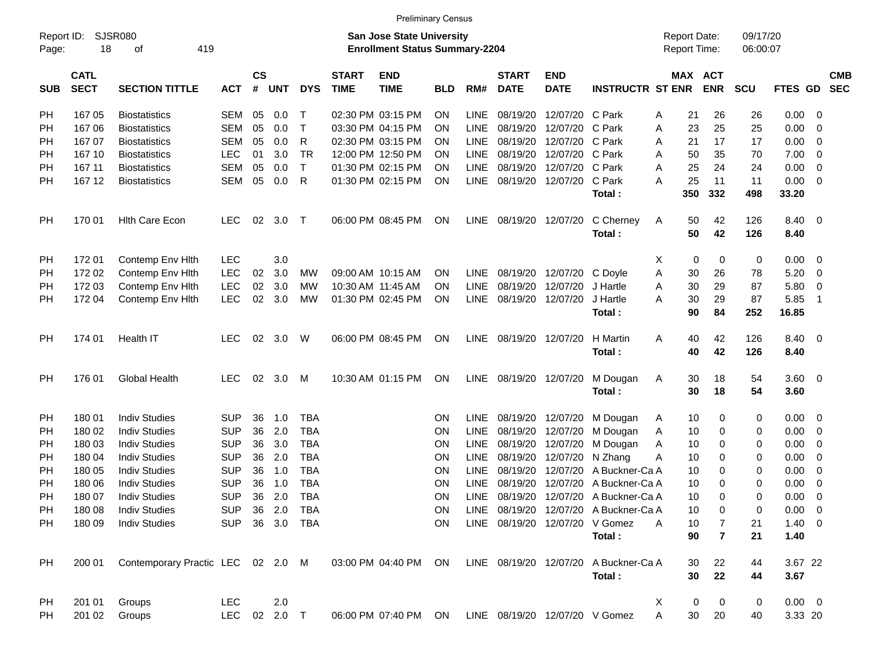|                     |                            |                                              |                          |                    |            |                          |                             | <b>Preliminary Census</b>                                                 |                 |             |                             |                           |                                                                         |   |                                            |                     |                      |                     |                          |            |
|---------------------|----------------------------|----------------------------------------------|--------------------------|--------------------|------------|--------------------------|-----------------------------|---------------------------------------------------------------------------|-----------------|-------------|-----------------------------|---------------------------|-------------------------------------------------------------------------|---|--------------------------------------------|---------------------|----------------------|---------------------|--------------------------|------------|
| Report ID:<br>Page: | 18                         | SJSR080<br>419<br>оf                         |                          |                    |            |                          |                             | <b>San Jose State University</b><br><b>Enrollment Status Summary-2204</b> |                 |             |                             |                           |                                                                         |   | <b>Report Date:</b><br><b>Report Time:</b> |                     | 09/17/20<br>06:00:07 |                     |                          |            |
| <b>SUB</b>          | <b>CATL</b><br><b>SECT</b> | <b>SECTION TITTLE</b>                        | <b>ACT</b>               | $\mathsf{cs}$<br># | <b>UNT</b> | <b>DYS</b>               | <b>START</b><br><b>TIME</b> | <b>END</b><br><b>TIME</b>                                                 | <b>BLD</b>      | RM#         | <b>START</b><br><b>DATE</b> | <b>END</b><br><b>DATE</b> | <b>INSTRUCTR ST ENR</b>                                                 |   | MAX ACT                                    | <b>ENR</b>          | <b>SCU</b>           | FTES GD SEC         |                          | <b>CMB</b> |
| PH                  | 167 05                     | <b>Biostatistics</b>                         | <b>SEM</b>               | 05                 | 0.0        | т                        |                             | 02:30 PM 03:15 PM                                                         | <b>ON</b>       | <b>LINE</b> | 08/19/20                    | 12/07/20 C Park           |                                                                         | A | 21                                         | 26                  | 26                   | 0.00                | 0                        |            |
| PH                  | 16706                      | <b>Biostatistics</b>                         | <b>SEM</b>               | 05                 | 0.0        | Т                        |                             | 03:30 PM 04:15 PM                                                         | ON              | <b>LINE</b> | 08/19/20                    | 12/07/20 C Park           |                                                                         | A | 23                                         | 25                  | 25                   | 0.00                | 0                        |            |
| PH                  | 167 07                     | <b>Biostatistics</b>                         | <b>SEM</b>               | 05                 | 0.0        | R                        |                             | 02:30 PM 03:15 PM                                                         | <b>ON</b>       | <b>LINE</b> | 08/19/20                    | 12/07/20 C Park           |                                                                         | A | 21                                         | 17                  | 17                   | 0.00                | 0                        |            |
| PH                  | 167 10                     | <b>Biostatistics</b>                         | <b>LEC</b>               | 01                 | 3.0        | <b>TR</b>                |                             | 12:00 PM 12:50 PM                                                         | ON              | <b>LINE</b> | 08/19/20                    | 12/07/20 C Park           |                                                                         | A | 50                                         | 35                  | 70                   | 7.00                | 0                        |            |
| PH                  | 167 11                     | <b>Biostatistics</b>                         | <b>SEM</b>               | 05                 | 0.0        | Τ                        |                             | 01:30 PM 02:15 PM                                                         | ON              | <b>LINE</b> | 08/19/20                    | 12/07/20 C Park           |                                                                         | A | 25                                         | 24                  | 24                   | 0.00                | 0                        |            |
| PH                  | 167 12                     | <b>Biostatistics</b>                         | <b>SEM</b>               | 05                 | 0.0        | R                        |                             | 01:30 PM 02:15 PM                                                         | <b>ON</b>       | <b>LINE</b> | 08/19/20                    | 12/07/20 C Park           |                                                                         | A | 25                                         | 11                  | 11                   | 0.00                | - 0                      |            |
|                     |                            |                                              |                          |                    |            |                          |                             |                                                                           |                 |             |                             |                           | Total:                                                                  |   | 350                                        | 332                 | 498                  | 33.20               |                          |            |
| PH                  | 170 01                     | <b>Hith Care Econ</b>                        | <b>LEC</b>               | 02                 | 3.0        | $\top$                   |                             | 06:00 PM 08:45 PM                                                         | ON              | LINE        |                             | 08/19/20 12/07/20         | C Cherney<br>Total:                                                     | A | 50<br>50                                   | 42<br>42            | 126<br>126           | 8.40<br>8.40        | $\overline{\phantom{0}}$ |            |
| PH                  | 17201                      | Contemp Env Hith                             | <b>LEC</b>               |                    | 3.0        |                          |                             |                                                                           |                 |             |                             |                           |                                                                         | Х | 0                                          | 0                   | 0                    | 0.00                | - 0                      |            |
| PH                  | 172 02                     | Contemp Env Hith                             | <b>LEC</b>               | 02                 | 3.0        | MW                       |                             | 09:00 AM 10:15 AM                                                         | <b>ON</b>       | <b>LINE</b> |                             | 08/19/20 12/07/20         | C Doyle                                                                 | Α | 30                                         | 26                  | 78                   | 5.20                | $\overline{0}$           |            |
| PН                  | 172 03                     | Contemp Env Hith                             | <b>LEC</b>               | 02                 | 3.0        | МW                       |                             | 10:30 AM 11:45 AM                                                         | <b>ON</b>       | <b>LINE</b> | 08/19/20                    | 12/07/20                  | J Hartle                                                                | A | 30                                         | 29                  | 87                   | 5.80                | 0                        |            |
| PH                  | 172 04                     | Contemp Env Hith                             | <b>LEC</b>               | 02                 | 3.0        | МW                       |                             | 01:30 PM 02:45 PM                                                         | ON              | <b>LINE</b> |                             | 08/19/20 12/07/20         | J Hartle                                                                | A | 30                                         | 29                  | 87                   | 5.85                | -1                       |            |
|                     |                            |                                              |                          |                    |            |                          |                             |                                                                           |                 |             |                             |                           | Total:                                                                  |   | 90                                         | 84                  | 252                  | 16.85               |                          |            |
| PH                  | 174 01                     | Health IT                                    | <b>LEC</b>               | 02                 | 3.0        | W                        |                             | 06:00 PM 08:45 PM                                                         | <b>ON</b>       | LINE        |                             | 08/19/20 12/07/20         | H Martin                                                                | Α | 40                                         | 42                  | 126                  | 8.40                | $\overline{\phantom{0}}$ |            |
|                     |                            |                                              |                          |                    |            |                          |                             |                                                                           |                 |             |                             |                           | Total:                                                                  |   | 40                                         | 42                  | 126                  | 8.40                |                          |            |
| PH                  | 176 01                     | <b>Global Health</b>                         | <b>LEC</b>               | 02                 | 3.0        | М                        |                             | 10:30 AM 01:15 PM                                                         | <b>ON</b>       | LINE        | 08/19/20 12/07/20           |                           | M Dougan                                                                | A | 30                                         | 18                  | 54                   | $3.60 \ 0$          |                          |            |
|                     |                            |                                              |                          |                    |            |                          |                             |                                                                           |                 |             |                             |                           | Total:                                                                  |   | 30                                         | 18                  | 54                   | 3.60                |                          |            |
| PH                  | 180 01                     | <b>Indiv Studies</b>                         | <b>SUP</b>               | 36                 | 1.0        | <b>TBA</b>               |                             |                                                                           | <b>ON</b>       | LINE        | 08/19/20                    | 12/07/20                  | M Dougan                                                                | A | 10                                         | 0                   | 0                    | 0.00                | - 0                      |            |
| PH                  | 180 02                     | <b>Indiv Studies</b>                         | <b>SUP</b>               | 36                 | 2.0        | <b>TBA</b>               |                             |                                                                           | ON              | <b>LINE</b> | 08/19/20                    | 12/07/20                  | M Dougan                                                                | A | 10                                         | 0                   | 0                    | 0.00                | 0                        |            |
| PH                  | 180 03                     | <b>Indiv Studies</b>                         | <b>SUP</b>               | 36                 | 3.0        | <b>TBA</b>               |                             |                                                                           | ON              | <b>LINE</b> | 08/19/20                    | 12/07/20                  | M Dougan                                                                | A | 10                                         | 0                   | 0                    | 0.00                | 0                        |            |
| PH                  | 180 04                     | <b>Indiv Studies</b>                         | <b>SUP</b>               | 36                 | 2.0        | <b>TBA</b>               |                             |                                                                           | ON              | <b>LINE</b> | 08/19/20                    | 12/07/20                  | N Zhang                                                                 | Α | 10                                         | 0                   | 0                    | 0.00                | 0                        |            |
| PH                  | 180 05                     | <b>Indiv Studies</b>                         | <b>SUP</b>               | 36                 | 1.0        | <b>TBA</b>               |                             |                                                                           | ON              | <b>LINE</b> | 08/19/20<br>08/19/20        | 12/07/20<br>12/07/20      | A Buckner-Ca A                                                          |   | 10                                         | 0                   | 0                    | 0.00                | 0                        |            |
| PH                  | 180 06                     | <b>Indiv Studies</b>                         | <b>SUP</b>               | 36                 | 1.0        | <b>TBA</b><br><b>TBA</b> |                             |                                                                           | ΟN              | <b>LINE</b> |                             |                           | A Buckner-Ca A                                                          |   | 10                                         | 0<br>0              | 0<br>$\mathbf 0$     | 0.00                | 0                        |            |
| PH                  | 180 07                     | <b>Indiv Studies</b>                         | <b>SUP</b>               | 36                 | 2.0        | 36  2.0  TBA             |                             |                                                                           | <b>ON</b>       | <b>LINE</b> |                             |                           | 08/19/20 12/07/20 A Buckner-Ca A                                        |   | 10<br>10                                   | 0                   | 0                    | 0.00<br>$0.00 \t 0$ | 0                        |            |
| <b>PH</b><br>PH     | 180 08<br>180 09           | <b>Indiv Studies</b><br><b>Indiv Studies</b> | <b>SUP</b><br><b>SUP</b> |                    |            | 36 3.0 TBA               |                             |                                                                           | ON<br><b>ON</b> |             |                             |                           | LINE 08/19/20 12/07/20 A Buckner-Ca A<br>LINE 08/19/20 12/07/20 V Gomez | A | 10                                         |                     |                      | $1.40 \ 0$          |                          |            |
|                     |                            |                                              |                          |                    |            |                          |                             |                                                                           |                 |             |                             |                           | Total:                                                                  |   | 90                                         | 7<br>$\overline{7}$ | 21<br>21             | 1.40                |                          |            |
| <b>PH</b>           | 200 01                     | Contemporary Practic LEC 02 2.0 M            |                          |                    |            |                          |                             | 03:00 PM 04:40 PM ON                                                      |                 |             |                             |                           | LINE 08/19/20 12/07/20 A Buckner-Ca A                                   |   | 30                                         | 22                  | 44                   | 3.67 22             |                          |            |
|                     |                            |                                              |                          |                    |            |                          |                             |                                                                           |                 |             |                             |                           | Total:                                                                  |   | 30                                         | 22                  | 44                   | 3.67                |                          |            |
| PH                  | 201 01                     | Groups                                       | <b>LEC</b>               |                    | 2.0        |                          |                             |                                                                           |                 |             |                             |                           |                                                                         | X | 0                                          | 0                   | 0                    | $0.00 \t 0$         |                          |            |
| PH                  | 201 02                     | Groups                                       | <b>LEC</b>               |                    | 02 2.0 T   |                          |                             | 06:00 PM 07:40 PM ON                                                      |                 |             |                             |                           | LINE 08/19/20 12/07/20 V Gomez                                          | A | 30                                         | 20                  | 40                   | 3.33 20             |                          |            |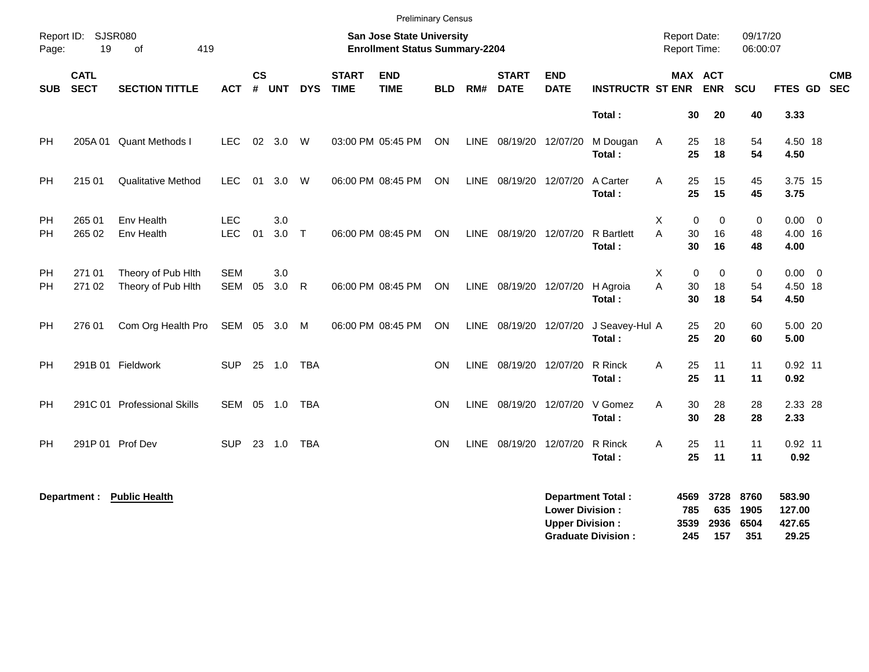|            |                            |                                          |                          |                |            |            |                             | <b>Preliminary Census</b>                                          |            |             |                             |                                                  |                                                       |                                     |                            |                            |                             |                                     |            |
|------------|----------------------------|------------------------------------------|--------------------------|----------------|------------|------------|-----------------------------|--------------------------------------------------------------------|------------|-------------|-----------------------------|--------------------------------------------------|-------------------------------------------------------|-------------------------------------|----------------------------|----------------------------|-----------------------------|-------------------------------------|------------|
| Page:      | Report ID: SJSR080<br>19   | 419<br>of                                |                          |                |            |            |                             | San Jose State University<br><b>Enrollment Status Summary-2204</b> |            |             |                             |                                                  |                                                       | <b>Report Date:</b><br>Report Time: |                            |                            | 09/17/20<br>06:00:07        |                                     |            |
| <b>SUB</b> | <b>CATL</b><br><b>SECT</b> | <b>SECTION TITTLE</b>                    | <b>ACT</b>               | <b>CS</b><br># | <b>UNT</b> | <b>DYS</b> | <b>START</b><br><b>TIME</b> | <b>END</b><br><b>TIME</b>                                          | <b>BLD</b> | RM#         | <b>START</b><br><b>DATE</b> | <b>END</b><br><b>DATE</b>                        | <b>INSTRUCTR ST ENR</b>                               |                                     |                            | MAX ACT<br><b>ENR</b>      | <b>SCU</b>                  | FTES GD SEC                         | <b>CMB</b> |
|            |                            |                                          |                          |                |            |            |                             |                                                                    |            |             |                             |                                                  | Total:                                                |                                     | 30                         | 20                         | 40                          | 3.33                                |            |
| <b>PH</b>  | 205A 01                    | <b>Quant Methods I</b>                   | <b>LEC</b>               |                | 02 3.0     | W          |                             | 03:00 PM 05:45 PM                                                  | ON         |             | LINE 08/19/20 12/07/20      |                                                  | M Dougan<br>Total:                                    | Α                                   | 25<br>25                   | 18<br>18                   | 54<br>54                    | 4.50 18<br>4.50                     |            |
| PH         | 215 01                     | <b>Qualitative Method</b>                | <b>LEC</b>               | 01             | 3.0        | W          |                             | 06:00 PM 08:45 PM                                                  | <b>ON</b>  |             | LINE 08/19/20 12/07/20      |                                                  | A Carter<br>Total:                                    | A                                   | 25<br>25                   | 15<br>15                   | 45<br>45                    | 3.75 15<br>3.75                     |            |
| PH<br>PH   | 265 01<br>265 02           | Env Health<br>Env Health                 | <b>LEC</b><br><b>LEC</b> | 01             | 3.0<br>3.0 | $\top$     |                             | 06:00 PM 08:45 PM                                                  | <b>ON</b>  |             | LINE 08/19/20 12/07/20      |                                                  | <b>R</b> Bartlett<br>Total:                           | X<br>A                              | $\mathbf 0$<br>30<br>30    | $\mathbf 0$<br>16<br>16    | $\pmb{0}$<br>48<br>48       | $0.00 \t 0$<br>4.00 16<br>4.00      |            |
| PH<br>PH.  | 271 01<br>271 02           | Theory of Pub Hith<br>Theory of Pub Hith | <b>SEM</b><br><b>SEM</b> | 05             | 3.0<br>3.0 | R          |                             | 06:00 PM 08:45 PM                                                  | <b>ON</b>  |             | LINE 08/19/20 12/07/20      |                                                  | H Agroia<br>Total:                                    | Χ<br>A                              | $\mathbf 0$<br>30<br>30    | $\mathbf 0$<br>18<br>18    | $\pmb{0}$<br>54<br>54       | $0.00 \t 0$<br>4.50 18<br>4.50      |            |
| PH         | 276 01                     | Com Org Health Pro                       | SEM 05 3.0 M             |                |            |            |                             | 06:00 PM 08:45 PM                                                  | ON         | LINE        | 08/19/20 12/07/20           |                                                  | J Seavey-Hul A<br>Total:                              |                                     | 25<br>25                   | 20<br>20                   | 60<br>60                    | 5.00 20<br>5.00                     |            |
| PH         |                            | 291B 01 Fieldwork                        | <b>SUP</b>               |                | 25 1.0     | <b>TBA</b> |                             |                                                                    | <b>ON</b>  | LINE        | 08/19/20 12/07/20           |                                                  | R Rinck<br>Total:                                     | Α                                   | 25<br>25                   | 11<br>11                   | 11<br>11                    | $0.92$ 11<br>0.92                   |            |
| PH.        |                            | 291C 01 Professional Skills              | SEM 05 1.0               |                |            | TBA        |                             |                                                                    | <b>ON</b>  | <b>LINE</b> | 08/19/20 12/07/20           |                                                  | V Gomez<br>Total:                                     | A                                   | 30<br>30                   | 28<br>28                   | 28<br>28                    | 2.33 28<br>2.33                     |            |
| PH         |                            | 291P 01 Prof Dev                         | <b>SUP</b>               | 23             | 1.0        | <b>TBA</b> |                             |                                                                    | <b>ON</b>  | <b>LINE</b> | 08/19/20 12/07/20           |                                                  | R Rinck<br>Total:                                     | A                                   | 25<br>25                   | 11<br>11                   | 11<br>11                    | $0.92$ 11<br>0.92                   |            |
|            | Department :               | <b>Public Health</b>                     |                          |                |            |            |                             |                                                                    |            |             |                             | <b>Lower Division:</b><br><b>Upper Division:</b> | <b>Department Total:</b><br><b>Graduate Division:</b> |                                     | 4569<br>785<br>3539<br>245 | 3728<br>635<br>2936<br>157 | 8760<br>1905<br>6504<br>351 | 583.90<br>127.00<br>427.65<br>29.25 |            |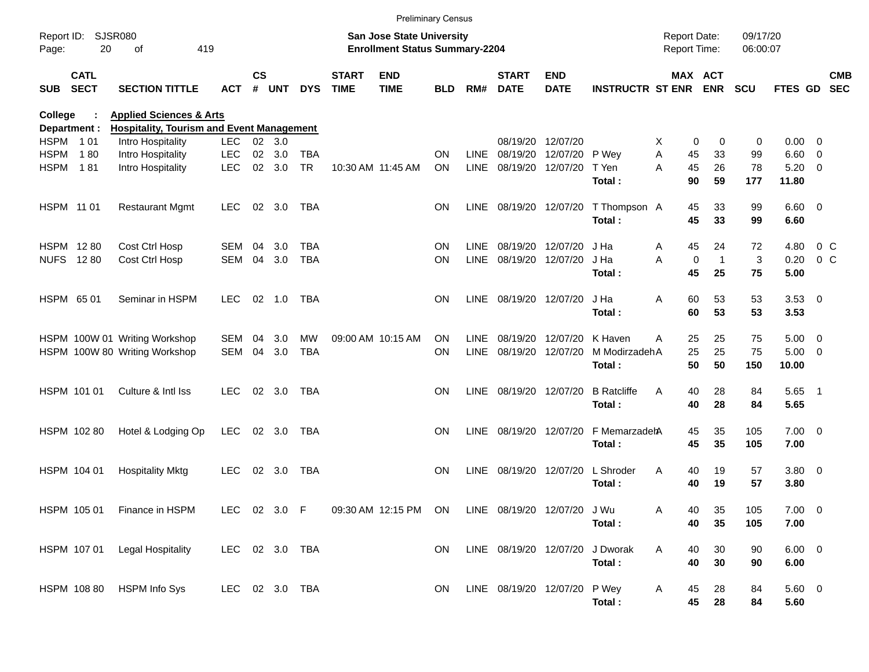|             |                            |                                                  |                |               |        |            |                             | <b>Preliminary Census</b>                                                 |            |             |                                 |                           |                         |                                     |                             |                      |                     |        |                          |
|-------------|----------------------------|--------------------------------------------------|----------------|---------------|--------|------------|-----------------------------|---------------------------------------------------------------------------|------------|-------------|---------------------------------|---------------------------|-------------------------|-------------------------------------|-----------------------------|----------------------|---------------------|--------|--------------------------|
| Page:       | Report ID: SJSR080<br>20   | 419<br>of                                        |                |               |        |            |                             | <b>San Jose State University</b><br><b>Enrollment Status Summary-2204</b> |            |             |                                 |                           |                         | <b>Report Date:</b><br>Report Time: |                             | 09/17/20<br>06:00:07 |                     |        |                          |
| SUB         | <b>CATL</b><br><b>SECT</b> | <b>SECTION TITTLE</b>                            | <b>ACT</b>     | $\mathsf{cs}$ | # UNT  | <b>DYS</b> | <b>START</b><br><b>TIME</b> | <b>END</b><br><b>TIME</b>                                                 | <b>BLD</b> | RM#         | <b>START</b><br><b>DATE</b>     | <b>END</b><br><b>DATE</b> | <b>INSTRUCTR ST ENR</b> |                                     | MAX ACT<br><b>ENR</b>       | <b>SCU</b>           | FTES GD             |        | <b>CMB</b><br><b>SEC</b> |
| College     |                            | <b>Health &amp; Human Sciences</b>               |                |               |        |            |                             |                                                                           |            |             |                                 |                           |                         |                                     |                             |                      |                     |        |                          |
|             | Department :               | <b>Hospitality, Tourism and Event Management</b> |                |               |        |            |                             |                                                                           |            |             |                                 |                           |                         |                                     |                             |                      |                     |        |                          |
|             | HSPM 101                   | Intro Hospitality                                | <b>LEC</b>     |               | 02 3.0 |            |                             |                                                                           |            |             | 08/19/20 12/07/20               |                           |                         | X.                                  | 0<br>0                      | 0                    | $0.00 \t 0$         |        |                          |
| HSPM        | 180                        | Intro Hospitality                                | <b>LEC</b>     | $02\,$        | 3.0    | <b>TBA</b> |                             |                                                                           | ON         | <b>LINE</b> | 08/19/20                        | 12/07/20 P Wey            |                         | A                                   | 45<br>33                    | 99                   | $6.60$ 0            |        |                          |
| <b>HSPM</b> | 181                        | Intro Hospitality                                | <b>LEC</b>     |               | 02 3.0 | <b>TR</b>  |                             | 10:30 AM 11:45 AM                                                         | ON         | <b>LINE</b> | 08/19/20 12/07/20               |                           | T Yen<br>Total:         | A                                   | 45<br>26<br>90<br>59        | 78<br>177            | $5.20 \ 0$<br>11.80 |        |                          |
|             | HSPM 11 01                 | <b>Restaurant Mgmt</b>                           | <b>LEC</b>     |               | 02 3.0 | TBA        |                             |                                                                           | ON         |             | LINE 08/19/20 12/07/20          |                           | T Thompson A<br>Total:  |                                     | 33<br>45<br>45<br>33        | 99<br>99             | $6.60$ 0<br>6.60    |        |                          |
|             | HSPM 1280                  | Cost Ctrl Hosp                                   | SEM            | 04            | 3.0    | TBA        |                             |                                                                           | ON         | <b>LINE</b> | 08/19/20 12/07/20               |                           | J Ha                    | Α                                   | 24<br>45                    | 72                   | 4.80                | $0\,C$ |                          |
|             | <b>NUFS 1280</b>           | Cost Ctrl Hosp                                   | <b>SEM</b>     | 04            | 3.0    | <b>TBA</b> |                             |                                                                           | ΟN         | <b>LINE</b> | 08/19/20 12/07/20               |                           | J Ha                    | A                                   | $\mathbf 0$<br>$\mathbf{1}$ | 3                    | 0.20                | $0\,C$ |                          |
|             |                            |                                                  |                |               |        |            |                             |                                                                           |            |             |                                 |                           | Total:                  |                                     | 45<br>25                    | 75                   | 5.00                |        |                          |
|             | HSPM 6501                  | Seminar in HSPM                                  | <b>LEC</b>     |               | 02 1.0 | TBA        |                             |                                                                           | ON         | <b>LINE</b> | 08/19/20 12/07/20               |                           | J Ha                    | Α                                   | 60<br>53                    | 53                   | $3.53$ 0            |        |                          |
|             |                            |                                                  |                |               |        |            |                             |                                                                           |            |             |                                 |                           | Total:                  |                                     | 60<br>53                    | 53                   | 3.53                |        |                          |
|             |                            | HSPM 100W 01 Writing Workshop                    | SEM            | 04            | 3.0    | MW         |                             | 09:00 AM 10:15 AM                                                         | ΟN         | <b>LINE</b> | 08/19/20 12/07/20               |                           | K Haven                 | A                                   | 25<br>25                    | 75                   | $5.00 \t 0$         |        |                          |
|             |                            | HSPM 100W 80 Writing Workshop                    | SEM            | 04            | 3.0    | <b>TBA</b> |                             |                                                                           | ON         | <b>LINE</b> | 08/19/20 12/07/20               |                           | M ModirzadehA           |                                     | 25<br>25                    | 75                   | $5.00 \t 0$         |        |                          |
|             |                            |                                                  |                |               |        |            |                             |                                                                           |            |             |                                 |                           | Total:                  |                                     | 50<br>50                    | 150                  | 10.00               |        |                          |
|             | HSPM 101 01                | Culture & Intl Iss                               | <b>LEC</b>     |               | 02 3.0 | TBA        |                             |                                                                           | ΟN         | <b>LINE</b> | 08/19/20 12/07/20               |                           | <b>B</b> Ratcliffe      | Α                                   | 28<br>40                    | 84                   | $5.65$ 1            |        |                          |
|             |                            |                                                  |                |               |        |            |                             |                                                                           |            |             |                                 |                           | Total:                  |                                     | 40<br>28                    | 84                   | 5.65                |        |                          |
|             | HSPM 102 80                | Hotel & Lodging Op                               | <b>LEC</b>     |               | 02 3.0 | TBA        |                             |                                                                           | ON         | <b>LINE</b> | 08/19/20 12/07/20               |                           | F MemarzadehA           |                                     | 45<br>35                    | 105                  | $7.00 \t 0$         |        |                          |
|             |                            |                                                  |                |               |        |            |                             |                                                                           |            |             |                                 |                           | Total:                  |                                     | 45<br>35                    | 105                  | 7.00                |        |                          |
|             | HSPM 104 01                | <b>Hospitality Mktg</b>                          | <b>LEC</b>     |               | 02 3.0 | TBA        |                             |                                                                           | ΟN         | LINE        | 08/19/20 12/07/20               |                           | L Shroder               | Α                                   | 40<br>19                    | 57                   | $3.80\ 0$           |        |                          |
|             |                            |                                                  |                |               |        |            |                             |                                                                           |            |             |                                 |                           | Total:                  |                                     | 40<br>19                    | 57                   | 3.80                |        |                          |
|             | HSPM 10501                 | Finance in HSPM                                  | LEC 02 3.0 F   |               |        |            |                             | 09:30 AM 12:15 PM ON                                                      |            |             | LINE 08/19/20 12/07/20 JWu      |                           |                         | Α                                   | 40<br>35                    | 105                  | 7.00 0              |        |                          |
|             |                            |                                                  |                |               |        |            |                             |                                                                           |            |             |                                 |                           | Total:                  |                                     | 40<br>35                    | 105                  | 7.00                |        |                          |
|             | HSPM 107 01                | Legal Hospitality                                | LEC 02 3.0 TBA |               |        |            |                             |                                                                           | ON.        |             | LINE 08/19/20 12/07/20 J Dworak |                           |                         | A                                   | 30<br>40                    | 90                   | $6.00 \t 0$         |        |                          |
|             |                            |                                                  |                |               |        |            |                             |                                                                           |            |             |                                 |                           | Total:                  |                                     | 40<br>30                    | 90                   | 6.00                |        |                          |
|             | HSPM 108 80                | <b>HSPM Info Sys</b>                             | LEC 02 3.0 TBA |               |        |            |                             |                                                                           | ON.        |             | LINE 08/19/20 12/07/20 P Wey    |                           |                         | A                                   | 45<br>28                    | 84                   | 5.60 0              |        |                          |
|             |                            |                                                  |                |               |        |            |                             |                                                                           |            |             |                                 |                           | Total:                  |                                     | 45<br>28                    | 84                   | 5.60                |        |                          |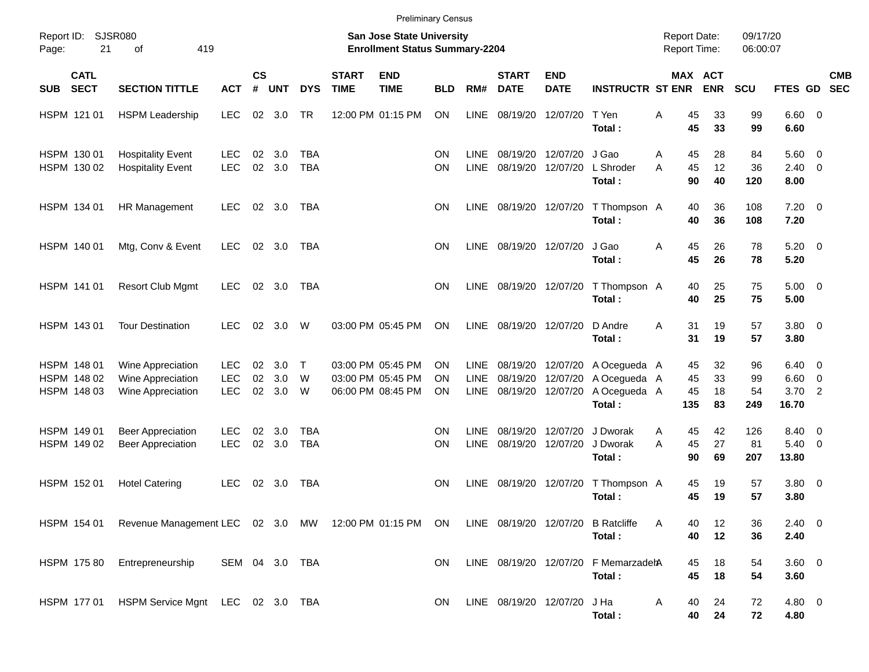|            |                                           |                                                                |                                        |                   |                   |                          |                             | <b>Preliminary Census</b>                                                 |                              |                             |                                           |                           |                                                        |        |                       |                                            |                       |                                             |                |                          |
|------------|-------------------------------------------|----------------------------------------------------------------|----------------------------------------|-------------------|-------------------|--------------------------|-----------------------------|---------------------------------------------------------------------------|------------------------------|-----------------------------|-------------------------------------------|---------------------------|--------------------------------------------------------|--------|-----------------------|--------------------------------------------|-----------------------|---------------------------------------------|----------------|--------------------------|
| Page:      | Report ID: SJSR080<br>21                  | 419<br>of                                                      |                                        |                   |                   |                          |                             | <b>San Jose State University</b><br><b>Enrollment Status Summary-2204</b> |                              |                             |                                           |                           |                                                        |        |                       | <b>Report Date:</b><br><b>Report Time:</b> | 09/17/20<br>06:00:07  |                                             |                |                          |
| <b>SUB</b> | <b>CATL</b><br><b>SECT</b>                | <b>SECTION TITTLE</b>                                          | <b>ACT</b>                             | <b>CS</b><br>$\#$ | <b>UNT</b>        | <b>DYS</b>               | <b>START</b><br><b>TIME</b> | <b>END</b><br><b>TIME</b>                                                 | <b>BLD</b>                   | RM#                         | <b>START</b><br><b>DATE</b>               | <b>END</b><br><b>DATE</b> | <b>INSTRUCTR ST ENR</b>                                |        |                       | MAX ACT<br><b>ENR</b>                      | SCU                   | FTES GD                                     |                | <b>CMB</b><br><b>SEC</b> |
|            | HSPM 121 01                               | <b>HSPM Leadership</b>                                         | <b>LEC</b>                             | 02                | 3.0               | TR                       |                             | 12:00 PM 01:15 PM                                                         | <b>ON</b>                    | LINE                        | 08/19/20                                  | 12/07/20                  | T Yen<br>Total:                                        | A      | 45<br>45              | 33<br>33                                   | 99<br>99              | $6.60$ 0<br>6.60                            |                |                          |
|            | HSPM 130 01<br>HSPM 130 02                | <b>Hospitality Event</b><br><b>Hospitality Event</b>           | <b>LEC</b><br><b>LEC</b>               | 02<br>02          | 3.0<br>3.0        | <b>TBA</b><br><b>TBA</b> |                             |                                                                           | <b>ON</b><br>ON              | <b>LINE</b><br><b>LINE</b>  | 08/19/20<br>08/19/20                      | 12/07/20<br>12/07/20      | J Gao<br>L Shroder<br>Total:                           | A<br>A | 45<br>45<br>90        | 28<br>12<br>40                             | 84<br>36<br>120       | $5.60$ 0<br>$2.40 \quad 0$<br>8.00          |                |                          |
|            | HSPM 134 01                               | HR Management                                                  | LEC.                                   | 02                | 3.0               | <b>TBA</b>               |                             |                                                                           | ON                           | <b>LINE</b>                 | 08/19/20 12/07/20                         |                           | T Thompson A<br>Total:                                 |        | 40<br>40              | 36<br>36                                   | 108<br>108            | $7.20 \t 0$<br>7.20                         |                |                          |
|            | HSPM 140 01                               | Mtg, Conv & Event                                              | <b>LEC</b>                             | 02                | 3.0               | TBA                      |                             |                                                                           | <b>ON</b>                    | <b>LINE</b>                 | 08/19/20 12/07/20                         |                           | J Gao<br>Total:                                        | A      | 45<br>45              | 26<br>26                                   | 78<br>78              | $5.20 \ 0$<br>5.20                          |                |                          |
|            | HSPM 141 01                               | <b>Resort Club Mgmt</b>                                        | <b>LEC</b>                             | 02                | 3.0               | TBA                      |                             |                                                                           | ΟN                           | <b>LINE</b>                 | 08/19/20 12/07/20                         |                           | T Thompson A<br>Total:                                 |        | 40<br>40              | 25<br>25                                   | 75<br>75              | $5.00 \t 0$<br>5.00                         |                |                          |
|            | HSPM 143 01                               | <b>Tour Destination</b>                                        | <b>LEC</b>                             | 02                | 3.0               | W                        |                             | 03:00 PM 05:45 PM                                                         | <b>ON</b>                    | <b>LINE</b>                 | 08/19/20 12/07/20                         |                           | D Andre<br>Total:                                      | A      | 31<br>31              | 19<br>19                                   | 57<br>57              | $3.80\ 0$<br>3.80                           |                |                          |
|            | HSPM 148 01<br>HSPM 148 02<br>HSPM 148 03 | Wine Appreciation<br>Wine Appreciation<br>Wine Appreciation    | <b>LEC</b><br><b>LEC</b><br><b>LEC</b> | 02<br>02<br>02    | 3.0<br>3.0<br>3.0 | $\top$<br>W<br>W         |                             | 03:00 PM 05:45 PM<br>03:00 PM 05:45 PM<br>06:00 PM 08:45 PM               | <b>ON</b><br><b>ON</b><br>ΟN | LINE<br><b>LINE</b><br>LINE | 08/19/20 12/07/20<br>08/19/20<br>08/19/20 | 12/07/20<br>12/07/20      | A Ocegueda A<br>A Ocegueda A<br>A Ocegueda A<br>Total: |        | 45<br>45<br>45<br>135 | 32<br>33<br>18<br>83                       | 96<br>99<br>54<br>249 | $6.40 \quad 0$<br>$6.60$ 0<br>3.70<br>16.70 | $\overline{2}$ |                          |
|            | HSPM 149 01<br>HSPM 149 02                | <b>Beer Appreciation</b><br><b>Beer Appreciation</b>           | LEC.<br><b>LEC</b>                     | 02<br>02          | 3.0<br>3.0        | <b>TBA</b><br><b>TBA</b> |                             |                                                                           | OΝ<br>ON                     | <b>LINE</b><br><b>LINE</b>  | 08/19/20<br>08/19/20                      | 12/07/20<br>12/07/20      | J Dworak<br>J Dworak<br>Total:                         | A<br>A | 45<br>45<br>90        | 42<br>27<br>69                             | 126<br>81<br>207      | 8.40 0<br>$5.40 \ 0$<br>13.80               |                |                          |
|            | HSPM 152 01                               | <b>Hotel Catering</b>                                          | <b>LEC</b>                             | 02                | 3.0               | <b>TBA</b>               |                             |                                                                           | ΟN                           | <b>LINE</b>                 | 08/19/20                                  | 12/07/20                  | T Thompson A<br>Total:                                 |        | 45<br>45              | 19<br>19                                   | 57<br>57              | 3.80 0<br>3.80                              |                |                          |
|            |                                           | HSPM 154 01 Revenue Management LEC 02 3.0 MW 12:00 PM 01:15 PM |                                        |                   |                   |                          |                             |                                                                           | ON                           |                             | LINE 08/19/20 12/07/20                    |                           | <b>B</b> Ratcliffe<br>Total:                           | A      | 40<br>40              | 12<br>12                                   | 36<br>36              | $2.40 \ 0$<br>2.40                          |                |                          |
|            | HSPM 175 80                               | Entrepreneurship                                               | SEM 04 3.0 TBA                         |                   |                   |                          |                             |                                                                           | <b>ON</b>                    |                             | LINE 08/19/20 12/07/20                    |                           | F MemarzadehA<br>Total:                                |        | 45<br>45              | 18<br>18                                   | 54<br>54              | 3.60 0<br>3.60                              |                |                          |
|            | HSPM 177 01                               | HSPM Service Mgnt LEC 02 3.0 TBA                               |                                        |                   |                   |                          |                             |                                                                           | <b>ON</b>                    |                             | LINE 08/19/20 12/07/20                    |                           | J Ha<br>Total:                                         | Α      | 40<br>40              | 24<br>24                                   | 72<br>72              | 4.80 0<br>4.80                              |                |                          |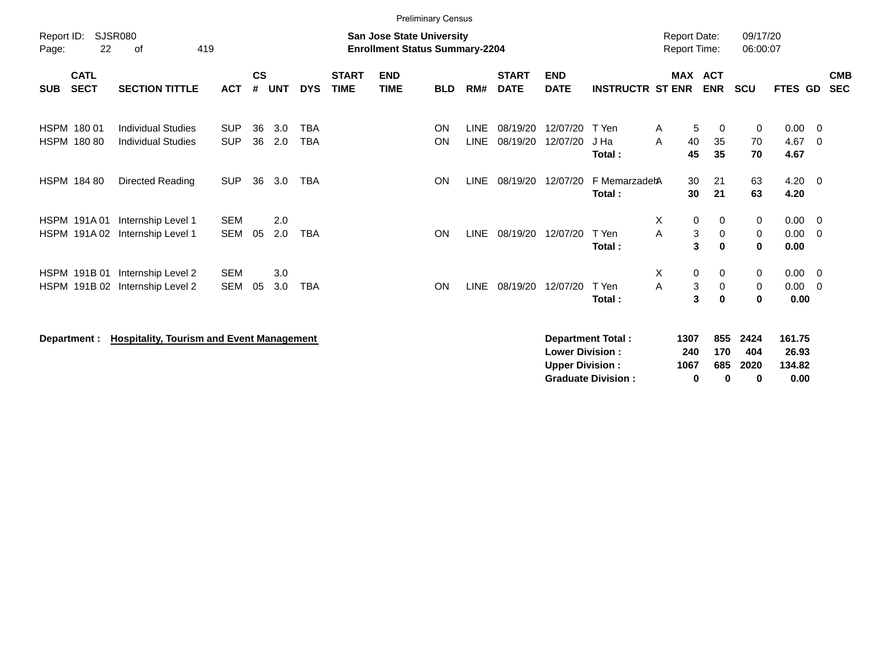|                            |                            |                                                        |                          |                    |            |                          |                             |                                                                           | <b>Preliminary Census</b> |                            |                             |                                                  |                          |        |                                               |                    |                      |                           |                                  |                          |
|----------------------------|----------------------------|--------------------------------------------------------|--------------------------|--------------------|------------|--------------------------|-----------------------------|---------------------------------------------------------------------------|---------------------------|----------------------------|-----------------------------|--------------------------------------------------|--------------------------|--------|-----------------------------------------------|--------------------|----------------------|---------------------------|----------------------------------|--------------------------|
| Report ID:<br>Page:        | 22                         | <b>SJSR080</b><br>οf                                   | 419                      |                    |            |                          |                             | <b>San Jose State University</b><br><b>Enrollment Status Summary-2204</b> |                           |                            |                             |                                                  |                          |        | <b>Report Date:</b><br><b>Report Time:</b>    |                    | 09/17/20<br>06:00:07 |                           |                                  |                          |
| <b>SUB</b>                 | <b>CATL</b><br><b>SECT</b> | <b>SECTION TITTLE</b>                                  | <b>ACT</b>               | $\mathsf{cs}$<br># | <b>UNT</b> | <b>DYS</b>               | <b>START</b><br><b>TIME</b> | <b>END</b><br><b>TIME</b>                                                 | <b>BLD</b>                | RM#                        | <b>START</b><br><b>DATE</b> | <b>END</b><br><b>DATE</b>                        | <b>INSTRUCTR ST ENR</b>  |        | <b>MAX ACT</b><br><b>ENR</b>                  |                    | <b>SCU</b>           | FTES GD                   |                                  | <b>CMB</b><br><b>SEC</b> |
| HSPM 180 01<br>HSPM 180 80 |                            | <b>Individual Studies</b><br><b>Individual Studies</b> | <b>SUP</b><br><b>SUP</b> | 36<br>36           | 3.0<br>2.0 | <b>TBA</b><br><b>TBA</b> |                             |                                                                           | <b>ON</b><br>ON           | <b>LINE</b><br><b>LINE</b> | 08/19/20<br>08/19/20        | 12/07/20<br>12/07/20                             | T Yen<br>J Ha<br>Total:  | Α<br>A | 5<br>40<br>45                                 | 0<br>35<br>35      | 0<br>70<br>70        | 0.00<br>4.67<br>4.67      | - 0<br>- 0                       |                          |
| <b>HSPM 18480</b>          |                            | Directed Reading                                       | <b>SUP</b>               | 36                 | 3.0        | <b>TBA</b>               |                             |                                                                           | <b>ON</b>                 | <b>LINE</b>                | 08/19/20                    | 12/07/20                                         | F MemarzadehA<br>Total:  |        | 30<br>30                                      | 21<br>21           | 63<br>63             | 4.20<br>4.20              | $\overline{\phantom{0}}$         |                          |
| HSPM 191A01<br>HSPM 191A02 |                            | Internship Level 1<br>Internship Level 1               | <b>SEM</b><br><b>SEM</b> | 05                 | 2.0<br>2.0 | <b>TBA</b>               |                             |                                                                           | ON                        | <b>LINE</b>                | 08/19/20                    | 12/07/20                                         | T Yen<br>Total:          | Χ<br>A | $\mathbf 0$<br>$\ensuremath{\mathsf{3}}$<br>3 | 0<br>0<br>$\bf{0}$ | 0<br>0<br>$\bf{0}$   | 0.00<br>0.00<br>0.00      | - 0<br>- 0                       |                          |
| HSPM 191B 01               |                            | Internship Level 2<br>HSPM 191B 02 Internship Level 2  | <b>SEM</b><br><b>SEM</b> | 05                 | 3.0<br>3.0 | <b>TBA</b>               |                             |                                                                           | <b>ON</b>                 | <b>LINE</b>                | 08/19/20                    | 12/07/20                                         | T Yen<br>Total:          | Χ<br>Α | 0<br>3<br>3                                   | 0<br>0<br>$\bf{0}$ | 0<br>0<br>0          | 0.00<br>0.00<br>0.00      | $\overline{0}$<br>$\overline{0}$ |                          |
| Department :               |                            | <b>Hospitality, Tourism and Event Management</b>       |                          |                    |            |                          |                             |                                                                           |                           |                            |                             | <b>Lower Division:</b><br><b>Upper Division:</b> | <b>Department Total:</b> | 1307   | 240<br>1067                                   | 855<br>170<br>685  | 2424<br>404<br>2020  | 161.75<br>26.93<br>134.82 |                                  |                          |

**Graduate Division : 0 0 0 0.00**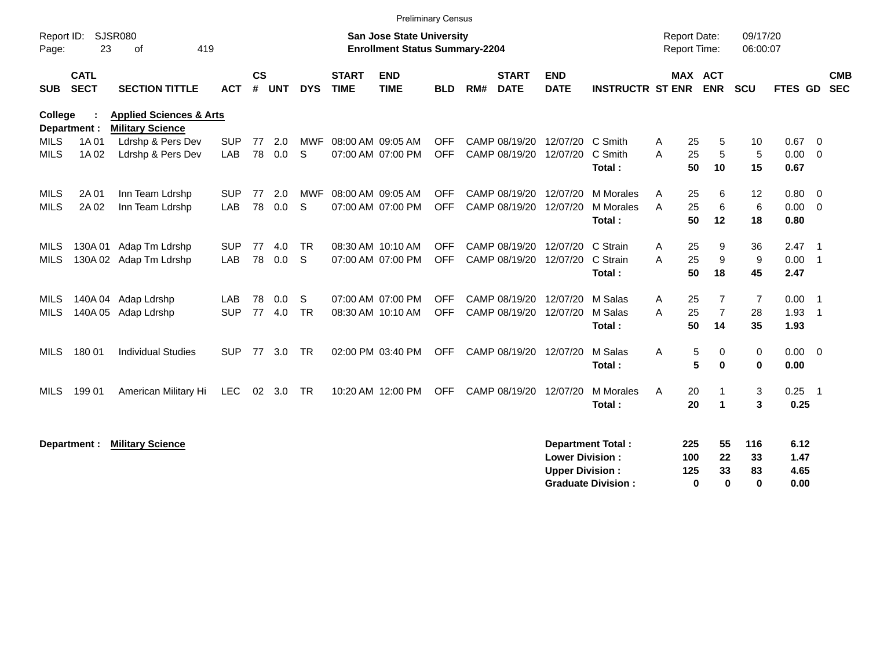|                     |                            |                                                               |            |                    |            |            |                             |                                                                           | Preliminary Census |     |                             |                           |                           |                                            |                       |                      |                |                |                          |
|---------------------|----------------------------|---------------------------------------------------------------|------------|--------------------|------------|------------|-----------------------------|---------------------------------------------------------------------------|--------------------|-----|-----------------------------|---------------------------|---------------------------|--------------------------------------------|-----------------------|----------------------|----------------|----------------|--------------------------|
| Report ID:<br>Page: | 23                         | <b>SJSR080</b><br>419<br>0f                                   |            |                    |            |            |                             | <b>San Jose State University</b><br><b>Enrollment Status Summary-2204</b> |                    |     |                             |                           |                           | <b>Report Date:</b><br><b>Report Time:</b> |                       | 09/17/20<br>06:00:07 |                |                |                          |
| <b>SUB</b>          | <b>CATL</b><br><b>SECT</b> | <b>SECTION TITTLE</b>                                         | <b>ACT</b> | $\mathsf{cs}$<br># | <b>UNT</b> | <b>DYS</b> | <b>START</b><br><b>TIME</b> | <b>END</b><br><b>TIME</b>                                                 | <b>BLD</b>         | RM# | <b>START</b><br><b>DATE</b> | <b>END</b><br><b>DATE</b> | <b>INSTRUCTR ST ENR</b>   |                                            | MAX ACT<br><b>ENR</b> | SCU                  | <b>FTES GD</b> |                | <b>CMB</b><br><b>SEC</b> |
| College             | Department :               | <b>Health &amp; Human Sciences</b><br><b>Military Science</b> |            |                    |            |            |                             |                                                                           |                    |     |                             |                           |                           |                                            |                       |                      |                |                |                          |
| <b>MILS</b>         | 1A 01                      | Ldrshp & Pers Dev                                             | <b>SUP</b> | 77                 | 2.0        | <b>MWF</b> |                             | 08:00 AM 09:05 AM                                                         | <b>OFF</b>         |     |                             | CAMP 08/19/20 12/07/20    | C Smith                   | 25<br>A                                    | 5                     | 10                   | 0.67           | $\overline{0}$ |                          |
| <b>MILS</b>         | 1A 02                      | Ldrshp & Pers Dev                                             | LAB        | 78                 | 0.0        | S          |                             | 07:00 AM 07:00 PM                                                         | <b>OFF</b>         |     | CAMP 08/19/20               | 12/07/20                  | C Smith                   | 25<br>Α                                    | 5                     | 5                    | 0.00           | $\mathbf 0$    |                          |
|                     |                            |                                                               |            |                    |            |            |                             |                                                                           |                    |     |                             |                           | Total:                    | 50                                         | 10                    | 15                   | 0.67           |                |                          |
| MILS                | 2A 01                      | Inn Team Ldrshp                                               | <b>SUP</b> | 77                 | 2.0        |            | MWF 08:00 AM 09:05 AM       |                                                                           | <b>OFF</b>         |     | CAMP 08/19/20               | 12/07/20                  | M Morales                 | 25<br>A                                    | 6                     | 12                   | 0.80           | 0              |                          |
| <b>MILS</b>         | 2A 02                      | Inn Team Ldrshp                                               | LAB        | 78                 | 0.0        | S          |                             | 07:00 AM 07:00 PM                                                         | <b>OFF</b>         |     | CAMP 08/19/20               | 12/07/20                  | M Morales                 | A<br>25                                    | 6                     | 6                    | 0.00           | $\overline{0}$ |                          |
|                     |                            |                                                               |            |                    |            |            |                             |                                                                           |                    |     |                             |                           | Total:                    | 50                                         | 12                    | 18                   | 0.80           |                |                          |
| MILS                | 130A01                     | Adap Tm Ldrshp                                                | <b>SUP</b> | 77                 | 4.0        | <b>TR</b>  |                             | 08:30 AM 10:10 AM                                                         | <b>OFF</b>         |     | CAMP 08/19/20               | 12/07/20                  | C Strain                  | 25<br>A                                    | 9                     | 36                   | $2.47 \quad 1$ |                |                          |
| <b>MILS</b>         |                            | 130A 02 Adap Tm Ldrshp                                        | LAB        | 78                 | 0.0        | S          |                             | 07:00 AM 07:00 PM                                                         | <b>OFF</b>         |     | CAMP 08/19/20               | 12/07/20                  | C Strain                  | 25<br>A                                    | 9                     | 9                    | 0.00           | - 1            |                          |
|                     |                            |                                                               |            |                    |            |            |                             |                                                                           |                    |     |                             |                           | Total:                    | 50                                         | 18                    | 45                   | 2.47           |                |                          |
| MILS                | 140A 04                    | Adap Ldrshp                                                   | LAB        | 78                 | 0.0        | S          |                             | 07:00 AM 07:00 PM                                                         | <b>OFF</b>         |     | CAMP 08/19/20               | 12/07/20                  | M Salas                   | A<br>25                                    | 7                     | $\overline{7}$       | 0.00           | $\overline{1}$ |                          |
| <b>MILS</b>         |                            | 140A 05 Adap Ldrshp                                           | <b>SUP</b> | 77                 | 4.0        | <b>TR</b>  |                             | 08:30 AM 10:10 AM                                                         | <b>OFF</b>         |     | CAMP 08/19/20               | 12/07/20                  | M Salas                   | 25<br>Α                                    | $\overline{7}$        | 28                   | 1.93           | $\overline{1}$ |                          |
|                     |                            |                                                               |            |                    |            |            |                             |                                                                           |                    |     |                             |                           | Total:                    | 50                                         | 14                    | 35                   | 1.93           |                |                          |
| <b>MILS</b>         | 180 01                     | <b>Individual Studies</b>                                     | <b>SUP</b> | 77                 | 3.0        | <b>TR</b>  |                             | 02:00 PM 03:40 PM                                                         | <b>OFF</b>         |     | CAMP 08/19/20               | 12/07/20                  | M Salas                   | Α                                          | 5<br>0                | 0                    | $0.00 \ 0$     |                |                          |
|                     |                            |                                                               |            |                    |            |            |                             |                                                                           |                    |     |                             |                           | Total:                    |                                            | 5<br>$\bf{0}$         | $\mathbf 0$          | 0.00           |                |                          |
| <b>MILS</b>         | 199 01                     | American Military Hi                                          | LEC        |                    | 02 3.0     | <b>TR</b>  |                             | 10:20 AM 12:00 PM                                                         | <b>OFF</b>         |     | CAMP 08/19/20               | 12/07/20                  | M Morales                 | A<br>20                                    |                       | 3                    | $0.25$ 1       |                |                          |
|                     |                            |                                                               |            |                    |            |            |                             |                                                                           |                    |     |                             |                           | Total:                    | 20                                         | $\blacktriangleleft$  | 3                    | 0.25           |                |                          |
|                     |                            |                                                               |            |                    |            |            |                             |                                                                           |                    |     |                             |                           |                           |                                            |                       |                      |                |                |                          |
|                     | Department :               | <b>Military Science</b>                                       |            |                    |            |            |                             |                                                                           |                    |     |                             |                           | <b>Department Total:</b>  | 225                                        | 55                    | 116                  | 6.12           |                |                          |
|                     |                            |                                                               |            |                    |            |            |                             |                                                                           |                    |     |                             | <b>Lower Division:</b>    |                           | 100                                        | 22                    | 33                   | 1.47           |                |                          |
|                     |                            |                                                               |            |                    |            |            |                             |                                                                           |                    |     |                             | <b>Upper Division:</b>    |                           | 125                                        | 33                    | 83                   | 4.65           |                |                          |
|                     |                            |                                                               |            |                    |            |            |                             |                                                                           |                    |     |                             |                           | <b>Graduate Division:</b> |                                            | 0<br>0                | $\bf{0}$             | 0.00           |                |                          |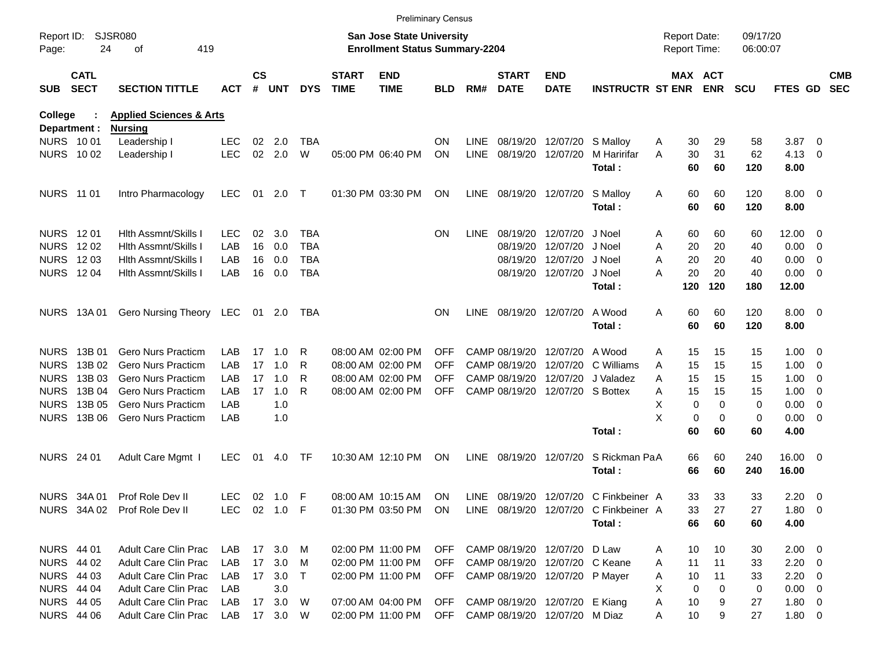|                                  |                            |                                    |              |                    |            |            |                             |                                                                    | <b>Preliminary Census</b> |             |                             |                                    |                                       |                                     |                              |                      |                |                          |                          |
|----------------------------------|----------------------------|------------------------------------|--------------|--------------------|------------|------------|-----------------------------|--------------------------------------------------------------------|---------------------------|-------------|-----------------------------|------------------------------------|---------------------------------------|-------------------------------------|------------------------------|----------------------|----------------|--------------------------|--------------------------|
| Report ID:<br>Page:              | 24                         | <b>SJSR080</b><br>419<br>οf        |              |                    |            |            |                             | San Jose State University<br><b>Enrollment Status Summary-2204</b> |                           |             |                             |                                    |                                       | <b>Report Date:</b><br>Report Time: |                              | 09/17/20<br>06:00:07 |                |                          |                          |
| <b>SUB</b>                       | <b>CATL</b><br><b>SECT</b> | <b>SECTION TITTLE</b>              | ACT          | $\mathsf{cs}$<br># | <b>UNT</b> | <b>DYS</b> | <b>START</b><br><b>TIME</b> | <b>END</b><br><b>TIME</b>                                          | BLD                       | RM#         | <b>START</b><br><b>DATE</b> | <b>END</b><br><b>DATE</b>          | <b>INSTRUCTR ST ENR</b>               |                                     | <b>MAX ACT</b><br><b>ENR</b> | <b>SCU</b>           | <b>FTES GD</b> |                          | <b>CMB</b><br><b>SEC</b> |
| College                          |                            | <b>Health &amp; Human Sciences</b> |              |                    |            |            |                             |                                                                    |                           |             |                             |                                    |                                       |                                     |                              |                      |                |                          |                          |
| Department :<br><b>NURS 1001</b> |                            | <b>Nursing</b>                     | <b>LEC</b>   | 02                 | 2.0        | <b>TBA</b> |                             |                                                                    | <b>ON</b>                 | <b>LINE</b> |                             | 08/19/20 12/07/20                  |                                       | 30                                  | 29                           | 58                   |                | $\overline{\phantom{0}}$ |                          |
| NURS 1002                        |                            | Leadership I<br>Leadership I       | <b>LEC</b>   |                    | 02 2.0     | W          |                             | 05:00 PM 06:40 PM                                                  | ON                        | <b>LINE</b> |                             | 08/19/20 12/07/20                  | S Malloy<br>M Haririfar               | Α<br>30<br>Α                        | 31                           | 62                   | 3.87<br>4.13   | $\overline{\mathbf{0}}$  |                          |
|                                  |                            |                                    |              |                    |            |            |                             |                                                                    |                           |             |                             |                                    | Total:                                | 60                                  | 60                           | 120                  | 8.00           |                          |                          |
| <b>NURS 11 01</b>                |                            | Intro Pharmacology                 | <b>LEC</b>   |                    | 01 2.0     | $\top$     |                             | 01:30 PM 03:30 PM                                                  | ON                        | LINE        |                             | 08/19/20 12/07/20                  | S Malloy                              | 60<br>A                             | 60                           | 120                  | $8.00 \t 0$    |                          |                          |
|                                  |                            |                                    |              |                    |            |            |                             |                                                                    |                           |             |                             |                                    | Total:                                | 60                                  | 60                           | 120                  | 8.00           |                          |                          |
| NURS 1201                        |                            | Hith Assmnt/Skills                 | <b>LEC</b>   | 02                 | 3.0        | <b>TBA</b> |                             |                                                                    | <b>ON</b>                 | <b>LINE</b> |                             | 08/19/20 12/07/20                  | J Noel                                | A                                   | 60<br>60                     | 60                   | $12.00 \t 0$   |                          |                          |
| <b>NURS</b>                      | 12 02                      | Hith Assmnt/Skills                 | LAB          | 16                 | 0.0        | <b>TBA</b> |                             |                                                                    |                           |             |                             | 08/19/20 12/07/20                  | J Noel                                | 20<br>Α                             | 20                           | 40                   | 0.00           | $\overline{\phantom{0}}$ |                          |
| NURS 1203                        |                            | Hith Assmnt/Skills                 | LAB          | 16                 | 0.0        | <b>TBA</b> |                             |                                                                    |                           |             |                             | 08/19/20 12/07/20                  | J Noel                                | 20<br>A                             | 20                           | 40                   | 0.00           | $\overline{\phantom{0}}$ |                          |
| <b>NURS 1204</b>                 |                            | <b>Hith Assmnt/Skills I</b>        | LAB          | 16                 | 0.0        | <b>TBA</b> |                             |                                                                    |                           |             |                             | 08/19/20 12/07/20                  | J Noel                                | 20<br>Α                             | 20                           | 40                   | 0.00           | $\overline{\phantom{0}}$ |                          |
|                                  |                            |                                    |              |                    |            |            |                             |                                                                    |                           |             |                             |                                    | Total:                                | 120                                 | 120                          | 180                  | 12.00          |                          |                          |
|                                  | NURS 13A 01                | Gero Nursing Theory LEC            |              |                    | 01 2.0     | TBA        |                             |                                                                    | <b>ON</b>                 | <b>LINE</b> |                             | 08/19/20 12/07/20                  | A Wood                                | 60<br>A                             | 60                           | 120                  | $8.00 \t 0$    |                          |                          |
|                                  |                            |                                    |              |                    |            |            |                             |                                                                    |                           |             |                             |                                    | Total:                                | 60                                  | 60                           | 120                  | 8.00           |                          |                          |
| <b>NURS</b>                      | 13B 01                     | Gero Nurs Practicm                 | LAB          | 17                 | 1.0        | R          |                             | 08:00 AM 02:00 PM                                                  | <b>OFF</b>                |             | CAMP 08/19/20               | 12/07/20                           | A Wood                                | Α                                   | 15<br>15                     | 15                   | $1.00 \t 0$    |                          |                          |
| <b>NURS</b>                      | 13B 02                     | <b>Gero Nurs Practicm</b>          | LAB          | 17                 | 1.0        | R          |                             | 08:00 AM 02:00 PM                                                  | OFF                       |             | CAMP 08/19/20               | 12/07/20                           | C Williams                            | 15<br>A                             | 15                           | 15                   | 1.00           | $\overline{\phantom{0}}$ |                          |
| <b>NURS</b>                      | 13B 03                     | Gero Nurs Practicm                 | LAB          | 17                 | 1.0        | R          |                             | 08:00 AM 02:00 PM                                                  | OFF                       |             | CAMP 08/19/20               | 12/07/20                           | J Valadez                             | 15<br>A                             | 15                           | 15                   | 1.00           | $\overline{\phantom{0}}$ |                          |
| <b>NURS</b>                      | 13B 04                     | <b>Gero Nurs Practicm</b>          | LAB          | 17                 | 1.0        | R          |                             | 08:00 AM 02:00 PM                                                  | <b>OFF</b>                |             |                             | CAMP 08/19/20 12/07/20 S Bottex    |                                       | 15<br>Α                             | 15                           | 15                   | 1.00           | $\overline{\phantom{0}}$ |                          |
| <b>NURS</b>                      | 13B 05                     | Gero Nurs Practicm                 | LAB          |                    | 1.0        |            |                             |                                                                    |                           |             |                             |                                    |                                       | х                                   | $\mathbf 0$<br>0             | 0                    | 0.00           | $\overline{\phantom{0}}$ |                          |
| <b>NURS</b>                      | 13B 06                     | <b>Gero Nurs Practicm</b>          | LAB          |                    | 1.0        |            |                             |                                                                    |                           |             |                             |                                    |                                       | X                                   | 0<br>0                       | 0                    | $0.00 \t 0$    |                          |                          |
|                                  |                            |                                    |              |                    |            |            |                             |                                                                    |                           |             |                             |                                    | Total:                                | 60                                  | 60                           | 60                   | 4.00           |                          |                          |
| NURS 24 01                       |                            | Adult Care Mgmt I                  | LEC.         | 01                 | 4.0        | TF         |                             | 10:30 AM 12:10 PM                                                  | ON                        | LINE        |                             | 08/19/20 12/07/20                  | S Rickman PaA                         | 66                                  | 60                           | 240                  | 16.00 0        |                          |                          |
|                                  |                            |                                    |              |                    |            |            |                             |                                                                    |                           |             |                             |                                    | Total:                                | 66                                  | 60                           | 240                  | 16.00          |                          |                          |
|                                  | NURS 34A 01                | Prof Role Dev II                   | LEC.         |                    | 02 1.0 F   |            |                             | 08:00 AM 10:15 AM                                                  | <b>ON</b>                 | LINE        |                             | 08/19/20 12/07/20                  | C Finkbeiner A                        |                                     | 33<br>33                     | 33                   | $2.20 \t 0$    |                          |                          |
|                                  |                            | NURS 34A 02 Prof Role Dev II       | LEC 02 1.0 F |                    |            |            |                             | 01:30 PM 03:50 PM ON                                               |                           |             |                             |                                    | LINE 08/19/20 12/07/20 C Finkbeiner A |                                     | 33<br>27                     | 27                   | $1.80 \t 0$    |                          |                          |
|                                  |                            |                                    |              |                    |            |            |                             |                                                                    |                           |             |                             |                                    | Total:                                |                                     | 66<br>60                     | 60                   | 4.00           |                          |                          |
| <b>NURS 44 01</b>                |                            | Adult Care Clin Prac               | LAB 17 3.0 M |                    |            |            |                             | 02:00 PM 11:00 PM                                                  |                           |             |                             | OFF CAMP 08/19/20 12/07/20 D Law   |                                       | 10<br>A                             | 10                           | 30                   | $2.00 \t 0$    |                          |                          |
| NURS 44 02                       |                            | <b>Adult Care Clin Prac</b>        | LAB          |                    | 17 3.0     | M          |                             | 02:00 PM 11:00 PM                                                  | <b>OFF</b>                |             |                             | CAMP 08/19/20 12/07/20 C Keane     |                                       | 11<br>A                             | 11                           | 33                   | $2.20 \t 0$    |                          |                          |
| NURS 44 03                       |                            | Adult Care Clin Prac               | LAB          |                    | 17 3.0     | $\top$     |                             | 02:00 PM 11:00 PM                                                  |                           |             |                             | OFF CAMP 08/19/20 12/07/20 P Mayer |                                       | 10<br>A                             | 11                           | 33                   | $2.20 \t 0$    |                          |                          |
| <b>NURS 44 04</b>                |                            | Adult Care Clin Prac               | LAB          |                    | 3.0        |            |                             |                                                                    |                           |             |                             |                                    |                                       | X                                   | 0<br>$\Omega$                | 0                    | $0.00 \t 0$    |                          |                          |
| <b>NURS 44 05</b>                |                            | Adult Care Clin Prac               | LAB          |                    | 17 3.0     | <b>W</b>   |                             | 07:00 AM 04:00 PM                                                  | <b>OFF</b>                |             |                             | CAMP 08/19/20 12/07/20 E Kiang     |                                       | Α<br>10                             | 9                            | 27                   | $1.80 \t 0$    |                          |                          |
|                                  | <b>NURS 44 06</b>          | Adult Care Clin Prac               | LAB 17 3.0 W |                    |            |            |                             | 02:00 PM 11:00 PM OFF CAMP 08/19/20 12/07/20 M Diaz                |                           |             |                             |                                    |                                       | 10<br>A                             | 9                            | 27                   | $1.80 \t 0$    |                          |                          |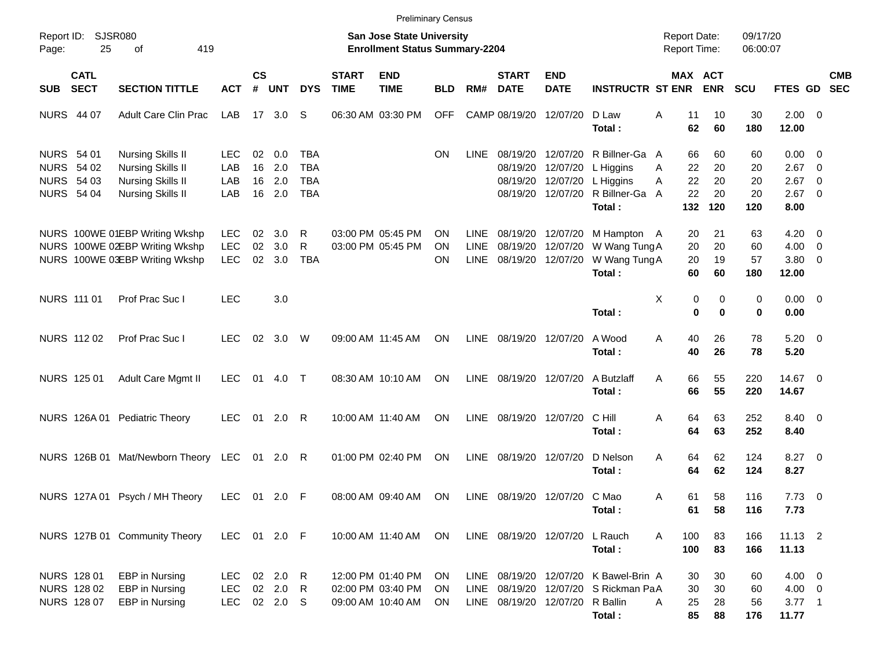|                                                      |                                           |                                                                                                       |                                        |                    |                                  |                                        |                             | <b>Preliminary Census</b>                                          |                       |                                           |                                           |                                                       |                                                                                    |                                            |                             |                             |                                                     |                          |            |
|------------------------------------------------------|-------------------------------------------|-------------------------------------------------------------------------------------------------------|----------------------------------------|--------------------|----------------------------------|----------------------------------------|-----------------------------|--------------------------------------------------------------------|-----------------------|-------------------------------------------|-------------------------------------------|-------------------------------------------------------|------------------------------------------------------------------------------------|--------------------------------------------|-----------------------------|-----------------------------|-----------------------------------------------------|--------------------------|------------|
| Page:                                                | Report ID: SJSR080<br>25                  | 419<br>of                                                                                             |                                        |                    |                                  |                                        |                             | San Jose State University<br><b>Enrollment Status Summary-2204</b> |                       |                                           |                                           |                                                       |                                                                                    | <b>Report Date:</b><br><b>Report Time:</b> |                             | 09/17/20<br>06:00:07        |                                                     |                          |            |
| <b>SUB</b>                                           | <b>CATL</b><br><b>SECT</b>                | <b>SECTION TITTLE</b>                                                                                 | <b>ACT</b>                             | $\mathsf{cs}$<br># | <b>UNT</b>                       | <b>DYS</b>                             | <b>START</b><br><b>TIME</b> | <b>END</b><br><b>TIME</b>                                          | <b>BLD</b>            | RM#                                       | <b>START</b><br><b>DATE</b>               | <b>END</b><br><b>DATE</b>                             | <b>INSTRUCTR ST ENR</b>                                                            | <b>MAX ACT</b>                             | <b>ENR</b>                  | <b>SCU</b>                  | FTES GD SEC                                         |                          | <b>CMB</b> |
| <b>NURS 44 07</b>                                    |                                           | <b>Adult Care Clin Prac</b>                                                                           | LAB                                    |                    | 17 3.0                           | S                                      |                             | 06:30 AM 03:30 PM                                                  | <b>OFF</b>            |                                           | CAMP 08/19/20                             | 12/07/20                                              | D Law<br>Total:                                                                    | A<br>11<br>62                              | 10<br>60                    | 30<br>180                   | $2.00 \t 0$<br>12.00                                |                          |            |
| NURS 54 01<br><b>NURS 54 02</b><br><b>NURS 54 03</b> | <b>NURS 54 04</b>                         | Nursing Skills II<br><b>Nursing Skills II</b><br><b>Nursing Skills II</b><br><b>Nursing Skills II</b> | LEC.<br>LAB<br>LAB<br>LAB              | 02<br>16<br>16     | 0.0<br>2.0<br>2.0<br>16 2.0      | TBA<br><b>TBA</b><br>TBA<br><b>TBA</b> |                             |                                                                    | <b>ON</b>             | LINE                                      | 08/19/20<br>08/19/20<br>08/19/20          | 12/07/20<br>12/07/20<br>12/07/20<br>08/19/20 12/07/20 | R Billner-Ga A<br>L Higgins<br>L Higgins<br>R Billner-Ga<br>Total:                 | 66<br>22<br>A<br>22<br>A<br>22<br>A<br>132 | 60<br>20<br>20<br>20<br>120 | 60<br>20<br>20<br>20<br>120 | $0.00 \t 0$<br>$2.67$ 0<br>2.67<br>$2.67$ 0<br>8.00 | $\overline{\phantom{0}}$ |            |
|                                                      |                                           | NURS 100WE 01EBP Writing Wkshp<br>NURS 100WE 02EBP Writing Wkshp<br>NURS 100WE 03EBP Writing Wkshp    | <b>LEC</b><br><b>LEC</b><br><b>LEC</b> | 02<br>02<br>02     | 3.0<br>3.0<br>3.0                | R<br>R<br><b>TBA</b>                   |                             | 03:00 PM 05:45 PM<br>03:00 PM 05:45 PM                             | <b>ON</b><br>OΝ<br>OΝ | <b>LINE</b><br><b>LINE</b><br><b>LINE</b> | 08/19/20<br>08/19/20<br>08/19/20 12/07/20 | 12/07/20<br>12/07/20                                  | M Hampton A<br>W Wang Tung A<br>W Wang Tung A<br>Total:                            | 20<br>20<br>20<br>60                       | 21<br>20<br>19<br>60        | 63<br>60<br>57<br>180       | $4.20 \ 0$<br>$4.00 \ 0$<br>$3.80\ 0$<br>12.00      |                          |            |
|                                                      | NURS 111 01                               | Prof Prac Suc I                                                                                       | <b>LEC</b>                             |                    | 3.0                              |                                        |                             |                                                                    |                       |                                           |                                           |                                                       | Total:                                                                             | Χ<br>0<br>$\bf{0}$                         | 0<br>$\bf{0}$               | 0<br>0                      | $0.00 \t 0$<br>0.00                                 |                          |            |
|                                                      | NURS 112 02                               | Prof Prac Suc I                                                                                       | <b>LEC</b>                             | 02                 | 3.0                              | W                                      |                             | 09:00 AM 11:45 AM                                                  | <b>ON</b>             | <b>LINE</b>                               | 08/19/20 12/07/20                         |                                                       | A Wood<br>Total:                                                                   | Α<br>40<br>40                              | 26<br>26                    | 78<br>78                    | $5.20 \ 0$<br>5.20                                  |                          |            |
|                                                      | NURS 125 01                               | Adult Care Mgmt II                                                                                    | <b>LEC</b>                             | 01                 | 4.0 T                            |                                        |                             | 08:30 AM 10:10 AM                                                  | <b>ON</b>             | <b>LINE</b>                               | 08/19/20 12/07/20                         |                                                       | A Butzlaff<br>Total:                                                               | 66<br>A<br>66                              | 55<br>55                    | 220<br>220                  | 14.67 0<br>14.67                                    |                          |            |
|                                                      |                                           | NURS 126A 01 Pediatric Theory                                                                         | <b>LEC</b>                             | 01                 | $2.0$ R                          |                                        |                             | 10:00 AM 11:40 AM                                                  | <b>ON</b>             | LINE                                      | 08/19/20 12/07/20                         |                                                       | C Hill<br>Total:                                                                   | Α<br>64<br>64                              | 63<br>63                    | 252<br>252                  | 8.40 0<br>8.40                                      |                          |            |
|                                                      |                                           | NURS 126B 01 Mat/Newborn Theory LEC                                                                   |                                        |                    | 01 2.0 R                         |                                        |                             | 01:00 PM 02:40 PM                                                  | ON                    | LINE                                      | 08/19/20 12/07/20                         |                                                       | D Nelson<br>Total:                                                                 | A<br>64<br>64                              | 62<br>62                    | 124<br>124                  | 8.27 0<br>8.27                                      |                          |            |
|                                                      |                                           | NURS 127A 01 Psych / MH Theory                                                                        | <b>LEC</b>                             | 01                 | $2.0$ F                          |                                        |                             | 08:00 AM 09:40 AM                                                  | ON                    | LINE                                      |                                           | 08/19/20 12/07/20 C Mao                               | Total:                                                                             | 61<br>Α<br>61                              | 58<br>58                    | 116<br>116                  | $7.73 \t 0$<br>7.73                                 |                          |            |
|                                                      |                                           | NURS 127B 01 Community Theory                                                                         | LEC 01 2.0 F                           |                    |                                  |                                        |                             | 10:00 AM 11:40 AM                                                  | ON                    |                                           |                                           | LINE 08/19/20 12/07/20 L Rauch                        | Total:                                                                             | 100<br>A<br>100                            | 83<br>83                    | 166<br>166                  | $11.13$ 2<br>11.13                                  |                          |            |
|                                                      | NURS 128 01<br>NURS 128 02<br>NURS 128 07 | <b>EBP</b> in Nursing<br>EBP in Nursing<br>EBP in Nursing                                             | LEC.<br><b>LEC</b><br><b>LEC</b>       |                    | 02 2.0 R<br>02 2.0 R<br>02 2.0 S |                                        |                             | 12:00 PM 01:40 PM<br>02:00 PM 03:40 PM<br>09:00 AM 10:40 AM        | <b>ON</b><br>ON<br>ON | LINE                                      |                                           | LINE 08/19/20 12/07/20 R Ballin                       | LINE 08/19/20 12/07/20 K Bawel-Brin A<br>08/19/20 12/07/20 S Rickman PaA<br>Total: | 30<br>30<br>Α<br>25<br>85                  | 30<br>30<br>28<br>88        | 60<br>60<br>56<br>176       | $4.00 \ 0$<br>$4.00 \ 0$<br>$3.77$ 1<br>11.77       |                          |            |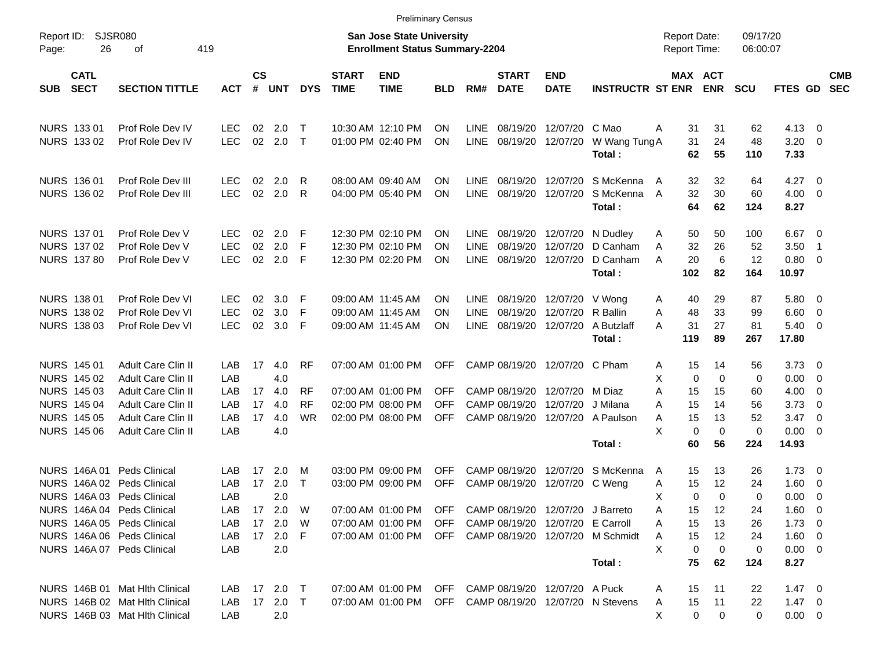|                                          |                                    |                          |                |            |            |                             | <b>Preliminary Census</b>                                                 |            |                            |                             |                                  |                                                        |                                            |                       |                      |                      |                          |                          |
|------------------------------------------|------------------------------------|--------------------------|----------------|------------|------------|-----------------------------|---------------------------------------------------------------------------|------------|----------------------------|-----------------------------|----------------------------------|--------------------------------------------------------|--------------------------------------------|-----------------------|----------------------|----------------------|--------------------------|--------------------------|
| Report ID:<br>26<br>Page:                | <b>SJSR080</b><br>419<br>οf        |                          |                |            |            |                             | <b>San Jose State University</b><br><b>Enrollment Status Summary-2204</b> |            |                            |                             |                                  |                                                        | <b>Report Date:</b><br><b>Report Time:</b> |                       | 09/17/20<br>06:00:07 |                      |                          |                          |
| <b>CATL</b><br><b>SECT</b><br><b>SUB</b> | <b>SECTION TITTLE</b>              | <b>ACT</b>               | <b>CS</b><br># | UNT        | <b>DYS</b> | <b>START</b><br><b>TIME</b> | <b>END</b><br><b>TIME</b>                                                 | <b>BLD</b> | RM#                        | <b>START</b><br><b>DATE</b> | <b>END</b><br><b>DATE</b>        | <b>INSTRUCTR ST ENR</b>                                |                                            | MAX ACT<br><b>ENR</b> | <b>SCU</b>           | FTES GD              |                          | <b>CMB</b><br><b>SEC</b> |
| NURS 133 01                              | Prof Role Dev IV                   | <b>LEC</b>               | 02             | 2.0        | $\top$     |                             | 10:30 AM 12:10 PM                                                         | ΟN         | <b>LINE</b>                | 08/19/20                    | 12/07/20 C Mao                   |                                                        | 31<br>A                                    | 31                    | 62                   | $4.13 \quad 0$       |                          |                          |
| NURS 133 02                              | Prof Role Dev IV                   | <b>LEC</b>               | 02             | 2.0 T      |            |                             | 01:00 PM 02:40 PM                                                         | ΟN         | <b>LINE</b>                |                             | 08/19/20 12/07/20                | W Wang Tung A<br>Total:                                | 31<br>62                                   | 24<br>55              | 48<br>110            | $3.20 \ 0$<br>7.33   |                          |                          |
| <b>NURS 136 01</b>                       | Prof Role Dev III                  | <b>LEC</b>               | 02             | 2.0        | R          |                             | 08:00 AM 09:40 AM                                                         | ΟN         | <b>LINE</b>                | 08/19/20                    |                                  | 12/07/20 S McKenna                                     | 32<br>A                                    | 32                    | 64                   | $4.27 \t 0$          |                          |                          |
| NURS 136 02                              | Prof Role Dev III                  | <b>LEC</b>               | 02             | 2.0        | R          |                             | 04:00 PM 05:40 PM                                                         | ΟN         | <b>LINE</b>                | 08/19/20                    | 12/07/20                         | S McKenna<br>Total:                                    | 32<br>A<br>64                              | 30<br>62              | 60<br>124            | $4.00 \ 0$<br>8.27   |                          |                          |
| NURS 137 01                              | Prof Role Dev V                    | <b>LEC</b>               | 02             | 2.0        | -F         |                             | 12:30 PM 02:10 PM                                                         | ΟN         | LINE.                      | 08/19/20                    |                                  | 12/07/20 N Dudlev                                      | 50<br>A                                    | 50                    | 100                  | $6.67$ 0             |                          |                          |
| NURS 137 02<br><b>NURS 137 80</b>        | Prof Role Dev V<br>Prof Role Dev V | <b>LEC</b><br><b>LEC</b> | 02<br>02       | 2.0<br>2.0 | F<br>- F   |                             | 12:30 PM 02:10 PM<br>12:30 PM 02:20 PM                                    | ON<br>ΟN   | <b>LINE</b><br><b>LINE</b> | 08/19/20                    |                                  | 12/07/20 D Canham<br>08/19/20 12/07/20 D Canham        | 32<br>A<br>20<br>A                         | 26<br>6               | 52<br>12             | 3.50<br>0.80 0       | - 1                      |                          |
|                                          |                                    |                          |                |            |            |                             |                                                                           |            |                            |                             |                                  | Total:                                                 | 102                                        | 82                    | 164                  | 10.97                |                          |                          |
| <b>NURS 138 01</b>                       | Prof Role Dev VI                   | <b>LEC</b>               | 02             | 3.0        | -F         |                             | 09:00 AM 11:45 AM                                                         | ΟN         | <b>LINE</b>                | 08/19/20                    | 12/07/20 V Wong                  |                                                        | 40<br>A                                    | 29                    | 87                   | 5.80 0               |                          |                          |
| NURS 138 02                              | Prof Role Dev VI                   | <b>LEC</b>               | 02             | 3.0        | F          |                             | 09:00 AM 11:45 AM                                                         | ON         | <b>LINE</b>                | 08/19/20                    | 12/07/20 R Ballin                |                                                        | 48<br>A                                    | 33                    | 99                   | $6.60$ 0             |                          |                          |
| NURS 138 03                              | Prof Role Dev VI                   | <b>LEC</b>               | 02             | 3.0        | F          |                             | 09:00 AM 11:45 AM                                                         | ΟN         | <b>LINE</b>                |                             |                                  | 08/19/20 12/07/20 A Butzlaff<br>Total:                 | 31<br>Α<br>119                             | 27<br>89              | 81<br>267            | $5.40 \ 0$<br>17.80  |                          |                          |
| NURS 145 01                              | Adult Care Clin II                 | LAB                      | 17             | 4.0        | <b>RF</b>  |                             | 07:00 AM 01:00 PM                                                         | <b>OFF</b> |                            |                             | CAMP 08/19/20 12/07/20 C Pham    |                                                        | 15<br>Α                                    | 14                    | 56                   | $3.73 \quad 0$       |                          |                          |
| NURS 145 02                              | Adult Care Clin II                 | LAB                      |                | 4.0        |            |                             |                                                                           |            |                            |                             |                                  |                                                        | Χ<br>$\mathbf 0$                           | 0                     | 0                    | $0.00 \t 0$          |                          |                          |
| NURS 145 03                              | Adult Care Clin II                 | LAB                      | 17             | 4.0        | <b>RF</b>  |                             | 07:00 AM 01:00 PM                                                         | <b>OFF</b> |                            | CAMP 08/19/20               | 12/07/20 M Diaz                  |                                                        | Α<br>15                                    | 15                    | 60                   | $4.00 \ 0$           |                          |                          |
| <b>NURS 145 04</b>                       | Adult Care Clin II                 | LAB                      | 17             | 4.0        | <b>RF</b>  |                             | 02:00 PM 08:00 PM                                                         | <b>OFF</b> |                            | CAMP 08/19/20               | 12/07/20 J Milana                |                                                        | 15<br>Α                                    | 14                    | 56                   | 3.73                 | $\overline{\phantom{0}}$ |                          |
| <b>NURS 145 05</b>                       | Adult Care Clin II                 | LAB                      | 17             | 4.0        | <b>WR</b>  |                             | 02:00 PM 08:00 PM                                                         | <b>OFF</b> |                            | CAMP 08/19/20               |                                  | 12/07/20 A Paulson                                     | 15<br>Α                                    | 13                    | 52                   | 3.47                 | $\overline{\phantom{0}}$ |                          |
| <b>NURS 145 06</b>                       | Adult Care Clin II                 | LAB                      |                | 4.0        |            |                             |                                                                           |            |                            |                             |                                  | Total:                                                 | X<br>$\mathbf 0$<br>60                     | 0<br>56               | $\mathbf 0$<br>224   | $0.00 \t 0$<br>14.93 |                          |                          |
| NURS 146A 01                             | <b>Peds Clinical</b>               | LAB                      | 17             | 2.0        | M          |                             | 03:00 PM 09:00 PM                                                         | <b>OFF</b> |                            | CAMP 08/19/20               |                                  | 12/07/20 S McKenna                                     | 15<br>A                                    | 13                    | 26                   | $1.73 \quad 0$       |                          |                          |
| NURS 146A 02 Peds Clinical               |                                    | LAB                      | 17             | 2.0        | $\top$     |                             | 03:00 PM 09:00 PM                                                         | <b>OFF</b> |                            | CAMP 08/19/20               | 12/07/20 C Weng                  |                                                        | 15<br>A                                    | 12                    | 24                   | 1.60                 | $\overline{\phantom{0}}$ |                          |
| NURS 146A 03 Peds Clinical               |                                    | LAB                      |                | 2.0        |            |                             |                                                                           |            |                            |                             |                                  |                                                        | Χ                                          | 0<br>$\Omega$         | 0                    | $0.00 \t 0$          |                          |                          |
| NURS 146A 04 Peds Clinical               |                                    | LAB                      |                | 17  2.0  W |            |                             | 07:00 AM 01:00 PM                                                         | OFF        |                            |                             | CAMP 08/19/20 12/07/20 J Barreto |                                                        | 15<br>Α                                    | 12                    | 24                   | $1.60 \t 0$          |                          |                          |
| NURS 146A 05 Peds Clinical               |                                    | LAB                      |                | 17  2.0  W |            |                             | 07:00 AM 01:00 PM                                                         | <b>OFF</b> |                            |                             | CAMP 08/19/20 12/07/20 E Carroll |                                                        | 15<br>A                                    | 13                    | 26                   | $1.73 \t 0$          |                          |                          |
| NURS 146A 06 Peds Clinical               |                                    | LAB                      |                | 17 2.0 F   |            |                             | 07:00 AM 01:00 PM                                                         |            |                            |                             |                                  | OFF CAMP 08/19/20 12/07/20 M Schmidt                   | 15<br>A                                    | 12                    | 24                   | $1.60 \t 0$          |                          |                          |
| NURS 146A 07 Peds Clinical               |                                    | LAB                      |                | 2.0        |            |                             |                                                                           |            |                            |                             |                                  |                                                        | X                                          | 0<br>0                | 0                    | $0.00 \t 0$          |                          |                          |
|                                          |                                    |                          |                |            |            |                             |                                                                           |            |                            |                             |                                  | Total:                                                 | 75                                         | 62                    | 124                  | 8.27                 |                          |                          |
|                                          | NURS 146B 01 Mat Hith Clinical     | LAB.                     |                | 17 2.0 T   |            |                             | 07:00 AM 01:00 PM OFF CAMP 08/19/20 12/07/20 A Puck                       |            |                            |                             |                                  |                                                        | 15<br>Α                                    | 11                    | 22                   | $1.47 \ 0$           |                          |                          |
|                                          | NURS 146B 02 Mat Hlth Clinical     | LAB                      |                | 17 2.0 T   |            |                             |                                                                           |            |                            |                             |                                  | 07:00 AM 01:00 PM OFF CAMP 08/19/20 12/07/20 N Stevens | 15<br>A                                    | 11                    | 22                   | $1.47 \quad 0$       |                          |                          |
|                                          | NURS 146B 03 Mat Hith Clinical     | LAB                      |                | 2.0        |            |                             |                                                                           |            |                            |                             |                                  |                                                        | X                                          | 0<br>0                | 0                    | $0.00 \t 0$          |                          |                          |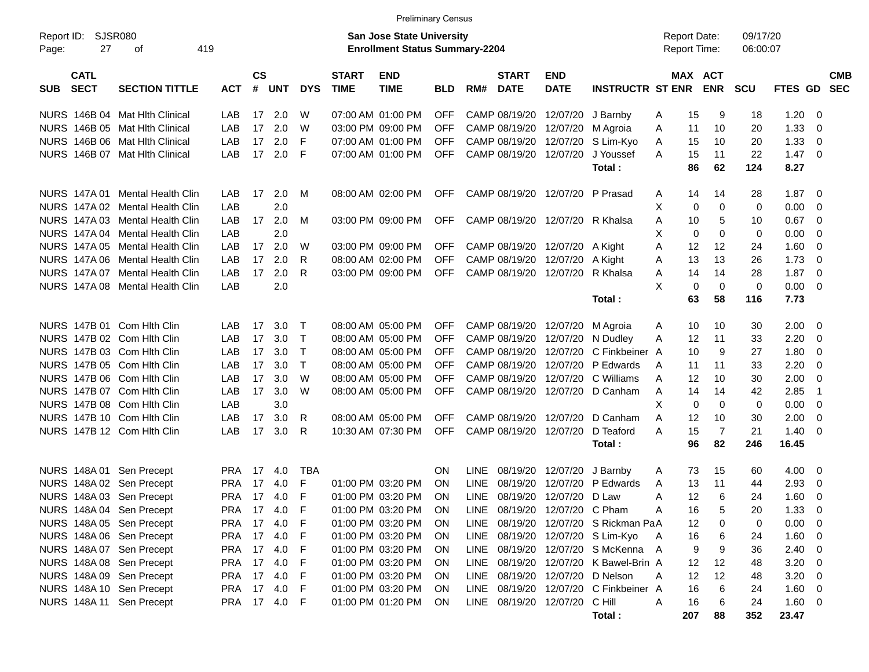| <b>SJSR080</b><br><b>San Jose State University</b><br>09/17/20<br>Report ID:<br><b>Report Date:</b><br>27<br>419<br><b>Enrollment Status Summary-2204</b><br>Report Time:<br>06:00:07<br>Page:<br>оf<br><b>CS</b><br><b>START</b><br>MAX ACT<br><b>CATL</b><br><b>START</b><br><b>END</b><br><b>CMB</b><br><b>END</b><br><b>SECT</b><br>#<br><b>TIME</b><br><b>DATE</b><br><b>INSTRUCTR ST ENR</b><br><b>ENR</b><br><b>SEC</b><br><b>SECTION TITTLE</b><br><b>ACT</b><br><b>UNT</b><br><b>DYS</b><br><b>TIME</b><br>RM#<br><b>DATE</b><br><b>SCU</b><br>FTES GD<br><b>SUB</b><br><b>BLD</b><br>NURS 146B 04 Mat Hith Clinical<br>2.0<br>CAMP 08/19/20<br>1.20<br>LAB<br>17<br>W<br>07:00 AM 01:00 PM<br><b>OFF</b><br>12/07/20<br>15<br>9<br>18<br>- 0<br>J Barnby<br>A<br>2.0<br>1.33<br>NURS 146B 05 Mat Hith Clinical<br>LAB<br>17<br>W<br>03:00 PM 09:00 PM<br><b>OFF</b><br>CAMP 08/19/20<br>20<br>12/07/20<br>M Agroia<br>A<br>11<br>10<br>$\overline{0}$<br>2.0<br>NURS 146B 06 Mat Hith Clinical<br>17<br>F<br><b>OFF</b><br>CAMP 08/19/20<br>12/07/20<br>S Lim-Kyo<br>1.33<br>LAB<br>07:00 AM 01:00 PM<br>15<br>10<br>20<br>$\overline{0}$<br>A<br>2.0<br>NURS 146B 07 Mat Hlth Clinical<br>17<br>F<br>07:00 AM 01:00 PM<br><b>OFF</b><br>CAMP 08/19/20<br>12/07/20<br>15<br>22<br>1.47<br>$\overline{0}$<br>LAB<br>J Youssef<br>A<br>-11<br>8.27<br>86<br>62<br>124<br>Total:<br>2.0<br>08:00 AM 02:00 PM<br>CAMP 08/19/20 12/07/20<br>1.87<br>NURS 147A 01 Mental Health Clin<br>LAB<br>17<br>M<br><b>OFF</b><br>P Prasad<br>28<br>- 0<br>A<br>14<br>14<br>2.0<br>X<br>NURS 147A 02 Mental Health Clin<br>LAB<br>0<br>0<br>$\mathbf 0$<br>0.00<br>$\overline{0}$<br>NURS 147A 03 Mental Health Clin<br>LAB<br>17<br>2.0<br>M<br>03:00 PM 09:00 PM<br><b>OFF</b><br>CAMP 08/19/20<br>R Khalsa<br>5<br>0.67<br>$\overline{0}$<br>12/07/20<br>A<br>10<br>10<br>2.0<br>X<br>NURS 147A 04 Mental Health Clin<br>LAB<br>$\mathbf 0$<br>$\mathbf 0$<br>0.00<br>$\overline{0}$<br>0<br>2.0<br>NURS 147A 05 Mental Health Clin<br>LAB<br>17<br>CAMP 08/19/20 12/07/20<br>12<br>12<br>1.60<br>$\overline{0}$<br>W<br>03:00 PM 09:00 PM<br><b>OFF</b><br>A Kight<br>A<br>24<br>2.0<br>13<br>1.73<br>NURS 147A 06 Mental Health Clin<br>LAB<br>17<br>R<br>08:00 AM 02:00 PM<br>CAMP 08/19/20<br>12/07/20<br>13<br>26<br>$\overline{0}$<br><b>OFF</b><br>A Kight<br>A<br>NURS 147A 07 Mental Health Clin<br>2.0<br>R<br>03:00 PM 09:00 PM<br><b>OFF</b><br>CAMP 08/19/20<br>12/07/20<br>R Khalsa<br>14<br>28<br>1.87<br>$\overline{0}$<br>LAB<br>17<br>A<br>14<br>2.0<br>X<br>NURS 147A 08 Mental Health Clin<br>LAB<br>0<br>$\mathbf 0$<br>$\mathbf 0$<br>0.00<br>$\overline{0}$<br>7.73<br>63<br>58<br>116<br>Total:<br>NURS 147B 01 Com Hith Clin<br>3.0<br>CAMP 08/19/20 12/07/20<br>2.00<br>LAB<br>17<br>$\top$<br>08:00 AM 05:00 PM<br><b>OFF</b><br>10<br>30<br>- 0<br>M Agroia<br>A<br>10<br>3.0<br>$\mathsf{T}$<br>2.20<br>NURS 147B 02 Com Hith Clin<br>LAB<br>17<br>08:00 AM 05:00 PM<br><b>OFF</b><br>CAMP 08/19/20<br>12/07/20<br>Α<br>12<br>-11<br>33<br>0<br>N Dudley<br>NURS 147B 03 Com Hith Clin<br>17<br>3.0<br>$\mathsf{T}$<br>08:00 AM 05:00 PM<br><b>OFF</b><br>CAMP 08/19/20<br>12/07/20<br>C Finkbeiner A<br>9<br>27<br>1.80<br>$\overline{0}$<br>LAB<br>10<br>$\mathsf{T}$<br>NURS 147B 05 Com Hith Clin<br>LAB<br>17<br>3.0<br>08:00 AM 05:00 PM<br><b>OFF</b><br>CAMP 08/19/20<br>12/07/20<br>P Edwards<br>2.20<br>$\overline{0}$<br>11<br>11<br>33<br>A<br>NURS 147B 06 Com Hith Clin<br>LAB<br>17<br>3.0<br>W<br>08:00 AM 05:00 PM<br><b>OFF</b><br>CAMP 08/19/20<br>12/07/20<br>12<br>10<br>2.00<br>$\overline{0}$<br>C Williams<br>A<br>30<br>NURS 147B 07 Com Hith Clin<br>3.0<br>W<br>08:00 AM 05:00 PM<br><b>OFF</b><br>CAMP 08/19/20<br>12/07/20<br>2.85<br>$\overline{1}$<br>LAB<br>17<br>D Canham<br>A<br>14<br>14<br>42<br>X<br>NURS 147B 08 Com Hith Clin<br>3.0<br>$\mathbf 0$<br>$\mathbf 0$<br>0.00<br>$\overline{0}$<br>LAB<br>0<br>3.0<br>NURS 147B 10 Com Hith Clin<br>LAB<br>17<br>08:00 AM 05:00 PM<br>CAMP 08/19/20<br>12<br>10<br>30<br>2.00<br>$\overline{0}$<br>R<br><b>OFF</b><br>12/07/20<br>D Canham<br>A<br>3.0<br><b>OFF</b><br>$\overline{7}$<br>NURS 147B 12 Com Hith Clin<br>17<br>R<br>10:30 AM 07:30 PM<br>CAMP 08/19/20<br>12/07/20<br>D Teaford<br>15<br>21<br>1.40<br>$\overline{0}$<br>LAB<br>A<br>16.45<br>96<br>82<br>246<br>Total:<br>08/19/20<br>12/07/20<br>NURS 148A 01 Sen Precept<br><b>PRA</b><br>17<br>TBA<br>ΟN<br>LINE<br>J Barnby<br>73<br>15<br>60<br>4.00<br>$\overline{\mathbf{0}}$<br>4.0<br>A<br><b>LINE</b><br>NURS 148A 02 Sen Precept<br>F<br>01:00 PM 03:20 PM<br>08/19/20<br>P Edwards<br>2.93<br><b>PRA</b><br>17<br>4.0<br>ΟN<br>12/07/20<br>13<br>11<br>44<br>0<br>A<br>F<br><b>LINE</b><br>NURS 148A 03 Sen Precept<br>08/19/20<br>12/07/20<br>D Law<br>12<br>6<br>1.60<br><b>PRA</b><br>17 4.0<br>01:00 PM 03:20 PM<br>ΟN<br>A<br>24<br>0<br>PRA 17 4.0<br>NURS 148A 04 Sen Precept<br>F<br>01:00 PM 03:20 PM<br>LINE 08/19/20 12/07/20 C Pham<br>5<br>$1.33 \ 0$<br><b>ON</b><br>A<br>16<br>20<br>NURS 148A 05 Sen Precept<br>PRA 17 4.0<br>08/19/20 12/07/20 S Rickman PaA<br>$0.00 \t 0$<br>F<br>01:00 PM 03:20 PM<br>LINE<br>12<br>0<br>0<br><b>ON</b><br>NURS 148A 06 Sen Precept<br>PRA 17 4.0<br>LINE 08/19/20 12/07/20 S Lim-Kyo<br>$1.60 \t 0$<br>F<br>01:00 PM 03:20 PM<br>16<br>6<br><b>ON</b><br>- A<br>24<br>NURS 148A 07 Sen Precept<br>PRA 17 4.0<br>LINE 08/19/20 12/07/20 SMcKenna A<br>$2.40 \ 0$<br>F<br>01:00 PM 03:20 PM<br>9<br>9<br>36<br>ON.<br>NURS 148A 08 Sen Precept<br>PRA 17 4.0<br>LINE 08/19/20 12/07/20 K Bawel-Brin A<br>12<br>$3.20 \ 0$<br>F<br>01:00 PM 03:20 PM<br>12<br>ON.<br>48<br>NURS 148A 09 Sen Precept<br>PRA 17 4.0<br>LINE 08/19/20 12/07/20 D Nelson<br>12<br>12<br>$3.20 \ 0$<br>F<br>01:00 PM 03:20 PM<br>48<br><b>ON</b><br>A<br>NURS 148A 10 Sen Precept<br>PRA 17 4.0<br>01:00 PM 03:20 PM<br>LINE 08/19/20 12/07/20 C Finkbeiner A<br>16<br>6<br>$1.60 \t 0$<br>F<br>24<br><b>ON</b><br>NURS 148A 11 Sen Precept<br>PRA 17 4.0<br>LINE 08/19/20 12/07/20 C Hill<br>6<br>$1.60 \t 0$<br>- F<br>01:00 PM 01:20 PM<br>Α<br>16<br>24<br><b>ON</b><br>207 |  |  |  | <b>Preliminary Census</b> |  |  |        |  |    |     |       |  |
|--------------------------------------------------------------------------------------------------------------------------------------------------------------------------------------------------------------------------------------------------------------------------------------------------------------------------------------------------------------------------------------------------------------------------------------------------------------------------------------------------------------------------------------------------------------------------------------------------------------------------------------------------------------------------------------------------------------------------------------------------------------------------------------------------------------------------------------------------------------------------------------------------------------------------------------------------------------------------------------------------------------------------------------------------------------------------------------------------------------------------------------------------------------------------------------------------------------------------------------------------------------------------------------------------------------------------------------------------------------------------------------------------------------------------------------------------------------------------------------------------------------------------------------------------------------------------------------------------------------------------------------------------------------------------------------------------------------------------------------------------------------------------------------------------------------------------------------------------------------------------------------------------------------------------------------------------------------------------------------------------------------------------------------------------------------------------------------------------------------------------------------------------------------------------------------------------------------------------------------------------------------------------------------------------------------------------------------------------------------------------------------------------------------------------------------------------------------------------------------------------------------------------------------------------------------------------------------------------------------------------------------------------------------------------------------------------------------------------------------------------------------------------------------------------------------------------------------------------------------------------------------------------------------------------------------------------------------------------------------------------------------------------------------------------------------------------------------------------------------------------------------------------------------------------------------------------------------------------------------------------------------------------------------------------------------------------------------------------------------------------------------------------------------------------------------------------------------------------------------------------------------------------------------------------------------------------------------------------------------------------------------------------------------------------------------------------------------------------------------------------------------------------------------------------------------------------------------------------------------------------------------------------------------------------------------------------------------------------------------------------------------------------------------------------------------------------------------------------------------------------------------------------------------------------------------------------------------------------------------------------------------------------------------------------------------------------------------------------------------------------------------------------------------------------------------------------------------------------------------------------------------------------------------------------------------------------------------------------------------------------------------------------------------------------------------------------------------------------------------------------------------------------------------------------------------------------------------------------------------------------------------------------------------------------------------------------------------------------------------------------------------------------------------------------------------------------------------------------------------------------------------------------------------------------------------------------------------------------------------------------------------------------------------------------------------------------------------------------------------------------------------------------------------------------------------------------------------------------------------------------------------------------------------------------------------------------------------------------------------------------------------------------------------------------------------------------------------------------------------------------------------------------------------------------------------------------------------------------------------------------------------------------------------------------------------------------------------------------------------------------------------------------------------------------------------------------------------------------------------------------------------------------------------------------------------------------------|--|--|--|---------------------------|--|--|--------|--|----|-----|-------|--|
|                                                                                                                                                                                                                                                                                                                                                                                                                                                                                                                                                                                                                                                                                                                                                                                                                                                                                                                                                                                                                                                                                                                                                                                                                                                                                                                                                                                                                                                                                                                                                                                                                                                                                                                                                                                                                                                                                                                                                                                                                                                                                                                                                                                                                                                                                                                                                                                                                                                                                                                                                                                                                                                                                                                                                                                                                                                                                                                                                                                                                                                                                                                                                                                                                                                                                                                                                                                                                                                                                                                                                                                                                                                                                                                                                                                                                                                                                                                                                                                                                                                                                                                                                                                                                                                                                                                                                                                                                                                                                                                                                                                                                                                                                                                                                                                                                                                                                                                                                                                                                                                                                                                                                                                                                                                                                                                                                                                                                                                                                                                                                                                                                                                                                                                                                                                                                                                                                                                                                                                                                                                                                                                                                                                                        |  |  |  |                           |  |  |        |  |    |     |       |  |
|                                                                                                                                                                                                                                                                                                                                                                                                                                                                                                                                                                                                                                                                                                                                                                                                                                                                                                                                                                                                                                                                                                                                                                                                                                                                                                                                                                                                                                                                                                                                                                                                                                                                                                                                                                                                                                                                                                                                                                                                                                                                                                                                                                                                                                                                                                                                                                                                                                                                                                                                                                                                                                                                                                                                                                                                                                                                                                                                                                                                                                                                                                                                                                                                                                                                                                                                                                                                                                                                                                                                                                                                                                                                                                                                                                                                                                                                                                                                                                                                                                                                                                                                                                                                                                                                                                                                                                                                                                                                                                                                                                                                                                                                                                                                                                                                                                                                                                                                                                                                                                                                                                                                                                                                                                                                                                                                                                                                                                                                                                                                                                                                                                                                                                                                                                                                                                                                                                                                                                                                                                                                                                                                                                                                        |  |  |  |                           |  |  |        |  |    |     |       |  |
|                                                                                                                                                                                                                                                                                                                                                                                                                                                                                                                                                                                                                                                                                                                                                                                                                                                                                                                                                                                                                                                                                                                                                                                                                                                                                                                                                                                                                                                                                                                                                                                                                                                                                                                                                                                                                                                                                                                                                                                                                                                                                                                                                                                                                                                                                                                                                                                                                                                                                                                                                                                                                                                                                                                                                                                                                                                                                                                                                                                                                                                                                                                                                                                                                                                                                                                                                                                                                                                                                                                                                                                                                                                                                                                                                                                                                                                                                                                                                                                                                                                                                                                                                                                                                                                                                                                                                                                                                                                                                                                                                                                                                                                                                                                                                                                                                                                                                                                                                                                                                                                                                                                                                                                                                                                                                                                                                                                                                                                                                                                                                                                                                                                                                                                                                                                                                                                                                                                                                                                                                                                                                                                                                                                                        |  |  |  |                           |  |  |        |  |    |     |       |  |
|                                                                                                                                                                                                                                                                                                                                                                                                                                                                                                                                                                                                                                                                                                                                                                                                                                                                                                                                                                                                                                                                                                                                                                                                                                                                                                                                                                                                                                                                                                                                                                                                                                                                                                                                                                                                                                                                                                                                                                                                                                                                                                                                                                                                                                                                                                                                                                                                                                                                                                                                                                                                                                                                                                                                                                                                                                                                                                                                                                                                                                                                                                                                                                                                                                                                                                                                                                                                                                                                                                                                                                                                                                                                                                                                                                                                                                                                                                                                                                                                                                                                                                                                                                                                                                                                                                                                                                                                                                                                                                                                                                                                                                                                                                                                                                                                                                                                                                                                                                                                                                                                                                                                                                                                                                                                                                                                                                                                                                                                                                                                                                                                                                                                                                                                                                                                                                                                                                                                                                                                                                                                                                                                                                                                        |  |  |  |                           |  |  |        |  |    |     |       |  |
|                                                                                                                                                                                                                                                                                                                                                                                                                                                                                                                                                                                                                                                                                                                                                                                                                                                                                                                                                                                                                                                                                                                                                                                                                                                                                                                                                                                                                                                                                                                                                                                                                                                                                                                                                                                                                                                                                                                                                                                                                                                                                                                                                                                                                                                                                                                                                                                                                                                                                                                                                                                                                                                                                                                                                                                                                                                                                                                                                                                                                                                                                                                                                                                                                                                                                                                                                                                                                                                                                                                                                                                                                                                                                                                                                                                                                                                                                                                                                                                                                                                                                                                                                                                                                                                                                                                                                                                                                                                                                                                                                                                                                                                                                                                                                                                                                                                                                                                                                                                                                                                                                                                                                                                                                                                                                                                                                                                                                                                                                                                                                                                                                                                                                                                                                                                                                                                                                                                                                                                                                                                                                                                                                                                                        |  |  |  |                           |  |  |        |  |    |     |       |  |
|                                                                                                                                                                                                                                                                                                                                                                                                                                                                                                                                                                                                                                                                                                                                                                                                                                                                                                                                                                                                                                                                                                                                                                                                                                                                                                                                                                                                                                                                                                                                                                                                                                                                                                                                                                                                                                                                                                                                                                                                                                                                                                                                                                                                                                                                                                                                                                                                                                                                                                                                                                                                                                                                                                                                                                                                                                                                                                                                                                                                                                                                                                                                                                                                                                                                                                                                                                                                                                                                                                                                                                                                                                                                                                                                                                                                                                                                                                                                                                                                                                                                                                                                                                                                                                                                                                                                                                                                                                                                                                                                                                                                                                                                                                                                                                                                                                                                                                                                                                                                                                                                                                                                                                                                                                                                                                                                                                                                                                                                                                                                                                                                                                                                                                                                                                                                                                                                                                                                                                                                                                                                                                                                                                                                        |  |  |  |                           |  |  |        |  |    |     |       |  |
|                                                                                                                                                                                                                                                                                                                                                                                                                                                                                                                                                                                                                                                                                                                                                                                                                                                                                                                                                                                                                                                                                                                                                                                                                                                                                                                                                                                                                                                                                                                                                                                                                                                                                                                                                                                                                                                                                                                                                                                                                                                                                                                                                                                                                                                                                                                                                                                                                                                                                                                                                                                                                                                                                                                                                                                                                                                                                                                                                                                                                                                                                                                                                                                                                                                                                                                                                                                                                                                                                                                                                                                                                                                                                                                                                                                                                                                                                                                                                                                                                                                                                                                                                                                                                                                                                                                                                                                                                                                                                                                                                                                                                                                                                                                                                                                                                                                                                                                                                                                                                                                                                                                                                                                                                                                                                                                                                                                                                                                                                                                                                                                                                                                                                                                                                                                                                                                                                                                                                                                                                                                                                                                                                                                                        |  |  |  |                           |  |  |        |  |    |     |       |  |
|                                                                                                                                                                                                                                                                                                                                                                                                                                                                                                                                                                                                                                                                                                                                                                                                                                                                                                                                                                                                                                                                                                                                                                                                                                                                                                                                                                                                                                                                                                                                                                                                                                                                                                                                                                                                                                                                                                                                                                                                                                                                                                                                                                                                                                                                                                                                                                                                                                                                                                                                                                                                                                                                                                                                                                                                                                                                                                                                                                                                                                                                                                                                                                                                                                                                                                                                                                                                                                                                                                                                                                                                                                                                                                                                                                                                                                                                                                                                                                                                                                                                                                                                                                                                                                                                                                                                                                                                                                                                                                                                                                                                                                                                                                                                                                                                                                                                                                                                                                                                                                                                                                                                                                                                                                                                                                                                                                                                                                                                                                                                                                                                                                                                                                                                                                                                                                                                                                                                                                                                                                                                                                                                                                                                        |  |  |  |                           |  |  |        |  |    |     |       |  |
|                                                                                                                                                                                                                                                                                                                                                                                                                                                                                                                                                                                                                                                                                                                                                                                                                                                                                                                                                                                                                                                                                                                                                                                                                                                                                                                                                                                                                                                                                                                                                                                                                                                                                                                                                                                                                                                                                                                                                                                                                                                                                                                                                                                                                                                                                                                                                                                                                                                                                                                                                                                                                                                                                                                                                                                                                                                                                                                                                                                                                                                                                                                                                                                                                                                                                                                                                                                                                                                                                                                                                                                                                                                                                                                                                                                                                                                                                                                                                                                                                                                                                                                                                                                                                                                                                                                                                                                                                                                                                                                                                                                                                                                                                                                                                                                                                                                                                                                                                                                                                                                                                                                                                                                                                                                                                                                                                                                                                                                                                                                                                                                                                                                                                                                                                                                                                                                                                                                                                                                                                                                                                                                                                                                                        |  |  |  |                           |  |  |        |  |    |     |       |  |
|                                                                                                                                                                                                                                                                                                                                                                                                                                                                                                                                                                                                                                                                                                                                                                                                                                                                                                                                                                                                                                                                                                                                                                                                                                                                                                                                                                                                                                                                                                                                                                                                                                                                                                                                                                                                                                                                                                                                                                                                                                                                                                                                                                                                                                                                                                                                                                                                                                                                                                                                                                                                                                                                                                                                                                                                                                                                                                                                                                                                                                                                                                                                                                                                                                                                                                                                                                                                                                                                                                                                                                                                                                                                                                                                                                                                                                                                                                                                                                                                                                                                                                                                                                                                                                                                                                                                                                                                                                                                                                                                                                                                                                                                                                                                                                                                                                                                                                                                                                                                                                                                                                                                                                                                                                                                                                                                                                                                                                                                                                                                                                                                                                                                                                                                                                                                                                                                                                                                                                                                                                                                                                                                                                                                        |  |  |  |                           |  |  |        |  |    |     |       |  |
|                                                                                                                                                                                                                                                                                                                                                                                                                                                                                                                                                                                                                                                                                                                                                                                                                                                                                                                                                                                                                                                                                                                                                                                                                                                                                                                                                                                                                                                                                                                                                                                                                                                                                                                                                                                                                                                                                                                                                                                                                                                                                                                                                                                                                                                                                                                                                                                                                                                                                                                                                                                                                                                                                                                                                                                                                                                                                                                                                                                                                                                                                                                                                                                                                                                                                                                                                                                                                                                                                                                                                                                                                                                                                                                                                                                                                                                                                                                                                                                                                                                                                                                                                                                                                                                                                                                                                                                                                                                                                                                                                                                                                                                                                                                                                                                                                                                                                                                                                                                                                                                                                                                                                                                                                                                                                                                                                                                                                                                                                                                                                                                                                                                                                                                                                                                                                                                                                                                                                                                                                                                                                                                                                                                                        |  |  |  |                           |  |  |        |  |    |     |       |  |
|                                                                                                                                                                                                                                                                                                                                                                                                                                                                                                                                                                                                                                                                                                                                                                                                                                                                                                                                                                                                                                                                                                                                                                                                                                                                                                                                                                                                                                                                                                                                                                                                                                                                                                                                                                                                                                                                                                                                                                                                                                                                                                                                                                                                                                                                                                                                                                                                                                                                                                                                                                                                                                                                                                                                                                                                                                                                                                                                                                                                                                                                                                                                                                                                                                                                                                                                                                                                                                                                                                                                                                                                                                                                                                                                                                                                                                                                                                                                                                                                                                                                                                                                                                                                                                                                                                                                                                                                                                                                                                                                                                                                                                                                                                                                                                                                                                                                                                                                                                                                                                                                                                                                                                                                                                                                                                                                                                                                                                                                                                                                                                                                                                                                                                                                                                                                                                                                                                                                                                                                                                                                                                                                                                                                        |  |  |  |                           |  |  |        |  |    |     |       |  |
|                                                                                                                                                                                                                                                                                                                                                                                                                                                                                                                                                                                                                                                                                                                                                                                                                                                                                                                                                                                                                                                                                                                                                                                                                                                                                                                                                                                                                                                                                                                                                                                                                                                                                                                                                                                                                                                                                                                                                                                                                                                                                                                                                                                                                                                                                                                                                                                                                                                                                                                                                                                                                                                                                                                                                                                                                                                                                                                                                                                                                                                                                                                                                                                                                                                                                                                                                                                                                                                                                                                                                                                                                                                                                                                                                                                                                                                                                                                                                                                                                                                                                                                                                                                                                                                                                                                                                                                                                                                                                                                                                                                                                                                                                                                                                                                                                                                                                                                                                                                                                                                                                                                                                                                                                                                                                                                                                                                                                                                                                                                                                                                                                                                                                                                                                                                                                                                                                                                                                                                                                                                                                                                                                                                                        |  |  |  |                           |  |  |        |  |    |     |       |  |
|                                                                                                                                                                                                                                                                                                                                                                                                                                                                                                                                                                                                                                                                                                                                                                                                                                                                                                                                                                                                                                                                                                                                                                                                                                                                                                                                                                                                                                                                                                                                                                                                                                                                                                                                                                                                                                                                                                                                                                                                                                                                                                                                                                                                                                                                                                                                                                                                                                                                                                                                                                                                                                                                                                                                                                                                                                                                                                                                                                                                                                                                                                                                                                                                                                                                                                                                                                                                                                                                                                                                                                                                                                                                                                                                                                                                                                                                                                                                                                                                                                                                                                                                                                                                                                                                                                                                                                                                                                                                                                                                                                                                                                                                                                                                                                                                                                                                                                                                                                                                                                                                                                                                                                                                                                                                                                                                                                                                                                                                                                                                                                                                                                                                                                                                                                                                                                                                                                                                                                                                                                                                                                                                                                                                        |  |  |  |                           |  |  |        |  |    |     |       |  |
|                                                                                                                                                                                                                                                                                                                                                                                                                                                                                                                                                                                                                                                                                                                                                                                                                                                                                                                                                                                                                                                                                                                                                                                                                                                                                                                                                                                                                                                                                                                                                                                                                                                                                                                                                                                                                                                                                                                                                                                                                                                                                                                                                                                                                                                                                                                                                                                                                                                                                                                                                                                                                                                                                                                                                                                                                                                                                                                                                                                                                                                                                                                                                                                                                                                                                                                                                                                                                                                                                                                                                                                                                                                                                                                                                                                                                                                                                                                                                                                                                                                                                                                                                                                                                                                                                                                                                                                                                                                                                                                                                                                                                                                                                                                                                                                                                                                                                                                                                                                                                                                                                                                                                                                                                                                                                                                                                                                                                                                                                                                                                                                                                                                                                                                                                                                                                                                                                                                                                                                                                                                                                                                                                                                                        |  |  |  |                           |  |  |        |  |    |     |       |  |
|                                                                                                                                                                                                                                                                                                                                                                                                                                                                                                                                                                                                                                                                                                                                                                                                                                                                                                                                                                                                                                                                                                                                                                                                                                                                                                                                                                                                                                                                                                                                                                                                                                                                                                                                                                                                                                                                                                                                                                                                                                                                                                                                                                                                                                                                                                                                                                                                                                                                                                                                                                                                                                                                                                                                                                                                                                                                                                                                                                                                                                                                                                                                                                                                                                                                                                                                                                                                                                                                                                                                                                                                                                                                                                                                                                                                                                                                                                                                                                                                                                                                                                                                                                                                                                                                                                                                                                                                                                                                                                                                                                                                                                                                                                                                                                                                                                                                                                                                                                                                                                                                                                                                                                                                                                                                                                                                                                                                                                                                                                                                                                                                                                                                                                                                                                                                                                                                                                                                                                                                                                                                                                                                                                                                        |  |  |  |                           |  |  |        |  |    |     |       |  |
|                                                                                                                                                                                                                                                                                                                                                                                                                                                                                                                                                                                                                                                                                                                                                                                                                                                                                                                                                                                                                                                                                                                                                                                                                                                                                                                                                                                                                                                                                                                                                                                                                                                                                                                                                                                                                                                                                                                                                                                                                                                                                                                                                                                                                                                                                                                                                                                                                                                                                                                                                                                                                                                                                                                                                                                                                                                                                                                                                                                                                                                                                                                                                                                                                                                                                                                                                                                                                                                                                                                                                                                                                                                                                                                                                                                                                                                                                                                                                                                                                                                                                                                                                                                                                                                                                                                                                                                                                                                                                                                                                                                                                                                                                                                                                                                                                                                                                                                                                                                                                                                                                                                                                                                                                                                                                                                                                                                                                                                                                                                                                                                                                                                                                                                                                                                                                                                                                                                                                                                                                                                                                                                                                                                                        |  |  |  |                           |  |  |        |  |    |     |       |  |
|                                                                                                                                                                                                                                                                                                                                                                                                                                                                                                                                                                                                                                                                                                                                                                                                                                                                                                                                                                                                                                                                                                                                                                                                                                                                                                                                                                                                                                                                                                                                                                                                                                                                                                                                                                                                                                                                                                                                                                                                                                                                                                                                                                                                                                                                                                                                                                                                                                                                                                                                                                                                                                                                                                                                                                                                                                                                                                                                                                                                                                                                                                                                                                                                                                                                                                                                                                                                                                                                                                                                                                                                                                                                                                                                                                                                                                                                                                                                                                                                                                                                                                                                                                                                                                                                                                                                                                                                                                                                                                                                                                                                                                                                                                                                                                                                                                                                                                                                                                                                                                                                                                                                                                                                                                                                                                                                                                                                                                                                                                                                                                                                                                                                                                                                                                                                                                                                                                                                                                                                                                                                                                                                                                                                        |  |  |  |                           |  |  |        |  |    |     |       |  |
|                                                                                                                                                                                                                                                                                                                                                                                                                                                                                                                                                                                                                                                                                                                                                                                                                                                                                                                                                                                                                                                                                                                                                                                                                                                                                                                                                                                                                                                                                                                                                                                                                                                                                                                                                                                                                                                                                                                                                                                                                                                                                                                                                                                                                                                                                                                                                                                                                                                                                                                                                                                                                                                                                                                                                                                                                                                                                                                                                                                                                                                                                                                                                                                                                                                                                                                                                                                                                                                                                                                                                                                                                                                                                                                                                                                                                                                                                                                                                                                                                                                                                                                                                                                                                                                                                                                                                                                                                                                                                                                                                                                                                                                                                                                                                                                                                                                                                                                                                                                                                                                                                                                                                                                                                                                                                                                                                                                                                                                                                                                                                                                                                                                                                                                                                                                                                                                                                                                                                                                                                                                                                                                                                                                                        |  |  |  |                           |  |  |        |  |    |     |       |  |
|                                                                                                                                                                                                                                                                                                                                                                                                                                                                                                                                                                                                                                                                                                                                                                                                                                                                                                                                                                                                                                                                                                                                                                                                                                                                                                                                                                                                                                                                                                                                                                                                                                                                                                                                                                                                                                                                                                                                                                                                                                                                                                                                                                                                                                                                                                                                                                                                                                                                                                                                                                                                                                                                                                                                                                                                                                                                                                                                                                                                                                                                                                                                                                                                                                                                                                                                                                                                                                                                                                                                                                                                                                                                                                                                                                                                                                                                                                                                                                                                                                                                                                                                                                                                                                                                                                                                                                                                                                                                                                                                                                                                                                                                                                                                                                                                                                                                                                                                                                                                                                                                                                                                                                                                                                                                                                                                                                                                                                                                                                                                                                                                                                                                                                                                                                                                                                                                                                                                                                                                                                                                                                                                                                                                        |  |  |  |                           |  |  |        |  |    |     |       |  |
|                                                                                                                                                                                                                                                                                                                                                                                                                                                                                                                                                                                                                                                                                                                                                                                                                                                                                                                                                                                                                                                                                                                                                                                                                                                                                                                                                                                                                                                                                                                                                                                                                                                                                                                                                                                                                                                                                                                                                                                                                                                                                                                                                                                                                                                                                                                                                                                                                                                                                                                                                                                                                                                                                                                                                                                                                                                                                                                                                                                                                                                                                                                                                                                                                                                                                                                                                                                                                                                                                                                                                                                                                                                                                                                                                                                                                                                                                                                                                                                                                                                                                                                                                                                                                                                                                                                                                                                                                                                                                                                                                                                                                                                                                                                                                                                                                                                                                                                                                                                                                                                                                                                                                                                                                                                                                                                                                                                                                                                                                                                                                                                                                                                                                                                                                                                                                                                                                                                                                                                                                                                                                                                                                                                                        |  |  |  |                           |  |  |        |  |    |     |       |  |
|                                                                                                                                                                                                                                                                                                                                                                                                                                                                                                                                                                                                                                                                                                                                                                                                                                                                                                                                                                                                                                                                                                                                                                                                                                                                                                                                                                                                                                                                                                                                                                                                                                                                                                                                                                                                                                                                                                                                                                                                                                                                                                                                                                                                                                                                                                                                                                                                                                                                                                                                                                                                                                                                                                                                                                                                                                                                                                                                                                                                                                                                                                                                                                                                                                                                                                                                                                                                                                                                                                                                                                                                                                                                                                                                                                                                                                                                                                                                                                                                                                                                                                                                                                                                                                                                                                                                                                                                                                                                                                                                                                                                                                                                                                                                                                                                                                                                                                                                                                                                                                                                                                                                                                                                                                                                                                                                                                                                                                                                                                                                                                                                                                                                                                                                                                                                                                                                                                                                                                                                                                                                                                                                                                                                        |  |  |  |                           |  |  |        |  |    |     |       |  |
|                                                                                                                                                                                                                                                                                                                                                                                                                                                                                                                                                                                                                                                                                                                                                                                                                                                                                                                                                                                                                                                                                                                                                                                                                                                                                                                                                                                                                                                                                                                                                                                                                                                                                                                                                                                                                                                                                                                                                                                                                                                                                                                                                                                                                                                                                                                                                                                                                                                                                                                                                                                                                                                                                                                                                                                                                                                                                                                                                                                                                                                                                                                                                                                                                                                                                                                                                                                                                                                                                                                                                                                                                                                                                                                                                                                                                                                                                                                                                                                                                                                                                                                                                                                                                                                                                                                                                                                                                                                                                                                                                                                                                                                                                                                                                                                                                                                                                                                                                                                                                                                                                                                                                                                                                                                                                                                                                                                                                                                                                                                                                                                                                                                                                                                                                                                                                                                                                                                                                                                                                                                                                                                                                                                                        |  |  |  |                           |  |  |        |  |    |     |       |  |
|                                                                                                                                                                                                                                                                                                                                                                                                                                                                                                                                                                                                                                                                                                                                                                                                                                                                                                                                                                                                                                                                                                                                                                                                                                                                                                                                                                                                                                                                                                                                                                                                                                                                                                                                                                                                                                                                                                                                                                                                                                                                                                                                                                                                                                                                                                                                                                                                                                                                                                                                                                                                                                                                                                                                                                                                                                                                                                                                                                                                                                                                                                                                                                                                                                                                                                                                                                                                                                                                                                                                                                                                                                                                                                                                                                                                                                                                                                                                                                                                                                                                                                                                                                                                                                                                                                                                                                                                                                                                                                                                                                                                                                                                                                                                                                                                                                                                                                                                                                                                                                                                                                                                                                                                                                                                                                                                                                                                                                                                                                                                                                                                                                                                                                                                                                                                                                                                                                                                                                                                                                                                                                                                                                                                        |  |  |  |                           |  |  |        |  |    |     |       |  |
|                                                                                                                                                                                                                                                                                                                                                                                                                                                                                                                                                                                                                                                                                                                                                                                                                                                                                                                                                                                                                                                                                                                                                                                                                                                                                                                                                                                                                                                                                                                                                                                                                                                                                                                                                                                                                                                                                                                                                                                                                                                                                                                                                                                                                                                                                                                                                                                                                                                                                                                                                                                                                                                                                                                                                                                                                                                                                                                                                                                                                                                                                                                                                                                                                                                                                                                                                                                                                                                                                                                                                                                                                                                                                                                                                                                                                                                                                                                                                                                                                                                                                                                                                                                                                                                                                                                                                                                                                                                                                                                                                                                                                                                                                                                                                                                                                                                                                                                                                                                                                                                                                                                                                                                                                                                                                                                                                                                                                                                                                                                                                                                                                                                                                                                                                                                                                                                                                                                                                                                                                                                                                                                                                                                                        |  |  |  |                           |  |  |        |  |    |     |       |  |
|                                                                                                                                                                                                                                                                                                                                                                                                                                                                                                                                                                                                                                                                                                                                                                                                                                                                                                                                                                                                                                                                                                                                                                                                                                                                                                                                                                                                                                                                                                                                                                                                                                                                                                                                                                                                                                                                                                                                                                                                                                                                                                                                                                                                                                                                                                                                                                                                                                                                                                                                                                                                                                                                                                                                                                                                                                                                                                                                                                                                                                                                                                                                                                                                                                                                                                                                                                                                                                                                                                                                                                                                                                                                                                                                                                                                                                                                                                                                                                                                                                                                                                                                                                                                                                                                                                                                                                                                                                                                                                                                                                                                                                                                                                                                                                                                                                                                                                                                                                                                                                                                                                                                                                                                                                                                                                                                                                                                                                                                                                                                                                                                                                                                                                                                                                                                                                                                                                                                                                                                                                                                                                                                                                                                        |  |  |  |                           |  |  |        |  |    |     |       |  |
|                                                                                                                                                                                                                                                                                                                                                                                                                                                                                                                                                                                                                                                                                                                                                                                                                                                                                                                                                                                                                                                                                                                                                                                                                                                                                                                                                                                                                                                                                                                                                                                                                                                                                                                                                                                                                                                                                                                                                                                                                                                                                                                                                                                                                                                                                                                                                                                                                                                                                                                                                                                                                                                                                                                                                                                                                                                                                                                                                                                                                                                                                                                                                                                                                                                                                                                                                                                                                                                                                                                                                                                                                                                                                                                                                                                                                                                                                                                                                                                                                                                                                                                                                                                                                                                                                                                                                                                                                                                                                                                                                                                                                                                                                                                                                                                                                                                                                                                                                                                                                                                                                                                                                                                                                                                                                                                                                                                                                                                                                                                                                                                                                                                                                                                                                                                                                                                                                                                                                                                                                                                                                                                                                                                                        |  |  |  |                           |  |  |        |  |    |     |       |  |
|                                                                                                                                                                                                                                                                                                                                                                                                                                                                                                                                                                                                                                                                                                                                                                                                                                                                                                                                                                                                                                                                                                                                                                                                                                                                                                                                                                                                                                                                                                                                                                                                                                                                                                                                                                                                                                                                                                                                                                                                                                                                                                                                                                                                                                                                                                                                                                                                                                                                                                                                                                                                                                                                                                                                                                                                                                                                                                                                                                                                                                                                                                                                                                                                                                                                                                                                                                                                                                                                                                                                                                                                                                                                                                                                                                                                                                                                                                                                                                                                                                                                                                                                                                                                                                                                                                                                                                                                                                                                                                                                                                                                                                                                                                                                                                                                                                                                                                                                                                                                                                                                                                                                                                                                                                                                                                                                                                                                                                                                                                                                                                                                                                                                                                                                                                                                                                                                                                                                                                                                                                                                                                                                                                                                        |  |  |  |                           |  |  |        |  |    |     |       |  |
|                                                                                                                                                                                                                                                                                                                                                                                                                                                                                                                                                                                                                                                                                                                                                                                                                                                                                                                                                                                                                                                                                                                                                                                                                                                                                                                                                                                                                                                                                                                                                                                                                                                                                                                                                                                                                                                                                                                                                                                                                                                                                                                                                                                                                                                                                                                                                                                                                                                                                                                                                                                                                                                                                                                                                                                                                                                                                                                                                                                                                                                                                                                                                                                                                                                                                                                                                                                                                                                                                                                                                                                                                                                                                                                                                                                                                                                                                                                                                                                                                                                                                                                                                                                                                                                                                                                                                                                                                                                                                                                                                                                                                                                                                                                                                                                                                                                                                                                                                                                                                                                                                                                                                                                                                                                                                                                                                                                                                                                                                                                                                                                                                                                                                                                                                                                                                                                                                                                                                                                                                                                                                                                                                                                                        |  |  |  |                           |  |  |        |  |    |     |       |  |
|                                                                                                                                                                                                                                                                                                                                                                                                                                                                                                                                                                                                                                                                                                                                                                                                                                                                                                                                                                                                                                                                                                                                                                                                                                                                                                                                                                                                                                                                                                                                                                                                                                                                                                                                                                                                                                                                                                                                                                                                                                                                                                                                                                                                                                                                                                                                                                                                                                                                                                                                                                                                                                                                                                                                                                                                                                                                                                                                                                                                                                                                                                                                                                                                                                                                                                                                                                                                                                                                                                                                                                                                                                                                                                                                                                                                                                                                                                                                                                                                                                                                                                                                                                                                                                                                                                                                                                                                                                                                                                                                                                                                                                                                                                                                                                                                                                                                                                                                                                                                                                                                                                                                                                                                                                                                                                                                                                                                                                                                                                                                                                                                                                                                                                                                                                                                                                                                                                                                                                                                                                                                                                                                                                                                        |  |  |  |                           |  |  |        |  |    |     |       |  |
|                                                                                                                                                                                                                                                                                                                                                                                                                                                                                                                                                                                                                                                                                                                                                                                                                                                                                                                                                                                                                                                                                                                                                                                                                                                                                                                                                                                                                                                                                                                                                                                                                                                                                                                                                                                                                                                                                                                                                                                                                                                                                                                                                                                                                                                                                                                                                                                                                                                                                                                                                                                                                                                                                                                                                                                                                                                                                                                                                                                                                                                                                                                                                                                                                                                                                                                                                                                                                                                                                                                                                                                                                                                                                                                                                                                                                                                                                                                                                                                                                                                                                                                                                                                                                                                                                                                                                                                                                                                                                                                                                                                                                                                                                                                                                                                                                                                                                                                                                                                                                                                                                                                                                                                                                                                                                                                                                                                                                                                                                                                                                                                                                                                                                                                                                                                                                                                                                                                                                                                                                                                                                                                                                                                                        |  |  |  |                           |  |  |        |  |    |     |       |  |
|                                                                                                                                                                                                                                                                                                                                                                                                                                                                                                                                                                                                                                                                                                                                                                                                                                                                                                                                                                                                                                                                                                                                                                                                                                                                                                                                                                                                                                                                                                                                                                                                                                                                                                                                                                                                                                                                                                                                                                                                                                                                                                                                                                                                                                                                                                                                                                                                                                                                                                                                                                                                                                                                                                                                                                                                                                                                                                                                                                                                                                                                                                                                                                                                                                                                                                                                                                                                                                                                                                                                                                                                                                                                                                                                                                                                                                                                                                                                                                                                                                                                                                                                                                                                                                                                                                                                                                                                                                                                                                                                                                                                                                                                                                                                                                                                                                                                                                                                                                                                                                                                                                                                                                                                                                                                                                                                                                                                                                                                                                                                                                                                                                                                                                                                                                                                                                                                                                                                                                                                                                                                                                                                                                                                        |  |  |  |                           |  |  |        |  |    |     |       |  |
|                                                                                                                                                                                                                                                                                                                                                                                                                                                                                                                                                                                                                                                                                                                                                                                                                                                                                                                                                                                                                                                                                                                                                                                                                                                                                                                                                                                                                                                                                                                                                                                                                                                                                                                                                                                                                                                                                                                                                                                                                                                                                                                                                                                                                                                                                                                                                                                                                                                                                                                                                                                                                                                                                                                                                                                                                                                                                                                                                                                                                                                                                                                                                                                                                                                                                                                                                                                                                                                                                                                                                                                                                                                                                                                                                                                                                                                                                                                                                                                                                                                                                                                                                                                                                                                                                                                                                                                                                                                                                                                                                                                                                                                                                                                                                                                                                                                                                                                                                                                                                                                                                                                                                                                                                                                                                                                                                                                                                                                                                                                                                                                                                                                                                                                                                                                                                                                                                                                                                                                                                                                                                                                                                                                                        |  |  |  |                           |  |  |        |  |    |     |       |  |
|                                                                                                                                                                                                                                                                                                                                                                                                                                                                                                                                                                                                                                                                                                                                                                                                                                                                                                                                                                                                                                                                                                                                                                                                                                                                                                                                                                                                                                                                                                                                                                                                                                                                                                                                                                                                                                                                                                                                                                                                                                                                                                                                                                                                                                                                                                                                                                                                                                                                                                                                                                                                                                                                                                                                                                                                                                                                                                                                                                                                                                                                                                                                                                                                                                                                                                                                                                                                                                                                                                                                                                                                                                                                                                                                                                                                                                                                                                                                                                                                                                                                                                                                                                                                                                                                                                                                                                                                                                                                                                                                                                                                                                                                                                                                                                                                                                                                                                                                                                                                                                                                                                                                                                                                                                                                                                                                                                                                                                                                                                                                                                                                                                                                                                                                                                                                                                                                                                                                                                                                                                                                                                                                                                                                        |  |  |  |                           |  |  |        |  |    |     |       |  |
|                                                                                                                                                                                                                                                                                                                                                                                                                                                                                                                                                                                                                                                                                                                                                                                                                                                                                                                                                                                                                                                                                                                                                                                                                                                                                                                                                                                                                                                                                                                                                                                                                                                                                                                                                                                                                                                                                                                                                                                                                                                                                                                                                                                                                                                                                                                                                                                                                                                                                                                                                                                                                                                                                                                                                                                                                                                                                                                                                                                                                                                                                                                                                                                                                                                                                                                                                                                                                                                                                                                                                                                                                                                                                                                                                                                                                                                                                                                                                                                                                                                                                                                                                                                                                                                                                                                                                                                                                                                                                                                                                                                                                                                                                                                                                                                                                                                                                                                                                                                                                                                                                                                                                                                                                                                                                                                                                                                                                                                                                                                                                                                                                                                                                                                                                                                                                                                                                                                                                                                                                                                                                                                                                                                                        |  |  |  |                           |  |  |        |  |    |     |       |  |
|                                                                                                                                                                                                                                                                                                                                                                                                                                                                                                                                                                                                                                                                                                                                                                                                                                                                                                                                                                                                                                                                                                                                                                                                                                                                                                                                                                                                                                                                                                                                                                                                                                                                                                                                                                                                                                                                                                                                                                                                                                                                                                                                                                                                                                                                                                                                                                                                                                                                                                                                                                                                                                                                                                                                                                                                                                                                                                                                                                                                                                                                                                                                                                                                                                                                                                                                                                                                                                                                                                                                                                                                                                                                                                                                                                                                                                                                                                                                                                                                                                                                                                                                                                                                                                                                                                                                                                                                                                                                                                                                                                                                                                                                                                                                                                                                                                                                                                                                                                                                                                                                                                                                                                                                                                                                                                                                                                                                                                                                                                                                                                                                                                                                                                                                                                                                                                                                                                                                                                                                                                                                                                                                                                                                        |  |  |  |                           |  |  |        |  |    |     |       |  |
|                                                                                                                                                                                                                                                                                                                                                                                                                                                                                                                                                                                                                                                                                                                                                                                                                                                                                                                                                                                                                                                                                                                                                                                                                                                                                                                                                                                                                                                                                                                                                                                                                                                                                                                                                                                                                                                                                                                                                                                                                                                                                                                                                                                                                                                                                                                                                                                                                                                                                                                                                                                                                                                                                                                                                                                                                                                                                                                                                                                                                                                                                                                                                                                                                                                                                                                                                                                                                                                                                                                                                                                                                                                                                                                                                                                                                                                                                                                                                                                                                                                                                                                                                                                                                                                                                                                                                                                                                                                                                                                                                                                                                                                                                                                                                                                                                                                                                                                                                                                                                                                                                                                                                                                                                                                                                                                                                                                                                                                                                                                                                                                                                                                                                                                                                                                                                                                                                                                                                                                                                                                                                                                                                                                                        |  |  |  |                           |  |  |        |  |    |     |       |  |
|                                                                                                                                                                                                                                                                                                                                                                                                                                                                                                                                                                                                                                                                                                                                                                                                                                                                                                                                                                                                                                                                                                                                                                                                                                                                                                                                                                                                                                                                                                                                                                                                                                                                                                                                                                                                                                                                                                                                                                                                                                                                                                                                                                                                                                                                                                                                                                                                                                                                                                                                                                                                                                                                                                                                                                                                                                                                                                                                                                                                                                                                                                                                                                                                                                                                                                                                                                                                                                                                                                                                                                                                                                                                                                                                                                                                                                                                                                                                                                                                                                                                                                                                                                                                                                                                                                                                                                                                                                                                                                                                                                                                                                                                                                                                                                                                                                                                                                                                                                                                                                                                                                                                                                                                                                                                                                                                                                                                                                                                                                                                                                                                                                                                                                                                                                                                                                                                                                                                                                                                                                                                                                                                                                                                        |  |  |  |                           |  |  | Total: |  | 88 | 352 | 23.47 |  |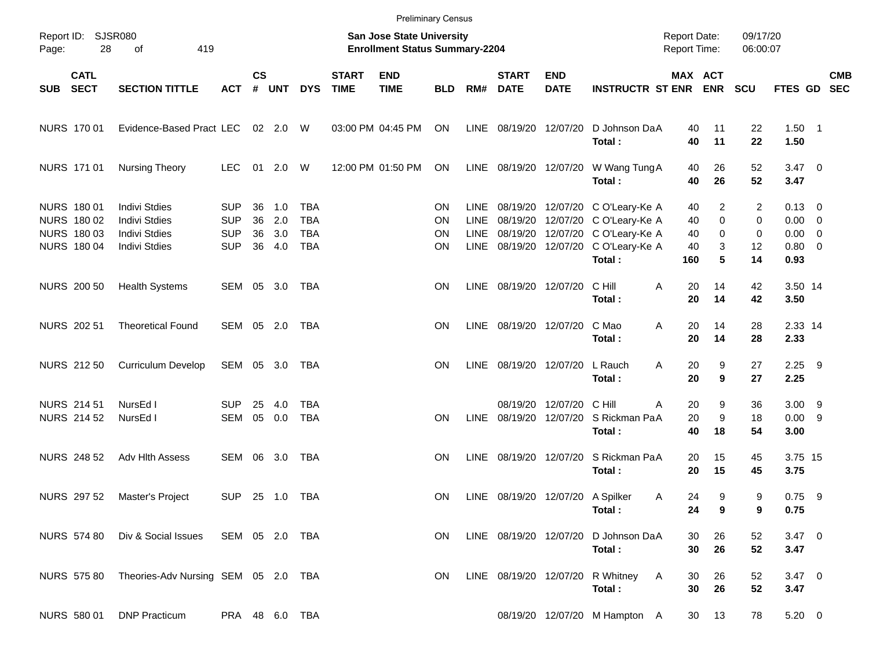|       |                                                                 |                                                                                              |                                                      |                      |                          |                                                      |                             | <b>Preliminary Census</b>                                                 |                             |                                     |                             |                                               |                                                                                                                                                             |                                            |                                              |                         |                                                                    |            |
|-------|-----------------------------------------------------------------|----------------------------------------------------------------------------------------------|------------------------------------------------------|----------------------|--------------------------|------------------------------------------------------|-----------------------------|---------------------------------------------------------------------------|-----------------------------|-------------------------------------|-----------------------------|-----------------------------------------------|-------------------------------------------------------------------------------------------------------------------------------------------------------------|--------------------------------------------|----------------------------------------------|-------------------------|--------------------------------------------------------------------|------------|
| Page: | Report ID: SJSR080<br>28                                        | 419<br>of                                                                                    |                                                      |                      |                          |                                                      |                             | <b>San Jose State University</b><br><b>Enrollment Status Summary-2204</b> |                             |                                     |                             |                                               |                                                                                                                                                             | <b>Report Date:</b><br><b>Report Time:</b> |                                              | 09/17/20<br>06:00:07    |                                                                    |            |
| SUB   | <b>CATL</b><br><b>SECT</b>                                      | <b>SECTION TITTLE</b>                                                                        | <b>ACT</b>                                           | $\mathsf{cs}$<br>#   | <b>UNT</b>               | <b>DYS</b>                                           | <b>START</b><br><b>TIME</b> | <b>END</b><br><b>TIME</b>                                                 | <b>BLD</b>                  | RM#                                 | <b>START</b><br><b>DATE</b> | <b>END</b><br><b>DATE</b>                     | <b>INSTRUCTR ST ENR</b>                                                                                                                                     | MAX ACT                                    | <b>ENR</b>                                   | <b>SCU</b>              | FTES GD SEC                                                        | <b>CMB</b> |
|       | NURS 170 01                                                     | Evidence-Based Pract LEC                                                                     |                                                      |                      | 02 2.0 W                 |                                                      |                             | 03:00 PM 04:45 PM                                                         | ON                          |                                     | LINE 08/19/20 12/07/20      |                                               | D Johnson DaA<br>Total:                                                                                                                                     | 40<br>40                                   | 11<br>11                                     | 22<br>22                | $1.50$ 1<br>1.50                                                   |            |
|       | <b>NURS 17101</b>                                               | <b>Nursing Theory</b>                                                                        | <b>LEC</b>                                           |                      | 01  2.0  W               |                                                      |                             | 12:00 PM 01:50 PM                                                         | ON                          |                                     |                             |                                               | LINE 08/19/20 12/07/20 W Wang Tung A<br>Total:                                                                                                              | 40<br>40                                   | 26<br>26                                     | 52<br>52                | $3.47 \quad 0$<br>3.47                                             |            |
|       | NURS 180 01<br>NURS 180 02<br>NURS 180 03<br><b>NURS 180 04</b> | <b>Indivi Stdies</b><br><b>Indivi Stdies</b><br><b>Indivi Stdies</b><br><b>Indivi Stdies</b> | <b>SUP</b><br><b>SUP</b><br><b>SUP</b><br><b>SUP</b> | 36<br>36<br>36<br>36 | 1.0<br>2.0<br>3.0<br>4.0 | <b>TBA</b><br><b>TBA</b><br><b>TBA</b><br><b>TBA</b> |                             |                                                                           | <b>ON</b><br>ΟN<br>ΟN<br>ON | LINE.<br><b>LINE</b><br><b>LINE</b> |                             |                                               | 08/19/20 12/07/20 C O'Leary-Ke A<br>08/19/20 12/07/20 C O'Leary-Ke A<br>08/19/20 12/07/20 C O'Leary-Ke A<br>LINE 08/19/20 12/07/20 C O'Leary-Ke A<br>Total: | 40<br>40<br>40<br>40<br>160                | $\overline{2}$<br>$\mathbf 0$<br>0<br>3<br>5 | 2<br>0<br>0<br>12<br>14 | $0.13 \quad 0$<br>$0.00 \t 0$<br>$0.00 \t 0$<br>$0.80 \ 0$<br>0.93 |            |
|       | NURS 200 50                                                     | <b>Health Systems</b>                                                                        | SEM 05 3.0                                           |                      |                          | TBA                                                  |                             |                                                                           | <b>ON</b>                   |                                     | LINE 08/19/20 12/07/20      |                                               | C Hill<br>Total:                                                                                                                                            | 20<br>Α<br>20                              | 14<br>14                                     | 42<br>42                | 3.50 14<br>3.50                                                    |            |
|       | NURS 202 51                                                     | <b>Theoretical Found</b>                                                                     | SEM 05 2.0                                           |                      |                          | TBA                                                  |                             |                                                                           | <b>ON</b>                   |                                     | LINE 08/19/20 12/07/20      |                                               | C Mao<br>Total:                                                                                                                                             | Α<br>20<br>20                              | 14<br>14                                     | 28<br>28                | 2.33 14<br>2.33                                                    |            |
|       | NURS 212 50                                                     | <b>Curriculum Develop</b>                                                                    | SEM 05 3.0                                           |                      |                          | TBA                                                  |                             |                                                                           | <b>ON</b>                   |                                     | LINE 08/19/20 12/07/20      |                                               | L Rauch<br>Total:                                                                                                                                           | 20<br>A<br>20                              | 9<br>9                                       | 27<br>27                | $2.25$ 9<br>2.25                                                   |            |
|       | NURS 214 51<br><b>NURS 214 52</b>                               | NursEd I<br>NursEd I                                                                         | <b>SUP</b><br>SEM                                    | 25                   | 4.0<br>05 0.0            | <b>TBA</b><br><b>TBA</b>                             |                             |                                                                           | <b>ON</b>                   | <b>LINE</b>                         |                             | 08/19/20 12/07/20 C Hill<br>08/19/20 12/07/20 | S Rickman PaA<br>Total:                                                                                                                                     | Α<br>20<br>20<br>40                        | 9<br>9<br>18                                 | 36<br>18<br>54          | $3.00$ 9<br>0.009<br>3.00                                          |            |
|       | <b>NURS 248 52</b>                                              | Adv Hith Assess                                                                              | SEM                                                  |                      | 06 3.0                   | TBA                                                  |                             |                                                                           | <b>ON</b>                   | LINE                                |                             | 08/19/20 12/07/20                             | S Rickman PaA<br>Total:                                                                                                                                     | 20<br>20                                   | 15<br>15                                     | 45<br>45                | 3.75 15<br>3.75                                                    |            |
|       | NURS 297 52                                                     | Master's Project                                                                             | <b>SUP</b>                                           |                      | 25 1.0 TBA               |                                                      |                             |                                                                           | <b>ON</b>                   |                                     |                             | LINE 08/19/20 12/07/20 A Spilker              | Total:                                                                                                                                                      | 24<br>A<br>24                              | 9<br>9                                       | 9<br>9                  | $0.75$ 9<br>0.75                                                   |            |
|       | NURS 574 80                                                     | Div & Social Issues                                                                          | SEM 05 2.0 TBA                                       |                      |                          |                                                      |                             |                                                                           | ON.                         |                                     | LINE 08/19/20 12/07/20      |                                               | D Johnson DaA<br>Total:                                                                                                                                     | 30<br>30                                   | 26<br>26                                     | 52<br>52                | $3.47 \ 0$<br>3.47                                                 |            |
|       | NURS 575 80                                                     | Theories-Adv Nursing SEM 05 2.0 TBA                                                          |                                                      |                      |                          |                                                      |                             |                                                                           | ON                          |                                     |                             | LINE 08/19/20 12/07/20                        | R Whitney<br>Total:                                                                                                                                         | 30<br>A<br>30                              | 26<br>26                                     | 52<br>52                | $3.47 \ 0$<br>3.47                                                 |            |
|       | NURS 580 01                                                     | <b>DNP Practicum</b>                                                                         | PRA 48 6.0 TBA                                       |                      |                          |                                                      |                             |                                                                           |                             |                                     |                             |                                               | 08/19/20 12/07/20 M Hampton A                                                                                                                               | 30                                         | 13                                           | 78                      | $5.20 \ 0$                                                         |            |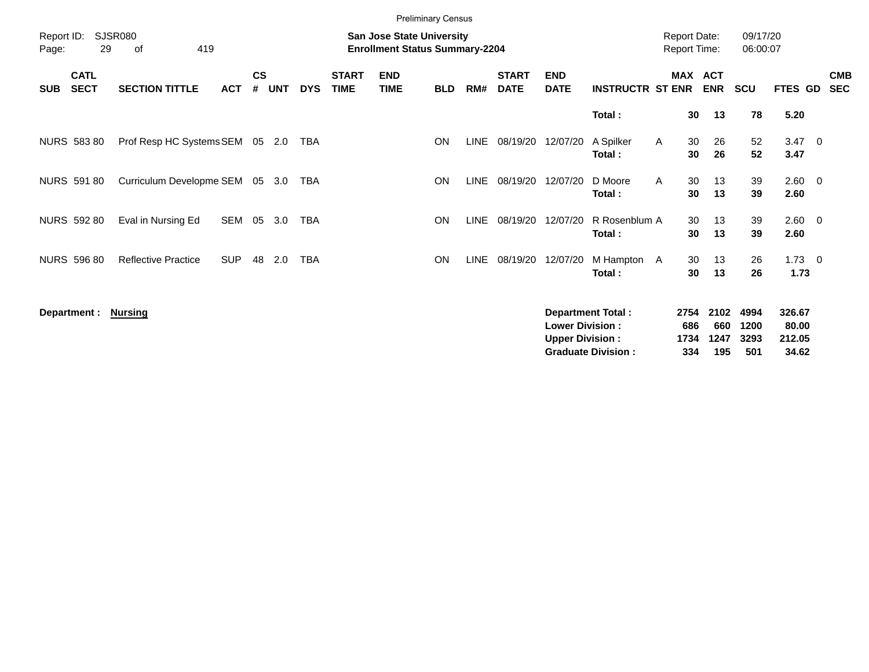|                     |                            |                            |            |                    |            |            |                             | <b>Preliminary Census</b>                                          |            |             |                             |                                                  |                                                       |                                            |                          |                            |                             |                                    |                          |
|---------------------|----------------------------|----------------------------|------------|--------------------|------------|------------|-----------------------------|--------------------------------------------------------------------|------------|-------------|-----------------------------|--------------------------------------------------|-------------------------------------------------------|--------------------------------------------|--------------------------|----------------------------|-----------------------------|------------------------------------|--------------------------|
| Report ID:<br>Page: | 29                         | SJSR080<br>419<br>of       |            |                    |            |            |                             | San Jose State University<br><b>Enrollment Status Summary-2204</b> |            |             |                             |                                                  |                                                       | <b>Report Date:</b><br><b>Report Time:</b> |                          |                            | 09/17/20<br>06:00:07        |                                    |                          |
| <b>SUB</b>          | <b>CATL</b><br><b>SECT</b> | <b>SECTION TITTLE</b>      | <b>ACT</b> | $\mathsf{cs}$<br># | <b>UNT</b> | <b>DYS</b> | <b>START</b><br><b>TIME</b> | <b>END</b><br><b>TIME</b>                                          | <b>BLD</b> | RM#         | <b>START</b><br><b>DATE</b> | <b>END</b><br><b>DATE</b>                        | <b>INSTRUCTR ST ENR</b>                               | <b>MAX</b>                                 | <b>ACT</b><br><b>ENR</b> |                            | <b>SCU</b>                  | FTES GD                            | <b>CMB</b><br><b>SEC</b> |
|                     |                            |                            |            |                    |            |            |                             |                                                                    |            |             |                             |                                                  | Total:                                                |                                            | 30                       | 13                         | 78                          | 5.20                               |                          |
|                     | NURS 583 80                | Prof Resp HC Systems SEM   |            | 05                 | 2.0        | TBA        |                             |                                                                    | ON         | LINE        | 08/19/20                    | 12/07/20                                         | A Spilker<br>Total:                                   | A                                          | 30<br>30                 | 26<br>26                   | 52<br>52                    | $3.47 \quad 0$<br>3.47             |                          |
|                     | <b>NURS 591 80</b>         | Curriculum Developme SEM   |            | 05                 | 3.0        | <b>TBA</b> |                             |                                                                    | <b>ON</b>  | <b>LINE</b> | 08/19/20                    | 12/07/20                                         | D Moore<br>Total:                                     | A                                          | 30<br>30                 | 13<br>13                   | 39<br>39                    | $2.60 \t 0$<br>2.60                |                          |
|                     | <b>NURS 592 80</b>         | Eval in Nursing Ed         | SEM        | 05                 | 3.0        | <b>TBA</b> |                             |                                                                    | ON         | <b>LINE</b> | 08/19/20                    | 12/07/20                                         | R Rosenblum A<br>Total:                               |                                            | 30<br>30                 | 13<br>13                   | 39<br>39                    | $2.60 \t 0$<br>2.60                |                          |
|                     | <b>NURS 596 80</b>         | <b>Reflective Practice</b> | <b>SUP</b> | 48                 | 2.0        | <b>TBA</b> |                             |                                                                    | ON         | LINE        | 08/19/20                    | 12/07/20                                         | M Hampton A<br>Total:                                 |                                            | 30<br>30                 | 13<br>13                   | 26<br>26                    | $1.73 \t 0$<br>1.73                |                          |
|                     | Department :               | Nursing                    |            |                    |            |            |                             |                                                                    |            |             |                             | <b>Lower Division:</b><br><b>Upper Division:</b> | <b>Department Total:</b><br><b>Graduate Division:</b> | 2754<br>686<br>1734<br>334                 |                          | 2102<br>660<br>1247<br>195 | 4994<br>1200<br>3293<br>501 | 326.67<br>80.00<br>212.05<br>34.62 |                          |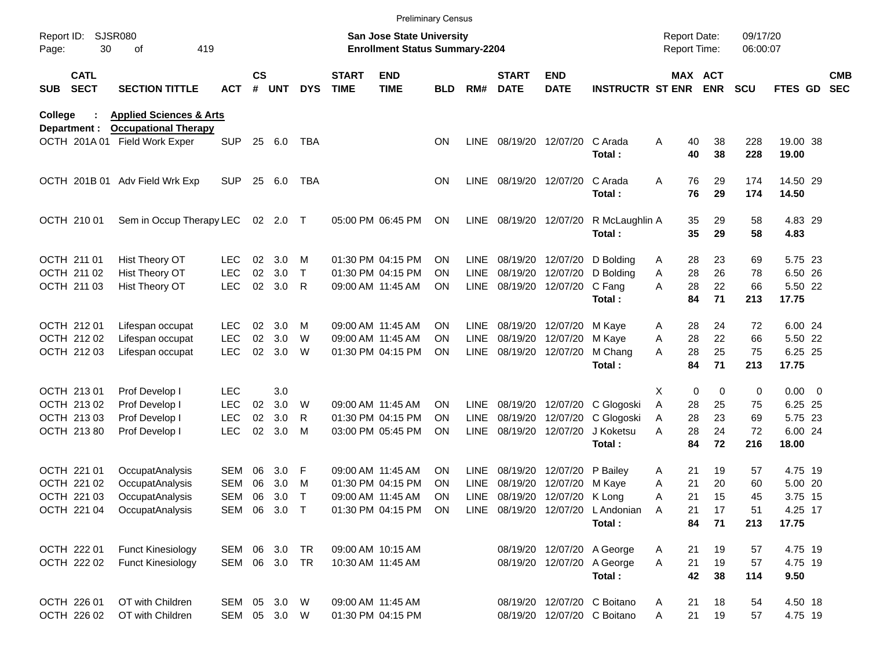|                     |                              |                                                 |               |               |          |            |                             |                                                                           | <b>Preliminary Census</b> |             |                             |                           |                                      |                                            |                       |                      |                   |                          |
|---------------------|------------------------------|-------------------------------------------------|---------------|---------------|----------|------------|-----------------------------|---------------------------------------------------------------------------|---------------------------|-------------|-----------------------------|---------------------------|--------------------------------------|--------------------------------------------|-----------------------|----------------------|-------------------|--------------------------|
| Report ID:<br>Page: | 30                           | <b>SJSR080</b><br>419<br>οf                     |               |               |          |            |                             | <b>San Jose State University</b><br><b>Enrollment Status Summary-2204</b> |                           |             |                             |                           |                                      | <b>Report Date:</b><br><b>Report Time:</b> |                       | 09/17/20<br>06:00:07 |                   |                          |
| <b>SUB</b>          | <b>CATL</b><br><b>SECT</b>   | <b>SECTION TITTLE</b>                           | ACT           | $\mathsf{cs}$ | # UNT    | <b>DYS</b> | <b>START</b><br><b>TIME</b> | <b>END</b><br><b>TIME</b>                                                 | <b>BLD</b>                | RM#         | <b>START</b><br><b>DATE</b> | <b>END</b><br><b>DATE</b> | <b>INSTRUCTR ST ENR</b>              |                                            | MAX ACT<br><b>ENR</b> | <b>SCU</b>           | FTES GD           | <b>CMB</b><br><b>SEC</b> |
| College             |                              | <b>Health &amp; Human Sciences</b>              |               |               |          |            |                             |                                                                           |                           |             |                             |                           |                                      |                                            |                       |                      |                   |                          |
|                     | Department :<br>OCTH 201A 01 | <b>Occupational Therapy</b><br>Field Work Exper | <b>SUP</b>    | 25            | 6.0      | TBA        |                             |                                                                           | <b>ON</b>                 | <b>LINE</b> |                             | 08/19/20 12/07/20         | C Arada<br>Total:                    | Α<br>40<br>40                              | 38<br>38              | 228<br>228           | 19.00 38<br>19.00 |                          |
|                     |                              | OCTH 201B 01 Adv Field Wrk Exp                  | <b>SUP</b>    | 25            | 6.0      | TBA        |                             |                                                                           | ON.                       | LINE        |                             | 08/19/20 12/07/20         | C Arada<br>Total:                    | 76<br>A<br>76                              | 29<br>29              | 174<br>174           | 14.50 29<br>14.50 |                          |
|                     | OCTH 210 01                  | Sem in Occup Therapy LEC                        |               |               | 02 2.0 T |            |                             | 05:00 PM 06:45 PM                                                         | ON                        | LINE        |                             | 08/19/20 12/07/20         | R McLaughlin A<br>Total:             | 35<br>35                                   | 29<br>29              | 58<br>58             | 4.83 29<br>4.83   |                          |
|                     | OCTH 211 01                  | Hist Theory OT                                  | LEC.          | 02            | 3.0      | м          |                             | 01:30 PM 04:15 PM                                                         | <b>ON</b>                 | <b>LINE</b> |                             | 08/19/20 12/07/20         | D Bolding                            | 28<br>A                                    | 23                    | 69                   | 5.75 23           |                          |
|                     | OCTH 211 02                  | Hist Theory OT                                  | <b>LEC</b>    | 02            | 3.0      | T          |                             | 01:30 PM 04:15 PM                                                         | ON                        | <b>LINE</b> |                             | 08/19/20 12/07/20         | D Bolding                            | 28<br>Α                                    | 26                    | 78                   | 6.50 26           |                          |
|                     | OCTH 211 03                  | Hist Theory OT                                  | <b>LEC</b>    | 02            | 3.0      | R          |                             | 09:00 AM 11:45 AM                                                         | <b>ON</b>                 | <b>LINE</b> |                             | 08/19/20 12/07/20         | C Fang<br>Total:                     | A<br>28<br>84                              | 22<br>71              | 66<br>213            | 5.50 22<br>17.75  |                          |
|                     | OCTH 212 01                  | Lifespan occupat                                | <b>LEC</b>    | 02            | 3.0      | м          |                             | 09:00 AM 11:45 AM                                                         | <b>ON</b>                 | <b>LINE</b> |                             | 08/19/20 12/07/20         | M Kaye                               | 28<br>A                                    | 24                    | 72                   | 6.00 24           |                          |
|                     | OCTH 212 02                  | Lifespan occupat                                | <b>LEC</b>    | 02            | 3.0      | W          |                             | 09:00 AM 11:45 AM                                                         | <b>ON</b>                 | LINE        |                             | 08/19/20 12/07/20         | M Kaye                               | 28<br>Α                                    | 22                    | 66                   | 5.50 22           |                          |
|                     | OCTH 212 03                  | Lifespan occupat                                | <b>LEC</b>    | 02            | 3.0      | W          |                             | 01:30 PM 04:15 PM                                                         | <b>ON</b>                 | <b>LINE</b> |                             | 08/19/20 12/07/20         | M Chang<br>Total:                    | 28<br>Α<br>84                              | 25<br>71              | 75<br>213            | 6.25 25<br>17.75  |                          |
|                     | OCTH 213 01                  | Prof Develop I                                  | <b>LEC</b>    |               | 3.0      |            |                             |                                                                           |                           |             |                             |                           |                                      | X<br>0                                     | $\mathbf 0$           | 0                    | $0.00 \t 0$       |                          |
|                     | OCTH 213 02                  | Prof Develop I                                  | <b>LEC</b>    | 02            | 3.0      | W          |                             | 09:00 AM 11:45 AM                                                         | ON.                       | <b>LINE</b> |                             | 08/19/20 12/07/20         | C Glogoski                           | Α<br>28                                    | 25                    | 75                   | 6.25 25           |                          |
|                     | OCTH 213 03                  | Prof Develop I                                  | <b>LEC</b>    | 02            | 3.0      | R          |                             | 01:30 PM 04:15 PM                                                         | <b>ON</b>                 | <b>LINE</b> |                             | 08/19/20 12/07/20         | C Glogoski                           | 28<br>Α                                    | 23                    | 69                   | 5.75 23           |                          |
|                     | OCTH 213 80                  | Prof Develop I                                  | <b>LEC</b>    | 02            | 3.0      | M          |                             | 03:00 PM 05:45 PM                                                         | <b>ON</b>                 | <b>LINE</b> |                             | 08/19/20 12/07/20         | J Koketsu<br>Total:                  | 28<br>Α<br>84                              | 24<br>72              | 72<br>216            | 6.00 24<br>18.00  |                          |
|                     | OCTH 221 01                  | OccupatAnalysis                                 | SEM           | 06            | 3.0      | F          |                             | 09:00 AM 11:45 AM                                                         | <b>ON</b>                 | <b>LINE</b> |                             | 08/19/20 12/07/20         | P Bailey                             | 21<br>A                                    | 19                    | 57                   | 4.75 19           |                          |
|                     | OCTH 221 02                  | OccupatAnalysis                                 | SEM           | 06            | 3.0      | м          |                             | 01:30 PM 04:15 PM                                                         | <b>ON</b>                 | <b>LINE</b> | 08/19/20                    | 12/07/20                  | M Kaye                               | 21<br>A                                    | 20                    | 60                   | 5.00 20           |                          |
|                     | OCTH 221 03                  | OccupatAnalysis                                 | SEM           | 06            | 3.0      | т          |                             | 09:00 AM 11:45 AM                                                         | ON                        | <b>LINE</b> |                             | 08/19/20 12/07/20         | K Long                               | 21<br>A                                    | 15                    | 45                   | 3.75 15           |                          |
|                     | OCTH 221 04                  | OccupatAnalysis                                 | SEM 06 3.0 T  |               |          |            |                             | 01:30 PM 04:15 PM ON                                                      |                           |             | LINE 08/19/20 12/07/20      |                           | L Andonian                           | - A<br>21                                  | 17                    | 51                   | 4.25 17           |                          |
|                     |                              |                                                 |               |               |          |            |                             |                                                                           |                           |             |                             |                           | Total:                               | 84                                         | 71                    | 213                  | 17.75             |                          |
|                     | OCTH 222 01                  | <b>Funct Kinesiology</b>                        | SEM 06 3.0    |               |          | TR         |                             | 09:00 AM 10:15 AM                                                         |                           |             |                             |                           | 08/19/20 12/07/20 A George           | 21<br>A                                    | 19                    | 57                   | 4.75 19           |                          |
|                     | OCTH 222 02                  | <b>Funct Kinesiology</b>                        | SEM 06 3.0 TR |               |          |            |                             | 10:30 AM 11:45 AM                                                         |                           |             |                             |                           | 08/19/20 12/07/20 A George<br>Total: | A<br>21<br>42                              | 19<br>38              | 57<br>114            | 4.75 19<br>9.50   |                          |
|                     | OCTH 226 01                  | OT with Children                                | SEM 05 3.0 W  |               |          |            |                             | 09:00 AM 11:45 AM                                                         |                           |             |                             |                           | 08/19/20 12/07/20 C Boitano          | 21<br>A                                    | 18                    | 54                   | 4.50 18           |                          |
|                     | OCTH 226 02                  | OT with Children                                | SEM 05 3.0 W  |               |          |            |                             | 01:30 PM 04:15 PM                                                         |                           |             |                             |                           | 08/19/20 12/07/20 C Boitano          | 21<br>Α                                    | 19                    | 57                   | 4.75 19           |                          |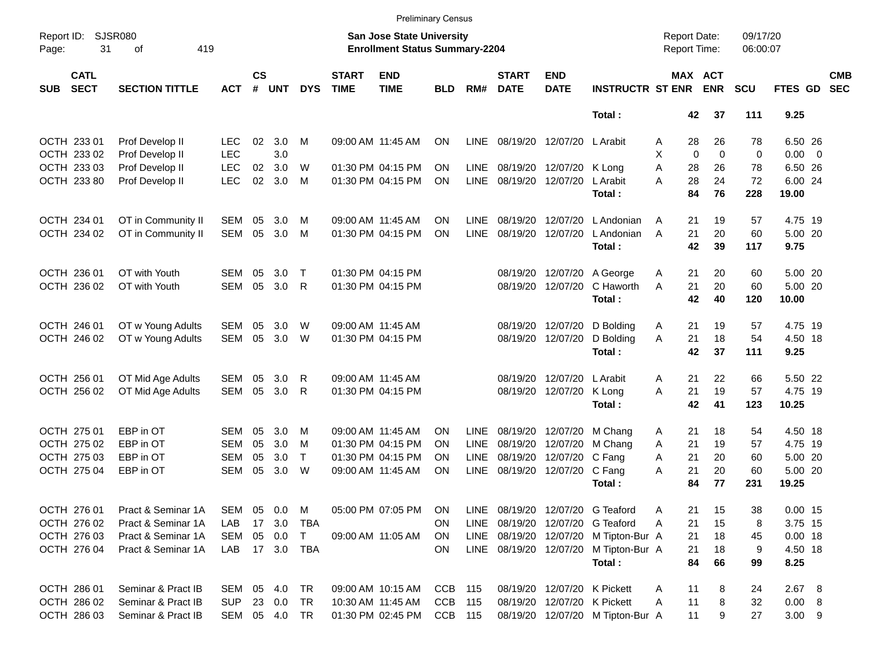|                     |                            |                             |            |                    |               |              |                             | <b>Preliminary Census</b>                                                 |            |             |                             |                            |                                       |                                            |                       |                      |             |                          |
|---------------------|----------------------------|-----------------------------|------------|--------------------|---------------|--------------|-----------------------------|---------------------------------------------------------------------------|------------|-------------|-----------------------------|----------------------------|---------------------------------------|--------------------------------------------|-----------------------|----------------------|-------------|--------------------------|
| Report ID:<br>Page: | 31                         | <b>SJSR080</b><br>419<br>of |            |                    |               |              |                             | <b>San Jose State University</b><br><b>Enrollment Status Summary-2204</b> |            |             |                             |                            |                                       | <b>Report Date:</b><br><b>Report Time:</b> |                       | 09/17/20<br>06:00:07 |             |                          |
| <b>SUB</b>          | <b>CATL</b><br><b>SECT</b> | <b>SECTION TITTLE</b>       | <b>ACT</b> | $\mathsf{cs}$<br># | <b>UNT</b>    | <b>DYS</b>   | <b>START</b><br><b>TIME</b> | <b>END</b><br><b>TIME</b>                                                 | <b>BLD</b> | RM#         | <b>START</b><br><b>DATE</b> | <b>END</b><br><b>DATE</b>  | <b>INSTRUCTR ST ENR</b>               |                                            | MAX ACT<br><b>ENR</b> | <b>SCU</b>           | FTES GD     | <b>CMB</b><br><b>SEC</b> |
|                     |                            |                             |            |                    |               |              |                             |                                                                           |            |             |                             |                            | Total:                                |                                            | 37<br>42              | 111                  | 9.25        |                          |
|                     | OCTH 233 01                | Prof Develop II             | LEC.       | 02                 | 3.0           | м            |                             | 09:00 AM 11:45 AM                                                         | ON         | <b>LINE</b> |                             | 08/19/20 12/07/20 L Arabit |                                       | Α                                          | 28<br>26              | 78                   | 6.50 26     |                          |
|                     | OCTH 233 02                | Prof Develop II             | <b>LEC</b> |                    | 3.0           |              |                             |                                                                           |            |             |                             |                            |                                       | Χ                                          | $\Omega$<br>$\Omega$  | 0                    | $0.00 \t 0$ |                          |
|                     | OCTH 233 03                | Prof Develop II             | <b>LEC</b> | 02                 | 3.0           | W            |                             | 01:30 PM 04:15 PM                                                         | ΟN         | <b>LINE</b> |                             | 08/19/20 12/07/20 K Long   |                                       | A                                          | 28<br>26              | 78                   | 6.50 26     |                          |
|                     | OCTH 233 80                | Prof Develop II             | <b>LEC</b> | 02                 | 3.0           | M            |                             | 01:30 PM 04:15 PM                                                         | ON         | LINE        | 08/19/20 12/07/20           |                            | L Arabit                              | A                                          | 28<br>24              | 72                   | 6.00 24     |                          |
|                     |                            |                             |            |                    |               |              |                             |                                                                           |            |             |                             |                            | Total:                                |                                            | 84<br>76              | 228                  | 19.00       |                          |
|                     | OCTH 234 01                | OT in Community II          | SEM        | 05                 | 3.0           | м            |                             | 09:00 AM 11:45 AM                                                         | ΟN         | LINE        | 08/19/20                    | 12/07/20                   | L Andonian                            | A                                          | 21<br>19              | 57                   | 4.75 19     |                          |
|                     | OCTH 234 02                | OT in Community II          | <b>SEM</b> | 05                 | 3.0           | M            |                             | 01:30 PM 04:15 PM                                                         | ON         | <b>LINE</b> | 08/19/20                    | 12/07/20                   | L Andonian                            | A                                          | 21<br>20              | 60                   | 5.00 20     |                          |
|                     |                            |                             |            |                    |               |              |                             |                                                                           |            |             |                             |                            | Total:                                |                                            | 42<br>39              | 117                  | 9.75        |                          |
|                     | OCTH 236 01                | OT with Youth               | SEM        | 05                 | 3.0           | $\mathsf{T}$ |                             | 01:30 PM 04:15 PM                                                         |            |             | 08/19/20                    | 12/07/20                   | A George                              | A                                          | 21<br>20              | 60                   | 5.00 20     |                          |
|                     | OCTH 236 02                | OT with Youth               | <b>SEM</b> | 05                 | 3.0           | $\mathsf{R}$ |                             | 01:30 PM 04:15 PM                                                         |            |             |                             | 08/19/20 12/07/20          | C Haworth                             | A                                          | 21<br>20              | 60                   | 5.00 20     |                          |
|                     |                            |                             |            |                    |               |              |                             |                                                                           |            |             |                             |                            | Total:                                |                                            | 42<br>40              | 120                  | 10.00       |                          |
|                     | OCTH 246 01                | OT w Young Adults           | SEM        | 05                 | 3.0           | W            |                             | 09:00 AM 11:45 AM                                                         |            |             | 08/19/20                    | 12/07/20                   | D Bolding                             | A                                          | 19<br>21              | 57                   | 4.75 19     |                          |
|                     | OCTH 246 02                | OT w Young Adults           | <b>SEM</b> | 05                 | 3.0           | W            |                             | 01:30 PM 04:15 PM                                                         |            |             |                             | 08/19/20 12/07/20          | D Bolding                             | A                                          | 21<br>18              | 54                   | 4.50 18     |                          |
|                     |                            |                             |            |                    |               |              |                             |                                                                           |            |             |                             |                            | Total:                                |                                            | 42<br>37              | 111                  | 9.25        |                          |
|                     | OCTH 256 01                | OT Mid Age Adults           | SEM        | 05                 | 3.0           | R            |                             | 09:00 AM 11:45 AM                                                         |            |             | 08/19/20                    | 12/07/20 L Arabit          |                                       | Α                                          | 21<br>22              | 66                   | 5.50 22     |                          |
|                     | OCTH 256 02                | OT Mid Age Adults           | <b>SEM</b> | 05                 | 3.0           | R            |                             | 01:30 PM 04:15 PM                                                         |            |             | 08/19/20                    | 12/07/20                   | K Long                                | A                                          | 21<br>19              | 57                   | 4.75 19     |                          |
|                     |                            |                             |            |                    |               |              |                             |                                                                           |            |             |                             |                            | Total:                                |                                            | 42<br>41              | 123                  | 10.25       |                          |
|                     | OCTH 275 01                | EBP in OT                   | SEM        | 05                 | 3.0           | м            |                             | 09:00 AM 11:45 AM                                                         | <b>ON</b>  | <b>LINE</b> | 08/19/20                    | 12/07/20                   | M Chang                               | A                                          | 18<br>21              | 54                   | 4.50 18     |                          |
|                     | OCTH 275 02                | EBP in OT                   | <b>SEM</b> | 05                 | 3.0           | M            |                             | 01:30 PM 04:15 PM                                                         | ΟN         | <b>LINE</b> | 08/19/20                    | 12/07/20                   | M Chang                               | 21<br>A                                    | 19                    | 57                   | 4.75 19     |                          |
|                     | OCTH 275 03                | EBP in OT                   | SEM        | 05                 | 3.0           | $\top$       |                             | 01:30 PM 04:15 PM                                                         | ΟN         | <b>LINE</b> | 08/19/20                    | 12/07/20                   | C Fang                                | A                                          | 21<br>20              | 60                   | 5.00 20     |                          |
|                     | OCTH 275 04                | EBP in OT                   | <b>SEM</b> | 05                 | 3.0           | W            |                             | 09:00 AM 11:45 AM                                                         | ON         | <b>LINE</b> |                             | 08/19/20 12/07/20          | C Fang                                | 21<br>A                                    | 20                    | 60                   | 5.00 20     |                          |
|                     |                            |                             |            |                    |               |              |                             |                                                                           |            |             |                             |                            | Total:                                |                                            | 84<br>77              | 231                  | 19.25       |                          |
|                     | OCTH 276 01                | Pract & Seminar 1A          | SEM        |                    | 05 0.0        | M            |                             | 05:00 PM 07:05 PM                                                         | ON         | LINE        |                             |                            | 08/19/20 12/07/20 G Teaford           | Α                                          | 21<br>15              | 38                   | $0.00$ 15   |                          |
|                     | OCTH 276 02                | Pract & Seminar 1A          | LAB        |                    | 17 3.0        | TBA          |                             |                                                                           | <b>ON</b>  | LINE        |                             |                            | 08/19/20 12/07/20 G Teaford           | Α                                          | 21<br>15              | 8                    | 3.75 15     |                          |
|                     | OCTH 276 03                | Pract & Seminar 1A          | SEM        |                    | 05  0.0       | $\top$       |                             | 09:00 AM 11:05 AM                                                         | ON.        |             |                             |                            | LINE 08/19/20 12/07/20 M Tipton-Bur A | 21                                         | 18                    | 45                   | $0.00$ 18   |                          |
|                     | OCTH 276 04                | Pract & Seminar 1A          | LAB        |                    |               | 17 3.0 TBA   |                             |                                                                           | ON.        |             |                             |                            | LINE 08/19/20 12/07/20 M Tipton-Bur A |                                            | 21<br>18              | 9                    | 4.50 18     |                          |
|                     |                            |                             |            |                    |               |              |                             |                                                                           |            |             |                             |                            | Total:                                |                                            | 84<br>66              | 99                   | 8.25        |                          |
|                     | OCTH 286 01                | Seminar & Pract IB          | SEM        |                    | 05 4.0        | TR           |                             | 09:00 AM 10:15 AM                                                         | CCB 115    |             |                             |                            | 08/19/20 12/07/20 K Pickett           | 11<br>Α                                    | 8                     | 24                   | 2.67 8      |                          |
|                     | OCTH 286 02                | Seminar & Pract IB          | <b>SUP</b> |                    | 23 0.0        | TR           |                             | 10:30 AM 11:45 AM                                                         | CCB 115    |             |                             |                            | 08/19/20 12/07/20 K Pickett           | A                                          | 11<br>8               | 32                   | 0.00 8      |                          |
|                     | OCTH 286 03                | Seminar & Pract IB          |            |                    | SEM 05 4.0 TR |              |                             | 01:30 PM 02:45 PM                                                         | CCB 115    |             |                             |                            | 08/19/20 12/07/20 M Tipton-Bur A      |                                            | 11<br>9               | 27                   | $3.00$ 9    |                          |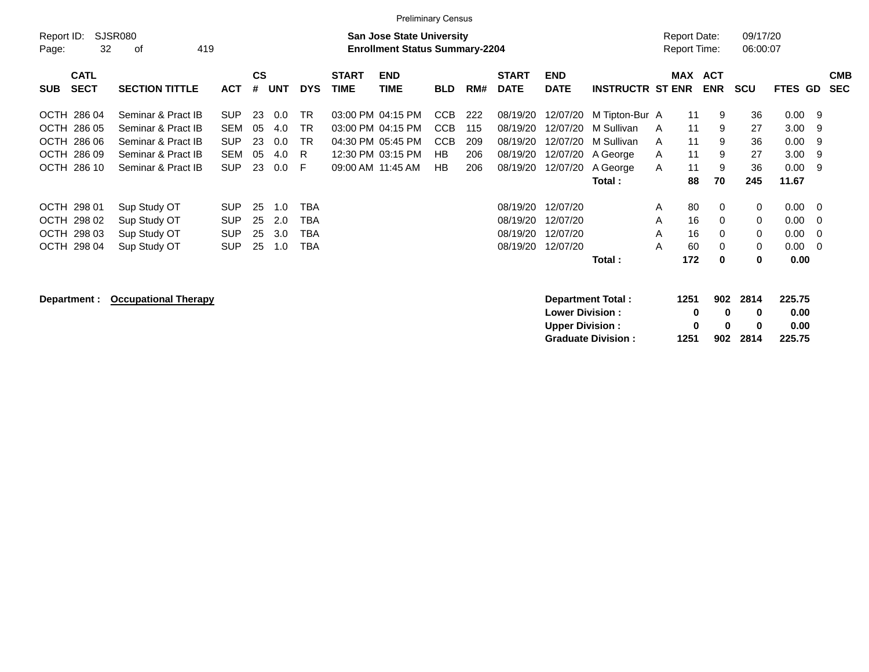|                                          |                       |            |                |     |            |                             | <b>Preliminary Census</b>                                                 |            |     |                             |                           |                         |                                            |                          |                      |                |     |                          |
|------------------------------------------|-----------------------|------------|----------------|-----|------------|-----------------------------|---------------------------------------------------------------------------|------------|-----|-----------------------------|---------------------------|-------------------------|--------------------------------------------|--------------------------|----------------------|----------------|-----|--------------------------|
| Report ID:<br>32<br>Page:                | SJSR080<br>419<br>οf  |            |                |     |            |                             | <b>San Jose State University</b><br><b>Enrollment Status Summary-2204</b> |            |     |                             |                           |                         | <b>Report Date:</b><br><b>Report Time:</b> |                          | 09/17/20<br>06:00:07 |                |     |                          |
| <b>CATL</b><br><b>SECT</b><br><b>SUB</b> | <b>SECTION TITTLE</b> | <b>ACT</b> | <b>CS</b><br># | UNT | <b>DYS</b> | <b>START</b><br><b>TIME</b> | <b>END</b><br>TIME                                                        | <b>BLD</b> | RM# | <b>START</b><br><b>DATE</b> | <b>END</b><br><b>DATE</b> | <b>INSTRUCTR ST ENR</b> | <b>MAX</b>                                 | <b>ACT</b><br><b>ENR</b> | <b>SCU</b>           | <b>FTES GD</b> |     | <b>CMB</b><br><b>SEC</b> |
| OCTH 286 04                              | Seminar & Pract IB    | <b>SUP</b> | 23             | 0.0 | <b>TR</b>  |                             | 03:00 PM 04:15 PM                                                         | CCB        | 222 | 08/19/20                    | 12/07/20                  | M Tipton-Bur A          | 11                                         | 9                        | 36                   | 0.009          |     |                          |
| OCTH 286 05                              | Seminar & Pract IB    | SEM        | 05             | 4.0 | TR.        |                             | 03:00 PM 04:15 PM                                                         | <b>CCB</b> | 115 | 08/19/20                    | 12/07/20                  | M Sullivan              | 11<br>A                                    | 9                        | 27                   | $3.00$ 9       |     |                          |
| OCTH 286 06                              | Seminar & Pract IB    | <b>SUP</b> | 23             | 0.0 | <b>TR</b>  |                             | 04:30 PM 05:45 PM                                                         | <b>CCB</b> | 209 | 08/19/20                    |                           | 12/07/20 M Sullivan     | 11<br>A                                    | 9                        | 36                   | 0.009          |     |                          |
| OCTH 286 09                              | Seminar & Pract IB    | SEM        | 05             | 4.0 | -R         |                             | 12:30 PM 03:15 PM                                                         | HB         | 206 | 08/19/20                    |                           | 12/07/20 A George       | 11<br>A                                    | 9                        | 27                   | $3.00$ 9       |     |                          |
| OCTH 286 10                              | Seminar & Pract IB    | <b>SUP</b> | 23             | 0.0 | - F        |                             | 09:00 AM 11:45 AM                                                         | HB         | 206 | 08/19/20                    | 12/07/20                  | A George                | 11<br>A                                    | 9                        | 36                   | 0.00           | - 9 |                          |
|                                          |                       |            |                |     |            |                             |                                                                           |            |     |                             |                           | Total:                  | 88                                         | 70                       | 245                  | 11.67          |     |                          |
| OCTH 298 01                              | Sup Study OT          | <b>SUP</b> | 25             | 1.0 | <b>TBA</b> |                             |                                                                           |            |     | 08/19/20                    | 12/07/20                  |                         | 80<br>A                                    | $\Omega$                 | $\mathbf 0$          | $0.00 \quad 0$ |     |                          |
| OCTH 298 02                              | Sup Study OT          | <b>SUP</b> | 25             | 2.0 | <b>TBA</b> |                             |                                                                           |            |     | 08/19/20                    | 12/07/20                  |                         | 16<br>A                                    | $\Omega$                 | $\Omega$             | $0.00 \t 0$    |     |                          |
| OCTH 298 03                              | Sup Study OT          | <b>SUP</b> | 25             | 3.0 | <b>TBA</b> |                             |                                                                           |            |     | 08/19/20                    | 12/07/20                  |                         | 16<br>A                                    | 0                        | $\mathbf 0$          | $0.00 \quad 0$ |     |                          |
| OCTH 298 04                              | Sup Study OT          | <b>SUP</b> | 25             | 1.0 | TBA        |                             |                                                                           |            |     | 08/19/20                    | 12/07/20                  |                         | A<br>60                                    | $\Omega$                 | $\mathbf 0$          | $0.00 \t 0$    |     |                          |
|                                          |                       |            |                |     |            |                             |                                                                           |            |     |                             |                           | Total:                  | 172                                        | 0                        | 0                    | 0.00           |     |                          |
|                                          |                       |            |                |     |            |                             |                                                                           |            |     |                             |                           |                         |                                            |                          |                      |                |     |                          |

**Department :** Occupational Therapy **Department Total : 1251** 902 2814 225.75<br>
Lower Division : 1251 902 2814 225.75 **Lower Division :**  $\begin{array}{cccc} 0 & 0 & 0 \end{array}$ **Upper Division : <br>
Graduate Division : 1251 902 2814 225.75 Graduate Division : 1251 902 2814 225.75**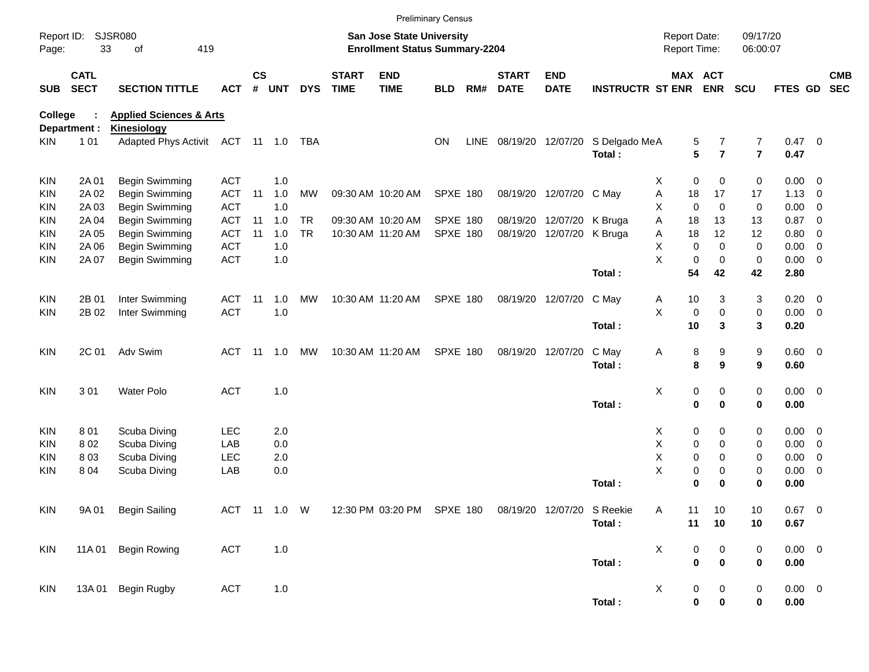|                     |                            |                                     |            |               |              |            |                             |                                                                           | <b>Preliminary Census</b> |             |                             |                           |                         |                                     |                               |                      |                        |                          |                          |
|---------------------|----------------------------|-------------------------------------|------------|---------------|--------------|------------|-----------------------------|---------------------------------------------------------------------------|---------------------------|-------------|-----------------------------|---------------------------|-------------------------|-------------------------------------|-------------------------------|----------------------|------------------------|--------------------------|--------------------------|
| Report ID:<br>Page: | 33                         | <b>SJSR080</b><br>419<br>of         |            |               |              |            |                             | <b>San Jose State University</b><br><b>Enrollment Status Summary-2204</b> |                           |             |                             |                           |                         | <b>Report Date:</b><br>Report Time: |                               | 09/17/20<br>06:00:07 |                        |                          |                          |
| <b>SUB</b>          | <b>CATL</b><br><b>SECT</b> | <b>SECTION TITTLE</b>               | <b>ACT</b> | $\mathsf{cs}$ | # UNT        | <b>DYS</b> | <b>START</b><br><b>TIME</b> | <b>END</b><br><b>TIME</b>                                                 | <b>BLD</b>                | RM#         | <b>START</b><br><b>DATE</b> | <b>END</b><br><b>DATE</b> | <b>INSTRUCTR ST ENR</b> |                                     | MAX ACT<br><b>ENR</b>         | <b>SCU</b>           | FTES GD                |                          | <b>CMB</b><br><b>SEC</b> |
| <b>College</b>      |                            | <b>Health &amp; Human Sciences</b>  |            |               |              |            |                             |                                                                           |                           |             |                             |                           |                         |                                     |                               |                      |                        |                          |                          |
|                     | Department :               | <b>Kinesiology</b>                  |            |               |              |            |                             |                                                                           |                           |             |                             |                           |                         |                                     |                               |                      |                        |                          |                          |
| KIN.                | 101                        | Adapted Phys Activit ACT 11 1.0 TBA |            |               |              |            |                             |                                                                           | <b>ON</b>                 | <b>LINE</b> |                             | 08/19/20 12/07/20         | S Delgado MeA<br>Total: |                                     | 5<br>7<br>5<br>$\overline{7}$ | 7<br>$\overline{7}$  | $0.47 \quad 0$<br>0.47 |                          |                          |
| <b>KIN</b>          | 2A 01                      | Begin Swimming                      | <b>ACT</b> |               | 1.0          |            |                             |                                                                           |                           |             |                             |                           |                         | X                                   | 0<br>0                        | 0                    | $0.00 \t 0$            |                          |                          |
| KIN                 | 2A 02                      | Begin Swimming                      | <b>ACT</b> | 11            | 1.0          | MW         |                             | 09:30 AM 10:20 AM                                                         | <b>SPXE 180</b>           |             |                             | 08/19/20 12/07/20 C May   |                         | Α<br>18                             | 17                            | 17                   | $1.13 \ 0$             |                          |                          |
| KIN                 | 2A 03                      | Begin Swimming                      | <b>ACT</b> |               | 1.0          |            |                             |                                                                           |                           |             |                             |                           |                         | X                                   | $\mathbf 0$<br>$\mathbf 0$    | 0                    | 0.00                   | $\overline{\mathbf{0}}$  |                          |
| KIN                 | 2A 04                      | Begin Swimming                      | <b>ACT</b> | 11            | 1.0          | <b>TR</b>  |                             | 09:30 AM 10:20 AM                                                         | <b>SPXE 180</b>           |             |                             | 08/19/20 12/07/20 K Bruga |                         | Α<br>18                             | 13                            | 13                   | 0.87                   | $\overline{\mathbf{0}}$  |                          |
| KIN                 | 2A 05                      | Begin Swimming                      | <b>ACT</b> | 11            | 1.0          | <b>TR</b>  |                             | 10:30 AM 11:20 AM                                                         | <b>SPXE 180</b>           |             |                             | 08/19/20 12/07/20 K Bruga |                         | Α<br>18                             | 12                            | 12                   | 0.80                   | $\overline{\mathbf{0}}$  |                          |
| KIN                 | 2A 06                      | Begin Swimming                      | <b>ACT</b> |               | 1.0          |            |                             |                                                                           |                           |             |                             |                           |                         | X                                   | $\mathbf 0$<br>$\Omega$       | 0                    | 0.00                   | $\overline{\phantom{0}}$ |                          |
| KIN                 | 2A 07                      | Begin Swimming                      | <b>ACT</b> |               | 1.0          |            |                             |                                                                           |                           |             |                             |                           |                         | X                                   | $\mathbf 0$<br>0              | 0                    | $0.00 \t 0$            |                          |                          |
|                     |                            |                                     |            |               |              |            |                             |                                                                           |                           |             |                             |                           | Total:                  | 54                                  | 42                            | 42                   | 2.80                   |                          |                          |
| <b>KIN</b>          | 2B 01                      | Inter Swimming                      | <b>ACT</b> | 11            | 1.0          | MW         |                             | 10:30 AM 11:20 AM                                                         | <b>SPXE 180</b>           |             |                             | 08/19/20 12/07/20         | C May                   | Α<br>10                             | 3                             | 3                    | $0.20 \ 0$             |                          |                          |
| KIN.                | 2B 02                      | Inter Swimming                      | <b>ACT</b> |               | 1.0          |            |                             |                                                                           |                           |             |                             |                           |                         | X                                   | 0<br>$\mathbf 0$              | 0                    | $0.00 \t 0$            |                          |                          |
|                     |                            |                                     |            |               |              |            |                             |                                                                           |                           |             |                             |                           | Total:                  | 10                                  | 3                             | 3                    | 0.20                   |                          |                          |
| <b>KIN</b>          | 2C 01                      | Adv Swim                            | <b>ACT</b> | -11           | 1.0          | МW         |                             | 10:30 AM 11:20 AM                                                         | <b>SPXE 180</b>           |             |                             | 08/19/20 12/07/20         | C May                   | Α                                   | 8<br>9                        | 9                    | $0.60 \quad 0$         |                          |                          |
|                     |                            |                                     |            |               |              |            |                             |                                                                           |                           |             |                             |                           | Total:                  |                                     | 8<br>9                        | 9                    | 0.60                   |                          |                          |
| <b>KIN</b>          | 301                        | <b>Water Polo</b>                   | <b>ACT</b> |               | 1.0          |            |                             |                                                                           |                           |             |                             |                           |                         | х                                   | 0<br>0                        | 0                    | $0.00 \t 0$            |                          |                          |
|                     |                            |                                     |            |               |              |            |                             |                                                                           |                           |             |                             |                           | Total:                  |                                     | $\mathbf 0$<br>$\mathbf 0$    | 0                    | 0.00                   |                          |                          |
| KIN                 | 801                        | Scuba Diving                        | <b>LEC</b> |               | 2.0          |            |                             |                                                                           |                           |             |                             |                           |                         | X                                   | 0<br>0                        | 0                    | $0.00 \t 0$            |                          |                          |
| KIN                 | 802                        | Scuba Diving                        | LAB        |               | 0.0          |            |                             |                                                                           |                           |             |                             |                           |                         | X                                   | 0<br>0                        | 0                    | $0.00 \t 0$            |                          |                          |
| KIN                 | 803                        | Scuba Diving                        | <b>LEC</b> |               | 2.0          |            |                             |                                                                           |                           |             |                             |                           |                         | X                                   | 0<br>0                        | 0                    | 0.00                   | 0                        |                          |
| KIN                 | 804                        | Scuba Diving                        | LAB        |               | 0.0          |            |                             |                                                                           |                           |             |                             |                           |                         | X                                   | 0<br>0                        | 0                    | 0.00                   | $\overline{\phantom{0}}$ |                          |
|                     |                            |                                     |            |               |              |            |                             |                                                                           |                           |             |                             |                           | Total:                  |                                     | 0<br>$\bf{0}$                 | 0                    | 0.00                   |                          |                          |
| <b>KIN</b>          | 9A 01                      | <b>Begin Sailing</b>                |            |               | ACT 11 1.0 W |            |                             | 12:30 PM 03:20 PM SPXE 180 08/19/20 12/07/20 S Reekie                     |                           |             |                             |                           |                         | Α<br>11                             | 10                            | 10                   | $0.67$ 0               |                          |                          |
|                     |                            |                                     |            |               |              |            |                             |                                                                           |                           |             |                             |                           | Total:                  |                                     | 11<br>10                      | 10                   | 0.67                   |                          |                          |
| KIN                 | 11A 01                     | <b>Begin Rowing</b>                 | ACT        |               | $1.0$        |            |                             |                                                                           |                           |             |                             |                           |                         | X                                   | 0<br>$\pmb{0}$                | 0                    | $0.00 \t 0$            |                          |                          |
|                     |                            |                                     |            |               |              |            |                             |                                                                           |                           |             |                             |                           | Total:                  |                                     | $\pmb{0}$<br>$\bf{0}$         | 0                    | 0.00                   |                          |                          |
| KIN                 | 13A 01                     | Begin Rugby                         | ACT        |               | $1.0$        |            |                             |                                                                           |                           |             |                             |                           |                         | X                                   | 0<br>0                        | 0                    | $0.00 \t 0$            |                          |                          |
|                     |                            |                                     |            |               |              |            |                             |                                                                           |                           |             |                             |                           | Total:                  |                                     | $\pmb{0}$<br>$\pmb{0}$        | 0                    | 0.00                   |                          |                          |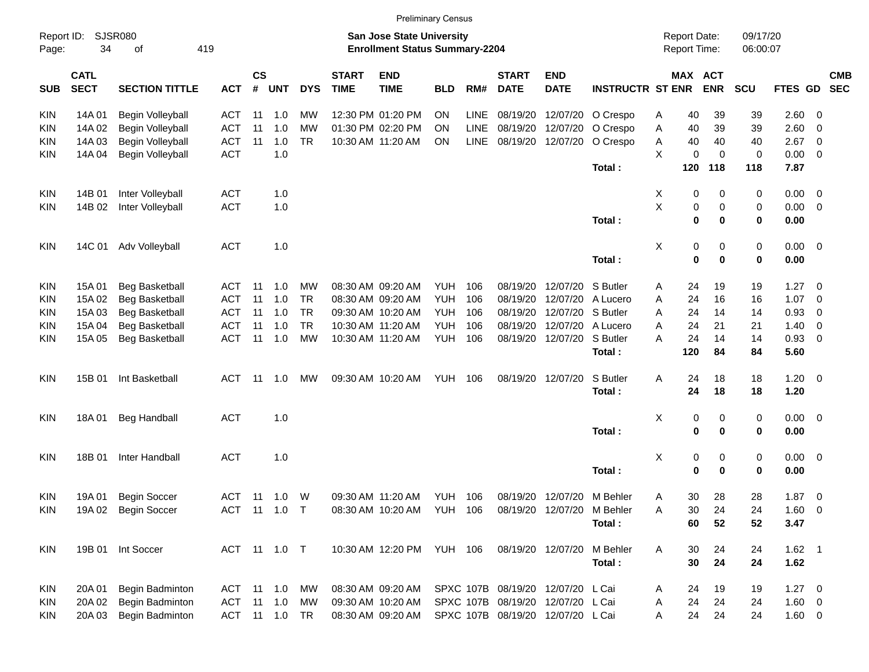|                     |                            |                       |               |                    |            |            |                             |                                                                    | <b>Preliminary Census</b> |             |                             |                                   |                         |   |                                     |             |                      |             |                         |            |
|---------------------|----------------------------|-----------------------|---------------|--------------------|------------|------------|-----------------------------|--------------------------------------------------------------------|---------------------------|-------------|-----------------------------|-----------------------------------|-------------------------|---|-------------------------------------|-------------|----------------------|-------------|-------------------------|------------|
| Report ID:<br>Page: | 34                         | SJSR080<br>419<br>οf  |               |                    |            |            |                             | San Jose State University<br><b>Enrollment Status Summary-2204</b> |                           |             |                             |                                   |                         |   | <b>Report Date:</b><br>Report Time: |             | 09/17/20<br>06:00:07 |             |                         |            |
| <b>SUB</b>          | <b>CATL</b><br><b>SECT</b> | <b>SECTION TITTLE</b> | <b>ACT</b>    | $\mathsf{cs}$<br># | <b>UNT</b> | <b>DYS</b> | <b>START</b><br><b>TIME</b> | <b>END</b><br><b>TIME</b>                                          | <b>BLD</b>                | RM#         | <b>START</b><br><b>DATE</b> | <b>END</b><br><b>DATE</b>         | <b>INSTRUCTR ST ENR</b> |   | MAX ACT                             | <b>ENR</b>  | <b>SCU</b>           | FTES GD SEC |                         | <b>CMB</b> |
| <b>KIN</b>          | 14A 01                     | Begin Volleyball      | ACT           | 11                 | 1.0        | MW         |                             | 12:30 PM 01:20 PM                                                  | <b>ON</b>                 | <b>LINE</b> | 08/19/20                    | 12/07/20                          | O Crespo                | A | 40                                  | 39          | 39                   | 2.60        | - 0                     |            |
| KIN                 | 14A 02                     | Begin Volleyball      | <b>ACT</b>    | 11                 | 1.0        | MW         |                             | 01:30 PM 02:20 PM                                                  | ΟN                        | LINE        | 08/19/20                    | 12/07/20                          | O Crespo                | Α | 40                                  | 39          | 39                   | 2.60        | 0                       |            |
| KIN                 | 14A 03                     | Begin Volleyball      | <b>ACT</b>    | 11                 | 1.0        | <b>TR</b>  |                             | 10:30 AM 11:20 AM                                                  | ON                        | LINE        | 08/19/20                    | 12/07/20                          | O Crespo                | Α | 40                                  | 40          | 40                   | 2.67        | 0                       |            |
| KIN                 | 14A 04                     | Begin Volleyball      | <b>ACT</b>    |                    | 1.0        |            |                             |                                                                    |                           |             |                             |                                   |                         | X | 0                                   | $\mathbf 0$ | 0                    | 0.00        | 0                       |            |
|                     |                            |                       |               |                    |            |            |                             |                                                                    |                           |             |                             |                                   | Total:                  |   | 120                                 | 118         | 118                  | 7.87        |                         |            |
| KIN                 | 14B 01                     | Inter Volleyball      | <b>ACT</b>    |                    | 1.0        |            |                             |                                                                    |                           |             |                             |                                   |                         | X | 0                                   | 0           | 0                    | 0.00        | $\overline{\mathbf{0}}$ |            |
| KIN                 | 14B 02                     | Inter Volleyball      | <b>ACT</b>    |                    | 1.0        |            |                             |                                                                    |                           |             |                             |                                   |                         | X | 0                                   | 0           | $\pmb{0}$            | 0.00        | - 0                     |            |
|                     |                            |                       |               |                    |            |            |                             |                                                                    |                           |             |                             |                                   | Total:                  |   | $\mathbf 0$                         | 0           | 0                    | 0.00        |                         |            |
| <b>KIN</b>          | 14C 01                     | Adv Volleyball        | <b>ACT</b>    |                    | 1.0        |            |                             |                                                                    |                           |             |                             |                                   |                         | X | 0                                   | 0           | 0                    | $0.00 \t 0$ |                         |            |
|                     |                            |                       |               |                    |            |            |                             |                                                                    |                           |             |                             |                                   | Total:                  |   | 0                                   | 0           | 0                    | 0.00        |                         |            |
| KIN                 | 15A 01                     | <b>Beg Basketball</b> | ACT           | 11                 | 1.0        | MW         |                             | 08:30 AM 09:20 AM                                                  | <b>YUH</b>                | 106         | 08/19/20                    | 12/07/20                          | S Butler                | A | 24                                  | 19          | 19                   | 1.27        | - 0                     |            |
| KIN                 | 15A 02                     | <b>Beg Basketball</b> | <b>ACT</b>    | 11                 | 1.0        | <b>TR</b>  |                             | 08:30 AM 09:20 AM                                                  | <b>YUH</b>                | 106         | 08/19/20                    | 12/07/20                          | A Lucero                | A | 24                                  | 16          | 16                   | 1.07        | 0                       |            |
| KIN                 | 15A 03                     | <b>Beg Basketball</b> | <b>ACT</b>    | 11                 | 1.0        | <b>TR</b>  |                             | 09:30 AM 10:20 AM                                                  | YUH                       | 106         | 08/19/20                    | 12/07/20                          | S Butler                | A | 24                                  | 14          | 14                   | 0.93        | 0                       |            |
| KIN                 | 15A 04                     | <b>Beg Basketball</b> | ACT           | 11                 | 1.0        | <b>TR</b>  |                             | 10:30 AM 11:20 AM                                                  | YUH                       | 106         | 08/19/20                    | 12/07/20                          | A Lucero                | A | 24                                  | 21          | 21                   | 1.40        | 0                       |            |
| KIN                 | 15A 05                     | <b>Beg Basketball</b> | <b>ACT</b>    | 11                 | 1.0        | <b>MW</b>  |                             | 10:30 AM 11:20 AM                                                  | YUH                       | 106         | 08/19/20                    | 12/07/20                          | S Butler                | A | 24                                  | 14          | 14                   | 0.93        | - 0                     |            |
|                     |                            |                       |               |                    |            |            |                             |                                                                    |                           |             |                             |                                   | Total:                  |   | 120                                 | 84          | 84                   | 5.60        |                         |            |
| <b>KIN</b>          | 15B 01                     | Int Basketball        | ACT           | 11                 | 1.0        | MW         |                             | 09:30 AM 10:20 AM                                                  | YUH                       | 106         |                             | 08/19/20 12/07/20                 | S Butler                | Α | 24                                  | 18          | 18                   | $1.20 \t 0$ |                         |            |
|                     |                            |                       |               |                    |            |            |                             |                                                                    |                           |             |                             |                                   | Total:                  |   | 24                                  | 18          | 18                   | 1.20        |                         |            |
| KIN                 | 18A 01                     | <b>Beg Handball</b>   | <b>ACT</b>    |                    | 1.0        |            |                             |                                                                    |                           |             |                             |                                   |                         | х | 0                                   | 0           | 0                    | $0.00 \t 0$ |                         |            |
|                     |                            |                       |               |                    |            |            |                             |                                                                    |                           |             |                             |                                   | Total:                  |   | 0                                   | 0           | 0                    | 0.00        |                         |            |
| <b>KIN</b>          | 18B 01                     | Inter Handball        | <b>ACT</b>    |                    | 1.0        |            |                             |                                                                    |                           |             |                             |                                   |                         | х | 0                                   | 0           | 0                    | 0.00 0      |                         |            |
|                     |                            |                       |               |                    |            |            |                             |                                                                    |                           |             |                             |                                   | Total:                  |   | $\bf{0}$                            | 0           | 0                    | 0.00        |                         |            |
| KIN                 | 19A 01                     | <b>Begin Soccer</b>   | ACT           | -11                | 1.0        | W          |                             | 09:30 AM 11:20 AM                                                  | YUH                       | 106         |                             | 08/19/20 12/07/20                 | M Behler                | A | 30                                  | 28          | 28                   | 1.87        | $\overline{\mathbf{0}}$ |            |
| <b>KIN</b>          |                            | 19A 02 Begin Soccer   | ACT 11 1.0 T  |                    |            |            |                             | 08:30 AM 10:20 AM YUH 106                                          |                           |             |                             | 08/19/20 12/07/20                 | M Behler                | Α | 30                                  | 24          | 24                   | $1.60 \t 0$ |                         |            |
|                     |                            |                       |               |                    |            |            |                             |                                                                    |                           |             |                             |                                   | Total:                  |   | 60                                  | 52          | 52                   | 3.47        |                         |            |
| KIN                 |                            | 19B 01 Int Soccer     | ACT 11 1.0 T  |                    |            |            |                             | 10:30 AM 12:20 PM YUH 106                                          |                           |             |                             | 08/19/20 12/07/20                 | M Behler                | A | 30                                  | 24          | 24                   | $1.62$ 1    |                         |            |
|                     |                            |                       |               |                    |            |            |                             |                                                                    |                           |             |                             |                                   | Total:                  |   | 30                                  | 24          | 24                   | 1.62        |                         |            |
| KIN                 | 20A 01                     | Begin Badminton       | ACT 11 1.0 MW |                    |            |            |                             | 08:30 AM 09:20 AM                                                  |                           |             |                             | SPXC 107B 08/19/20 12/07/20 L Cai |                         | A | 24                                  | 19          | 19                   | $1.27 \t 0$ |                         |            |
| <b>KIN</b>          | 20A 02                     | Begin Badminton       | ACT 11 1.0 MW |                    |            |            |                             | 09:30 AM 10:20 AM                                                  |                           |             |                             | SPXC 107B 08/19/20 12/07/20 L Cai |                         | A | 24                                  | 24          | 24                   | 1.60 0      |                         |            |
| KIN                 | 20A 03                     | Begin Badminton       | ACT 11 1.0 TR |                    |            |            |                             | 08:30 AM 09:20 AM                                                  |                           |             |                             | SPXC 107B 08/19/20 12/07/20 L Cai |                         | A | 24                                  | 24          | 24                   | 1.60 0      |                         |            |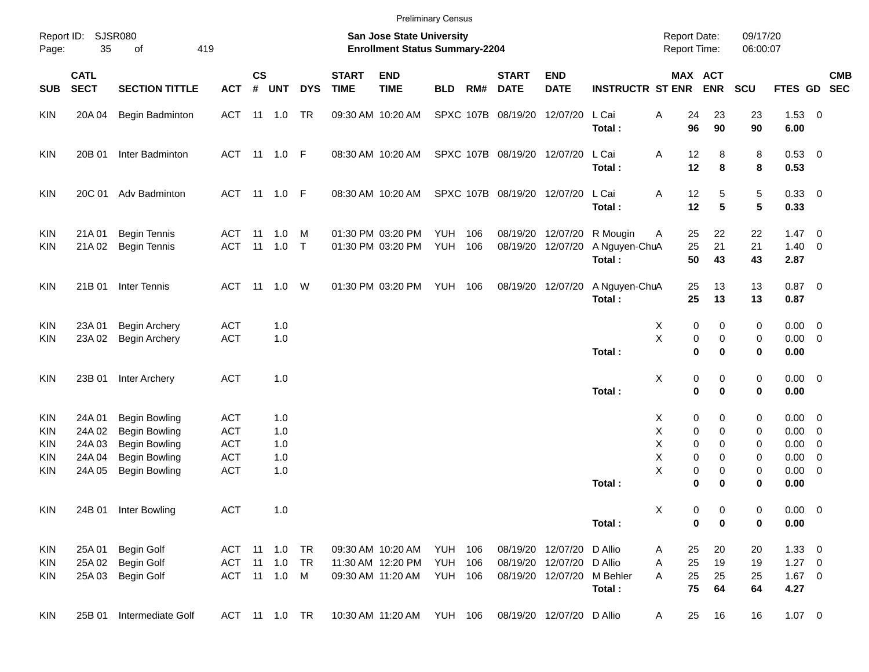|                                        |                            |                                                                      |                                        |                       |                                |            |                             |                                                                    | <b>Preliminary Census</b> |            |                             |                                                |                                     |                                            |                                      |                      |                                           |            |
|----------------------------------------|----------------------------|----------------------------------------------------------------------|----------------------------------------|-----------------------|--------------------------------|------------|-----------------------------|--------------------------------------------------------------------|---------------------------|------------|-----------------------------|------------------------------------------------|-------------------------------------|--------------------------------------------|--------------------------------------|----------------------|-------------------------------------------|------------|
| Page:                                  | Report ID: SJSR080<br>35   | 419<br>of                                                            |                                        |                       |                                |            |                             | San Jose State University<br><b>Enrollment Status Summary-2204</b> |                           |            |                             |                                                |                                     | <b>Report Date:</b><br><b>Report Time:</b> |                                      | 09/17/20<br>06:00:07 |                                           |            |
| <b>SUB</b>                             | <b>CATL</b><br><b>SECT</b> | <b>SECTION TITTLE</b>                                                | <b>ACT</b>                             | $\mathsf{cs}$<br>$\#$ | <b>UNT</b>                     | <b>DYS</b> | <b>START</b><br><b>TIME</b> | <b>END</b><br><b>TIME</b>                                          | <b>BLD</b>                | RM#        | <b>START</b><br><b>DATE</b> | <b>END</b><br><b>DATE</b>                      | <b>INSTRUCTR ST ENR</b>             |                                            | MAX ACT<br><b>ENR</b>                | SCU                  | FTES GD SEC                               | <b>CMB</b> |
| <b>KIN</b>                             | 20A 04                     | Begin Badminton                                                      | ACT                                    |                       | 11  1.0  TR                    |            |                             | 09:30 AM 10:20 AM                                                  |                           |            | SPXC 107B 08/19/20 12/07/20 |                                                | L Cai<br>Total:                     | Α<br>24<br>96                              | 23<br>90                             | 23<br>90             | $1.53 \t 0$<br>6.00                       |            |
| <b>KIN</b>                             | 20B 01                     | Inter Badminton                                                      |                                        |                       | ACT 11 1.0 F                   |            |                             | 08:30 AM 10:20 AM                                                  |                           |            | SPXC 107B 08/19/20 12/07/20 |                                                | L Cai<br>Total:                     | 12<br>Α<br>12                              | 8<br>8                               | 8<br>8               | 0.53 0<br>0.53                            |            |
| <b>KIN</b>                             | 20C 01                     | Adv Badminton                                                        |                                        |                       | ACT 11 1.0 F                   |            |                             | 08:30 AM 10:20 AM                                                  |                           |            | SPXC 107B 08/19/20 12/07/20 |                                                | L Cai<br>Total:                     | 12<br>Α<br>12                              | 5<br>5                               | 5<br>5               | 0.33 0<br>0.33                            |            |
| <b>KIN</b><br><b>KIN</b>               | 21A 01<br>21A 02           | <b>Begin Tennis</b><br><b>Begin Tennis</b>                           | ACT<br><b>ACT</b>                      | 11                    | 1.0<br>11 1.0 T                | M          |                             | 01:30 PM 03:20 PM<br>01:30 PM 03:20 PM                             | <b>YUH</b><br>YUH         | 106<br>106 |                             | 08/19/20 12/07/20<br>08/19/20 12/07/20         | R Mougin<br>A Nguyen-ChuA<br>Total: | 25<br>A<br>25<br>50                        | 22<br>21<br>43                       | 22<br>21<br>43       | $1.47 \quad 0$<br>$1.40 \ 0$<br>2.87      |            |
| <b>KIN</b>                             | 21B 01                     | Inter Tennis                                                         |                                        |                       | ACT 11 1.0 W                   |            |                             | 01:30 PM 03:20 PM                                                  | <b>YUH 106</b>            |            |                             | 08/19/20 12/07/20                              | A Nguyen-ChuA<br>Total:             | 25<br>25                                   | 13<br>13                             | 13<br>13             | $0.87$ 0<br>0.87                          |            |
| <b>KIN</b><br><b>KIN</b>               | 23A 01<br>23A 02           | <b>Begin Archery</b><br><b>Begin Archery</b>                         | <b>ACT</b><br><b>ACT</b>               |                       | 1.0<br>1.0                     |            |                             |                                                                    |                           |            |                             |                                                |                                     | х<br>X                                     | 0<br>0<br>0<br>0                     | 0<br>0               | $0.00 \t 0$<br>$0.00 \t 0$                |            |
| <b>KIN</b>                             | 23B 01                     | Inter Archery                                                        | <b>ACT</b>                             |                       | 1.0                            |            |                             |                                                                    |                           |            |                             |                                                | Total:                              | $\mathbf{0}$<br>X                          | $\bf{0}$<br>0<br>0                   | 0<br>0               | 0.00<br>$0.00 \t 0$                       |            |
| <b>KIN</b>                             | 24A 01                     | <b>Begin Bowling</b>                                                 | <b>ACT</b>                             |                       | 1.0                            |            |                             |                                                                    |                           |            |                             |                                                | Total:                              | $\mathbf 0$<br>Х                           | $\bf{0}$<br>0<br>0                   | 0<br>0               | 0.00<br>$0.00 \t 0$                       |            |
| <b>KIN</b><br><b>KIN</b><br><b>KIN</b> | 24A 02<br>24A 03<br>24A 04 | <b>Begin Bowling</b><br><b>Begin Bowling</b><br><b>Begin Bowling</b> | <b>ACT</b><br><b>ACT</b><br><b>ACT</b> |                       | 1.0<br>1.0<br>1.0              |            |                             |                                                                    |                           |            |                             |                                                |                                     | Χ<br>X<br>Χ                                | $\mathbf 0$<br>0<br>0<br>0<br>0<br>0 | 0<br>0<br>0          | $0.00 \t 0$<br>$0.00 \t 0$<br>$0.00 \t 0$ |            |
| KIN                                    | 24A 05                     | <b>Begin Bowling</b>                                                 | <b>ACT</b>                             |                       | 1.0                            |            |                             |                                                                    |                           |            |                             |                                                | Total:                              | X<br>$\mathbf 0$                           | $\pmb{0}$<br>0<br>$\bf{0}$           | 0<br>0               | $0.00 \t 0$<br>0.00                       |            |
| <b>KIN</b>                             |                            | 24B 01 Inter Bowling                                                 | <b>ACT</b>                             |                       | 1.0                            |            |                             |                                                                    |                           |            |                             |                                                | Total:                              | х<br>0                                     | 0<br>0<br>$\bf{0}$                   | 0<br>0               | $0.00 \t 0$<br>0.00                       |            |
| <b>KIN</b><br><b>KIN</b>               | 25A 01<br>25A 02           | Begin Golf<br>Begin Golf                                             |                                        |                       | ACT 11 1.0 TR<br>ACT 11 1.0 TR |            |                             | 09:30 AM 10:20 AM<br>11:30 AM 12:20 PM                             | <b>YUH 106</b><br>YUH     | 106        |                             | 08/19/20 12/07/20<br>08/19/20 12/07/20 D Allio | D Allio                             | 25<br>A<br>25<br>Α                         | 20<br>19                             | 20<br>19             | $1.33 \ 0$<br>$1.27 \t 0$                 |            |
| <b>KIN</b>                             | 25A 03                     | Begin Golf                                                           |                                        |                       | ACT 11 1.0 M                   |            |                             | 09:30 AM 11:20 AM                                                  | <b>YUH 106</b>            |            |                             | 08/19/20 12/07/20                              | M Behler<br>Total:                  | 25<br>A<br>75                              | 25<br>64                             | 25<br>64             | $1.67$ 0<br>4.27                          |            |
| KIN                                    | 25B 01                     | Intermediate Golf                                                    |                                        |                       | ACT 11 1.0 TR                  |            |                             | 10:30 AM 11:20 AM YUH 106                                          |                           |            |                             | 08/19/20 12/07/20 D Allio                      |                                     | 25<br>A                                    | 16                                   | 16                   | $1.07 \t 0$                               |            |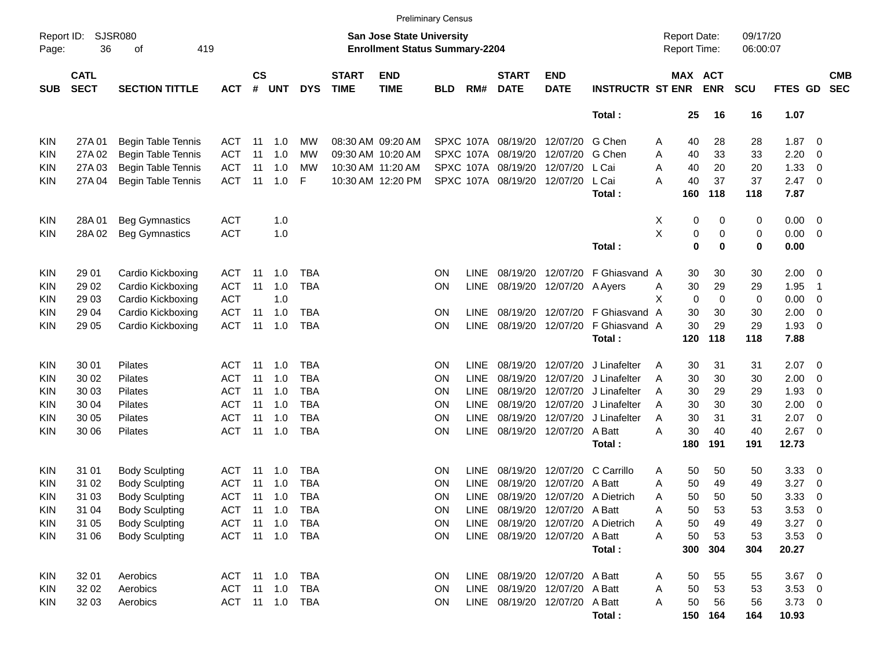|                     |                            |                           |            |                         |                |            |                             |                                                                    | <b>Preliminary Census</b> |             |                             |                               |                              |   |                                     |            |                      |                |                          |                          |
|---------------------|----------------------------|---------------------------|------------|-------------------------|----------------|------------|-----------------------------|--------------------------------------------------------------------|---------------------------|-------------|-----------------------------|-------------------------------|------------------------------|---|-------------------------------------|------------|----------------------|----------------|--------------------------|--------------------------|
| Report ID:<br>Page: | 36                         | SJSR080<br>419<br>of      |            |                         |                |            |                             | San Jose State University<br><b>Enrollment Status Summary-2204</b> |                           |             |                             |                               |                              |   | <b>Report Date:</b><br>Report Time: |            | 09/17/20<br>06:00:07 |                |                          |                          |
| <b>SUB</b>          | <b>CATL</b><br><b>SECT</b> | <b>SECTION TITTLE</b>     | <b>ACT</b> | <b>CS</b><br>$\pmb{\#}$ | <b>UNT</b>     | <b>DYS</b> | <b>START</b><br><b>TIME</b> | <b>END</b><br><b>TIME</b>                                          | <b>BLD</b>                | RM#         | <b>START</b><br><b>DATE</b> | <b>END</b><br><b>DATE</b>     | <b>INSTRUCTR ST ENR</b>      |   | MAX ACT                             | <b>ENR</b> | <b>SCU</b>           | FTES GD        |                          | <b>CMB</b><br><b>SEC</b> |
|                     |                            |                           |            |                         |                |            |                             |                                                                    |                           |             |                             |                               | Total:                       |   | 25                                  | 16         | 16                   | 1.07           |                          |                          |
| <b>KIN</b>          | 27A 01                     | <b>Begin Table Tennis</b> | ACT        | 11                      | 1.0            | MW         |                             | 08:30 AM 09:20 AM                                                  |                           |             | SPXC 107A 08/19/20 12/07/20 |                               | G Chen                       | A | 40                                  | 28         | 28                   | 1.87           | $\overline{0}$           |                          |
| KIN                 | 27A 02                     | Begin Table Tennis        | <b>ACT</b> | 11                      | 1.0            | МW         |                             | 09:30 AM 10:20 AM                                                  |                           | SPXC 107A   | 08/19/20                    | 12/07/20                      | G Chen                       | Α | 40                                  | 33         | 33                   | 2.20           | 0                        |                          |
| KIN                 | 27A 03                     | Begin Table Tennis        | <b>ACT</b> | 11                      | 1.0            | МW         |                             | 10:30 AM 11:20 AM                                                  |                           |             | SPXC 107A 08/19/20 12/07/20 |                               | L Cai                        | A | 40                                  | 20         | 20                   | 1.33           | $\mathbf 0$              |                          |
| KIN                 | 27A 04                     | Begin Table Tennis        | <b>ACT</b> | 11                      | 1.0            | F          |                             | 10:30 AM 12:20 PM                                                  |                           |             | SPXC 107A 08/19/20 12/07/20 |                               | L Cai                        | A | 40                                  | 37         | 37                   | 2.47           | $\overline{\mathbf{0}}$  |                          |
|                     |                            |                           |            |                         |                |            |                             |                                                                    |                           |             |                             |                               | Total :                      |   | 160                                 | 118        | 118                  | 7.87           |                          |                          |
| KIN                 | 28A 01                     | <b>Beg Gymnastics</b>     | <b>ACT</b> |                         | 1.0            |            |                             |                                                                    |                           |             |                             |                               |                              | X | 0                                   | 0          | 0                    | 0.00           | $\overline{\mathbf{0}}$  |                          |
| KIN                 | 28A 02                     | <b>Beg Gymnastics</b>     | <b>ACT</b> |                         | 1.0            |            |                             |                                                                    |                           |             |                             |                               |                              | X | $\pmb{0}$                           | 0          | 0                    | 0.00           | $\overline{\mathbf{0}}$  |                          |
|                     |                            |                           |            |                         |                |            |                             |                                                                    |                           |             |                             |                               | Total:                       |   | $\mathbf 0$                         | 0          | 0                    | 0.00           |                          |                          |
| <b>KIN</b>          | 29 01                      | Cardio Kickboxing         | ACT        | 11                      | 1.0            | TBA        |                             |                                                                    | <b>ON</b>                 | LINE        |                             | 08/19/20 12/07/20             | F Ghiasvand A                |   | 30                                  | 30         | 30                   | 2.00           | $\overline{\mathbf{0}}$  |                          |
| KIN                 | 29 02                      | Cardio Kickboxing         | <b>ACT</b> | 11                      | 1.0            | <b>TBA</b> |                             |                                                                    | ON                        | LINE        |                             | 08/19/20 12/07/20             | A Ayers                      | A | 30                                  | 29         | 29                   | 1.95           | -1                       |                          |
| KIN                 | 29 03                      | Cardio Kickboxing         | <b>ACT</b> |                         | 1.0            |            |                             |                                                                    |                           |             |                             |                               |                              | X | 0                                   | 0          | 0                    | 0.00           | $\mathbf 0$              |                          |
| KIN                 | 29 04                      | Cardio Kickboxing         | <b>ACT</b> | 11                      | 1.0            | TBA        |                             |                                                                    | ON                        | <b>LINE</b> |                             | 08/19/20 12/07/20             | F Ghiasvand                  | A | 30                                  | 30         | 30                   | 2.00           | 0                        |                          |
| KIN                 | 29 05                      | Cardio Kickboxing         | <b>ACT</b> | 11                      | 1.0            | <b>TBA</b> |                             |                                                                    | ON                        | <b>LINE</b> |                             | 08/19/20 12/07/20             | F Ghiasvand A                |   | 30                                  | 29         | 29                   | 1.93           | $\mathbf 0$              |                          |
|                     |                            |                           |            |                         |                |            |                             |                                                                    |                           |             |                             |                               | Total:                       |   | 120                                 | 118        | 118                  | 7.88           |                          |                          |
| <b>KIN</b>          | 30 01                      | Pilates                   | ACT.       | -11                     | 1.0            | TBA        |                             |                                                                    | <b>ON</b>                 | LINE        |                             | 08/19/20 12/07/20             | J Linafelter                 | A | 30                                  | 31         | 31                   | 2.07           | $\overline{\phantom{0}}$ |                          |
| KIN                 | 30 02                      | Pilates                   | <b>ACT</b> | 11                      | 1.0            | <b>TBA</b> |                             |                                                                    | <b>ON</b>                 | LINE        | 08/19/20                    | 12/07/20                      | J Linafelter                 | A | 30                                  | 30         | 30                   | 2.00           | $\mathbf 0$              |                          |
| KIN                 | 30 03                      | Pilates                   | <b>ACT</b> | 11                      | 1.0            | TBA        |                             |                                                                    | <b>ON</b>                 | LINE        | 08/19/20                    | 12/07/20                      | J Linafelter                 | A | 30                                  | 29         | 29                   | 1.93           | 0                        |                          |
| KIN                 | 30 04                      | Pilates                   | <b>ACT</b> | 11                      | 1.0            | <b>TBA</b> |                             |                                                                    | ON                        | <b>LINE</b> | 08/19/20                    | 12/07/20                      | J Linafelter                 | A | 30                                  | 30         | 30                   | 2.00           | $\mathbf 0$              |                          |
| KIN                 | 30 05                      | Pilates                   | <b>ACT</b> | 11                      | 1.0            | <b>TBA</b> |                             |                                                                    | ON                        | LINE        |                             | 08/19/20 12/07/20             | J Linafelter                 | A | 30                                  | 31         | 31                   | 2.07           | $\mathbf 0$              |                          |
| <b>KIN</b>          | 30 06                      | <b>Pilates</b>            | <b>ACT</b> | 11                      | 1.0            | <b>TBA</b> |                             |                                                                    | ΟN                        | <b>LINE</b> |                             | 08/19/20 12/07/20             | A Batt                       | A | 30                                  | 40         | 40                   | 2.67           | $\overline{\mathbf{0}}$  |                          |
|                     |                            |                           |            |                         |                |            |                             |                                                                    |                           |             |                             |                               | Total :                      |   | 180                                 | 191        | 191                  | 12.73          |                          |                          |
| <b>KIN</b>          | 31 01                      | <b>Body Sculpting</b>     | <b>ACT</b> | -11                     | 1.0            | TBA        |                             |                                                                    | <b>ON</b>                 | LINE        |                             | 08/19/20 12/07/20             | C Carrillo                   | Α | 50                                  | 50         | 50                   | 3.33           | $\overline{\mathbf{0}}$  |                          |
| KIN                 | 31 02                      | <b>Body Sculpting</b>     | ACT        | 11                      | 1.0            | <b>TBA</b> |                             |                                                                    | <b>ON</b>                 | LINE        | 08/19/20                    | 12/07/20                      | A Batt                       | A | 50                                  | 49         | 49                   | 3.27           | 0                        |                          |
| <b>KIN</b>          | 31 03                      | <b>Body Sculpting</b>     | <b>ACT</b> | 11                      | 1.0            | TBA        |                             |                                                                    | <b>ON</b>                 | <b>LINE</b> |                             |                               | 08/19/20 12/07/20 A Dietrich | A | 50                                  | 50         | 50                   | 3.33           | 0                        |                          |
| KIN                 | 31 04                      | <b>Body Sculpting</b>     | ACT 11 1.0 |                         |                | <b>TBA</b> |                             |                                                                    | <b>ON</b>                 |             |                             | LINE 08/19/20 12/07/20 A Batt |                              | Α | 50                                  | 53         | 53                   | $3.53 \ 0$     |                          |                          |
| <b>KIN</b>          | 31 05                      | <b>Body Sculpting</b>     | <b>ACT</b> |                         | $11 \quad 1.0$ | TBA        |                             |                                                                    | ON                        | LINE        |                             |                               | 08/19/20 12/07/20 A Dietrich | Α | 50                                  | 49         | 49                   | $3.27$ 0       |                          |                          |
| <b>KIN</b>          | 31 06                      | <b>Body Sculpting</b>     |            |                         | ACT 11 1.0 TBA |            |                             |                                                                    | ON                        |             |                             | LINE 08/19/20 12/07/20 A Batt |                              | A | 50                                  | 53         | 53                   | $3.53 \ 0$     |                          |                          |
|                     |                            |                           |            |                         |                |            |                             |                                                                    |                           |             |                             |                               | Total:                       |   | 300                                 | 304        | 304                  | 20.27          |                          |                          |
| KIN                 | 32 01                      | Aerobics                  | ACT 11 1.0 |                         |                | TBA        |                             |                                                                    | <b>ON</b>                 |             |                             | LINE 08/19/20 12/07/20 A Batt |                              | A | 50                                  | 55         | 55                   | $3.67$ 0       |                          |                          |
| KIN                 | 32 02                      | Aerobics                  | ACT 11 1.0 |                         |                | TBA        |                             |                                                                    | ON                        |             |                             | LINE 08/19/20 12/07/20 A Batt |                              | A | 50                                  | 53         | 53                   | $3.53 \ 0$     |                          |                          |
| <b>KIN</b>          | 32 03                      | Aerobics                  |            |                         | ACT 11 1.0 TBA |            |                             |                                                                    | <b>ON</b>                 |             |                             | LINE 08/19/20 12/07/20 A Batt |                              | A | 50                                  | 56         | 56                   | $3.73 \quad 0$ |                          |                          |
|                     |                            |                           |            |                         |                |            |                             |                                                                    |                           |             |                             |                               | Total:                       |   |                                     | 150 164    | 164                  | 10.93          |                          |                          |
|                     |                            |                           |            |                         |                |            |                             |                                                                    |                           |             |                             |                               |                              |   |                                     |            |                      |                |                          |                          |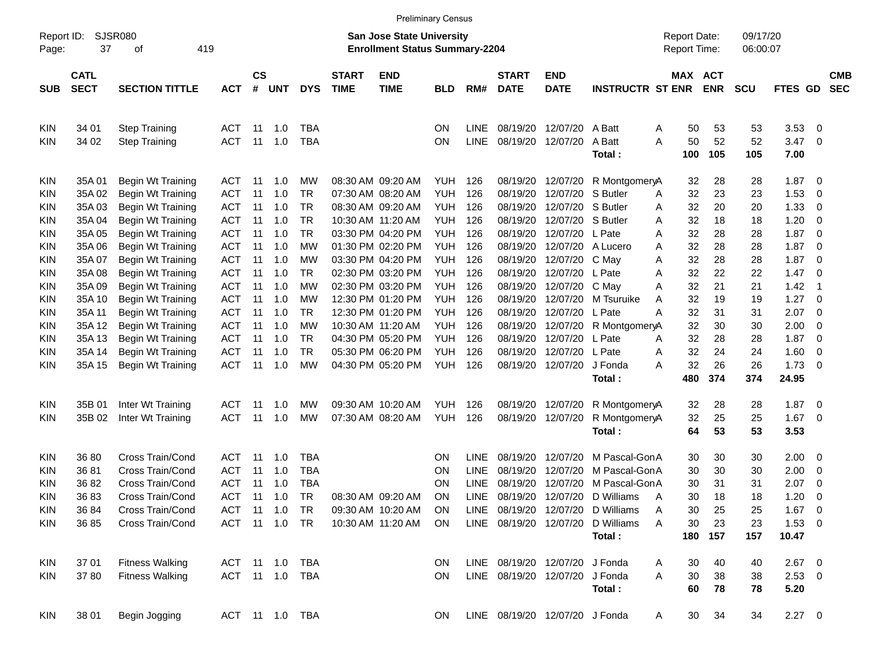|                     |                            |                        |            |                    |                |            |                             | <b>Preliminary Census</b>                                                 |            |             |                                |                           |                         |   |                                            |            |                      |              |                          |                          |
|---------------------|----------------------------|------------------------|------------|--------------------|----------------|------------|-----------------------------|---------------------------------------------------------------------------|------------|-------------|--------------------------------|---------------------------|-------------------------|---|--------------------------------------------|------------|----------------------|--------------|--------------------------|--------------------------|
| Report ID:<br>Page: | 37                         | SJSR080<br>419<br>οf   |            |                    |                |            |                             | <b>San Jose State University</b><br><b>Enrollment Status Summary-2204</b> |            |             |                                |                           |                         |   | <b>Report Date:</b><br><b>Report Time:</b> |            | 09/17/20<br>06:00:07 |              |                          |                          |
| <b>SUB</b>          | <b>CATL</b><br><b>SECT</b> | <b>SECTION TITTLE</b>  | <b>ACT</b> | $\mathsf{cs}$<br># | <b>UNT</b>     | <b>DYS</b> | <b>START</b><br><b>TIME</b> | <b>END</b><br><b>TIME</b>                                                 | <b>BLD</b> | RM#         | <b>START</b><br><b>DATE</b>    | <b>END</b><br><b>DATE</b> | <b>INSTRUCTR ST ENR</b> |   | MAX ACT                                    | <b>ENR</b> | <b>SCU</b>           | FTES GD      |                          | <b>CMB</b><br><b>SEC</b> |
| <b>KIN</b>          | 34 01                      | <b>Step Training</b>   | <b>ACT</b> | -11                | 1.0            | TBA        |                             |                                                                           | <b>ON</b>  | <b>LINE</b> | 08/19/20                       | 12/07/20                  | A Batt                  | A | 50                                         | 53         | 53                   | 3.53         | $\overline{0}$           |                          |
| KIN.                | 34 02                      | <b>Step Training</b>   | <b>ACT</b> | -11                | 1.0            | <b>TBA</b> |                             |                                                                           | <b>ON</b>  | <b>LINE</b> | 08/19/20                       | 12/07/20                  | A Batt<br>Total:        | A | 50<br>100                                  | 52<br>105  | 52<br>105            | 3.47<br>7.00 | $\overline{0}$           |                          |
| <b>KIN</b>          | 35A 01                     | Begin Wt Training      | ACT        | -11                | 1.0            | МW         |                             | 08:30 AM 09:20 AM                                                         | YUH        | 126         | 08/19/20                       | 12/07/20                  | R MontgomeryA           |   | 32                                         | 28         | 28                   | 1.87         | 0                        |                          |
| KIN                 | 35A 02                     | Begin Wt Training      | <b>ACT</b> | 11                 | 1.0            | <b>TR</b>  |                             | 07:30 AM 08:20 AM                                                         | <b>YUH</b> | 126         | 08/19/20                       | 12/07/20                  | S Butler                | A | 32                                         | 23         | 23                   | 1.53         | $\mathbf 0$              |                          |
| KIN                 | 35A03                      | Begin Wt Training      | <b>ACT</b> | 11                 | 1.0            | <b>TR</b>  |                             | 08:30 AM 09:20 AM                                                         | <b>YUH</b> | 126         | 08/19/20                       | 12/07/20                  | S Butler                | A | 32                                         | 20         | 20                   | 1.33         | $\mathbf 0$              |                          |
| KIN                 | 35A 04                     | Begin Wt Training      | <b>ACT</b> | 11                 | 1.0            | <b>TR</b>  |                             | 10:30 AM 11:20 AM                                                         | <b>YUH</b> | 126         | 08/19/20                       | 12/07/20                  | S Butler                | A | 32                                         | 18         | 18                   | 1.20         | $\mathbf 0$              |                          |
| KIN                 | 35A 05                     | Begin Wt Training      | <b>ACT</b> | 11                 | 1.0            | <b>TR</b>  |                             | 03:30 PM 04:20 PM                                                         | <b>YUH</b> | 126         | 08/19/20                       | 12/07/20                  | L Pate                  | A | 32                                         | 28         | 28                   | 1.87         | $\overline{0}$           |                          |
| KIN.                | 35A 06                     | Begin Wt Training      | <b>ACT</b> | 11                 | 1.0            | МW         |                             | 01:30 PM 02:20 PM                                                         | <b>YUH</b> | 126         | 08/19/20                       | 12/07/20                  | A Lucero                | A | 32                                         | 28         | 28                   | 1.87         | $\mathbf 0$              |                          |
| KIN                 | 35A 07                     | Begin Wt Training      | <b>ACT</b> | 11                 | 1.0            | МW         |                             | 03:30 PM 04:20 PM                                                         | <b>YUH</b> | 126         | 08/19/20                       | 12/07/20                  | C May                   | A | 32                                         | 28         | 28                   | 1.87         | $\overline{0}$           |                          |
| KIN                 | 35A 08                     | Begin Wt Training      | <b>ACT</b> | 11                 | 1.0            | <b>TR</b>  |                             | 02:30 PM 03:20 PM                                                         | <b>YUH</b> | 126         | 08/19/20                       | 12/07/20                  | L Pate                  | A | 32                                         | 22         | 22                   | 1.47         | $\overline{0}$           |                          |
| KIN.                | 35A09                      | Begin Wt Training      | <b>ACT</b> | 11                 | 1.0            | <b>MW</b>  |                             | 02:30 PM 03:20 PM                                                         | <b>YUH</b> | 126         | 08/19/20                       | 12/07/20                  | C May                   | A | 32                                         | 21         | 21                   | 1.42         | $\overline{\phantom{0}}$ |                          |
| KIN                 | 35A 10                     | Begin Wt Training      | <b>ACT</b> | 11                 | 1.0            | МW         |                             | 12:30 PM 01:20 PM                                                         | <b>YUH</b> | 126         | 08/19/20                       | 12/07/20                  | M Tsuruike              | A | 32                                         | 19         | 19                   | 1.27         | $\overline{0}$           |                          |
| KIN                 | 35A 11                     | Begin Wt Training      | <b>ACT</b> | 11                 | 1.0            | <b>TR</b>  |                             | 12:30 PM 01:20 PM                                                         | <b>YUH</b> | 126         | 08/19/20                       | 12/07/20                  | L Pate                  | Α | 32                                         | 31         | 31                   | 2.07         | $\overline{0}$           |                          |
| KIN                 | 35A 12                     | Begin Wt Training      | <b>ACT</b> | 11                 | 1.0            | <b>MW</b>  |                             | 10:30 AM 11:20 AM                                                         | <b>YUH</b> | 126         | 08/19/20                       | 12/07/20                  | R MontgomeryA           |   | 32                                         | 30         | 30                   | 2.00         | $\overline{0}$           |                          |
| KIN                 | 35A 13                     | Begin Wt Training      | <b>ACT</b> | 11                 | 1.0            | <b>TR</b>  |                             | 04:30 PM 05:20 PM                                                         | <b>YUH</b> | 126         | 08/19/20                       | 12/07/20                  | L Pate                  | A | 32                                         | 28         | 28                   | 1.87         | $\overline{0}$           |                          |
| KIN                 | 35A 14                     | Begin Wt Training      | <b>ACT</b> | 11                 | 1.0            | <b>TR</b>  |                             | 05:30 PM 06:20 PM                                                         | <b>YUH</b> | 126         | 08/19/20                       | 12/07/20                  | L Pate                  | A | 32                                         | 24         | 24                   | 1.60         | $\overline{0}$           |                          |
| KIN.                | 35A 15                     | Begin Wt Training      | <b>ACT</b> | -11                | 1.0            | <b>MW</b>  |                             | 04:30 PM 05:20 PM                                                         | <b>YUH</b> | 126         | 08/19/20                       | 12/07/20                  | J Fonda                 | А | 32                                         | 26         | 26                   | 1.73         | 0                        |                          |
|                     |                            |                        |            |                    |                |            |                             |                                                                           |            |             |                                |                           | Total:                  |   | 480                                        | 374        | 374                  | 24.95        |                          |                          |
| <b>KIN</b>          | 35B 01                     | Inter Wt Training      | <b>ACT</b> | -11                | 1.0            | МW         |                             | 09:30 AM 10:20 AM                                                         | YUH.       | 126         | 08/19/20                       | 12/07/20                  | R MontgomeryA           |   | 32                                         | 28         | 28                   | 1.87         | - 0                      |                          |
| KIN.                | 35B 02                     | Inter Wt Training      | <b>ACT</b> | -11                | 1.0            | МW         |                             | 07:30 AM 08:20 AM                                                         | YUH        | 126         | 08/19/20                       | 12/07/20                  | R MontgomeryA           |   | 32                                         | 25         | 25                   | 1.67         | $\overline{0}$           |                          |
|                     |                            |                        |            |                    |                |            |                             |                                                                           |            |             |                                |                           | Total:                  |   | 64                                         | 53         | 53                   | 3.53         |                          |                          |
| <b>KIN</b>          | 36 80                      | Cross Train/Cond       | <b>ACT</b> | -11                | 1.0            | <b>TBA</b> |                             |                                                                           | <b>ON</b>  | <b>LINE</b> | 08/19/20                       | 12/07/20                  | M Pascal-GonA           |   | 30                                         | 30         | 30                   | 2.00         | - 0                      |                          |
| KIN                 | 3681                       | Cross Train/Cond       | <b>ACT</b> | 11                 | 1.0            | <b>TBA</b> |                             |                                                                           | ON         | <b>LINE</b> | 08/19/20                       | 12/07/20                  | M Pascal-GonA           |   | 30                                         | 30         | 30                   | 2.00         | 0                        |                          |
| KIN                 | 36 82                      | Cross Train/Cond       | <b>ACT</b> | 11                 | 1.0            | <b>TBA</b> |                             |                                                                           | <b>ON</b>  | <b>LINE</b> | 08/19/20                       | 12/07/20                  | M Pascal-GonA           |   | 30                                         | 31         | 31                   | 2.07         | 0                        |                          |
| KIN                 | 3683                       | Cross Train/Cond       | <b>ACT</b> | -11                | 1.0            | <b>TR</b>  |                             | 08:30 AM 09:20 AM                                                         | ON         | <b>LINE</b> | 08/19/20                       | 12/07/20                  | D Williams              | A | 30                                         | 18         | 18                   | 1.20         | $\mathbf 0$              |                          |
| <b>KIN</b>          | 36 84                      | Cross Train/Cond       | ACT        | 11                 | 1.0            | TR         |                             | 09:30 AM 10:20 AM                                                         | <b>ON</b>  |             | LINE 08/19/20 12/07/20         |                           | D Williams              | Α | 30                                         | 25         | 25                   | $1.67$ 0     |                          |                          |
| <b>KIN</b>          | 36 85                      | Cross Train/Cond       | ACT        |                    | 11 1.0         | <b>TR</b>  |                             | 10:30 AM 11:20 AM                                                         | <b>ON</b>  |             | LINE 08/19/20 12/07/20         |                           | D Williams              | A | 30                                         | 23         | 23                   | $1.53 \t 0$  |                          |                          |
|                     |                            |                        |            |                    |                |            |                             |                                                                           |            |             |                                |                           | Total:                  |   | 180                                        | 157        | 157                  | 10.47        |                          |                          |
| KIN                 | 37 01                      | <b>Fitness Walking</b> | ACT 11 1.0 |                    |                | TBA        |                             |                                                                           | <b>ON</b>  |             | LINE 08/19/20 12/07/20         |                           | J Fonda                 | A | 30                                         | 40         | 40                   | $2.67$ 0     |                          |                          |
| <b>KIN</b>          | 3780                       | <b>Fitness Walking</b> | ACT 11 1.0 |                    |                | TBA        |                             |                                                                           | ON         |             | LINE 08/19/20 12/07/20         |                           | J Fonda                 | A | 30                                         | 38         | 38                   | $2.53 \t 0$  |                          |                          |
|                     |                            |                        |            |                    |                |            |                             |                                                                           |            |             |                                |                           | Total:                  |   | 60                                         | 78         | 78                   | 5.20         |                          |                          |
| <b>KIN</b>          | 38 01                      | Begin Jogging          |            |                    | ACT 11 1.0 TBA |            |                             |                                                                           | <b>ON</b>  |             | LINE 08/19/20 12/07/20 J Fonda |                           |                         | A | 30                                         | 34         | 34                   | $2.27 \t 0$  |                          |                          |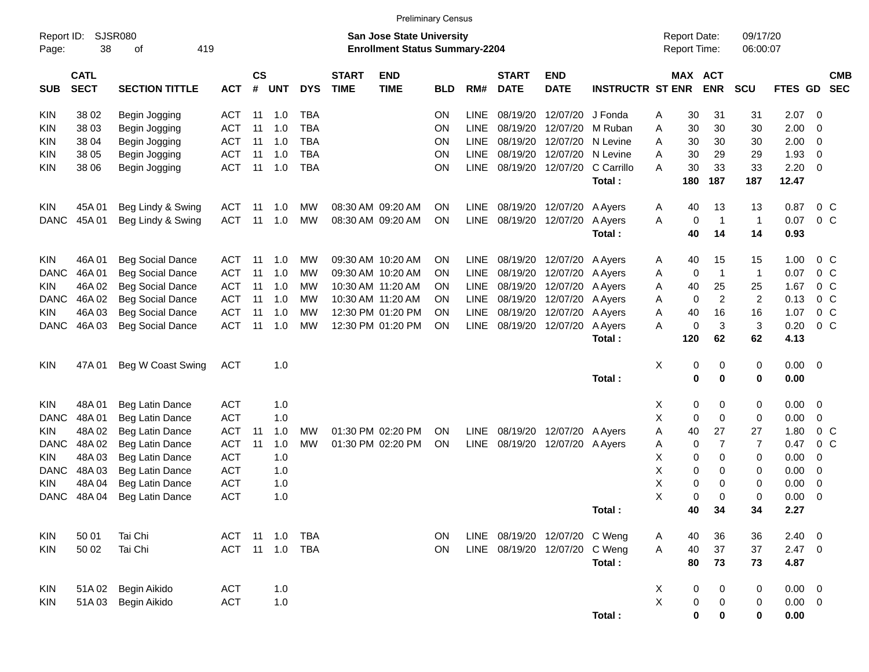|                     |                            |                         |                |                    |            |            |                             |                                                                    | <b>Preliminary Census</b> |             |                             |                               |                         |             |                                     |                |                      |             |                |            |
|---------------------|----------------------------|-------------------------|----------------|--------------------|------------|------------|-----------------------------|--------------------------------------------------------------------|---------------------------|-------------|-----------------------------|-------------------------------|-------------------------|-------------|-------------------------------------|----------------|----------------------|-------------|----------------|------------|
| Report ID:<br>Page: | 38                         | SJSR080<br>419<br>οf    |                |                    |            |            |                             | San Jose State University<br><b>Enrollment Status Summary-2204</b> |                           |             |                             |                               |                         |             | <b>Report Date:</b><br>Report Time: |                | 09/17/20<br>06:00:07 |             |                |            |
| <b>SUB</b>          | <b>CATL</b><br><b>SECT</b> | <b>SECTION TITTLE</b>   | <b>ACT</b>     | $\mathsf{cs}$<br># | <b>UNT</b> | <b>DYS</b> | <b>START</b><br><b>TIME</b> | <b>END</b><br><b>TIME</b>                                          | <b>BLD</b>                | RM#         | <b>START</b><br><b>DATE</b> | <b>END</b><br><b>DATE</b>     | <b>INSTRUCTR ST ENR</b> |             | MAX ACT                             | <b>ENR</b>     | <b>SCU</b>           | FTES GD SEC |                | <b>CMB</b> |
| KIN                 | 38 02                      | Begin Jogging           | ACT            | 11                 | 1.0        | <b>TBA</b> |                             |                                                                    | <b>ON</b>                 | <b>LINE</b> | 08/19/20                    | 12/07/20                      | J Fonda                 | A           | 30                                  | 31             | 31                   | 2.07        | - 0            |            |
| KIN                 | 38 03                      | Begin Jogging           | ACT            | 11                 | 1.0        | <b>TBA</b> |                             |                                                                    | ΟN                        | <b>LINE</b> | 08/19/20                    | 12/07/20                      | M Ruban                 | Α           | 30                                  | 30             | 30                   | 2.00        | 0              |            |
| KIN                 | 38 04                      | Begin Jogging           | ACT            | 11                 | 1.0        | <b>TBA</b> |                             |                                                                    | ΟN                        | <b>LINE</b> | 08/19/20                    | 12/07/20                      | N Levine                | A           | 30                                  | 30             | 30                   | 2.00        | 0              |            |
| KIN                 | 38 05                      | Begin Jogging           | ACT            | 11                 | 1.0        | <b>TBA</b> |                             |                                                                    | ΟN                        | <b>LINE</b> | 08/19/20                    | 12/07/20                      | N Levine                | A           | 30                                  | 29             | 29                   | 1.93        | 0              |            |
| KIN                 | 38 06                      | Begin Jogging           | ACT            | 11                 | 1.0        | <b>TBA</b> |                             |                                                                    | ΟN                        | LINE        | 08/19/20                    | 12/07/20                      | C Carrillo              | A           | 30                                  | 33             | 33                   | 2.20        | 0              |            |
|                     |                            |                         |                |                    |            |            |                             |                                                                    |                           |             |                             |                               | Total:                  |             | 180                                 | 187            | 187                  | 12.47       |                |            |
| KIN                 | 45A 01                     | Beg Lindy & Swing       | <b>ACT</b>     | 11                 | 1.0        | MW         |                             | 08:30 AM 09:20 AM                                                  | ΟN                        | <b>LINE</b> | 08/19/20                    | 12/07/20                      | A Ayers                 | A           | 40                                  | 13             | 13                   | 0.87        | 0 <sup>C</sup> |            |
| <b>DANC</b>         | 45A 01                     | Beg Lindy & Swing       | <b>ACT</b>     | 11                 | 1.0        | <b>MW</b>  |                             | 08:30 AM 09:20 AM                                                  | ΟN                        | LINE        | 08/19/20                    | 12/07/20                      | A Ayers                 | Α           | 0                                   | $\overline{1}$ | $\mathbf 1$          | 0.07        | 0 <sup>C</sup> |            |
|                     |                            |                         |                |                    |            |            |                             |                                                                    |                           |             |                             |                               | Total:                  |             | 40                                  | 14             | 14                   | 0.93        |                |            |
| KIN                 | 46A01                      | <b>Beg Social Dance</b> | ACT            | 11                 | 1.0        | MW         |                             | 09:30 AM 10:20 AM                                                  | ΟN                        | <b>LINE</b> | 08/19/20                    | 12/07/20                      | A Ayers                 | A           | 40                                  | 15             | 15                   | 1.00        | $0\,$ C        |            |
| <b>DANC</b>         | 46A 01                     | <b>Beg Social Dance</b> | <b>ACT</b>     | 11                 | 1.0        | MW         |                             | 09:30 AM 10:20 AM                                                  | ΟN                        | <b>LINE</b> | 08/19/20                    | 12/07/20                      | A Ayers                 | A           | 0                                   | $\overline{1}$ | $\mathbf 1$          | 0.07        | 0 <sup>C</sup> |            |
| KIN                 | 46A 02                     | <b>Beg Social Dance</b> | <b>ACT</b>     | 11                 | 1.0        | MW         |                             | 10:30 AM 11:20 AM                                                  | OΝ                        | <b>LINE</b> | 08/19/20                    | 12/07/20                      | A Ayers                 | A           | 40                                  | 25             | 25                   | 1.67        | 0 <sup>C</sup> |            |
| <b>DANC</b>         | 46A 02                     | <b>Beg Social Dance</b> | <b>ACT</b>     | 11                 | 1.0        | MW         |                             | 10:30 AM 11:20 AM                                                  | ON                        | <b>LINE</b> | 08/19/20                    | 12/07/20                      | A Ayers                 | A           | 0                                   | $\overline{c}$ | $\overline{2}$       | 0.13        | $0\,C$         |            |
| KIN                 | 46A03                      | <b>Beg Social Dance</b> | <b>ACT</b>     | 11                 | 1.0        | MW         |                             | 12:30 PM 01:20 PM                                                  | ΟN                        | <b>LINE</b> | 08/19/20                    | 12/07/20                      | A Ayers                 | Α           | 40                                  | 16             | 16                   | 1.07        | 0 <sup>C</sup> |            |
| <b>DANC</b>         | 46A03                      | <b>Beg Social Dance</b> | <b>ACT</b>     | 11                 | 1.0        | MW         |                             | 12:30 PM 01:20 PM                                                  | ON                        | LINE        | 08/19/20                    | 12/07/20                      | A Ayers                 | A           | 0                                   | 3              | 3                    | 0.20        | 0 <sup>C</sup> |            |
|                     |                            |                         |                |                    |            |            |                             |                                                                    |                           |             |                             |                               | Total:                  |             | 120                                 | 62             | 62                   | 4.13        |                |            |
| KIN                 | 47A 01                     | Beg W Coast Swing       | <b>ACT</b>     |                    | 1.0        |            |                             |                                                                    |                           |             |                             |                               |                         | х           | 0                                   | 0              | 0                    | $0.00 \t 0$ |                |            |
|                     |                            |                         |                |                    |            |            |                             |                                                                    |                           |             |                             |                               | Total:                  |             | 0                                   | 0              | 0                    | 0.00        |                |            |
| KIN                 | 48A01                      | Beg Latin Dance         | <b>ACT</b>     |                    | 1.0        |            |                             |                                                                    |                           |             |                             |                               |                         | Х           | 0                                   | 0              | 0                    | 0.00        | - 0            |            |
| <b>DANC</b>         | 48A01                      | Beg Latin Dance         | <b>ACT</b>     |                    | 1.0        |            |                             |                                                                    |                           |             |                             |                               |                         | X           | 0                                   | 0              | 0                    | 0.00        | 0              |            |
| KIN                 | 48A02                      | Beg Latin Dance         | <b>ACT</b>     | 11                 | 1.0        | MW         |                             | 01:30 PM 02:20 PM                                                  | ΟN                        | <b>LINE</b> |                             | 08/19/20 12/07/20 A Ayers     |                         | Α           | 40                                  | 27             | 27                   | 1.80        | 0 <sup>C</sup> |            |
| <b>DANC</b>         | 48A 02                     | Beg Latin Dance         | <b>ACT</b>     | 11                 | 1.0        | MW         |                             | 01:30 PM 02:20 PM                                                  | ON                        | LINE        | 08/19/20                    | 12/07/20                      | A Ayers                 | Α           | 0                                   | 7              | 7                    | 0.47        | 0 <sup>C</sup> |            |
| KIN                 | 48A03                      | Beg Latin Dance         | <b>ACT</b>     |                    | 1.0        |            |                             |                                                                    |                           |             |                             |                               |                         | Χ           | 0                                   | 0              | 0                    | 0.00        | 0              |            |
| <b>DANC</b>         | 48A03                      | Beg Latin Dance         | <b>ACT</b>     |                    | 1.0        |            |                             |                                                                    |                           |             |                             |                               |                         | Χ           | 0                                   | 0              | 0                    | 0.00        | 0              |            |
| KIN                 | 48A04                      | Beg Latin Dance         | <b>ACT</b>     |                    | 1.0        |            |                             |                                                                    |                           |             |                             |                               |                         | Χ           | 0                                   | 0              | 0                    | 0.00        | 0              |            |
| DANC                | 48A 04                     | Beg Latin Dance         | <b>ACT</b>     |                    | 1.0        |            |                             |                                                                    |                           |             |                             |                               |                         | X           | 0                                   | $\Omega$       | 0                    | 0.00        | 0              |            |
|                     |                            |                         |                |                    |            |            |                             |                                                                    |                           |             |                             |                               | Total:                  |             | 40                                  | 34             | 34                   | 2.27        |                |            |
| KIN                 | 50 01                      | Tai Chi                 | ACT 11 1.0     |                    |            | TBA        |                             |                                                                    | ON                        |             |                             | LINE 08/19/20 12/07/20 C Weng |                         | A           | 40                                  | 36             | 36                   | $2.40 \ 0$  |                |            |
| KIN                 | 50 02                      | Tai Chi                 | ACT 11 1.0 TBA |                    |            |            |                             |                                                                    | ON                        | LINE        |                             | 08/19/20 12/07/20 C Weng      |                         | A           | 40                                  | 37             | 37                   | 2.47 0      |                |            |
|                     |                            |                         |                |                    |            |            |                             |                                                                    |                           |             |                             |                               | Total:                  |             | 80                                  | 73             | 73                   | 4.87        |                |            |
| KIN                 | 51A 02                     | Begin Aikido            | <b>ACT</b>     |                    | 1.0        |            |                             |                                                                    |                           |             |                             |                               |                         | X           | 0                                   | 0              | 0                    | $0.00 \t 0$ |                |            |
| <b>KIN</b>          |                            | 51A 03 Begin Aikido     | <b>ACT</b>     |                    | 1.0        |            |                             |                                                                    |                           |             |                             |                               |                         | $\mathsf X$ | 0                                   | 0              | 0                    | $0.00 \t 0$ |                |            |
|                     |                            |                         |                |                    |            |            |                             |                                                                    |                           |             |                             |                               | Total:                  |             | 0                                   | 0              | 0                    | 0.00        |                |            |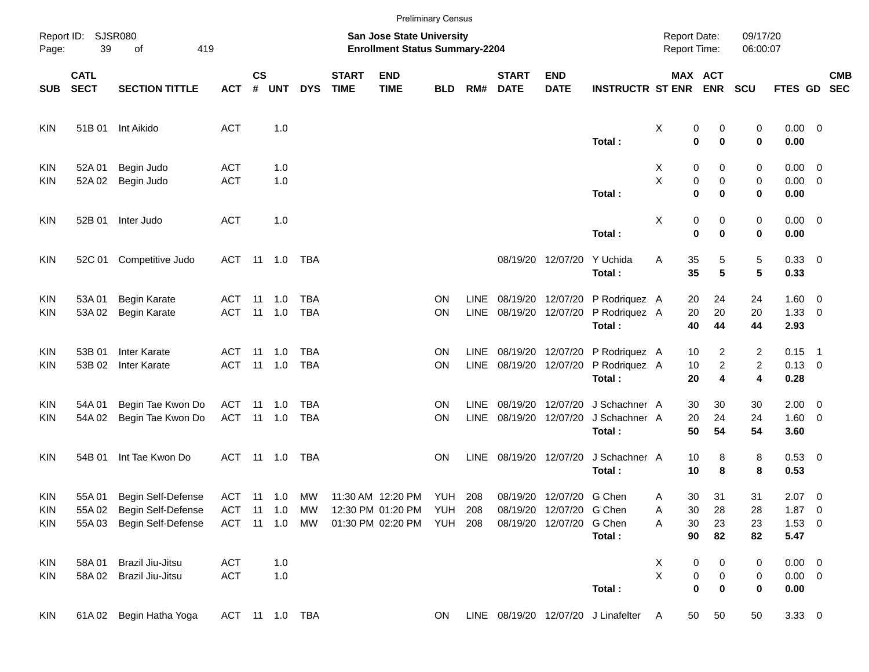|                   |                            |                                          |                          |                    |                       |                          |                             |                                                                                                   | <b>Preliminary Census</b> |                            |                             |                                                                                  |                                                  |                                     |                                                        |                      |                                    |            |
|-------------------|----------------------------|------------------------------------------|--------------------------|--------------------|-----------------------|--------------------------|-----------------------------|---------------------------------------------------------------------------------------------------|---------------------------|----------------------------|-----------------------------|----------------------------------------------------------------------------------|--------------------------------------------------|-------------------------------------|--------------------------------------------------------|----------------------|------------------------------------|------------|
| Page:             | Report ID: SJSR080<br>39   | of<br>419                                |                          |                    |                       |                          |                             | <b>San Jose State University</b><br><b>Enrollment Status Summary-2204</b>                         |                           |                            |                             |                                                                                  |                                                  | <b>Report Date:</b><br>Report Time: |                                                        | 09/17/20<br>06:00:07 |                                    |            |
| <b>SUB</b>        | <b>CATL</b><br><b>SECT</b> | <b>SECTION TITTLE</b>                    | <b>ACT</b>               | $\mathsf{cs}$<br># | UNT                   | <b>DYS</b>               | <b>START</b><br><b>TIME</b> | <b>END</b><br><b>TIME</b>                                                                         | <b>BLD</b>                | RM#                        | <b>START</b><br><b>DATE</b> | <b>END</b><br><b>DATE</b>                                                        | <b>INSTRUCTR ST ENR ENR</b>                      |                                     | MAX ACT                                                | <b>SCU</b>           | FTES GD SEC                        | <b>CMB</b> |
| KIN               |                            | 51B 01 Int Aikido                        | <b>ACT</b>               |                    | 1.0                   |                          |                             |                                                                                                   |                           |                            |                             |                                                                                  | Total:                                           | X                                   | 0<br>0<br>$\mathbf 0$<br>$\bf{0}$                      | 0<br>0               | $0.00 \t 0$<br>0.00                |            |
| KIN<br>KIN        | 52A 01<br>52A 02           | Begin Judo<br>Begin Judo                 | <b>ACT</b><br><b>ACT</b> |                    | 1.0<br>1.0            |                          |                             |                                                                                                   |                           |                            |                             |                                                                                  |                                                  | X.<br>X                             | 0<br>0<br>$\pmb{0}$<br>0                               | 0<br>0               | $0.00 \t 0$<br>$0.00 \t 0$         |            |
| KIN               | 52B 01                     | Inter Judo                               | <b>ACT</b>               |                    | 1.0                   |                          |                             |                                                                                                   |                           |                            |                             |                                                                                  | Total:                                           | X                                   | $\mathbf 0$<br>$\mathbf 0$<br>0<br>0                   | 0<br>0               | 0.00<br>$0.00 \t 0$                |            |
| KIN               | 52C 01                     | Competitive Judo                         |                          |                    |                       | ACT 11 1.0 TBA           |                             |                                                                                                   |                           |                            |                             | 08/19/20 12/07/20                                                                | Total:<br>Y Uchida<br>Total:                     | Α                                   | $\mathbf 0$<br>$\mathbf 0$<br>35<br>5<br>35<br>5       | 0<br>5<br>5          | 0.00<br>0.33 0<br>0.33             |            |
| <b>KIN</b><br>KIN | 53A01<br>53A 02            | Begin Karate<br>Begin Karate             | <b>ACT</b><br><b>ACT</b> | -11                | 1.0<br>$11 \quad 1.0$ | TBA<br><b>TBA</b>        |                             |                                                                                                   | <b>ON</b><br>ON           | <b>LINE</b><br>LINE        |                             | 08/19/20 12/07/20                                                                | 08/19/20 12/07/20 P Rodriquez A<br>P Rodriquez A |                                     | 20<br>24<br>20<br>20                                   | 24<br>20             | $1.60 \t 0$<br>$1.33 \ 0$          |            |
| KIN               | 53B 01                     | Inter Karate                             | ACT                      | 11                 | $-1.0$                | <b>TBA</b>               |                             |                                                                                                   | ΟN                        | <b>LINE</b>                |                             |                                                                                  | Total:<br>08/19/20 12/07/20 P Rodriquez A        |                                     | 40<br>44<br>2<br>10                                    | 44<br>$\overline{c}$ | 2.93<br>$0.15$ 1                   |            |
| KIN               | 53B 02                     | <b>Inter Karate</b>                      | <b>ACT</b>               |                    | 11 1.0                | <b>TBA</b>               |                             |                                                                                                   | ON                        | LINE                       |                             |                                                                                  | 08/19/20 12/07/20 P Rodriquez A<br>Total:        |                                     | $\overline{a}$<br>10<br>20<br>4                        | $\overline{2}$<br>4  | $0.13 \ 0$<br>0.28                 |            |
| <b>KIN</b><br>KIN | 54A 01<br>54A 02           | Begin Tae Kwon Do<br>Begin Tae Kwon Do   | ACT<br>ACT 11 1.0        | 11                 | 1.0                   | <b>TBA</b><br><b>TBA</b> |                             |                                                                                                   | ΟN<br>ON                  | <b>LINE</b><br><b>LINE</b> |                             | 08/19/20 12/07/20<br>08/19/20 12/07/20                                           | J Schachner A<br>J Schachner A<br>Total:         |                                     | 30<br>30<br>20<br>24<br>50<br>54                       | 30<br>24<br>54       | $2.00 \t 0$<br>$1.60 \t 0$<br>3.60 |            |
| <b>KIN</b>        | 54B 01                     | Int Tae Kwon Do                          | ACT                      |                    | 11 1.0                | TBA                      |                             |                                                                                                   | ON.                       | LINE                       |                             | 08/19/20 12/07/20                                                                | J Schachner A<br>Total:                          |                                     | 10<br>8<br>8<br>10                                     | 8<br>8               | 0.53 0<br>0.53                     |            |
| KIN<br>KIN        | 55A 01<br>55A 02           | Begin Self-Defense<br>Begin Self-Defense | <b>ACT</b>               |                    | 11 1.0                | MW<br>ACT 11 1.0 MW      |                             | ACT 11 1.0 MW 11:30 AM 12:20 PM YUH 208<br>12:30 PM 01:20 PM YUH 208<br>01:30 PM 02:20 PM YUH 208 |                           |                            |                             | 08/19/20 12/07/20 G Chen<br>08/19/20 12/07/20 G Chen<br>08/19/20 12/07/20 G Chen |                                                  | A<br>Α                              | 31<br>30<br>30<br>28<br>30                             | 31<br>28             | $2.07$ 0<br>$1.87 \t 0$            |            |
| KIN               | 55A 03                     | Begin Self-Defense                       |                          |                    |                       |                          |                             |                                                                                                   |                           |                            |                             |                                                                                  | Total:                                           | Α                                   | 23<br>90<br>82                                         | 23<br>82             | $1.53 \t 0$<br>5.47                |            |
| <b>KIN</b><br>KIN | 58A01<br>58A02             | Brazil Jiu-Jitsu<br>Brazil Jiu-Jitsu     | <b>ACT</b><br><b>ACT</b> |                    | 1.0<br>1.0            |                          |                             |                                                                                                   |                           |                            |                             |                                                                                  | Total:                                           | X<br>X                              | 0<br>0<br>$\pmb{0}$<br>0<br>$\mathbf 0$<br>$\mathbf 0$ | 0<br>0<br>0          | $0.00 \t 0$<br>$0.00 \t 0$<br>0.00 |            |
| KIN               | 61A02                      | Begin Hatha Yoga                         |                          |                    |                       | ACT 11 1.0 TBA           |                             |                                                                                                   | ON                        |                            |                             |                                                                                  | LINE 08/19/20 12/07/20 J Linafelter              | A                                   | 50<br>50                                               | 50                   | $3.33 \ 0$                         |            |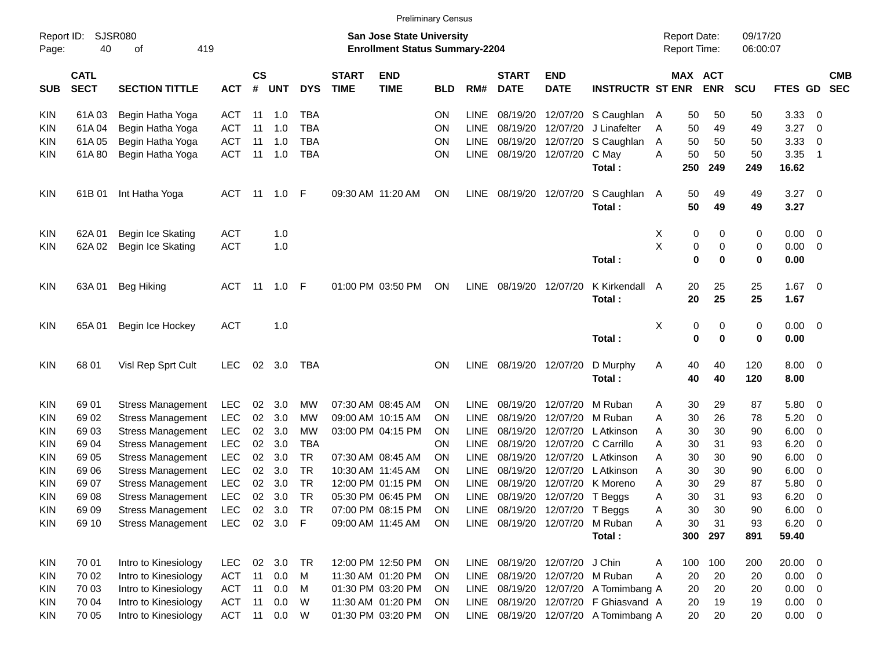|                     |                            |                          |              |                    |            |            |                             |                                                                    | <b>Preliminary Census</b> |             |                               |                           |                                      |                                     |                  |                      |                |                          |
|---------------------|----------------------------|--------------------------|--------------|--------------------|------------|------------|-----------------------------|--------------------------------------------------------------------|---------------------------|-------------|-------------------------------|---------------------------|--------------------------------------|-------------------------------------|------------------|----------------------|----------------|--------------------------|
| Report ID:<br>Page: | 40                         | SJSR080<br>419<br>οf     |              |                    |            |            |                             | San Jose State University<br><b>Enrollment Status Summary-2204</b> |                           |             |                               |                           |                                      | <b>Report Date:</b><br>Report Time: |                  | 09/17/20<br>06:00:07 |                |                          |
| SUB                 | <b>CATL</b><br><b>SECT</b> | <b>SECTION TITTLE</b>    | <b>ACT</b>   | $\mathsf{cs}$<br># | <b>UNT</b> | <b>DYS</b> | <b>START</b><br><b>TIME</b> | <b>END</b><br><b>TIME</b>                                          | <b>BLD</b>                | RM#         | <b>START</b><br><b>DATE</b>   | <b>END</b><br><b>DATE</b> | <b>INSTRUCTR ST ENR</b>              | MAX ACT                             | <b>ENR</b>       | <b>SCU</b>           | <b>FTES GD</b> | <b>CMB</b><br><b>SEC</b> |
| KIN                 | 61A03                      | Begin Hatha Yoga         | ACT          | 11                 | 1.0        | <b>TBA</b> |                             |                                                                    | ΟN                        | LINE        | 08/19/20                      | 12/07/20                  | S Caughlan                           | 50<br>A                             | 50               | 50                   | 3.33           | 0                        |
| <b>KIN</b>          | 61A04                      | Begin Hatha Yoga         | <b>ACT</b>   | 11                 | 1.0        | <b>TBA</b> |                             |                                                                    | ON                        | <b>LINE</b> | 08/19/20                      | 12/07/20                  | J Linafelter                         | 50<br>A                             | 49               | 49                   | 3.27           | 0                        |
| KIN                 | 61A05                      | Begin Hatha Yoga         | <b>ACT</b>   | 11                 | 1.0        | <b>TBA</b> |                             |                                                                    | ON                        | LINE        | 08/19/20                      | 12/07/20                  | S Caughlan                           | 50<br>A                             | 50               | 50                   | 3.33           | 0                        |
| KIN                 | 61A80                      | Begin Hatha Yoga         | <b>ACT</b>   | 11                 | 1.0        | <b>TBA</b> |                             |                                                                    | ON                        | <b>LINE</b> | 08/19/20                      | 12/07/20                  | C May                                | 50<br>A                             | 50               | 50                   | 3.35           | -1                       |
|                     |                            |                          |              |                    |            |            |                             |                                                                    |                           |             |                               |                           | Total:                               | 250                                 | 249              | 249                  | 16.62          |                          |
| <b>KIN</b>          | 61B 01                     | Int Hatha Yoga           | ACT          | - 11               | 1.0        | - F        |                             | 09:30 AM 11:20 AM                                                  | ON                        | <b>LINE</b> |                               | 08/19/20 12/07/20         | S Caughlan<br>Total:                 | 50<br>A<br>50                       | 49<br>49         | 49<br>49             | 3.27<br>3.27   | $\overline{\mathbf{0}}$  |
| <b>KIN</b>          | 62A 01                     | Begin Ice Skating        | <b>ACT</b>   |                    | 1.0        |            |                             |                                                                    |                           |             |                               |                           |                                      | 0<br>X                              | 0                | 0                    | 0.00           | 0                        |
| KIN                 | 62A 02                     | Begin Ice Skating        | <b>ACT</b>   |                    | 1.0        |            |                             |                                                                    |                           |             |                               |                           |                                      | Χ<br>0                              | 0                | 0                    | 0.00           | 0                        |
|                     |                            |                          |              |                    |            |            |                             |                                                                    |                           |             |                               |                           | Total:                               | $\bf{0}$                            | 0                | $\mathbf 0$          | 0.00           |                          |
| <b>KIN</b>          | 63A 01                     | <b>Beg Hiking</b>        | ACT          | -11                | 1.0        | - F        |                             | 01:00 PM 03:50 PM                                                  | ON                        | <b>LINE</b> |                               | 08/19/20 12/07/20         | K Kirkendall<br>Total:               | 20<br>A<br>20                       | 25<br>25         | 25<br>25             | 1.67<br>1.67   | $\overline{\mathbf{0}}$  |
| <b>KIN</b>          | 65A 01                     | Begin Ice Hockey         | <b>ACT</b>   |                    | 1.0        |            |                             |                                                                    |                           |             |                               |                           | Total:                               | X<br>0<br>$\bf{0}$                  | 0<br>$\mathbf 0$ | 0<br>$\mathbf 0$     | 0.00<br>0.00   | $\overline{\mathbf{0}}$  |
| <b>KIN</b>          | 68 01                      | Visl Rep Sprt Cult       | <b>LEC</b>   | 02                 | 3.0        | TBA        |                             |                                                                    | ΟN                        | <b>LINE</b> | 08/19/20 12/07/20             |                           | D Murphy<br>Total:                   | 40<br>A<br>40                       | 40<br>40         | 120<br>120           | 8.00<br>8.00   | $\overline{\phantom{0}}$ |
| <b>KIN</b>          | 69 01                      | <b>Stress Management</b> | <b>LEC</b>   | 02                 | 3.0        | MW         |                             | 07:30 AM 08:45 AM                                                  | ΟN                        | LINE        | 08/19/20                      | 12/07/20                  | M Ruban                              | 30<br>Α                             | 29               | 87                   | 5.80           | 0                        |
| <b>KIN</b>          | 69 02                      | <b>Stress Management</b> | <b>LEC</b>   | 02                 | 3.0        | MW         |                             | 09:00 AM 10:15 AM                                                  | ΟN                        | LINE        | 08/19/20                      | 12/07/20                  | M Ruban                              | 30<br>Α                             | 26               | 78                   | 5.20           | 0                        |
| KIN                 | 69 03                      | <b>Stress Management</b> | <b>LEC</b>   | 02                 | 3.0        | <b>MW</b>  |                             | 03:00 PM 04:15 PM                                                  | ON                        | <b>LINE</b> | 08/19/20                      | 12/07/20                  | L Atkinson                           | 30<br>Α                             | 30               | 90                   | 6.00           | 0                        |
| KIN                 | 69 04                      | <b>Stress Management</b> | <b>LEC</b>   | 02                 | 3.0        | <b>TBA</b> |                             |                                                                    | ΟN                        | <b>LINE</b> | 08/19/20                      | 12/07/20                  | C Carrillo                           | A<br>30                             | 31               | 93                   | 6.20           | 0                        |
| KIN                 | 69 05                      | <b>Stress Management</b> | <b>LEC</b>   | 02                 | 3.0        | TR         |                             | 07:30 AM 08:45 AM                                                  | ΟN                        | <b>LINE</b> | 08/19/20                      | 12/07/20                  | L Atkinson                           | 30<br>Α                             | 30               | 90                   | 6.00           | 0                        |
| <b>KIN</b>          | 69 06                      | <b>Stress Management</b> | <b>LEC</b>   | 02                 | 3.0        | <b>TR</b>  |                             | 10:30 AM 11:45 AM                                                  | ΟN                        | <b>LINE</b> | 08/19/20                      | 12/07/20                  | L Atkinson                           | 30<br>Α                             | 30               | 90                   | 6.00           | 0                        |
| KIN                 | 69 07                      | <b>Stress Management</b> | <b>LEC</b>   | 02                 | 3.0        | <b>TR</b>  |                             | 12:00 PM 01:15 PM                                                  | ΟN                        | LINE        | 08/19/20                      |                           | 12/07/20 K Moreno                    | 30<br>A                             | 29               | 87                   | 5.80           | 0                        |
| KIN                 | 69 08                      | <b>Stress Management</b> | <b>LEC</b>   | 02                 | 3.0        | <b>TR</b>  |                             | 05:30 PM 06:45 PM                                                  | ON                        | LINE        |                               | 08/19/20 12/07/20 T Beggs |                                      | 30<br>Α                             | 31               | 93                   | 6.20           | 0                        |
| <b>KIN</b>          | 69 09                      | <b>Stress Management</b> | LEC          |                    | 02 3.0     | TR         |                             | 07:00 PM 08:15 PM                                                  | ON                        |             | LINE 08/19/20 12/07/20        |                           | T Beggs                              | 30<br>Α                             | 30               | 90                   | 6.00           | $\overline{\mathbf{0}}$  |
| KIN                 | 69 10                      | <b>Stress Management</b> | <b>LEC</b>   |                    | 02 3.0 F   |            |                             | 09:00 AM 11:45 AM                                                  | ON                        |             | LINE 08/19/20 12/07/20        |                           | M Ruban<br>Total:                    | 30<br>Α<br>300                      | 31<br>297        | 93<br>891            | 6.20<br>59.40  | $\overline{\mathbf{0}}$  |
|                     |                            |                          |              |                    |            |            |                             |                                                                    |                           |             |                               |                           |                                      |                                     |                  |                      |                |                          |
| <b>KIN</b>          | 70 01                      | Intro to Kinesiology     | LEC.         |                    | 02 3.0     | TR         |                             | 12:00 PM 12:50 PM                                                  | ON                        |             | LINE 08/19/20 12/07/20 J Chin |                           |                                      | 100<br>A                            | 100              | 200                  | $20.00 \t 0$   |                          |
| <b>KIN</b>          | 70 02                      | Intro to Kinesiology     | <b>ACT</b>   | 11                 | 0.0        | M          |                             | 11:30 AM 01:20 PM                                                  | <b>ON</b>                 | LINE        |                               |                           | 08/19/20 12/07/20 M Ruban            | A<br>20                             | 20               | 20                   | $0.00 \t 0$    |                          |
| <b>KIN</b>          | 70 03                      | Intro to Kinesiology     | <b>ACT</b>   | 11                 | 0.0        | M          |                             | 01:30 PM 03:20 PM                                                  | ON                        | LINE        |                               |                           | 08/19/20 12/07/20 A Tomimbang A      | 20                                  | 20               | 20                   | 0.00           | $\overline{0}$           |
| <b>KIN</b>          | 70 04                      | Intro to Kinesiology     | <b>ACT</b>   | 11                 | 0.0        | W          |                             | 11:30 AM 01:20 PM                                                  | <b>ON</b>                 | LINE        |                               |                           | 08/19/20 12/07/20 F Ghiasvand A      | 20                                  | 19               | 19                   | $0.00 \t 0$    |                          |
| <b>KIN</b>          | 70 05                      | Intro to Kinesiology     | ACT 11 0.0 W |                    |            |            |                             | 01:30 PM 03:20 PM                                                  | ON                        |             |                               |                           | LINE 08/19/20 12/07/20 A Tomimbang A | 20                                  | 20               | 20                   | $0.00 \t 0$    |                          |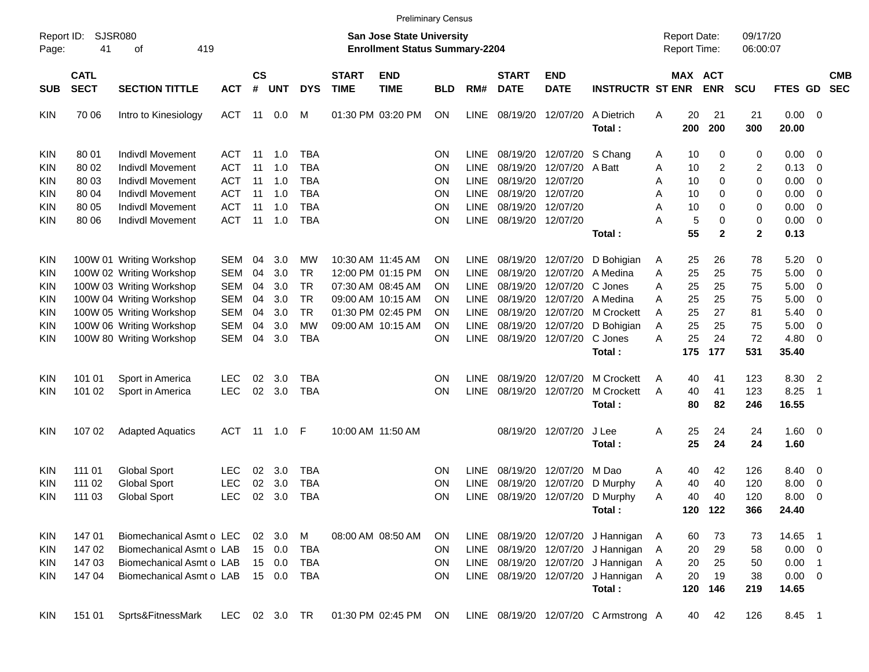|                                                                                   |                                                    |                                                                                                                                                                                                  |                                                                                                |                                        |                                               |                                                                                   |                                                                           | <b>Preliminary Census</b>                                                                                                  |                                        |                                                                                                       |                                                                                  |                                                                                  |                                                                                                |                                     |                                               |                                               |                                               |                                                               |                                                                                                         |                          |
|-----------------------------------------------------------------------------------|----------------------------------------------------|--------------------------------------------------------------------------------------------------------------------------------------------------------------------------------------------------|------------------------------------------------------------------------------------------------|----------------------------------------|-----------------------------------------------|-----------------------------------------------------------------------------------|---------------------------------------------------------------------------|----------------------------------------------------------------------------------------------------------------------------|----------------------------------------|-------------------------------------------------------------------------------------------------------|----------------------------------------------------------------------------------|----------------------------------------------------------------------------------|------------------------------------------------------------------------------------------------|-------------------------------------|-----------------------------------------------|-----------------------------------------------|-----------------------------------------------|---------------------------------------------------------------|---------------------------------------------------------------------------------------------------------|--------------------------|
| Report ID:<br>Page:                                                               | SJSR080<br>41                                      |                                                                                                                                                                                                  |                                                                                                |                                        |                                               |                                                                                   | <b>San Jose State University</b><br><b>Enrollment Status Summary-2204</b> |                                                                                                                            |                                        |                                                                                                       |                                                                                  |                                                                                  |                                                                                                | <b>Report Date:</b><br>Report Time: |                                               | 09/17/20<br>06:00:07                          |                                               |                                                               |                                                                                                         |                          |
| <b>SUB</b>                                                                        | <b>CATL</b><br><b>SECT</b>                         | <b>SECTION TITTLE</b>                                                                                                                                                                            | <b>ACT</b>                                                                                     | $\mathsf{cs}$<br>$\#$                  | <b>UNT</b>                                    | <b>DYS</b>                                                                        | <b>START</b><br><b>TIME</b>                                               | <b>END</b><br><b>TIME</b>                                                                                                  | <b>BLD</b>                             | RM#                                                                                                   | <b>START</b><br><b>DATE</b>                                                      | <b>END</b><br><b>DATE</b>                                                        | <b>INSTRUCTR ST ENR</b>                                                                        |                                     | MAX ACT                                       | <b>ENR</b>                                    | <b>SCU</b>                                    | FTES GD                                                       |                                                                                                         | <b>CMB</b><br><b>SEC</b> |
| KIN.                                                                              | 70 06                                              | Intro to Kinesiology                                                                                                                                                                             | ACT                                                                                            | -11                                    | 0.0                                           | M                                                                                 |                                                                           | 01:30 PM 03:20 PM                                                                                                          | ΟN                                     | <b>LINE</b>                                                                                           | 08/19/20                                                                         | 12/07/20                                                                         | A Dietrich<br>Total:                                                                           | Α                                   | 20<br>200                                     | 21<br>200                                     | 21<br>300                                     | $0.00 \t 0$<br>20.00                                          |                                                                                                         |                          |
| <b>KIN</b><br>KIN<br>KIN<br>KIN<br>KIN<br>KIN.                                    | 80 01<br>80 02<br>80 03<br>80 04<br>80 05<br>80 06 | Indivdl Movement<br><b>Indivdl Movement</b><br>Indivdl Movement<br>Indivdl Movement<br>Indivdl Movement<br>Indivdl Movement                                                                      | ACT<br><b>ACT</b><br><b>ACT</b><br><b>ACT</b><br><b>ACT</b><br><b>ACT</b>                      | -11<br>11<br>11<br>11<br>11<br>11      | 1.0<br>1.0<br>1.0<br>1.0<br>1.0<br>1.0        | TBA<br><b>TBA</b><br><b>TBA</b><br><b>TBA</b><br><b>TBA</b><br><b>TBA</b>         |                                                                           |                                                                                                                            | ON<br>ON<br>ON<br>ON<br>ON<br>ON       | <b>LINE</b><br><b>LINE</b><br><b>LINE</b><br><b>LINE</b><br><b>LINE</b><br><b>LINE</b>                | 08/19/20<br>08/19/20<br>08/19/20<br>08/19/20<br>08/19/20<br>08/19/20             | 12/07/20<br>12/07/20<br>12/07/20<br>12/07/20<br>12/07/20<br>12/07/20             | S Chang<br>A Batt                                                                              | A<br>Α<br>Α<br>Α<br>Α<br>А          | 10<br>10<br>10<br>10<br>10<br>5               | 0<br>2<br>0<br>0<br>0<br>0                    | 0<br>$\overline{c}$<br>0<br>0<br>0<br>0       | 0.00<br>0.13<br>0.00<br>0.00<br>0.00<br>0.00                  | $\overline{\phantom{0}}$<br>$\overline{0}$<br>- 0<br>$\overline{0}$<br>$\overline{0}$<br>$\overline{0}$ |                          |
|                                                                                   |                                                    |                                                                                                                                                                                                  |                                                                                                |                                        |                                               |                                                                                   |                                                                           |                                                                                                                            |                                        |                                                                                                       |                                                                                  |                                                                                  | Total:                                                                                         |                                     | 55                                            | $\overline{2}$                                | $\mathbf 2$                                   | 0.13                                                          |                                                                                                         |                          |
| <b>KIN</b><br><b>KIN</b><br><b>KIN</b><br>KIN.<br><b>KIN</b><br><b>KIN</b><br>KIN |                                                    | 100W 01 Writing Workshop<br>100W 02 Writing Workshop<br>100W 03 Writing Workshop<br>100W 04 Writing Workshop<br>100W 05 Writing Workshop<br>100W 06 Writing Workshop<br>100W 80 Writing Workshop | <b>SEM</b><br><b>SEM</b><br><b>SEM</b><br><b>SEM</b><br><b>SEM</b><br><b>SEM</b><br><b>SEM</b> | 04<br>04<br>04<br>04<br>04<br>04<br>04 | 3.0<br>3.0<br>3.0<br>3.0<br>3.0<br>3.0<br>3.0 | MW<br><b>TR</b><br><b>TR</b><br><b>TR</b><br><b>TR</b><br><b>MW</b><br><b>TBA</b> |                                                                           | 10:30 AM 11:45 AM<br>12:00 PM 01:15 PM<br>07:30 AM 08:45 AM<br>09:00 AM 10:15 AM<br>01:30 PM 02:45 PM<br>09:00 AM 10:15 AM | ΟN<br>ΟN<br>ΟN<br>ΟN<br>ΟN<br>ON<br>ON | <b>LINE</b><br><b>LINE</b><br><b>LINE</b><br><b>LINE</b><br><b>LINE</b><br><b>LINE</b><br><b>LINE</b> | 08/19/20<br>08/19/20<br>08/19/20<br>08/19/20<br>08/19/20<br>08/19/20<br>08/19/20 | 12/07/20<br>12/07/20<br>12/07/20<br>12/07/20<br>12/07/20<br>12/07/20<br>12/07/20 | D Bohigian<br>A Medina<br>C Jones<br>A Medina<br>M Crockett<br>D Bohigian<br>C Jones<br>Total: | A<br>A<br>Α<br>Α<br>A<br>Α<br>Α     | 25<br>25<br>25<br>25<br>25<br>25<br>25<br>175 | 26<br>25<br>25<br>25<br>27<br>25<br>24<br>177 | 78<br>75<br>75<br>75<br>81<br>75<br>72<br>531 | 5.20<br>5.00<br>5.00<br>5.00<br>5.40<br>5.00<br>4.80<br>35.40 | $\overline{\phantom{0}}$<br>- 0<br>- 0<br>- 0<br>$\overline{0}$<br>$\overline{0}$<br>- 0                |                          |
| <b>KIN</b><br>KIN                                                                 | 101 01<br>101 02                                   | Sport in America<br>Sport in America                                                                                                                                                             | <b>LEC</b><br><b>LEC</b>                                                                       | 02<br>02                               | 3.0<br>3.0                                    | TBA<br><b>TBA</b>                                                                 |                                                                           |                                                                                                                            | ΟN<br>ON                               | <b>LINE</b><br>LINE                                                                                   | 08/19/20<br>08/19/20                                                             | 12/07/20<br>12/07/20                                                             | <b>M</b> Crockett<br>M Crockett<br>Total:                                                      | Α<br>A                              | 40<br>40<br>80                                | 41<br>41<br>82                                | 123<br>123<br>246                             | 8.30<br>8.25<br>16.55                                         | $\overline{2}$<br>$\overline{1}$                                                                        |                          |
| KIN.                                                                              | 107 02                                             | <b>Adapted Aquatics</b>                                                                                                                                                                          | ACT                                                                                            | -11                                    | 1.0                                           | -F                                                                                |                                                                           | 10:00 AM 11:50 AM                                                                                                          |                                        |                                                                                                       | 08/19/20                                                                         | 12/07/20                                                                         | J Lee<br>Total:                                                                                | Α                                   | 25<br>25                                      | 24<br>24                                      | 24<br>24                                      | $1.60 \ 0$<br>1.60                                            |                                                                                                         |                          |
| <b>KIN</b><br>KIN<br>KIN.                                                         | 111 01<br>111 02<br>111 03                         | <b>Global Sport</b><br><b>Global Sport</b><br><b>Global Sport</b>                                                                                                                                | <b>LEC</b><br><b>LEC</b><br><b>LEC</b>                                                         | 02<br>02<br>02                         | 3.0<br>3.0<br>3.0                             | TBA<br><b>TBA</b><br><b>TBA</b>                                                   |                                                                           |                                                                                                                            | ΟN<br>ON<br>ON                         | <b>LINE</b><br>LINE<br><b>LINE</b>                                                                    | 08/19/20<br>08/19/20<br>08/19/20                                                 | 12/07/20<br>12/07/20<br>12/07/20                                                 | M Dao<br>D Murphy<br>D Murphy<br>Total:                                                        | Α<br>Α<br>A                         | 40<br>40<br>40                                | 42<br>40<br>40<br>120 122                     | 126<br>120<br>120<br>366                      | 8.40<br>8.00<br>8.00<br>24.40                                 | $\overline{\mathbf{0}}$<br>- 0<br>- 0                                                                   |                          |
| <b>KIN</b><br><b>KIN</b><br><b>KIN</b><br>KIN.                                    | 14701<br>147 02<br>147 03<br>147 04                | Biomechanical Asmt o LEC<br>Biomechanical Asmt o LAB<br>Biomechanical Asmt o LAB<br>Biomechanical Asmt o LAB                                                                                     |                                                                                                | 02                                     | 3.0<br>15 0.0<br>15 0.0<br>15 0.0             | M<br><b>TBA</b><br><b>TBA</b><br><b>TBA</b>                                       |                                                                           | 08:00 AM 08:50 AM                                                                                                          | <b>ON</b><br>ON<br>ON<br><b>ON</b>     | LINE                                                                                                  | LINE 08/19/20 12/07/20<br>LINE 08/19/20 12/07/20<br>LINE 08/19/20 12/07/20       |                                                                                  | 08/19/20 12/07/20 J Hannigan<br>J Hannigan<br>J Hannigan<br>J Hannigan A<br>Total:             | A<br>A<br>A                         | 60<br>20<br>20<br>20<br>120                   | 73<br>29<br>25<br>19<br>146                   | 73<br>58<br>50<br>38<br>219                   | 14.65 1<br>$0.00 \t 0$<br>$0.00$ 1<br>$0.00 \t 0$<br>14.65    |                                                                                                         |                          |
| <b>KIN</b>                                                                        | 151 01                                             | Sprts&FitnessMark                                                                                                                                                                                | LEC                                                                                            |                                        | 02 3.0 TR                                     |                                                                                   |                                                                           | 01:30 PM 02:45 PM                                                                                                          | ON                                     |                                                                                                       |                                                                                  |                                                                                  | LINE 08/19/20 12/07/20 C Armstrong A                                                           |                                     | 40                                            | 42                                            | 126                                           | 8.45 1                                                        |                                                                                                         |                          |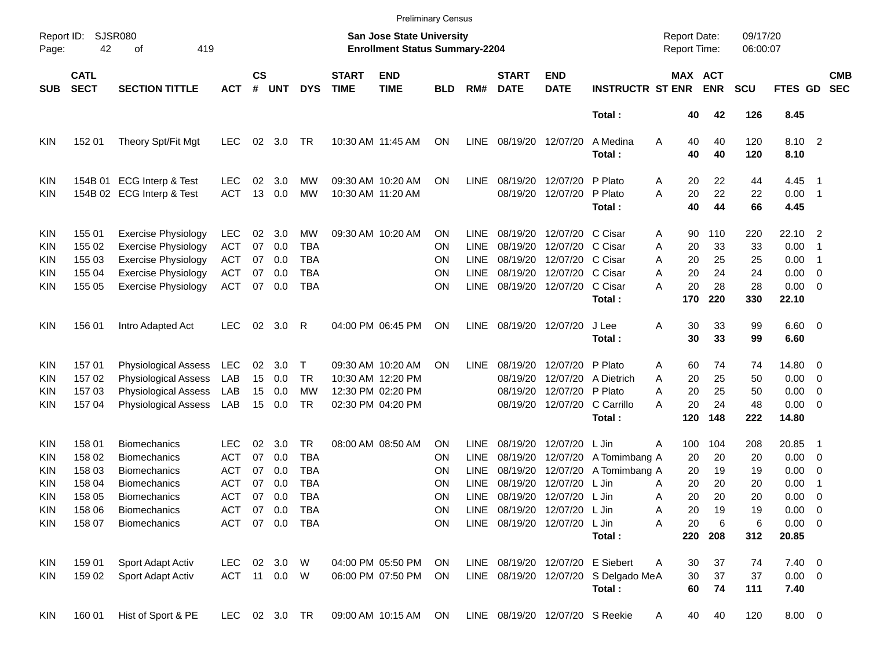|                                                             |                                                                    |                                                                                                                                                        |                                                                                         |                                  |                                                  |                                                                          |                             |                                                                                  | <b>Preliminary Census</b>               |                                                                         |                                                                                                        |                                                                                           |                                                                                    |                                                                         |                                               |                                               |                                                                              |                                                                                                           |
|-------------------------------------------------------------|--------------------------------------------------------------------|--------------------------------------------------------------------------------------------------------------------------------------------------------|-----------------------------------------------------------------------------------------|----------------------------------|--------------------------------------------------|--------------------------------------------------------------------------|-----------------------------|----------------------------------------------------------------------------------|-----------------------------------------|-------------------------------------------------------------------------|--------------------------------------------------------------------------------------------------------|-------------------------------------------------------------------------------------------|------------------------------------------------------------------------------------|-------------------------------------------------------------------------|-----------------------------------------------|-----------------------------------------------|------------------------------------------------------------------------------|-----------------------------------------------------------------------------------------------------------|
| Page:                                                       | <b>SJSR080</b><br>Report ID:<br>42<br>419<br>оf                    |                                                                                                                                                        |                                                                                         |                                  |                                                  |                                                                          |                             | <b>San Jose State University</b><br><b>Enrollment Status Summary-2204</b>        |                                         |                                                                         |                                                                                                        |                                                                                           |                                                                                    | <b>Report Date:</b><br>Report Time:                                     |                                               | 09/17/20<br>06:00:07                          |                                                                              |                                                                                                           |
| <b>SUB</b>                                                  | <b>CATL</b><br><b>SECT</b>                                         | <b>SECTION TITTLE</b>                                                                                                                                  | <b>ACT</b>                                                                              | $\mathsf{cs}$<br>#               | <b>UNT</b>                                       | <b>DYS</b>                                                               | <b>START</b><br><b>TIME</b> | <b>END</b><br><b>TIME</b>                                                        | BLD                                     | RM#                                                                     | <b>START</b><br><b>DATE</b>                                                                            | <b>END</b><br><b>DATE</b>                                                                 | <b>INSTRUCTR ST ENR</b>                                                            |                                                                         | MAX ACT<br><b>ENR</b>                         | <b>SCU</b>                                    | FTES GD                                                                      | <b>CMB</b><br><b>SEC</b>                                                                                  |
|                                                             |                                                                    |                                                                                                                                                        |                                                                                         |                                  |                                                  |                                                                          |                             |                                                                                  |                                         |                                                                         |                                                                                                        |                                                                                           | Total:                                                                             | 40                                                                      | 42                                            | 126                                           | 8.45                                                                         |                                                                                                           |
| KIN                                                         | 152 01                                                             | Theory Spt/Fit Mgt                                                                                                                                     | <b>LEC</b>                                                                              | 02                               | 3.0                                              | TR                                                                       |                             | 10:30 AM 11:45 AM                                                                | ON                                      | <b>LINE</b>                                                             | 08/19/20                                                                                               | 12/07/20                                                                                  | A Medina<br>Total:                                                                 | Α<br>40<br>40                                                           | 40<br>40                                      | 120<br>120                                    | 8.10 2<br>8.10                                                               |                                                                                                           |
| KIN<br>KIN                                                  | 154B 01                                                            | <b>ECG Interp &amp; Test</b><br>154B 02 ECG Interp & Test                                                                                              | <b>LEC</b><br><b>ACT</b>                                                                | 02<br>13                         | 3.0<br>0.0                                       | MW<br>MW                                                                 |                             | 09:30 AM 10:20 AM<br>10:30 AM 11:20 AM                                           | ΟN                                      | <b>LINE</b>                                                             | 08/19/20<br>08/19/20                                                                                   | 12/07/20<br>12/07/20                                                                      | P Plato<br>P Plato<br>Total:                                                       | 20<br>Α<br>A<br>20<br>40                                                | 22<br>22<br>44                                | 44<br>22<br>66                                | 4.45<br>0.00<br>4.45                                                         | - 1<br>$\overline{\phantom{1}}$                                                                           |
| KIN<br>KIN<br>KIN<br>KIN<br>KIN                             | 155 01<br>155 02<br>155 03<br>155 04<br>155 05                     | <b>Exercise Physiology</b><br><b>Exercise Physiology</b><br><b>Exercise Physiology</b><br><b>Exercise Physiology</b><br><b>Exercise Physiology</b>     | <b>LEC</b><br><b>ACT</b><br>ACT<br>ACT<br><b>ACT</b>                                    | 02<br>07<br>07<br>07<br>07       | 3.0<br>0.0<br>0.0<br>0.0<br>0.0                  | MW<br><b>TBA</b><br>TBA<br><b>TBA</b><br><b>TBA</b>                      |                             | 09:30 AM 10:20 AM                                                                | ΟN<br>ON<br>ΟN<br>ΟN<br>ΟN              | <b>LINE</b><br><b>LINE</b><br><b>LINE</b><br><b>LINE</b><br><b>LINE</b> | 08/19/20<br>08/19/20<br>08/19/20<br>08/19/20                                                           | 12/07/20 C Cisar<br>12/07/20<br>12/07/20 C Cisar<br>12/07/20 C Cisar<br>08/19/20 12/07/20 | C Cisar<br>C Cisar<br>Total:                                                       | 90<br>Α<br>Α<br>20<br>20<br>A<br>20<br>Α<br>A<br>20<br>170              | 110<br>33<br>25<br>24<br>28<br>220            | 220<br>33<br>25<br>24<br>28<br>330            | 22.10<br>0.00<br>0.00<br>0.00<br>0.00<br>22.10                               | $\overline{\phantom{0}}^2$<br>-1<br>$\overline{1}$<br>$\overline{\mathbf{0}}$<br>$\overline{\phantom{0}}$ |
| KIN                                                         | 156 01                                                             | Intro Adapted Act                                                                                                                                      | <b>LEC</b>                                                                              | 02                               | 3.0                                              | R                                                                        |                             | 04:00 PM 06:45 PM                                                                | ΟN                                      | <b>LINE</b>                                                             |                                                                                                        | 08/19/20 12/07/20                                                                         | J Lee<br>Total:                                                                    | Α<br>30<br>30                                                           | 33<br>33                                      | 99<br>99                                      | $6.60$ 0<br>6.60                                                             |                                                                                                           |
| KIN<br>KIN<br>KIN<br>KIN                                    | 15701<br>157 02<br>157 03<br>15704                                 | Physiological Assess<br><b>Physiological Assess</b><br>Physiological Assess<br>Physiological Assess                                                    | LEC<br>LAB<br>LAB<br>LAB                                                                | 02<br>15<br>15<br>15             | 3.0<br>0.0<br>0.0<br>0.0                         | Т<br><b>TR</b><br>МW<br>TR                                               |                             | 09:30 AM 10:20 AM<br>10:30 AM 12:20 PM<br>12:30 PM 02:20 PM<br>02:30 PM 04:20 PM | ON                                      | <b>LINE</b>                                                             | 08/19/20<br>08/19/20<br>08/19/20                                                                       | 12/07/20<br>12/07/20<br>12/07/20 P Plato<br>08/19/20 12/07/20                             | P Plato<br>A Dietrich<br>C Carrillo<br>Total:                                      | 60<br>Α<br>20<br>A<br>20<br>Α<br>20<br>А<br>120                         | 74<br>25<br>25<br>24<br>148                   | 74<br>50<br>50<br>48<br>222                   | 14.80 0<br>0.00<br>0.00<br>0.00<br>14.80                                     | $\overline{\phantom{0}}$<br>$\overline{\mathbf{0}}$<br>$\overline{\phantom{0}}$                           |
| KIN<br>KIN<br>KIN<br>KIN<br>KIN<br><b>KIN</b><br><b>KIN</b> | 158 01<br>158 02<br>158 03<br>158 04<br>158 05<br>158 06<br>158 07 | <b>Biomechanics</b><br><b>Biomechanics</b><br><b>Biomechanics</b><br><b>Biomechanics</b><br><b>Biomechanics</b><br>Biomechanics<br><b>Biomechanics</b> | LEC<br><b>ACT</b><br><b>ACT</b><br><b>ACT</b><br><b>ACT</b><br><b>ACT</b><br><b>ACT</b> | 02<br>07<br>07<br>07<br>07<br>07 | 3.0<br>0.0<br>0.0<br>0.0<br>0.0<br>0.0<br>07 0.0 | TR<br><b>TBA</b><br><b>TBA</b><br><b>TBA</b><br><b>TBA</b><br>TBA<br>TBA |                             | 08:00 AM 08:50 AM                                                                | ΟN<br>ΟN<br>ΟN<br>ΟN<br>ΟN<br>ON<br>ON. | <b>LINE</b><br><b>LINE</b><br><b>LINE</b><br><b>LINE</b><br><b>LINE</b> | 08/19/20<br>08/19/20<br>08/19/20<br>08/19/20<br>LINE 08/19/20 12/07/20 L Jin<br>LINE 08/19/20 12/07/20 | 12/07/20<br>12/07/20<br>12/07/20<br>12/07/20<br>08/19/20 12/07/20                         | L Jin<br>A Tomimbang A<br>A Tomimbang A<br>L Jin<br>L Jin<br>L Jin<br>Total:       | 100<br>Α<br>20<br>20<br>20<br>Α<br>20<br>Α<br>20<br>Α<br>20<br>Α<br>220 | 104<br>20<br>19<br>20<br>20<br>19<br>6<br>208 | 208<br>20<br>19<br>20<br>20<br>19<br>6<br>312 | 20.85<br>0.00<br>0.00<br>0.00<br>0.00<br>$0.00 \t 0$<br>$0.00 \t 0$<br>20.85 | - 1<br>$\overline{\phantom{0}}$<br>$\overline{\phantom{0}}$<br>-1<br>- 0                                  |
| <b>KIN</b><br>KIN.                                          | 159 01<br>159 02                                                   | Sport Adapt Activ<br>Sport Adapt Activ                                                                                                                 | LEC<br>ACT 11 0.0 W                                                                     |                                  | 02 3.0 W                                         |                                                                          |                             | 04:00 PM 05:50 PM<br>06:00 PM 07:50 PM                                           | ON<br>ON                                |                                                                         |                                                                                                        |                                                                                           | LINE 08/19/20 12/07/20 E Siebert<br>LINE 08/19/20 12/07/20 S Delgado MeA<br>Total: | 30<br>Α<br>30<br>60                                                     | 37<br>37<br>74                                | 74<br>37<br>111                               | $7.40 \ 0$<br>$0.00 \t 0$<br>7.40                                            |                                                                                                           |
| KIN                                                         | 160 01                                                             | Hist of Sport & PE                                                                                                                                     | LEC.                                                                                    |                                  | 02 3.0 TR                                        |                                                                          |                             | 09:00 AM 10:15 AM                                                                | ON                                      |                                                                         | LINE 08/19/20 12/07/20 S Reekie                                                                        |                                                                                           |                                                                                    | 40<br>A                                                                 | 40                                            | 120                                           | 8.00 0                                                                       |                                                                                                           |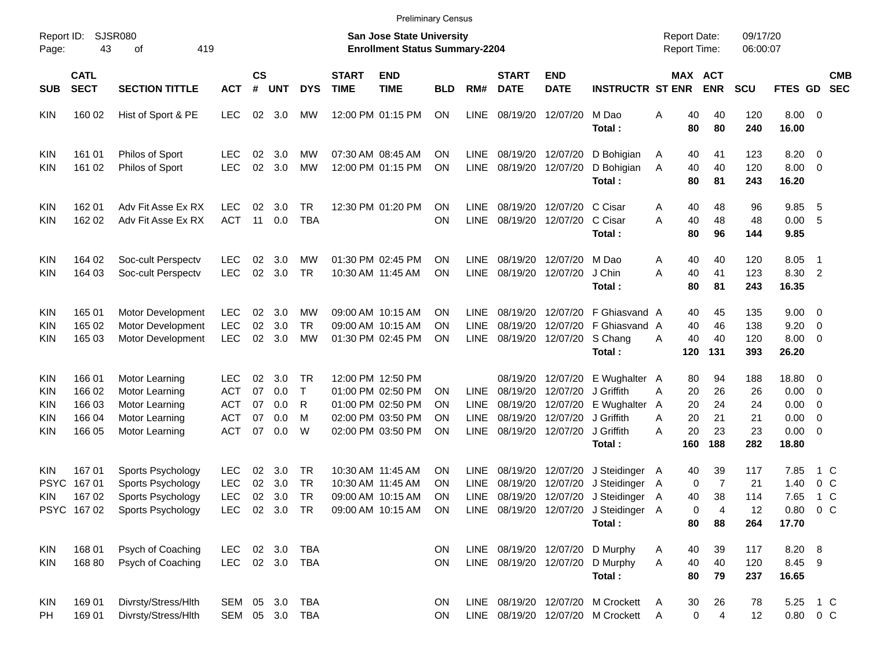| Page:                                                       | <b>SJSR080</b><br>Report ID:<br>43<br>419<br>οf |                                                                                        |                                                                    |                            |                                 |                               |                             | <b>San Jose State University</b><br><b>Enrollment Status Summary-2204</b>                             |                                                  |                                                          |                                                          |                                                          |                                                                                    | <b>Report Date:</b><br><b>Report Time:</b>        |                                   | 09/17/20<br>06:00:07               |                                                |                                                                                                                                      |                          |
|-------------------------------------------------------------|-------------------------------------------------|----------------------------------------------------------------------------------------|--------------------------------------------------------------------|----------------------------|---------------------------------|-------------------------------|-----------------------------|-------------------------------------------------------------------------------------------------------|--------------------------------------------------|----------------------------------------------------------|----------------------------------------------------------|----------------------------------------------------------|------------------------------------------------------------------------------------|---------------------------------------------------|-----------------------------------|------------------------------------|------------------------------------------------|--------------------------------------------------------------------------------------------------------------------------------------|--------------------------|
| <b>SUB</b>                                                  | <b>CATL</b><br><b>SECT</b>                      | <b>SECTION TITTLE</b>                                                                  | <b>ACT</b>                                                         | $\mathsf{cs}$<br>#         | <b>UNT</b>                      | <b>DYS</b>                    | <b>START</b><br><b>TIME</b> | <b>END</b><br><b>TIME</b>                                                                             | <b>BLD</b>                                       | RM#                                                      | <b>START</b><br><b>DATE</b>                              | <b>END</b><br><b>DATE</b>                                | <b>INSTRUCTR ST ENR</b>                                                            | MAX ACT                                           | <b>ENR</b>                        | <b>SCU</b>                         | FTES GD                                        |                                                                                                                                      | <b>CMB</b><br><b>SEC</b> |
| <b>KIN</b>                                                  | 160 02                                          | Hist of Sport & PE                                                                     | <b>LEC</b>                                                         | 02                         | 3.0                             | МW                            |                             | 12:00 PM 01:15 PM                                                                                     | <b>ON</b>                                        | <b>LINE</b>                                              | 08/19/20                                                 | 12/07/20                                                 | M Dao<br>Total:                                                                    | 40<br>Α<br>80                                     | 40<br>80                          | 120<br>240                         | $8.00 \ 0$<br>16.00                            |                                                                                                                                      |                          |
| <b>KIN</b><br><b>KIN</b>                                    | 161 01<br>161 02                                | Philos of Sport<br>Philos of Sport                                                     | <b>LEC</b><br><b>LEC</b>                                           | 02<br>02                   | 3.0<br>3.0                      | МW<br><b>MW</b>               |                             | 07:30 AM 08:45 AM<br>12:00 PM 01:15 PM                                                                | <b>ON</b><br><b>ON</b>                           | LINE<br><b>LINE</b>                                      | 08/19/20<br>08/19/20                                     | 12/07/20<br>12/07/20                                     | D Bohigian<br>D Bohigian<br>Total:                                                 | 40<br>A<br>40<br>A<br>80                          | 41<br>40<br>81                    | 123<br>120<br>243                  | 8.20<br>8.00<br>16.20                          | $\overline{\mathbf{0}}$<br>$\overline{\mathbf{0}}$                                                                                   |                          |
| <b>KIN</b><br><b>KIN</b>                                    | 162 01<br>162 02                                | Adv Fit Asse Ex RX<br>Adv Fit Asse Ex RX                                               | LEC<br><b>ACT</b>                                                  | 02<br>11                   | 3.0<br>0.0                      | <b>TR</b><br><b>TBA</b>       |                             | 12:30 PM 01:20 PM                                                                                     | <b>ON</b><br><b>ON</b>                           | <b>LINE</b><br><b>LINE</b>                               | 08/19/20<br>08/19/20                                     | 12/07/20<br>12/07/20                                     | C Cisar<br>C Cisar<br>Total:                                                       | Α<br>40<br>A<br>40<br>80                          | 48<br>48<br>96                    | 96<br>48<br>144                    | 9.85<br>0.00<br>9.85                           | - 5<br>-5                                                                                                                            |                          |
| <b>KIN</b><br><b>KIN</b>                                    | 164 02<br>164 03                                | Soc-cult Perspectv<br>Soc-cult Perspectv                                               | <b>LEC</b><br><b>LEC</b>                                           | 02<br>02                   | 3.0<br>3.0                      | МW<br><b>TR</b>               |                             | 01:30 PM 02:45 PM<br>10:30 AM 11:45 AM                                                                | <b>ON</b><br><b>ON</b>                           | <b>LINE</b><br><b>LINE</b>                               | 08/19/20<br>08/19/20                                     | 12/07/20<br>12/07/20                                     | M Dao<br>J Chin<br>Total:                                                          | Α<br>40<br>40<br>A<br>80                          | 40<br>41<br>81                    | 120<br>123<br>243                  | 8.05<br>8.30<br>16.35                          | $\overline{1}$<br>$\overline{2}$                                                                                                     |                          |
| <b>KIN</b><br><b>KIN</b><br>KIN                             | 165 01<br>165 02<br>165 03                      | Motor Development<br>Motor Development<br>Motor Development                            | <b>LEC</b><br><b>LEC</b><br><b>LEC</b>                             | 02<br>02<br>02             | 3.0<br>3.0<br>3.0               | МW<br><b>TR</b><br><b>MW</b>  |                             | 09:00 AM 10:15 AM<br>09:00 AM 10:15 AM<br>01:30 PM 02:45 PM                                           | <b>ON</b><br><b>ON</b><br><b>ON</b>              | <b>LINE</b><br><b>LINE</b><br><b>LINE</b>                | 08/19/20<br>08/19/20<br>08/19/20                         | 12/07/20<br>12/07/20<br>12/07/20                         | F Ghiasvand A<br>F Ghiasvand A<br>S Chang<br>Total:                                | 40<br>40<br>40<br>Α<br>120                        | 45<br>46<br>40<br>131             | 135<br>138<br>120<br>393           | 9.00<br>9.20<br>8.00<br>26.20                  | $\overline{\phantom{0}}$<br>$\overline{\mathbf{0}}$<br>$\overline{\mathbf{0}}$                                                       |                          |
| <b>KIN</b><br><b>KIN</b><br><b>KIN</b><br>KIN<br><b>KIN</b> | 166 01<br>166 02<br>166 03<br>166 04<br>166 05  | Motor Learning<br>Motor Learning<br>Motor Learning<br>Motor Learning<br>Motor Learning | <b>LEC</b><br><b>ACT</b><br><b>ACT</b><br><b>ACT</b><br><b>ACT</b> | 02<br>07<br>07<br>07<br>07 | 3.0<br>0.0<br>0.0<br>0.0<br>0.0 | . TR<br>$\top$<br>R<br>M<br>W |                             | 12:00 PM 12:50 PM<br>01:00 PM 02:50 PM<br>01:00 PM 02:50 PM<br>02:00 PM 03:50 PM<br>02:00 PM 03:50 PM | ΟN<br><b>ON</b><br><b>ON</b><br><b>ON</b>        | <b>LINE</b><br><b>LINE</b><br><b>LINE</b><br><b>LINE</b> | 08/19/20<br>08/19/20<br>08/19/20<br>08/19/20<br>08/19/20 | 12/07/20<br>12/07/20<br>12/07/20<br>12/07/20<br>12/07/20 | E Wughalter A<br>J Griffith<br>E Wughalter A<br>J Griffith<br>J Griffith<br>Total: | 80<br>A<br>20<br>20<br>20<br>Α<br>20<br>A<br>160  | 94<br>26<br>24<br>21<br>23<br>188 | 188<br>26<br>24<br>21<br>23<br>282 | 18.80<br>0.00<br>0.00<br>0.00<br>0.00<br>18.80 | $\overline{\phantom{0}}$<br>$\overline{\mathbf{0}}$<br>$\overline{\mathbf{0}}$<br>$\overline{\mathbf{0}}$<br>$\overline{\mathbf{0}}$ |                          |
| <b>KIN</b><br><b>PSYC</b><br>KIN.<br><b>PSYC</b>            | 167 01<br>167 01<br>167 02<br>16702             | Sports Psychology<br>Sports Psychology<br>Sports Psychology<br>Sports Psychology       | <b>LEC</b><br><b>LEC</b><br><b>LEC</b><br><b>LEC</b>               | 02<br>02<br>02<br>02       | 3.0<br>3.0<br>3.0<br>3.0        | TR<br>TR<br>TR<br><b>TR</b>   |                             | 10:30 AM 11:45 AM<br>10:30 AM 11:45 AM<br>09:00 AM 10:15 AM<br>09:00 AM 10:15 AM                      | <b>ON</b><br><b>ON</b><br><b>ON</b><br><b>ON</b> | LINE<br>LINE<br><b>LINE</b><br><b>LINE</b>               | 08/19/20<br>08/19/20<br>08/19/20<br>08/19/20             | 12/07/20<br>12/07/20<br>12/07/20<br>12/07/20             | J Steidinger<br>J Steidinger<br>J Steidinger<br>J Steidinger A<br>Total:           | A<br>40<br>$\mathbf 0$<br>A<br>40<br>A<br>0<br>80 | 39<br>7<br>38<br>4<br>88          | 117<br>21<br>114<br>12<br>264      | 7.85<br>1.40<br>7.65<br>0.80<br>17.70          | 1 C<br>0 <sup>o</sup><br>$1\,C$<br>0 <sup>o</sup>                                                                                    |                          |
| <b>KIN</b><br><b>KIN</b>                                    | 168 01<br>168 80                                | Psych of Coaching<br>Psych of Coaching                                                 | <b>LEC</b><br><b>LEC</b>                                           | 02                         | 3.0<br>02 3.0                   | <b>TBA</b><br>TBA             |                             |                                                                                                       | <b>ON</b><br>ON                                  |                                                          | LINE 08/19/20 12/07/20                                   |                                                          | LINE 08/19/20 12/07/20 D Murphy<br>D Murphy<br>Total:                              | 40<br>A<br>40<br>A<br>80                          | 39<br>40<br>79                    | 117<br>120<br>237                  | 8.20 8<br>8.45<br>16.65                        | - 9                                                                                                                                  |                          |
| <b>KIN</b><br>PH                                            | 169 01<br>169 01                                | Divrsty/Stress/Hlth<br>Divrsty/Stress/Hlth                                             | SEM 05<br>SEM 05 3.0                                               |                            | 3.0                             | <b>TBA</b><br><b>TBA</b>      |                             |                                                                                                       | ON<br>ON                                         |                                                          |                                                          |                                                          | LINE 08/19/20 12/07/20 M Crockett<br>LINE 08/19/20 12/07/20 M Crockett             | A<br>30<br>0<br>A                                 | 26<br>4                           | 78<br>12                           | 5.25<br>0.80 0 C                               | 1 C                                                                                                                                  |                          |

Preliminary Census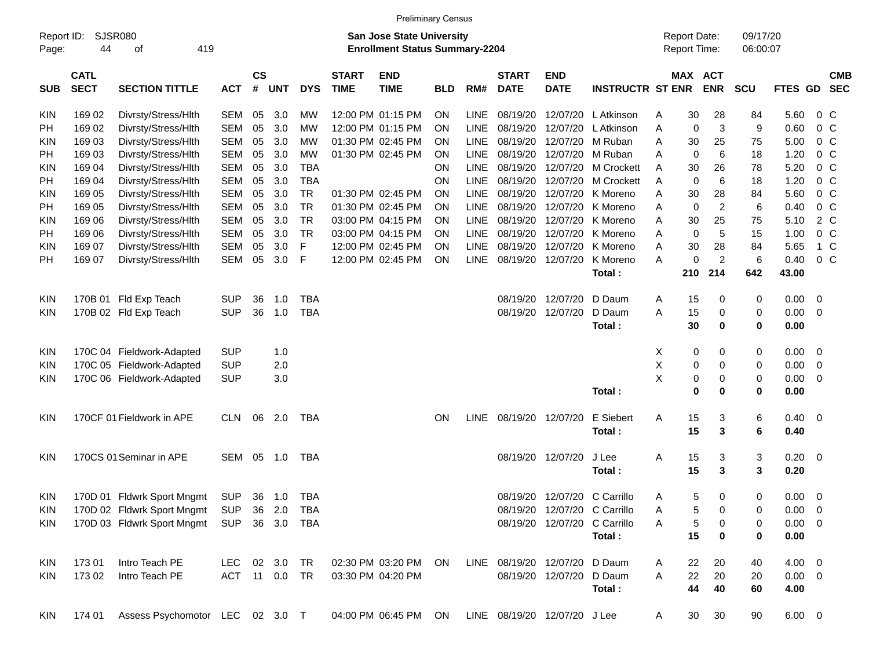|                     |                            |                                           |                |                    |            |            |                             |                                                                           | <b>Preliminary Census</b> |             |                             |                              |                              |                                     |                |                      |                |                         |                          |
|---------------------|----------------------------|-------------------------------------------|----------------|--------------------|------------|------------|-----------------------------|---------------------------------------------------------------------------|---------------------------|-------------|-----------------------------|------------------------------|------------------------------|-------------------------------------|----------------|----------------------|----------------|-------------------------|--------------------------|
| Report ID:<br>Page: | 44                         | <b>SJSR080</b><br>419<br>οf               |                |                    |            |            |                             | <b>San Jose State University</b><br><b>Enrollment Status Summary-2204</b> |                           |             |                             |                              |                              | <b>Report Date:</b><br>Report Time: |                | 09/17/20<br>06:00:07 |                |                         |                          |
| <b>SUB</b>          | <b>CATL</b><br><b>SECT</b> | <b>SECTION TITTLE</b>                     | <b>ACT</b>     | $\mathsf{cs}$<br># | <b>UNT</b> | <b>DYS</b> | <b>START</b><br><b>TIME</b> | <b>END</b><br><b>TIME</b>                                                 | <b>BLD</b>                | RM#         | <b>START</b><br><b>DATE</b> | <b>END</b><br><b>DATE</b>    | <b>INSTRUCTR ST ENR</b>      | <b>MAX ACT</b>                      | <b>ENR</b>     | <b>SCU</b>           | FTES GD        |                         | <b>CMB</b><br><b>SEC</b> |
| <b>KIN</b>          | 169 02                     | Divrsty/Stress/Hlth                       | <b>SEM</b>     | 05                 | 3.0        | MW         |                             | 12:00 PM 01:15 PM                                                         | <b>ON</b>                 | <b>LINE</b> | 08/19/20                    | 12/07/20                     | L Atkinson                   | 30<br>Α                             | 28             | 84                   | 5.60           | 0 <sup>o</sup>          |                          |
| РH                  | 169 02                     | Divrsty/Stress/Hlth                       | <b>SEM</b>     | 05                 | 3.0        | МW         |                             | 12:00 PM 01:15 PM                                                         | <b>ON</b>                 | <b>LINE</b> | 08/19/20                    | 12/07/20                     | L Atkinson                   | 0<br>A                              | 3              | 9                    | 0.60           | 0 <sup>o</sup>          |                          |
| KIN                 | 169 03                     | Divrsty/Stress/Hlth                       | <b>SEM</b>     | 05                 | 3.0        | МW         |                             | 01:30 PM 02:45 PM                                                         | <b>ON</b>                 | <b>LINE</b> | 08/19/20                    | 12/07/20                     | M Ruban                      | 30<br>Α                             | 25             | 75                   | 5.00           | 0 <sup>o</sup>          |                          |
| PH                  | 169 03                     | Divrsty/Stress/Hlth                       | <b>SEM</b>     | 05                 | 3.0        | <b>MW</b>  |                             | 01:30 PM 02:45 PM                                                         | <b>ON</b>                 | <b>LINE</b> | 08/19/20                    | 12/07/20                     | M Ruban                      | $\mathbf 0$<br>A                    | 6              | 18                   | 1.20           | 0 <sup>o</sup>          |                          |
| <b>KIN</b>          | 169 04                     | Divrsty/Stress/Hlth                       | <b>SEM</b>     | 05                 | 3.0        | <b>TBA</b> |                             |                                                                           | <b>ON</b>                 | <b>LINE</b> | 08/19/20                    | 12/07/20                     | M Crockett                   | 30<br>Α                             | 26             | 78                   | 5.20           | 0 <sup>o</sup>          |                          |
| PH                  | 169 04                     | Divrsty/Stress/Hlth                       | <b>SEM</b>     | 05                 | 3.0        | <b>TBA</b> |                             |                                                                           | <b>ON</b>                 | <b>LINE</b> | 08/19/20                    | 12/07/20                     | <b>M</b> Crockett            | $\mathbf 0$<br>A                    | 6              | 18                   | 1.20           | 0 <sup>o</sup>          |                          |
| <b>KIN</b>          | 169 05                     | Divrsty/Stress/Hlth                       | <b>SEM</b>     | 05                 | 3.0        | <b>TR</b>  |                             | 01:30 PM 02:45 PM                                                         | <b>ON</b>                 | <b>LINE</b> | 08/19/20                    | 12/07/20                     | K Moreno                     | 30<br>A                             | 28             | 84                   | 5.60           | 0 <sup>o</sup>          |                          |
| PH                  | 169 05                     | Divrsty/Stress/Hlth                       | <b>SEM</b>     | 05                 | 3.0        | <b>TR</b>  |                             | 01:30 PM 02:45 PM                                                         | <b>ON</b>                 | <b>LINE</b> | 08/19/20                    | 12/07/20                     | K Moreno                     | $\mathbf 0$<br>Α                    | $\overline{c}$ | 6                    | 0.40           | 0 <sup>o</sup>          |                          |
| <b>KIN</b>          | 169 06                     | Divrsty/Stress/Hlth                       | <b>SEM</b>     | 05                 | 3.0        | <b>TR</b>  |                             | 03:00 PM 04:15 PM                                                         | <b>ON</b>                 | <b>LINE</b> | 08/19/20                    | 12/07/20                     | K Moreno                     | 30<br>A                             | 25             | 75                   | 5.10           | 2 C                     |                          |
| PH                  | 169 06                     | Divrsty/Stress/Hlth                       | <b>SEM</b>     | 05                 | 3.0        | <b>TR</b>  |                             | 03:00 PM 04:15 PM                                                         | <b>ON</b>                 | <b>LINE</b> | 08/19/20                    | 12/07/20                     | K Moreno                     | $\mathbf 0$<br>A                    | 5              | 15                   | 1.00           | 0 <sup>o</sup>          |                          |
| <b>KIN</b>          | 169 07                     | Divrsty/Stress/Hlth                       | <b>SEM</b>     | 05                 | 3.0        | F          |                             | 12:00 PM 02:45 PM                                                         | <b>ON</b>                 | <b>LINE</b> | 08/19/20                    | 12/07/20                     | K Moreno                     | 30<br>Α                             | 28             | 84                   | 5.65           | $1\,C$                  |                          |
| PH                  | 169 07                     | Divrsty/Stress/Hlth                       | <b>SEM</b>     | 05                 | 3.0        | F          |                             | 12:00 PM 02:45 PM                                                         | <b>ON</b>                 | <b>LINE</b> | 08/19/20                    | 12/07/20                     | K Moreno                     | $\mathbf 0$<br>A                    | $\overline{c}$ | 6                    | 0.40           | 0 <sup>o</sup>          |                          |
|                     |                            |                                           |                |                    |            |            |                             |                                                                           |                           |             |                             |                              | Total:                       | 210                                 | 214            | 642                  | 43.00          |                         |                          |
| <b>KIN</b>          |                            | 170B 01 Fld Exp Teach                     | <b>SUP</b>     | 36                 | 1.0        | <b>TBA</b> |                             |                                                                           |                           |             | 08/19/20                    | 12/07/20                     | D Daum                       | 15<br>A                             | 0              | 0                    | 0.00           | 0                       |                          |
| <b>KIN</b>          |                            | 170B 02 Fld Exp Teach                     | <b>SUP</b>     | 36                 | 1.0        | <b>TBA</b> |                             |                                                                           |                           |             | 08/19/20                    | 12/07/20                     | D Daum                       | 15<br>Α                             | 0              | 0                    | 0.00           | $\mathbf 0$             |                          |
|                     |                            |                                           |                |                    |            |            |                             |                                                                           |                           |             |                             |                              | Total:                       | 30                                  | 0              | $\bf{0}$             | 0.00           |                         |                          |
| <b>KIN</b>          |                            | 170C 04 Fieldwork-Adapted                 | <b>SUP</b>     |                    | 1.0        |            |                             |                                                                           |                           |             |                             |                              |                              | X<br>0                              | 0              | 0                    | 0.00           | 0                       |                          |
| <b>KIN</b>          |                            | 170C 05 Fieldwork-Adapted                 | <b>SUP</b>     |                    | 2.0        |            |                             |                                                                           |                           |             |                             |                              |                              | Χ<br>0                              | 0              | 0                    | 0.00           | $\mathbf 0$             |                          |
| <b>KIN</b>          |                            | 170C 06 Fieldwork-Adapted                 | <b>SUP</b>     |                    | 3.0        |            |                             |                                                                           |                           |             |                             |                              |                              | X<br>0                              | 0              | 0                    | 0.00           | 0                       |                          |
|                     |                            |                                           |                |                    |            |            |                             |                                                                           |                           |             |                             |                              | Total:                       | $\mathbf 0$                         | 0              | $\mathbf 0$          | 0.00           |                         |                          |
| <b>KIN</b>          |                            | 170CF 01 Fieldwork in APE                 | <b>CLN</b>     | 06                 | 2.0        | TBA        |                             |                                                                           | <b>ON</b>                 | <b>LINE</b> |                             | 08/19/20 12/07/20            | E Siebert                    | 15<br>Α                             | 3              | 6                    | 0.40           | $\overline{\mathbf{0}}$ |                          |
|                     |                            |                                           |                |                    |            |            |                             |                                                                           |                           |             |                             |                              | Total:                       | 15                                  | 3              | 6                    | 0.40           |                         |                          |
| <b>KIN</b>          |                            | 170CS 01 Seminar in APE                   | SEM            | 05                 | 1.0        | TBA        |                             |                                                                           |                           |             |                             | 08/19/20 12/07/20            | J Lee                        | 15<br>Α                             | 3              | 3                    | 0.20           | $\overline{\mathbf{0}}$ |                          |
|                     |                            |                                           |                |                    |            |            |                             |                                                                           |                           |             |                             |                              | Total:                       | 15                                  | 3              | 3                    | 0.20           |                         |                          |
| <b>KIN</b>          |                            | 170D 01 Fldwrk Sport Mngmt                | SUP            | 36                 | 1.0        | TBA        |                             |                                                                           |                           |             |                             | 08/19/20 12/07/20            | C Carrillo                   | 5<br>Α                              | 0              | 0                    | 0.00           | $\overline{0}$          |                          |
| <b>KIN</b>          |                            | 170D 02 Fldwrk Sport Mngmt SUP 36 2.0 TBA |                |                    |            |            |                             |                                                                           |                           |             |                             |                              | 08/19/20 12/07/20 C Carrillo | 5<br>A                              | 0              | 0                    | $0.00 \quad 0$ |                         |                          |
| <b>KIN</b>          |                            | 170D 03 Fldwrk Sport Mngmt                | SUP 36 3.0 TBA |                    |            |            |                             |                                                                           |                           |             |                             |                              | 08/19/20 12/07/20 C Carrillo | 5<br>Α                              | 0              | 0                    | $0.00 \t 0$    |                         |                          |
|                     |                            |                                           |                |                    |            |            |                             |                                                                           |                           |             |                             |                              | Total:                       | 15                                  | 0              | 0                    | 0.00           |                         |                          |
| KIN                 | 17301                      | Intro Teach PE                            | LEC 02 3.0     |                    |            | TR         |                             | 02:30 PM 03:20 PM                                                         | ON                        |             | LINE 08/19/20 12/07/20      |                              | D Daum                       | 22<br>A                             | 20             | 40                   | $4.00 \t 0$    |                         |                          |
| KIN                 | 173 02                     | Intro Teach PE                            | ACT 11 0.0 TR  |                    |            |            |                             | 03:30 PM 04:20 PM                                                         |                           |             |                             | 08/19/20 12/07/20            | D Daum                       | A<br>22                             | 20             | 20                   | $0.00 \t 0$    |                         |                          |
|                     |                            |                                           |                |                    |            |            |                             |                                                                           |                           |             |                             |                              | Total:                       | 44                                  | 40             | 60                   | 4.00           |                         |                          |
| KIN                 | 174 01                     | Assess Psychomotor LEC 02 3.0 T           |                |                    |            |            |                             | 04:00 PM 06:45 PM ON                                                      |                           |             |                             | LINE 08/19/20 12/07/20 J Lee |                              | 30<br>A                             | 30             | 90                   | $6.00 \t 0$    |                         |                          |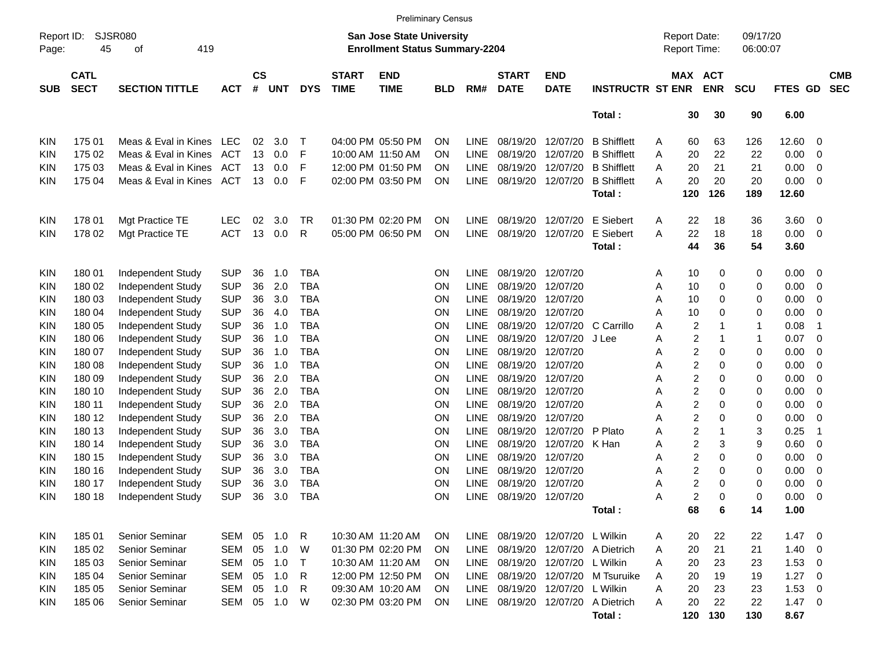|                     |                            |                       |            |                    |            |              |                                                                    |                           | <b>Preliminary Census</b> |             |                             |                            |                              |                                     |     |                       |             |             |                          |                          |
|---------------------|----------------------------|-----------------------|------------|--------------------|------------|--------------|--------------------------------------------------------------------|---------------------------|---------------------------|-------------|-----------------------------|----------------------------|------------------------------|-------------------------------------|-----|-----------------------|-------------|-------------|--------------------------|--------------------------|
| Report ID:<br>Page: | SJSR080<br>45              |                       |            |                    |            |              | San Jose State University<br><b>Enrollment Status Summary-2204</b> |                           |                           |             |                             |                            |                              | <b>Report Date:</b><br>Report Time: |     | 09/17/20<br>06:00:07  |             |             |                          |                          |
| <b>SUB</b>          | <b>CATL</b><br><b>SECT</b> | <b>SECTION TITTLE</b> | <b>ACT</b> | $\mathsf{cs}$<br># | <b>UNT</b> | <b>DYS</b>   | <b>START</b><br><b>TIME</b>                                        | <b>END</b><br><b>TIME</b> | <b>BLD</b>                | RM#         | <b>START</b><br><b>DATE</b> | <b>END</b><br><b>DATE</b>  | <b>INSTRUCTR ST ENR</b>      |                                     |     | MAX ACT<br><b>ENR</b> | <b>SCU</b>  | FTES GD     |                          | <b>CMB</b><br><b>SEC</b> |
|                     |                            |                       |            |                    |            |              |                                                                    |                           |                           |             |                             |                            | Total:                       |                                     | 30  | 30                    | 90          | 6.00        |                          |                          |
| KIN                 | 175 01                     | Meas & Eval in Kines  | LEC        | 02                 | 3.0        | т            |                                                                    | 04:00 PM 05:50 PM         | OΝ                        | LINE        | 08/19/20                    | 12/07/20                   | <b>B</b> Shifflett           | A                                   | 60  | 63                    | 126         | 12.60       | 0                        |                          |
| KIN                 | 175 02                     | Meas & Eval in Kines  | ACT        | 13                 | 0.0        | F            |                                                                    | 10:00 AM 11:50 AM         | OΝ                        | LINE        | 08/19/20                    | 12/07/20                   | <b>B</b> Shifflett           | Α                                   | 20  | 22                    | 22          | 0.00        | 0                        |                          |
| KIN                 | 175 03                     | Meas & Eval in Kines  | ACT        | 13                 | 0.0        | F            |                                                                    | 12:00 PM 01:50 PM         | OΝ                        | <b>LINE</b> | 08/19/20                    | 12/07/20                   | <b>B</b> Shifflett           | A                                   | 20  | 21                    | 21          | 0.00        | 0                        |                          |
| KIN                 | 175 04                     | Meas & Eval in Kines  | ACT        | 13                 | 0.0        | F            |                                                                    | 02:00 PM 03:50 PM         | <b>ON</b>                 | <b>LINE</b> | 08/19/20                    | 12/07/20                   | <b>B</b> Shifflett           | A                                   | 20  | 20                    | 20          | 0.00        | 0                        |                          |
|                     |                            |                       |            |                    |            |              |                                                                    |                           |                           |             |                             |                            | Total:                       |                                     | 120 | 126                   | 189         | 12.60       |                          |                          |
| KIN                 | 178 01                     | Mgt Practice TE       | <b>LEC</b> | 02                 | 3.0        | TR.          |                                                                    | 01:30 PM 02:20 PM         | <b>ON</b>                 | LINE        | 08/19/20                    | 12/07/20                   | E Siebert                    | Α                                   | 22  | 18                    | 36          | 3.60        | 0                        |                          |
| KIN                 | 178 02                     | Mgt Practice TE       | <b>ACT</b> | 13                 | 0.0        | R            |                                                                    | 05:00 PM 06:50 PM         | <b>ON</b>                 | LINE        | 08/19/20                    | 12/07/20                   | E Siebert                    | Α                                   | 22  | 18                    | 18          | 0.00        | 0                        |                          |
|                     |                            |                       |            |                    |            |              |                                                                    |                           |                           |             |                             |                            | Total:                       |                                     | 44  | 36                    | 54          | 3.60        |                          |                          |
| KIN                 | 180 01                     | Independent Study     | <b>SUP</b> | 36                 | 1.0        | <b>TBA</b>   |                                                                    |                           | <b>ON</b>                 | LINE        | 08/19/20                    | 12/07/20                   |                              | A                                   | 10  | 0                     | 0           | 0.00        | 0                        |                          |
| KIN                 | 180 02                     | Independent Study     | <b>SUP</b> | 36                 | 2.0        | <b>TBA</b>   |                                                                    |                           | <b>ON</b>                 | LINE        | 08/19/20                    | 12/07/20                   |                              | Α                                   | 10  | 0                     | 0           | 0.00        | 0                        |                          |
| KIN                 | 180 03                     | Independent Study     | <b>SUP</b> | 36                 | 3.0        | <b>TBA</b>   |                                                                    |                           | <b>ON</b>                 | <b>LINE</b> | 08/19/20                    | 12/07/20                   |                              | Α                                   | 10  | 0                     | 0           | 0.00        | 0                        |                          |
| KIN                 | 180 04                     | Independent Study     | <b>SUP</b> | 36                 | 4.0        | <b>TBA</b>   |                                                                    |                           | <b>ON</b>                 | <b>LINE</b> | 08/19/20                    | 12/07/20                   |                              | A                                   | 10  | 0                     | 0           | 0.00        | 0                        |                          |
| KIN                 | 180 05                     | Independent Study     | <b>SUP</b> | 36                 | 1.0        | <b>TBA</b>   |                                                                    |                           | <b>ON</b>                 | <b>LINE</b> | 08/19/20                    | 12/07/20                   | C Carrillo                   | A                                   | 2   |                       | $\mathbf 1$ | 0.08        | -1                       |                          |
| KIN                 | 180 06                     | Independent Study     | <b>SUP</b> | 36                 | 1.0        | <b>TBA</b>   |                                                                    |                           | <b>ON</b>                 | <b>LINE</b> | 08/19/20                    | 12/07/20                   | J Lee                        | Α                                   | 2   |                       | $\mathbf 1$ | 0.07        | 0                        |                          |
| KIN                 | 180 07                     | Independent Study     | <b>SUP</b> | 36                 | 1.0        | <b>TBA</b>   |                                                                    |                           | <b>ON</b>                 | <b>LINE</b> | 08/19/20                    | 12/07/20                   |                              | Α                                   | 2   | 0                     | 0           | 0.00        | 0                        |                          |
| KIN                 | 180 08                     | Independent Study     | <b>SUP</b> | 36                 | 1.0        | <b>TBA</b>   |                                                                    |                           | <b>ON</b>                 | LINE        | 08/19/20                    | 12/07/20                   |                              | Α                                   | 2   | 0                     | 0           | 0.00        | 0                        |                          |
| KIN                 | 180 09                     | Independent Study     | <b>SUP</b> | 36                 | 2.0        | <b>TBA</b>   |                                                                    |                           | <b>ON</b>                 | <b>LINE</b> | 08/19/20                    | 12/07/20                   |                              | Α                                   | 2   | 0                     | 0           | 0.00        | 0                        |                          |
| KIN                 | 180 10                     | Independent Study     | <b>SUP</b> | 36                 | 2.0        | <b>TBA</b>   |                                                                    |                           | <b>ON</b>                 | <b>LINE</b> | 08/19/20                    | 12/07/20                   |                              | Α                                   | 2   | 0                     | 0           | 0.00        | 0                        |                          |
| KIN                 | 180 11                     | Independent Study     | <b>SUP</b> | 36                 | 2.0        | <b>TBA</b>   |                                                                    |                           | <b>ON</b>                 | LINE        | 08/19/20                    | 12/07/20                   |                              | Α                                   | 2   | 0                     | 0           | 0.00        | 0                        |                          |
| KIN                 | 180 12                     | Independent Study     | <b>SUP</b> | 36                 | 2.0        | <b>TBA</b>   |                                                                    |                           | <b>ON</b>                 | <b>LINE</b> | 08/19/20                    | 12/07/20                   |                              | Α                                   | 2   | 0                     | 0           | 0.00        | 0                        |                          |
|                     | 180 13                     |                       | <b>SUP</b> | 36                 | 3.0        | <b>TBA</b>   |                                                                    |                           | <b>ON</b>                 | <b>LINE</b> | 08/19/20                    | 12/07/20                   | P Plato                      | Α                                   | 2   |                       | 3           | 0.25        | -1                       |                          |
| KIN                 |                            | Independent Study     |            |                    |            | <b>TBA</b>   |                                                                    |                           |                           |             |                             |                            |                              |                                     |     |                       |             |             |                          |                          |
| KIN                 | 180 14                     | Independent Study     | <b>SUP</b> | 36                 | 3.0        |              |                                                                    |                           | <b>ON</b>                 | <b>LINE</b> | 08/19/20                    | 12/07/20 K Han             |                              | Α                                   | 2   | 3                     | 9           | 0.60        | 0                        |                          |
| KIN                 | 180 15                     | Independent Study     | <b>SUP</b> | 36                 | 3.0        | <b>TBA</b>   |                                                                    |                           | <b>ON</b>                 | <b>LINE</b> | 08/19/20                    | 12/07/20                   |                              | Α                                   | 2   | 0                     | 0           | 0.00        | 0                        |                          |
| KIN                 | 180 16                     | Independent Study     | <b>SUP</b> | 36                 | 3.0        | <b>TBA</b>   |                                                                    |                           | <b>ON</b>                 | <b>LINE</b> | 08/19/20                    | 12/07/20                   |                              | Α                                   | 2   | 0                     | 0           | 0.00        | 0                        |                          |
| KIN                 | 180 17                     | Independent Study     | <b>SUP</b> | 36                 | 3.0        | <b>TBA</b>   |                                                                    |                           | <b>ON</b>                 | <b>LINE</b> | 08/19/20                    | 12/07/20                   |                              | Α                                   | 2   | 0                     | 0           | 0.00        | 0                        |                          |
| KIN                 | 180 18                     | Independent Study     | <b>SUP</b> | 36                 | 3.0        | <b>TBA</b>   |                                                                    |                           | <b>ON</b>                 | LINE        |                             | 08/19/20 12/07/20          |                              | Α                                   | 2   | 0                     | 0           | 0.00        | $\mathbf 0$              |                          |
|                     |                            |                       |            |                    |            |              |                                                                    |                           |                           |             |                             |                            | Total:                       |                                     | 68  | 6                     | 14          | 1.00        |                          |                          |
| KIN                 | 185 01                     | Senior Seminar        | SEM        |                    | 05 1.0     | R            |                                                                    | 10:30 AM 11:20 AM         | ON.                       | LINE        |                             | 08/19/20 12/07/20 L Wilkin |                              | A                                   | 20  | 22                    | 22          | $1.47 \ 0$  |                          |                          |
| <b>KIN</b>          | 185 02                     | Senior Seminar        | SEM        | 05                 | 1.0        | W            |                                                                    | 01:30 PM 02:20 PM         | ON                        | <b>LINE</b> |                             |                            | 08/19/20 12/07/20 A Dietrich | A                                   | 20  | 21                    | 21          | $1.40 \ 0$  |                          |                          |
| KIN                 | 185 03                     | Senior Seminar        | SEM        | 05                 | 1.0        | $\mathsf{T}$ |                                                                    | 10:30 AM 11:20 AM         | ON.                       | LINE        |                             | 08/19/20 12/07/20 L Wilkin |                              | A                                   | 20  | 23                    | 23          | 1.53        | $\overline{\phantom{0}}$ |                          |
| KIN                 | 185 04                     | Senior Seminar        | SEM        | 05                 | 1.0        | R            |                                                                    | 12:00 PM 12:50 PM         | <b>ON</b>                 | LINE        |                             |                            | 08/19/20 12/07/20 M Tsuruike | A                                   | 20  | 19                    | 19          | $1.27 \t 0$ |                          |                          |
| KIN                 | 185 05                     | Senior Seminar        | <b>SEM</b> | 05                 | 1.0        | R            |                                                                    | 09:30 AM 10:20 AM         | ON.                       | LINE        |                             | 08/19/20 12/07/20 L Wilkin |                              | Α                                   | 20  | 23                    | 23          | 1.53        | $\overline{\phantom{0}}$ |                          |
| KIN                 | 185 06                     | Senior Seminar        | SEM        |                    | 05 1.0     | W            |                                                                    | 02:30 PM 03:20 PM         | ON                        | LINE        |                             | 08/19/20 12/07/20          | A Dietrich                   | A                                   | 20  | 22                    | 22          | $1.47 \ 0$  |                          |                          |
|                     |                            |                       |            |                    |            |              |                                                                    |                           |                           |             |                             |                            | Total:                       |                                     | 120 | 130                   | 130         | 8.67        |                          |                          |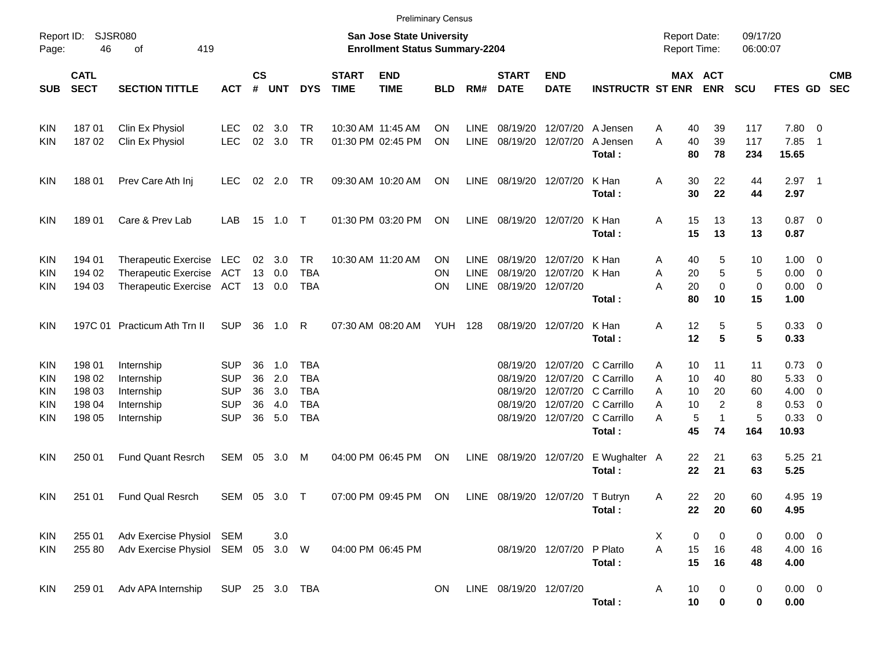|                                 |                                                |                                                                                         |                                                                    |                            |                                 |                                                                    |                             | <b>Preliminary Census</b>                                                 |                |                                           |                                              |                               |                                                                                                                                    |                                                     |                                                |                                 |                                                                 |                                                      |                          |
|---------------------------------|------------------------------------------------|-----------------------------------------------------------------------------------------|--------------------------------------------------------------------|----------------------------|---------------------------------|--------------------------------------------------------------------|-----------------------------|---------------------------------------------------------------------------|----------------|-------------------------------------------|----------------------------------------------|-------------------------------|------------------------------------------------------------------------------------------------------------------------------------|-----------------------------------------------------|------------------------------------------------|---------------------------------|-----------------------------------------------------------------|------------------------------------------------------|--------------------------|
| Report ID:<br>Page:             | 46                                             | SJSR080<br>419<br>οf                                                                    |                                                                    |                            |                                 |                                                                    |                             | <b>San Jose State University</b><br><b>Enrollment Status Summary-2204</b> |                |                                           |                                              |                               |                                                                                                                                    | <b>Report Date:</b><br><b>Report Time:</b>          |                                                | 09/17/20<br>06:00:07            |                                                                 |                                                      |                          |
| <b>SUB</b>                      | <b>CATL</b><br><b>SECT</b>                     | <b>SECTION TITTLE</b>                                                                   | <b>ACT</b>                                                         | <b>CS</b><br>#             | <b>UNT</b>                      | <b>DYS</b>                                                         | <b>START</b><br><b>TIME</b> | <b>END</b><br><b>TIME</b>                                                 | <b>BLD</b>     | RM#                                       | <b>START</b><br><b>DATE</b>                  | <b>END</b><br><b>DATE</b>     | <b>INSTRUCTR ST ENR</b>                                                                                                            |                                                     | MAX ACT<br><b>ENR</b>                          | <b>SCU</b>                      | FTES GD                                                         |                                                      | <b>CMB</b><br><b>SEC</b> |
| KIN<br>KIN                      | 18701<br>18702                                 | Clin Ex Physiol<br>Clin Ex Physiol                                                      | <b>LEC</b><br><b>LEC</b>                                           | 02<br>02                   | 3.0<br>3.0                      | TR<br><b>TR</b>                                                    |                             | 10:30 AM 11:45 AM<br>01:30 PM 02:45 PM                                    | ΟN<br>ON       | <b>LINE</b><br>LINE                       | 08/19/20                                     | 12/07/20<br>08/19/20 12/07/20 | A Jensen<br>A Jensen<br>Total:                                                                                                     | 40<br>Α<br>40<br>A<br>80                            | 39<br>39<br>78                                 | 117<br>117<br>234               | 7.80 0<br>7.85<br>15.65                                         | $\overline{1}$                                       |                          |
| KIN                             | 18801                                          | Prev Care Ath Inj                                                                       | <b>LEC</b>                                                         |                            | 02 2.0 TR                       |                                                                    |                             | 09:30 AM 10:20 AM                                                         | ON             | LINE                                      | 08/19/20 12/07/20                            |                               | K Han<br>Total:                                                                                                                    | 30<br>Α<br>30                                       | 22<br>22                                       | 44<br>44                        | $2.97$ 1<br>2.97                                                |                                                      |                          |
| KIN                             | 18901                                          | Care & Prev Lab                                                                         | LAB                                                                |                            |                                 |                                                                    |                             | 01:30 PM 03:20 PM                                                         | ON             | LINE                                      | 08/19/20 12/07/20                            |                               | K Han<br>Total:                                                                                                                    | 15<br>Α<br>15                                       | 13<br>13                                       | 13<br>13                        | $0.87$ 0<br>0.87                                                |                                                      |                          |
| KIN<br>KIN<br>KIN               | 194 01<br>194 02<br>194 03                     | Therapeutic Exercise LEC<br>Therapeutic Exercise ACT<br>Therapeutic Exercise ACT 13 0.0 |                                                                    |                            | 02 3.0<br>13 0.0                | <b>TR</b><br><b>TBA</b><br>TBA                                     |                             | 10:30 AM 11:20 AM                                                         | ΟN<br>ΟN<br>ΟN | <b>LINE</b><br><b>LINE</b><br><b>LINE</b> | 08/19/20<br>08/19/20 12/07/20                | 08/19/20 12/07/20<br>12/07/20 | K Han<br>K Han<br>Total:                                                                                                           | 40<br>A<br>20<br>Α<br>A<br>20<br>80                 | 5<br>5<br>$\mathbf 0$<br>10                    | 10<br>5<br>0<br>15              | $1.00 \t 0$<br>$0.00 \t 0$<br>$0.00 \t 0$<br>1.00               |                                                      |                          |
| KIN                             |                                                | 197C 01 Practicum Ath Trn II                                                            | <b>SUP</b>                                                         | 36                         | 1.0                             | R                                                                  |                             | 07:30 AM 08:20 AM                                                         | YUH            | 128                                       |                                              | 08/19/20 12/07/20             | K Han<br>Total:                                                                                                                    | 12<br>Α<br>12                                       | 5<br>5                                         | 5<br>5                          | 0.33 0<br>0.33                                                  |                                                      |                          |
| KIN<br>KIN<br>KIN<br>KIN<br>KIN | 198 01<br>198 02<br>198 03<br>198 04<br>198 05 | Internship<br>Internship<br>Internship<br>Internship<br>Internship                      | <b>SUP</b><br><b>SUP</b><br><b>SUP</b><br><b>SUP</b><br><b>SUP</b> | 36<br>36<br>36<br>36<br>36 | 1.0<br>2.0<br>3.0<br>4.0<br>5.0 | <b>TBA</b><br><b>TBA</b><br><b>TBA</b><br><b>TBA</b><br><b>TBA</b> |                             |                                                                           |                |                                           | 08/19/20<br>08/19/20<br>08/19/20<br>08/19/20 |                               | 12/07/20 C Carrillo<br>12/07/20 C Carrillo<br>12/07/20 C Carrillo<br>12/07/20 C Carrillo<br>08/19/20 12/07/20 C Carrillo<br>Total: | 10<br>A<br>10<br>A<br>A<br>10<br>10<br>Α<br>Α<br>45 | 11<br>40<br>20<br>2<br>5<br>$\mathbf{1}$<br>74 | 11<br>80<br>60<br>8<br>5<br>164 | $0.73 \quad 0$<br>5.33<br>$4.00 \ 0$<br>0.53<br>0.33 0<br>10.93 | $\overline{\phantom{0}}$<br>$\overline{\phantom{0}}$ |                          |
| KIN                             | 250 01                                         | <b>Fund Quant Resrch</b>                                                                | SEM 05                                                             |                            | 3.0                             | M                                                                  |                             | 04:00 PM 06:45 PM                                                         | ON             | LINE                                      |                                              | 08/19/20 12/07/20             | E Wughalter A<br>Total:                                                                                                            | 22<br>22                                            | 21<br>21                                       | 63<br>63                        | 5.25 21<br>5.25                                                 |                                                      |                          |
| <b>KIN</b>                      | 251 01                                         | <b>Fund Qual Resrch</b>                                                                 | SEM 05 3.0                                                         |                            |                                 | $\top$                                                             |                             | 07:00 PM 09:45 PM                                                         | <b>ON</b>      | LINE                                      | 08/19/20 12/07/20 T Butryn                   |                               | Total:                                                                                                                             | 22<br>A                                             | 20<br>22<br>20                                 | 60<br>60                        | 4.95 19<br>4.95                                                 |                                                      |                          |
| KIN<br>KIN                      | 255 01<br>255 80                               | Adv Exercise Physiol SEM<br>Adv Exercise Physiol SEM 05 3.0 W                           |                                                                    |                            | 3.0                             |                                                                    |                             | 04:00 PM 06:45 PM                                                         |                |                                           |                                              | 08/19/20 12/07/20 P Plato     | Total:                                                                                                                             | X<br>A<br>15<br>15                                  | 0<br>0<br>16<br>16                             | 0<br>48<br>48                   | $0.00 \t 0$<br>4.00 16<br>4.00                                  |                                                      |                          |
| KIN                             | 259 01                                         | Adv APA Internship                                                                      | SUP 25 3.0 TBA                                                     |                            |                                 |                                                                    |                             |                                                                           | <b>ON</b>      |                                           | LINE 08/19/20 12/07/20                       |                               | Total:                                                                                                                             | 10<br>A<br>10                                       | 0<br>$\mathbf 0$                               | 0<br>0                          | $0.00 \t 0$<br>0.00                                             |                                                      |                          |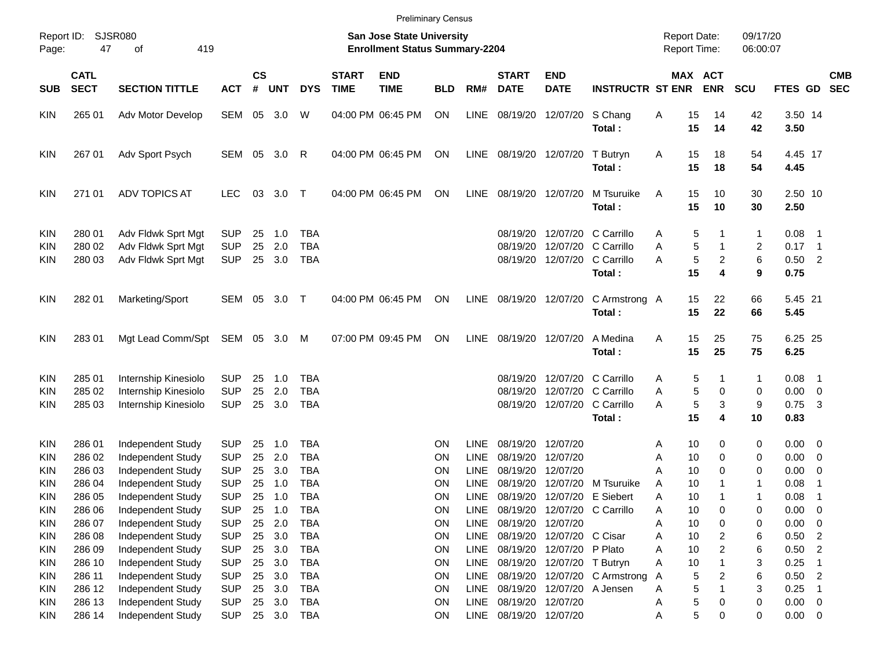| Page:                                                              | Report ID:<br>47                               | <b>SJSR080</b><br>419<br>οf                                                                           |                                                                    |                            |                                    |                                                                    |                             | <b>San Jose State University</b><br><b>Enrollment Status Summary-2204</b> |                                                        |                                                                         |                                                                   |                                                                                        |                                                      | <b>Report Date:</b><br><b>Report Time:</b>    |                                    | 09/17/20<br>06:00:07  |                                                        |                                                             |  |
|--------------------------------------------------------------------|------------------------------------------------|-------------------------------------------------------------------------------------------------------|--------------------------------------------------------------------|----------------------------|------------------------------------|--------------------------------------------------------------------|-----------------------------|---------------------------------------------------------------------------|--------------------------------------------------------|-------------------------------------------------------------------------|-------------------------------------------------------------------|----------------------------------------------------------------------------------------|------------------------------------------------------|-----------------------------------------------|------------------------------------|-----------------------|--------------------------------------------------------|-------------------------------------------------------------|--|
| <b>SUB</b>                                                         | <b>CATL</b><br><b>SECT</b>                     | <b>SECTION TITTLE</b>                                                                                 | <b>ACT</b>                                                         | $\mathsf{cs}$<br>#         | UNT                                | <b>DYS</b>                                                         | <b>START</b><br><b>TIME</b> | <b>END</b><br><b>TIME</b>                                                 | <b>BLD</b>                                             | RM#                                                                     | <b>START</b><br><b>DATE</b>                                       | <b>END</b><br><b>DATE</b>                                                              | <b>INSTRUCTR ST ENR</b>                              |                                               | MAX ACT<br><b>ENR</b>              | <b>SCU</b>            | FTES GD                                                | <b>CMB</b><br><b>SEC</b>                                    |  |
| <b>KIN</b>                                                         | 265 01                                         | Adv Motor Develop                                                                                     | SEM                                                                | 05                         | 3.0                                | W                                                                  |                             | 04:00 PM 06:45 PM                                                         | ON                                                     | LINE                                                                    | 08/19/20 12/07/20                                                 |                                                                                        | S Chang<br>Total:                                    | Α<br>15<br>15                                 | 14<br>14                           | 42<br>42              | 3.50 14<br>3.50                                        |                                                             |  |
| <b>KIN</b>                                                         | 267 01                                         | Adv Sport Psych                                                                                       | SEM 05                                                             |                            | 3.0                                | R                                                                  |                             | 04:00 PM 06:45 PM                                                         | <b>ON</b>                                              |                                                                         | LINE 08/19/20 12/07/20                                            |                                                                                        | T Butryn<br>Total:                                   | Α<br>15<br>15                                 | 18<br>18                           | 54<br>54              | 4.45 17<br>4.45                                        |                                                             |  |
| <b>KIN</b>                                                         | 271 01                                         | <b>ADV TOPICS AT</b>                                                                                  | <b>LEC</b>                                                         | 03                         | 3.0                                | $\top$                                                             |                             | 04:00 PM 06:45 PM                                                         | <b>ON</b>                                              | LINE                                                                    | 08/19/20 12/07/20                                                 |                                                                                        | M Tsuruike<br>Total:                                 | A<br>15<br>15                                 | 10<br>10                           | 30<br>30              | 2.50 10<br>2.50                                        |                                                             |  |
| <b>KIN</b><br><b>KIN</b><br>KIN.                                   | 280 01<br>280 02<br>280 03                     | Adv Fldwk Sprt Mgt<br>Adv Fldwk Sprt Mgt<br>Adv Fldwk Sprt Mgt                                        | <b>SUP</b><br><b>SUP</b><br><b>SUP</b>                             | 25<br>25<br>25             | 1.0<br>2.0<br>3.0                  | <b>TBA</b><br><b>TBA</b><br><b>TBA</b>                             |                             |                                                                           |                                                        |                                                                         | 08/19/20<br>08/19/20                                              | 08/19/20 12/07/20 C Carrillo                                                           | 12/07/20 C Carrillo<br>12/07/20 C Carrillo<br>Total: | A<br>A<br>A<br>15                             | 5<br>5<br>5<br>$\overline{2}$<br>4 | 1<br>2<br>6<br>9      | $0.08$ 1<br>$0.17$ 1<br>$0.50$ 2<br>0.75               |                                                             |  |
| <b>KIN</b>                                                         | 282 01                                         | Marketing/Sport                                                                                       | SEM 05                                                             |                            | 3.0                                | $\top$                                                             |                             | 04:00 PM 06:45 PM                                                         | <b>ON</b>                                              | LINE                                                                    | 08/19/20 12/07/20                                                 |                                                                                        | C Armstrong A<br>Total:                              | 15<br>15                                      | 22<br>22                           | 66<br>66              | 5.45 21<br>5.45                                        |                                                             |  |
| <b>KIN</b>                                                         | 283 01                                         | Mgt Lead Comm/Spt SEM 05                                                                              |                                                                    |                            | 3.0                                | M                                                                  |                             | 07:00 PM 09:45 PM                                                         | <b>ON</b>                                              | LINE                                                                    | 08/19/20 12/07/20                                                 |                                                                                        | A Medina<br>Total:                                   | Α<br>15<br>15                                 | 25<br>25                           | 75<br>75              | 6.25 25<br>6.25                                        |                                                             |  |
| <b>KIN</b><br><b>KIN</b><br><b>KIN</b>                             | 285 01<br>285 02<br>285 03                     | Internship Kinesiolo<br>Internship Kinesiolo<br>Internship Kinesiolo                                  | <b>SUP</b><br><b>SUP</b><br><b>SUP</b>                             | 25<br>25<br>25             | 1.0<br>2.0<br>3.0                  | <b>TBA</b><br><b>TBA</b><br><b>TBA</b>                             |                             |                                                                           |                                                        |                                                                         | 08/19/20<br>08/19/20                                              | 08/19/20 12/07/20 C Carrillo                                                           | 12/07/20 C Carrillo<br>12/07/20 C Carrillo<br>Total: | A<br>A<br>A<br>15                             | 5<br>5<br>0<br>5<br>3<br>4         | 1<br>0<br>9<br>10     | 0.08<br>$0.00 \t 0$<br>0.75<br>0.83                    | - 1<br>$\overline{\mathbf{3}}$                              |  |
| <b>KIN</b><br><b>KIN</b><br><b>KIN</b><br><b>KIN</b><br><b>KIN</b> | 286 01<br>286 02<br>286 03<br>286 04<br>286 05 | Independent Study<br>Independent Study<br>Independent Study<br>Independent Study<br>Independent Study | <b>SUP</b><br><b>SUP</b><br><b>SUP</b><br><b>SUP</b><br><b>SUP</b> | 25<br>25<br>25<br>25<br>25 | 1.0<br>2.0<br>3.0<br>1.0<br>1.0    | <b>TBA</b><br><b>TBA</b><br><b>TBA</b><br><b>TBA</b><br><b>TBA</b> |                             |                                                                           | <b>ON</b><br><b>ON</b><br><b>ON</b><br><b>ON</b><br>ΟN | <b>LINE</b><br><b>LINE</b><br><b>LINE</b><br><b>LINE</b><br><b>LINE</b> | 08/19/20 12/07/20<br>08/19/20<br>08/19/20<br>08/19/20<br>08/19/20 | 12/07/20<br>12/07/20<br>12/07/20                                                       | 12/07/20 M Tsuruike<br>E Siebert                     | 10<br>Α<br>10<br>Α<br>10<br>A<br>A<br>A<br>10 | 0<br>0<br>0<br>10                  | 0<br>0<br>0<br>1<br>1 | $0.00 \t 0$<br>$0.00 \t 0$<br>0.00<br>0.08<br>0.08     | $\overline{\mathbf{0}}$<br>$\overline{1}$<br>$\overline{1}$ |  |
| KIN<br><b>KIN</b><br><b>KIN</b><br>KIN                             | 286 06<br>286 07<br>286 08<br>286 09           | Independent Study<br>Independent Study<br>Independent Study<br>Independent Study                      | <b>SUP</b><br><b>SUP</b><br><b>SUP</b><br><b>SUP</b>               | 25<br>25<br>25<br>25       | 1.0<br>2.0<br>3.0<br>3.0           | <b>TBA</b><br><b>TBA</b><br><b>TBA</b><br><b>TBA</b>               |                             |                                                                           | ON<br>ON<br>ON<br>ON                                   | <b>LINE</b><br>LINE<br><b>LINE</b><br><b>LINE</b>                       | 08/19/20 12/07/20                                                 | 08/19/20 12/07/20 C Carrillo<br>08/19/20 12/07/20 C Cisar<br>08/19/20 12/07/20 P Plato |                                                      | Α<br>10<br>10<br>Α<br>10<br>Α<br>10<br>A      | 0<br>0<br>2<br>2                   | 0<br>0<br>6<br>6      | 0.00<br>0.00<br>$0.50$ 2<br>$0.50$ 2                   | $\overline{\phantom{0}}$<br>$\overline{\phantom{0}}$        |  |
| KIN<br>KIN<br>KIN<br>KIN<br><b>KIN</b>                             | 286 10<br>286 11<br>286 12<br>286 13<br>286 14 | Independent Study<br>Independent Study<br>Independent Study<br>Independent Study<br>Independent Study | <b>SUP</b><br><b>SUP</b><br><b>SUP</b><br><b>SUP</b><br><b>SUP</b> | 25<br>25<br>25<br>25       | 3.0<br>3.0<br>3.0<br>3.0<br>25 3.0 | <b>TBA</b><br><b>TBA</b><br><b>TBA</b><br><b>TBA</b><br>TBA        |                             |                                                                           | ON<br>ON<br>ON<br>ON<br>ON                             | <b>LINE</b><br><b>LINE</b><br><b>LINE</b><br><b>LINE</b>                | 08/19/20 12/07/20<br>LINE 08/19/20 12/07/20                       | 08/19/20 12/07/20 T Butryn<br>08/19/20 12/07/20 A Jensen                               | 08/19/20 12/07/20 C Armstrong                        | 10<br>Α<br>A<br>Α<br>A<br>Α                   | 2<br>5<br>5<br>5<br>0<br>5<br>0    | 3<br>6<br>3<br>0<br>0 | 0.25<br>$0.50$ 2<br>0.25<br>$0.00 \t 0$<br>$0.00 \t 0$ | $\overline{\phantom{1}}$<br>$\overline{\phantom{0}}$        |  |

Preliminary Census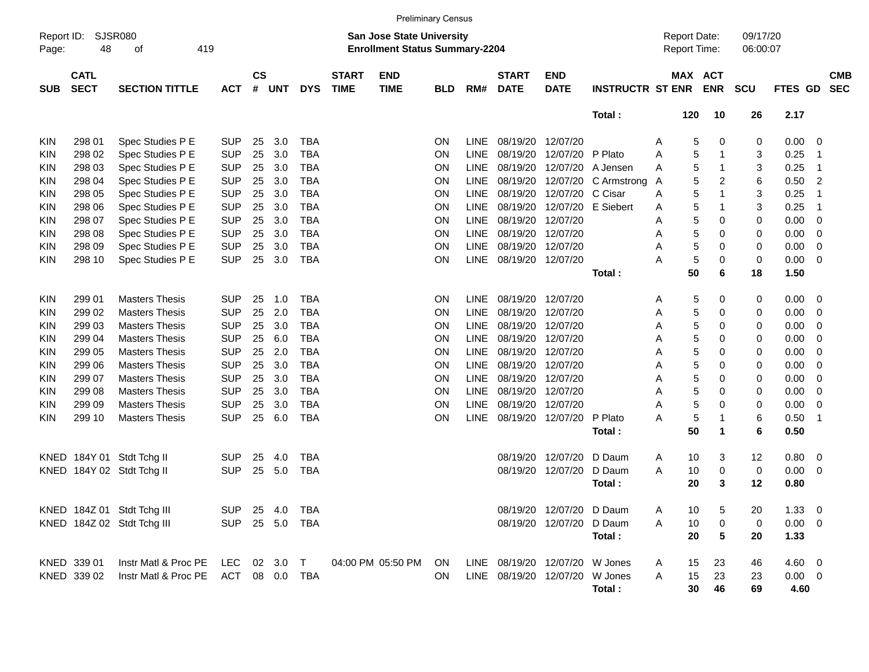|                     |                            |                                     |                |                    |                |            |                             |                                                                    | <b>Preliminary Census</b> |             |                             |                                |                         |   |                                            |             |                      |                |                         |                          |
|---------------------|----------------------------|-------------------------------------|----------------|--------------------|----------------|------------|-----------------------------|--------------------------------------------------------------------|---------------------------|-------------|-----------------------------|--------------------------------|-------------------------|---|--------------------------------------------|-------------|----------------------|----------------|-------------------------|--------------------------|
| Report ID:<br>Page: | 48                         | SJSR080<br>419<br>οf                |                |                    |                |            |                             | San Jose State University<br><b>Enrollment Status Summary-2204</b> |                           |             |                             |                                |                         |   | <b>Report Date:</b><br><b>Report Time:</b> |             | 09/17/20<br>06:00:07 |                |                         |                          |
| <b>SUB</b>          | <b>CATL</b><br><b>SECT</b> | <b>SECTION TITTLE</b>               | <b>ACT</b>     | $\mathsf{cs}$<br># | <b>UNT</b>     | <b>DYS</b> | <b>START</b><br><b>TIME</b> | <b>END</b><br><b>TIME</b>                                          | <b>BLD</b>                | RM#         | <b>START</b><br><b>DATE</b> | <b>END</b><br><b>DATE</b>      | <b>INSTRUCTR ST ENR</b> |   | MAX ACT                                    | <b>ENR</b>  | <b>SCU</b>           | <b>FTES GD</b> |                         | <b>CMB</b><br><b>SEC</b> |
|                     |                            |                                     |                |                    |                |            |                             |                                                                    |                           |             |                             |                                | Total:                  |   | 120                                        | 10          | 26                   | 2.17           |                         |                          |
| KIN                 | 298 01                     | Spec Studies P E                    | <b>SUP</b>     | 25                 | 3.0            | <b>TBA</b> |                             |                                                                    | ON                        | <b>LINE</b> | 08/19/20                    | 12/07/20                       |                         | Α | 5                                          | 0           | 0                    | 0.00           | - 0                     |                          |
| KIN                 | 298 02                     | Spec Studies P E                    | <b>SUP</b>     | 25                 | 3.0            | <b>TBA</b> |                             |                                                                    | ON                        | <b>LINE</b> | 08/19/20                    | 12/07/20 P Plato               |                         | A | 5                                          | $\mathbf 1$ | 3                    | 0.25           | -1                      |                          |
| KIN                 | 298 03                     | Spec Studies P E                    | <b>SUP</b>     | 25                 | 3.0            | <b>TBA</b> |                             |                                                                    | ON                        | <b>LINE</b> | 08/19/20                    | 12/07/20                       | A Jensen                | A | 5                                          | -1          | 3                    | 0.25           | -1                      |                          |
| KIN                 | 298 04                     | Spec Studies P E                    | <b>SUP</b>     | 25                 | 3.0            | <b>TBA</b> |                             |                                                                    | ON                        | <b>LINE</b> | 08/19/20                    | 12/07/20                       | C Armstrong             | A | 5                                          | 2           | 6                    | 0.50           | 2                       |                          |
| KIN                 | 298 05                     | Spec Studies P E                    | <b>SUP</b>     | 25                 | 3.0            | <b>TBA</b> |                             |                                                                    | ON                        | <b>LINE</b> | 08/19/20                    | 12/07/20                       | C Cisar                 | Α | 5                                          | 1           | 3                    | 0.25           | -1                      |                          |
| KIN                 | 298 06                     | Spec Studies P E                    | <b>SUP</b>     | 25                 | 3.0            | <b>TBA</b> |                             |                                                                    | ON                        | <b>LINE</b> | 08/19/20                    | 12/07/20                       | E Siebert               | Α | 5                                          | -1          | 3                    | 0.25           | -1                      |                          |
| KIN                 | 298 07                     | Spec Studies P E                    | <b>SUP</b>     | 25                 | 3.0            | <b>TBA</b> |                             |                                                                    | ON                        | <b>LINE</b> | 08/19/20                    | 12/07/20                       |                         | Α | 5                                          | 0           | 0                    | 0.00           | 0                       |                          |
| KIN                 | 298 08                     | Spec Studies P E                    | <b>SUP</b>     | 25                 | 3.0            | <b>TBA</b> |                             |                                                                    | ON                        | <b>LINE</b> | 08/19/20                    | 12/07/20                       |                         | A | 5                                          | 0           | 0                    | 0.00           | 0                       |                          |
| KIN                 | 298 09                     | Spec Studies P E                    | <b>SUP</b>     | 25                 | 3.0            | <b>TBA</b> |                             |                                                                    | ON                        | <b>LINE</b> | 08/19/20                    | 12/07/20                       |                         | A | 5                                          | 0           | 0                    | 0.00           | 0                       |                          |
| <b>KIN</b>          | 298 10                     | Spec Studies P E                    | <b>SUP</b>     | 25                 | 3.0            | <b>TBA</b> |                             |                                                                    | ON                        | <b>LINE</b> | 08/19/20                    | 12/07/20                       |                         | А | 5                                          | 0           | 0                    | 0.00           | - 0                     |                          |
|                     |                            |                                     |                |                    |                |            |                             |                                                                    |                           |             |                             |                                | Total:                  |   | 50                                         | 6           | 18                   | 1.50           |                         |                          |
| KIN                 | 299 01                     | <b>Masters Thesis</b>               | <b>SUP</b>     | 25                 | 1.0            | <b>TBA</b> |                             |                                                                    | ON                        | <b>LINE</b> | 08/19/20                    | 12/07/20                       |                         | Α | 5                                          | 0           | 0                    | 0.00           | - 0                     |                          |
| KIN                 | 299 02                     | <b>Masters Thesis</b>               | <b>SUP</b>     | 25                 | 2.0            | <b>TBA</b> |                             |                                                                    | ON                        | <b>LINE</b> | 08/19/20                    | 12/07/20                       |                         | Α | 5                                          | 0           | 0                    | 0.00           | 0                       |                          |
| KIN                 | 299 03                     | <b>Masters Thesis</b>               | <b>SUP</b>     | 25                 | 3.0            | <b>TBA</b> |                             |                                                                    | ON                        | <b>LINE</b> | 08/19/20                    | 12/07/20                       |                         | A | 5                                          | 0           | 0                    | 0.00           | 0                       |                          |
| KIN                 | 299 04                     | <b>Masters Thesis</b>               | <b>SUP</b>     | 25                 | 6.0            | <b>TBA</b> |                             |                                                                    | ON                        | <b>LINE</b> | 08/19/20                    | 12/07/20                       |                         | Α | 5                                          | 0           | 0                    | 0.00           | 0                       |                          |
| KIN                 | 299 05                     | <b>Masters Thesis</b>               | <b>SUP</b>     | 25                 | 2.0            | <b>TBA</b> |                             |                                                                    | ON                        | <b>LINE</b> | 08/19/20                    | 12/07/20                       |                         | Α | 5                                          | 0           | 0                    | 0.00           | 0                       |                          |
| KIN                 | 299 06                     | <b>Masters Thesis</b>               | <b>SUP</b>     | 25                 | 3.0            | <b>TBA</b> |                             |                                                                    | ON                        | <b>LINE</b> | 08/19/20                    | 12/07/20                       |                         | A | 5                                          | 0           | 0                    | 0.00           | 0                       |                          |
| KIN                 | 299 07                     | <b>Masters Thesis</b>               | <b>SUP</b>     | 25                 | 3.0            | <b>TBA</b> |                             |                                                                    | ON                        | <b>LINE</b> | 08/19/20                    | 12/07/20                       |                         | Α | 5                                          | 0           | 0                    | 0.00           | 0                       |                          |
| KIN                 | 299 08                     | <b>Masters Thesis</b>               | <b>SUP</b>     | 25                 | 3.0            | <b>TBA</b> |                             |                                                                    | ON                        | <b>LINE</b> | 08/19/20                    | 12/07/20                       |                         | Α | 5                                          | 0           | 0                    | 0.00           | 0                       |                          |
| KIN                 | 299 09                     | <b>Masters Thesis</b>               | <b>SUP</b>     | 25                 | 3.0            | <b>TBA</b> |                             |                                                                    | ON                        | <b>LINE</b> | 08/19/20                    | 12/07/20                       |                         | Α | 5                                          | 0           | 0                    | 0.00           | 0                       |                          |
| <b>KIN</b>          | 299 10                     | <b>Masters Thesis</b>               | <b>SUP</b>     | 25                 | 6.0            | <b>TBA</b> |                             |                                                                    | ON                        | <b>LINE</b> | 08/19/20                    | 12/07/20                       | P Plato                 | А | 5                                          | -1          | 6                    | 0.50           | -1                      |                          |
|                     |                            |                                     |                |                    |                |            |                             |                                                                    |                           |             |                             |                                | Total:                  |   | 50                                         | $\mathbf 1$ | 6                    | 0.50           |                         |                          |
| KNED                |                            | 184Y 01 Stdt Tchg II                | <b>SUP</b>     | 25                 | 4.0            | <b>TBA</b> |                             |                                                                    |                           |             | 08/19/20                    | 12/07/20                       | D Daum                  | Α | 10                                         | 3           | 12                   | 0.80           | $\overline{\mathbf{0}}$ |                          |
|                     |                            | KNED 184Y 02 Stdt Tchg II           | <b>SUP</b>     | 25                 | 5.0            | <b>TBA</b> |                             |                                                                    |                           |             | 08/19/20                    | 12/07/20                       | D Daum                  | A | 10                                         | 0           | 0                    | 0.00           | $\overline{\mathbf{0}}$ |                          |
|                     |                            |                                     |                |                    |                |            |                             |                                                                    |                           |             |                             |                                | Total:                  |   | 20                                         | 3           | 12                   | 0.80           |                         |                          |
|                     |                            | KNED 184Z 01 Stdt Tchg III          | SUP 25 4.0 TBA |                    |                |            |                             |                                                                    |                           |             |                             | 08/19/20 12/07/20 D Daum       |                         | Α | 10                                         | $\sqrt{5}$  | 20                   | $1.33 \ 0$     |                         |                          |
|                     |                            | KNED 184Z 02 Stdt Tchg III          |                |                    | SUP 25 5.0 TBA |            |                             |                                                                    |                           |             |                             | 08/19/20 12/07/20 D Daum       |                         | Α | 10                                         | 0           | 0                    | $0.00 \t 0$    |                         |                          |
|                     |                            |                                     |                |                    |                |            |                             |                                                                    |                           |             |                             |                                | Total:                  |   | 20                                         | 5           | 20                   | 1.33           |                         |                          |
|                     | KNED 339 01                | Instr Matl & Proc PE LEC 02 3.0 T   |                |                    |                |            |                             | 04:00 PM 05:50 PM                                                  | ON                        |             |                             | LINE 08/19/20 12/07/20 W Jones |                         | A | 15                                         | 23          | 46                   | $4.60$ 0       |                         |                          |
|                     | KNED 339 02                | Instr Matl & Proc PE ACT 08 0.0 TBA |                |                    |                |            |                             |                                                                    | ON                        |             |                             | LINE 08/19/20 12/07/20 W Jones |                         | A | 15                                         | 23          | 23                   | $0.00 \t 0$    |                         |                          |
|                     |                            |                                     |                |                    |                |            |                             |                                                                    |                           |             |                             |                                | Total:                  |   | 30                                         | 46          | 69                   | 4.60           |                         |                          |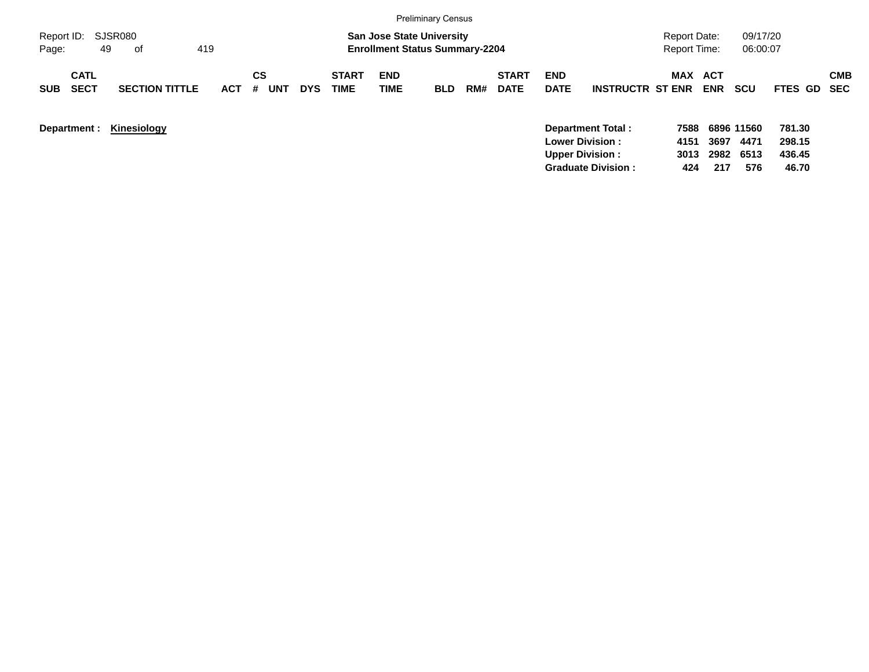|                                          |                            |                              |                   |                             | <b>Preliminary Census</b>                                                 |            |     |                             |                           |                         |                                            |                   |                      |                  |            |
|------------------------------------------|----------------------------|------------------------------|-------------------|-----------------------------|---------------------------------------------------------------------------|------------|-----|-----------------------------|---------------------------|-------------------------|--------------------------------------------|-------------------|----------------------|------------------|------------|
| Report ID:<br>Page:                      | SJSR080<br>419<br>49<br>of |                              |                   |                             | <b>San Jose State University</b><br><b>Enrollment Status Summary-2204</b> |            |     |                             |                           |                         | <b>Report Date:</b><br><b>Report Time:</b> |                   | 09/17/20<br>06:00:07 |                  |            |
| <b>CATL</b><br><b>SECT</b><br><b>SUB</b> | <b>SECTION TITTLE</b>      | <b>CS</b><br><b>ACT</b><br># | UNT<br><b>DYS</b> | <b>START</b><br><b>TIME</b> | <b>END</b><br>TIME                                                        | <b>BLD</b> | RM# | <b>START</b><br><b>DATE</b> | <b>END</b><br><b>DATE</b> | <b>INSTRUCTR ST ENR</b> | <b>MAX</b>                                 | ACT<br><b>ENR</b> | <b>SCU</b>           | FTES GD SEC      | <b>CMB</b> |
| Department :                             | Kinesiology                |                              |                   |                             |                                                                           |            |     |                             | <b>Lower Division:</b>    | Department Total:       | 7588<br>4151                               | 3697              | 6896 11560<br>4471   | 781.30<br>298.15 |            |

**Upper Division : 3013 2982 6513 436.45 Graduate Division : 424 217 576 46.70**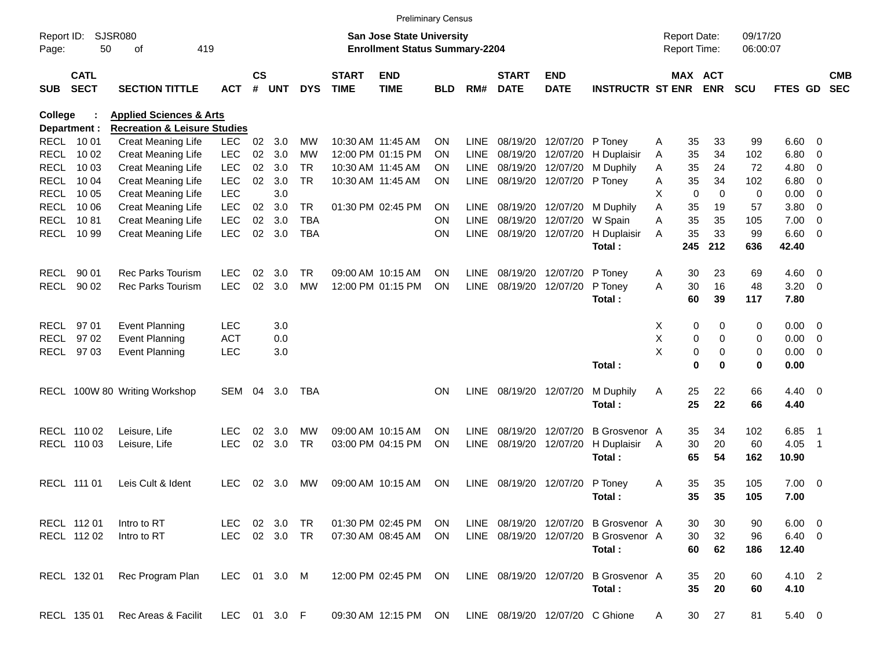|            |                            |                                         |              |                    |            |            |                             | <b>Preliminary Census</b>                            |            |             |                             |                           |                                      |   |                 |                       |            |                |                          |                          |
|------------|----------------------------|-----------------------------------------|--------------|--------------------|------------|------------|-----------------------------|------------------------------------------------------|------------|-------------|-----------------------------|---------------------------|--------------------------------------|---|-----------------|-----------------------|------------|----------------|--------------------------|--------------------------|
| Report ID: |                            | <b>SJSR080</b>                          |              |                    |            |            |                             | San Jose State University                            |            |             |                             |                           |                                      |   |                 | <b>Report Date:</b>   | 09/17/20   |                |                          |                          |
| Page:      | 50                         | 419<br>оf                               |              |                    |            |            |                             | <b>Enrollment Status Summary-2204</b>                |            |             |                             |                           |                                      |   |                 | Report Time:          | 06:00:07   |                |                          |                          |
| <b>SUB</b> | <b>CATL</b><br><b>SECT</b> | <b>SECTION TITTLE</b>                   | <b>ACT</b>   | $\mathsf{cs}$<br># | <b>UNT</b> | <b>DYS</b> | <b>START</b><br><b>TIME</b> | <b>END</b><br><b>TIME</b>                            | <b>BLD</b> | RM#         | <b>START</b><br><b>DATE</b> | <b>END</b><br><b>DATE</b> | <b>INSTRUCTR ST ENR</b>              |   |                 | MAX ACT<br><b>ENR</b> | <b>SCU</b> | FTES GD        |                          | <b>CMB</b><br><b>SEC</b> |
| College    |                            | <b>Health &amp; Human Sciences</b>      |              |                    |            |            |                             |                                                      |            |             |                             |                           |                                      |   |                 |                       |            |                |                          |                          |
|            | Department :               | <b>Recreation &amp; Leisure Studies</b> |              |                    |            |            |                             |                                                      |            |             |                             |                           |                                      |   |                 |                       |            |                |                          |                          |
|            | RECL 10 01                 | <b>Creat Meaning Life</b>               | <b>LEC</b>   | 02                 | 3.0        | MW         |                             | 10:30 AM 11:45 AM                                    | ON         | <b>LINE</b> | 08/19/20                    | 12/07/20                  | P Toney                              | A | 35              | 33                    | 99         | 6.60           | - 0                      |                          |
|            | RECL 10 02                 | Creat Meaning Life                      | <b>LEC</b>   | 02                 | 3.0        | МW         |                             | 12:00 PM 01:15 PM                                    | <b>ON</b>  | <b>LINE</b> | 08/19/20                    | 12/07/20                  | H Duplaisir                          | Α | 35              | 34                    | 102        | 6.80           | 0                        |                          |
|            | RECL 10 03                 | Creat Meaning Life                      | <b>LEC</b>   | 02                 | 3.0        | <b>TR</b>  |                             | 10:30 AM 11:45 AM                                    | <b>ON</b>  | <b>LINE</b> | 08/19/20                    | 12/07/20                  | M Duphily                            | A | 35              | 24                    | 72         | 4.80           | 0                        |                          |
|            | <b>RECL 1004</b>           | <b>Creat Meaning Life</b>               | <b>LEC</b>   | 02                 | 3.0        | <b>TR</b>  |                             | 10:30 AM 11:45 AM                                    | <b>ON</b>  | LINE        | 08/19/20                    | 12/07/20                  | P Toney                              | Α | 35              | 34                    | 102        | 6.80           | 0                        |                          |
|            | <b>RECL 1005</b>           | <b>Creat Meaning Life</b>               | <b>LEC</b>   |                    | 3.0        |            |                             |                                                      |            |             |                             |                           |                                      | х | $\mathbf 0$     | $\mathbf 0$           | 0          | 0.00           | 0                        |                          |
|            | <b>RECL 1006</b>           | <b>Creat Meaning Life</b>               | <b>LEC</b>   | 02                 | 3.0        | <b>TR</b>  |                             | 01:30 PM 02:45 PM                                    | <b>ON</b>  | LINE        | 08/19/20                    | 12/07/20                  | M Duphily                            | Α | 35              | 19                    | 57         | 3.80           | 0                        |                          |
|            | <b>RECL 1081</b>           | <b>Creat Meaning Life</b>               | <b>LEC</b>   | 02                 | 3.0        | TBA        |                             |                                                      | <b>ON</b>  | <b>LINE</b> | 08/19/20                    | 12/07/20                  | W Spain                              | Α | 35              | 35                    | 105        | 7.00           | 0                        |                          |
|            | RECL 10 99                 | <b>Creat Meaning Life</b>               | <b>LEC</b>   | 02                 | 3.0        | <b>TBA</b> |                             |                                                      | <b>ON</b>  | LINE        | 08/19/20                    | 12/07/20                  | H Duplaisir                          | A | 35              | 33                    | 99         | 6.60           | - 0                      |                          |
|            |                            |                                         |              |                    |            |            |                             |                                                      |            |             |                             |                           | Total:                               |   | 245             | 212                   | 636        | 42.40          |                          |                          |
| RECL       | 90 01                      | <b>Rec Parks Tourism</b>                | <b>LEC</b>   | 02                 | 3.0        | TR.        |                             | 09:00 AM 10:15 AM                                    | <b>ON</b>  | <b>LINE</b> |                             | 08/19/20 12/07/20         | P Toney                              | Α | 30              | 23                    | 69         | 4.60           | $\overline{\mathbf{0}}$  |                          |
| RECL       | 90 02                      | <b>Rec Parks Tourism</b>                | <b>LEC</b>   | 02                 | 3.0        | <b>MW</b>  |                             | 12:00 PM 01:15 PM                                    | <b>ON</b>  | LINE        |                             | 08/19/20 12/07/20         | P Toney                              | A | 30              | 16                    | 48         | 3.20           | $\overline{\mathbf{0}}$  |                          |
|            |                            |                                         |              |                    |            |            |                             |                                                      |            |             |                             |                           | Total:                               |   | 60              | 39                    | 117        | 7.80           |                          |                          |
|            |                            |                                         |              |                    |            |            |                             |                                                      |            |             |                             |                           |                                      |   |                 |                       |            |                |                          |                          |
|            | RECL 97 01                 | <b>Event Planning</b>                   | <b>LEC</b>   |                    | 3.0        |            |                             |                                                      |            |             |                             |                           |                                      | Х | 0               | 0                     | 0          | 0.00           | $\overline{\phantom{0}}$ |                          |
|            | RECL 97 02                 | Event Planning                          | <b>ACT</b>   |                    | 0.0        |            |                             |                                                      |            |             |                             |                           |                                      | X | 0               | 0                     | 0          | 0.00           | 0                        |                          |
|            | RECL 97 03                 | <b>Event Planning</b>                   | LEC          |                    | 3.0        |            |                             |                                                      |            |             |                             |                           |                                      | X | 0               | 0                     | 0          | 0.00           | $\overline{0}$           |                          |
|            |                            |                                         |              |                    |            |            |                             |                                                      |            |             |                             |                           | Total:                               |   | $\mathbf 0$     | 0                     | 0          | 0.00           |                          |                          |
|            |                            | RECL 100W 80 Writing Workshop           | <b>SEM</b>   | 04                 | 3.0        | TBA        |                             |                                                      | <b>ON</b>  | <b>LINE</b> |                             | 08/19/20 12/07/20         | M Duphily                            | Α | 25              | 22                    | 66         | $4.40 \quad 0$ |                          |                          |
|            |                            |                                         |              |                    |            |            |                             |                                                      |            |             |                             |                           | Total:                               |   | 25              | 22                    | 66         | 4.40           |                          |                          |
|            |                            |                                         |              |                    |            |            |                             |                                                      |            |             |                             |                           |                                      |   |                 |                       |            |                |                          |                          |
|            | RECL 110 02                | Leisure, Life                           | LEC          | 02                 | 3.0        | <b>MW</b>  |                             | 09:00 AM 10:15 AM                                    | <b>ON</b>  | LINE        | 08/19/20                    | 12/07/20                  | <b>B</b> Grosvenor A                 |   | 35              | 34                    | 102        | 6.85           | - 1                      |                          |
|            | RECL 110 03                | Leisure, Life                           | <b>LEC</b>   | 02                 | 3.0        | <b>TR</b>  |                             | 03:00 PM 04:15 PM                                    | <b>ON</b>  | <b>LINE</b> | 08/19/20                    | 12/07/20                  | H Duplaisir                          | A | 30              | 20                    | 60         | 4.05           | - 1                      |                          |
|            |                            |                                         |              |                    |            |            |                             |                                                      |            |             |                             |                           | Total:                               |   | 65              | 54                    | 162        | 10.90          |                          |                          |
|            |                            |                                         |              |                    |            |            |                             |                                                      |            |             |                             |                           |                                      |   |                 |                       |            |                |                          |                          |
|            | RECL 111 01                | Leis Cult & Ident                       | <b>LEC</b>   | 02                 | 3.0        | <b>MW</b>  |                             | 09:00 AM 10:15 AM                                    | ON         | <b>LINE</b> | 08/19/20                    | 12/07/20                  | P Toney                              | Α | 35              | 35                    | 105        | $7.00 \t 0$    |                          |                          |
|            |                            |                                         |              |                    |            |            |                             |                                                      |            |             |                             |                           | Total :                              |   | 35              | 35                    | 105        | 7.00           |                          |                          |
|            |                            |                                         |              |                    |            |            |                             |                                                      |            |             |                             |                           |                                      |   |                 |                       |            |                |                          |                          |
|            | RECL 112 01                | Intro to RT                             | LEC 02 3.0   |                    |            | TR         |                             | 01:30 PM 02:45 PM                                    | ON         |             |                             |                           | LINE 08/19/20 12/07/20 B Grosvenor A |   | 30              | 30                    | 90         | $6.00 \quad 0$ |                          |                          |
|            | RECL 112 02                | Intro to RT                             | LEC          |                    | 02 3.0 TR  |            |                             | 07:30 AM 08:45 AM                                    | ON.        |             |                             | LINE 08/19/20 12/07/20    | <b>B</b> Grosvenor A                 |   | 30              | 32                    | 96         | $6.40\ 0$      |                          |                          |
|            |                            |                                         |              |                    |            |            |                             |                                                      |            |             |                             |                           | Total:                               |   | 60              | 62                    | 186        | 12.40          |                          |                          |
|            | RECL 132 01                | Rec Program Plan                        | LEC 01 3.0 M |                    |            |            |                             | 12:00 PM 02:45 PM ON                                 |            |             | LINE 08/19/20 12/07/20      |                           | <b>B</b> Grosvenor A                 |   | 35              | 20                    | 60         | 4.10 2         |                          |                          |
|            |                            |                                         |              |                    |            |            |                             |                                                      |            |             |                             |                           | Total:                               |   | 35              | 20                    | 60         | 4.10           |                          |                          |
|            |                            |                                         |              |                    |            |            |                             |                                                      |            |             |                             |                           |                                      |   |                 |                       |            |                |                          |                          |
|            | RECL 135 01                | Rec Areas & Facilit                     | LEC 01 3.0 F |                    |            |            |                             | 09:30 AM 12:15 PM ON LINE 08/19/20 12/07/20 C Ghione |            |             |                             |                           |                                      | A | 30 <sup>°</sup> | 27                    | 81         | 5.40 0         |                          |                          |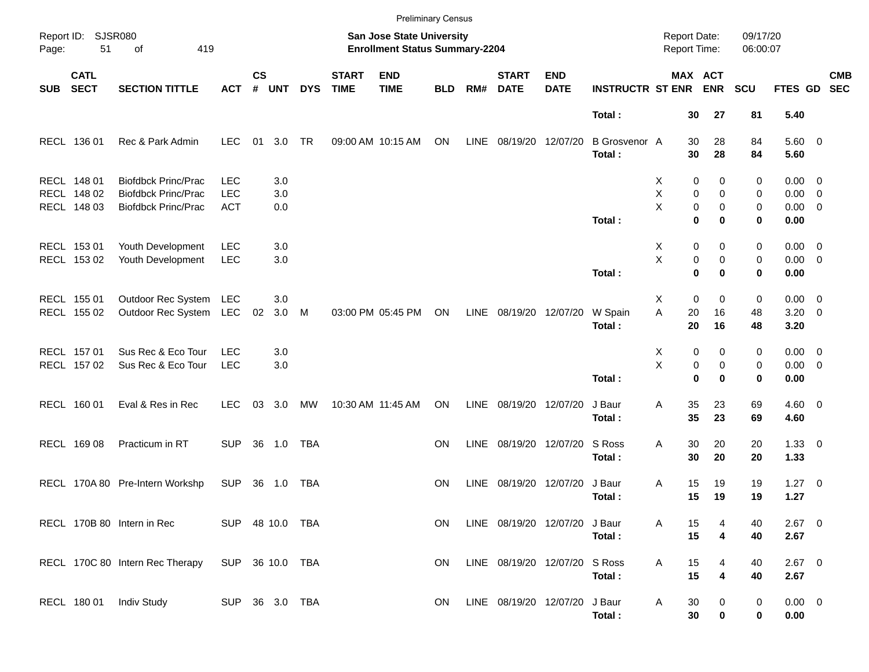|            |                                           |                                                                                        |                                        |               |                   |            |                             |                                                                           | <b>Preliminary Census</b> |             |                               |                           |                                |                                     |                                                |                      |                                                   |            |
|------------|-------------------------------------------|----------------------------------------------------------------------------------------|----------------------------------------|---------------|-------------------|------------|-----------------------------|---------------------------------------------------------------------------|---------------------------|-------------|-------------------------------|---------------------------|--------------------------------|-------------------------------------|------------------------------------------------|----------------------|---------------------------------------------------|------------|
| Page:      | Report ID: SJSR080<br>51<br>of<br>419     |                                                                                        |                                        |               |                   |            |                             | <b>San Jose State University</b><br><b>Enrollment Status Summary-2204</b> |                           |             |                               |                           |                                | <b>Report Date:</b><br>Report Time: |                                                | 09/17/20<br>06:00:07 |                                                   |            |
| <b>SUB</b> | <b>CATL</b><br><b>SECT</b>                | <b>SECTION TITTLE</b>                                                                  | <b>ACT</b>                             | $\mathsf{cs}$ | # UNT             | <b>DYS</b> | <b>START</b><br><b>TIME</b> | <b>END</b><br><b>TIME</b>                                                 | <b>BLD</b>                | RM#         | <b>START</b><br><b>DATE</b>   | <b>END</b><br><b>DATE</b> | <b>INSTRUCTR ST ENR</b>        |                                     | MAX ACT<br><b>ENR</b>                          | <b>SCU</b>           | FTES GD SEC                                       | <b>CMB</b> |
|            |                                           |                                                                                        |                                        |               |                   |            |                             |                                                                           |                           |             |                               |                           | Total:                         | 30                                  | 27                                             | 81                   | 5.40                                              |            |
|            | RECL 136 01                               | Rec & Park Admin                                                                       | <b>LEC</b>                             | 01            | 3.0               | TR         |                             | 09:00 AM 10:15 AM                                                         | ON                        | LINE        | 08/19/20 12/07/20             |                           | <b>B</b> Grosvenor A<br>Total: | 30<br>30                            | 28<br>28                                       | 84<br>84             | 5.60 0<br>5.60                                    |            |
|            | RECL 148 01<br>RECL 148 02<br>RECL 148 03 | <b>Biofdbck Princ/Prac</b><br><b>Biofdbck Princ/Prac</b><br><b>Biofdbck Princ/Prac</b> | <b>LEC</b><br><b>LEC</b><br><b>ACT</b> |               | 3.0<br>3.0<br>0.0 |            |                             |                                                                           |                           |             |                               |                           | Total:                         | X<br>X<br>X                         | 0<br>0<br>0<br>0<br>0<br>0<br>$\mathbf 0$<br>0 | 0<br>0<br>0<br>0     | $0.00 \t 0$<br>$0.00 \t 0$<br>$0.00 \t 0$<br>0.00 |            |
|            | RECL 153 01<br>RECL 153 02                | Youth Development<br>Youth Development                                                 | <b>LEC</b><br><b>LEC</b>               |               | 3.0<br>3.0        |            |                             |                                                                           |                           |             |                               |                           | Total:                         | X<br>X                              | 0<br>0<br>0<br>0<br>$\bf{0}$<br>$\bf{0}$       | 0<br>0<br>0          | $0.00 \t 0$<br>$0.00 \t 0$<br>0.00                |            |
|            | RECL 155 01<br>RECL 155 02                | Outdoor Rec System<br>Outdoor Rec System                                               | LEC<br>LEC                             | 02            | 3.0<br>3.0        | M          |                             | 03:00 PM 05:45 PM                                                         | ON                        | LINE        | 08/19/20 12/07/20             |                           | W Spain<br>Total:              | X<br>A<br>20<br>20                  | 0<br>0<br>16<br>16                             | 0<br>48<br>48        | $0.00 \t 0$<br>$3.20 \ 0$<br>3.20                 |            |
|            | RECL 157 01<br>RECL 157 02                | Sus Rec & Eco Tour<br>Sus Rec & Eco Tour                                               | <b>LEC</b><br><b>LEC</b>               |               | 3.0<br>3.0        |            |                             |                                                                           |                           |             |                               |                           | Total:                         | X<br>X                              | 0<br>0<br>0<br>0<br>$\bf{0}$<br>$\bf{0}$       | 0<br>0<br>0          | $0.00 \t 0$<br>$0.00 \t 0$<br>0.00                |            |
|            | RECL 160 01                               | Eval & Res in Rec                                                                      | <b>LEC</b>                             | 03            | 3.0               | МW         |                             | 10:30 AM 11:45 AM                                                         | ON                        | LINE        | 08/19/20 12/07/20             |                           | J Baur<br>Total:               | Α<br>35<br>35                       | 23<br>23                                       | 69<br>69             | $4.60$ 0<br>4.60                                  |            |
|            | RECL 169 08                               | Practicum in RT                                                                        | <b>SUP</b>                             |               | 36 1.0            | TBA        |                             |                                                                           | ON.                       | LINE        | 08/19/20 12/07/20             |                           | S Ross<br>Total:               | Α<br>30<br>30                       | 20<br>20                                       | 20<br>20             | $1.33 \ 0$<br>1.33                                |            |
|            |                                           | RECL 170A 80 Pre-Intern Workshp                                                        | SUP                                    |               | 36 1.0            | TBA        |                             |                                                                           | <b>ON</b>                 | <b>LINE</b> | 08/19/20 12/07/20             |                           | J Baur<br>Total:               | Α<br>15<br>15                       | 19<br>19                                       | 19<br>19             | $1.27 \t 0$<br>1.27                               |            |
|            |                                           | RECL 170B 80 Intern in Rec                                                             | SUP 48 10.0 TBA                        |               |                   |            |                             |                                                                           | ON.                       |             | LINE 08/19/20 12/07/20 J Baur |                           | Total:                         | 15<br>Α<br>15                       | 4                                              | 40<br>40             | $2.67$ 0<br>2.67                                  |            |
|            |                                           | RECL 170C 80 Intern Rec Therapy                                                        | SUP 36 10.0 TBA                        |               |                   |            |                             |                                                                           | ON.                       |             | LINE 08/19/20 12/07/20 S Ross |                           | Total:                         | 15<br>Α<br>15                       | 4<br>4                                         | 40<br>40             | $2.67$ 0<br>2.67                                  |            |
|            |                                           | RECL 180 01 Indiv Study                                                                | SUP 36 3.0 TBA                         |               |                   |            |                             |                                                                           | ON.                       |             | LINE 08/19/20 12/07/20        |                           | J Baur<br>Total:               | Α<br>30<br>30                       | 0<br>$\boldsymbol{0}$                          | 0<br>0               | $0.00 \t 0$<br>0.00                               |            |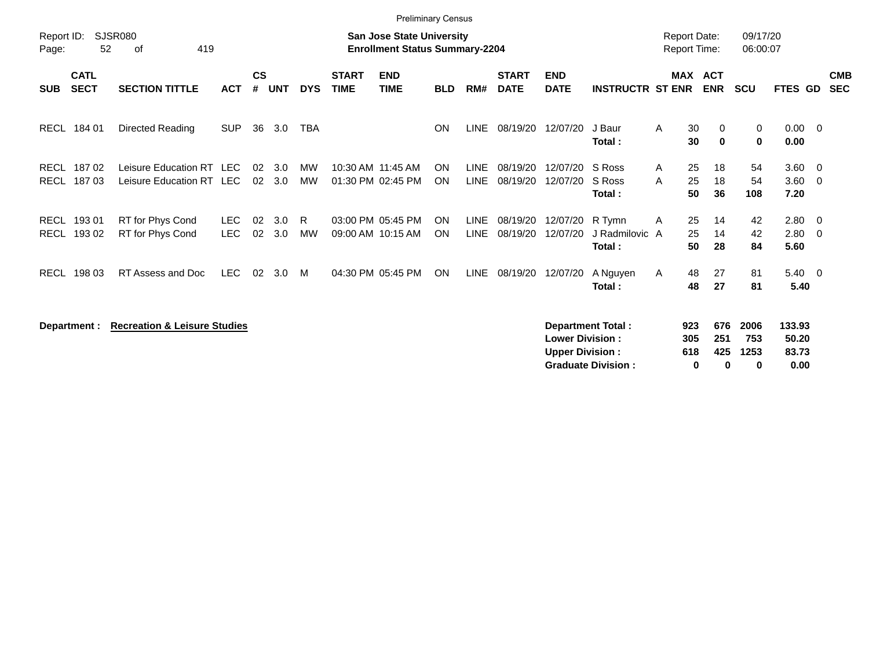|                     |                            |                                                      |                    |                |            |                 |                             | <b>Preliminary Census</b>                                                 |            |                            |                             |                                                  |                                                       |                                            |                              |                          |                                  |                                                    |                          |
|---------------------|----------------------------|------------------------------------------------------|--------------------|----------------|------------|-----------------|-----------------------------|---------------------------------------------------------------------------|------------|----------------------------|-----------------------------|--------------------------------------------------|-------------------------------------------------------|--------------------------------------------|------------------------------|--------------------------|----------------------------------|----------------------------------------------------|--------------------------|
| Report ID:<br>Page: | 52                         | <b>SJSR080</b><br>419<br>оf                          |                    |                |            |                 |                             | <b>San Jose State University</b><br><b>Enrollment Status Summary-2204</b> |            |                            |                             |                                                  |                                                       | <b>Report Date:</b><br><b>Report Time:</b> |                              | 09/17/20<br>06:00:07     |                                  |                                                    |                          |
| <b>SUB</b>          | <b>CATL</b><br><b>SECT</b> | <b>SECTION TITTLE</b>                                | <b>ACT</b>         | <b>CS</b><br># | <b>UNT</b> | <b>DYS</b>      | <b>START</b><br><b>TIME</b> | <b>END</b><br><b>TIME</b>                                                 | <b>BLD</b> | RM#                        | <b>START</b><br><b>DATE</b> | <b>END</b><br><b>DATE</b>                        | <b>INSTRUCTR ST ENR</b>                               |                                            | <b>MAX ACT</b><br><b>ENR</b> | <b>SCU</b>               | FTES GD                          |                                                    | <b>CMB</b><br><b>SEC</b> |
|                     | RECL 184 01                | Directed Reading                                     | <b>SUP</b>         | 36             | 3.0        | <b>TBA</b>      |                             |                                                                           | <b>ON</b>  | LINE                       | 08/19/20                    | 12/07/20                                         | J Baur<br>Total:                                      | A<br>30<br>30                              | 0<br>$\mathbf 0$             | 0<br>$\mathbf 0$         | $0.00 \quad 0$<br>0.00           |                                                    |                          |
| RECL<br><b>RECL</b> | 18702<br>18703             | Leisure Education RT LEC<br>Leisure Education RT LEC |                    | 02<br>02       | 3.0<br>3.0 | MW<br><b>MW</b> |                             | 10:30 AM 11:45 AM<br>01:30 PM 02:45 PM                                    | ON<br>ON   | <b>LINE</b><br><b>LINE</b> | 08/19/20<br>08/19/20        | 12/07/20<br>12/07/20                             | S Ross<br>S Ross<br>Total:                            | 25<br>A<br>25<br>A<br>50                   | 18<br>18<br>36               | 54<br>54<br>108          | $3.60 \t 0$<br>3.60<br>7.20      | $\overline{0}$                                     |                          |
| RECL<br><b>RECL</b> | 193 01<br>193 02           | RT for Phys Cond<br>RT for Phys Cond                 | LEC.<br><b>LEC</b> | 02<br>02       | 3.0<br>3.0 | R.<br><b>MW</b> |                             | 03:00 PM 05:45 PM<br>09:00 AM 10:15 AM                                    | ON<br>ON   | <b>LINE</b><br><b>LINE</b> | 08/19/20<br>08/19/20        | 12/07/20<br>12/07/20                             | R Tymn<br>J Radmilovic A<br>Total:                    | 25<br>A<br>25<br>50                        | 14<br>14<br>28               | 42<br>42<br>84           | 2.80<br>2.80<br>5.60             | $\overline{\mathbf{0}}$<br>$\overline{\mathbf{0}}$ |                          |
| RECL                | 198 03                     | RT Assess and Doc                                    | <b>LEC</b>         | 02             | 3.0        | M               |                             | 04:30 PM 05:45 PM                                                         | <b>ON</b>  | LINE                       | 08/19/20                    | 12/07/20                                         | A Nguyen<br>Total:                                    | 48<br>A<br>48                              | 27<br>27                     | 81<br>81                 | $5.40 \quad 0$<br>5.40           |                                                    |                          |
|                     | Department :               | <b>Recreation &amp; Leisure Studies</b>              |                    |                |            |                 |                             |                                                                           |            |                            |                             | <b>Lower Division:</b><br><b>Upper Division:</b> | <b>Department Total:</b><br><b>Graduate Division:</b> | 923<br>305<br>618                          | 676<br>251<br>425<br>0<br>0  | 2006<br>753<br>1253<br>0 | 133.93<br>50.20<br>83.73<br>0.00 |                                                    |                          |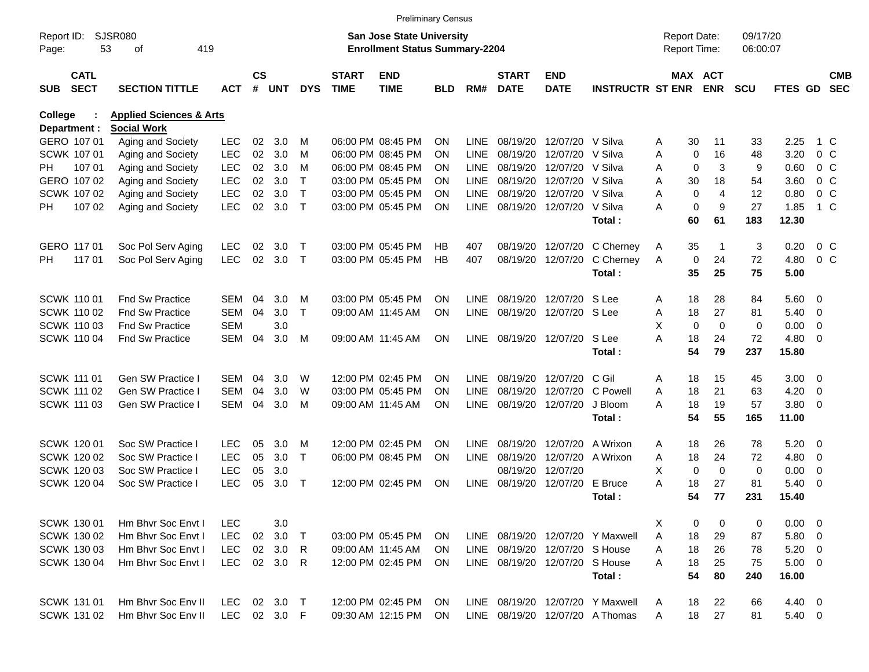|                                                          |                            |                                    |            |                |            |              |                             | <b>Preliminary Census</b>                                                 |           |             |                             |                           |                                  |                                     |                       |                      |                      |                          |                          |
|----------------------------------------------------------|----------------------------|------------------------------------|------------|----------------|------------|--------------|-----------------------------|---------------------------------------------------------------------------|-----------|-------------|-----------------------------|---------------------------|----------------------------------|-------------------------------------|-----------------------|----------------------|----------------------|--------------------------|--------------------------|
| <b>SJSR080</b><br>Report ID:<br>53<br>419<br>οf<br>Page: |                            |                                    |            |                |            |              |                             | <b>San Jose State University</b><br><b>Enrollment Status Summary-2204</b> |           |             |                             |                           |                                  | <b>Report Date:</b><br>Report Time: |                       | 09/17/20<br>06:00:07 |                      |                          |                          |
| <b>SUB</b>                                               | <b>CATL</b><br><b>SECT</b> | <b>SECTION TITTLE</b>              | <b>ACT</b> | <b>CS</b><br># | <b>UNT</b> | <b>DYS</b>   | <b>START</b><br><b>TIME</b> | <b>END</b><br><b>TIME</b>                                                 | BLD       | RM#         | <b>START</b><br><b>DATE</b> | <b>END</b><br><b>DATE</b> | <b>INSTRUCTR ST ENR</b>          |                                     | MAX ACT<br><b>ENR</b> | <b>SCU</b>           | FTES GD              |                          | <b>CMB</b><br><b>SEC</b> |
| <b>College</b>                                           |                            | <b>Health &amp; Human Sciences</b> |            |                |            |              |                             |                                                                           |           |             |                             |                           |                                  |                                     |                       |                      |                      |                          |                          |
|                                                          | Department :               | <b>Social Work</b>                 |            |                |            |              |                             |                                                                           |           |             |                             |                           |                                  |                                     |                       |                      |                      |                          |                          |
|                                                          | GERO 107 01                | Aging and Society                  | <b>LEC</b> | 02             | 3.0        | M            |                             | 06:00 PM 08:45 PM                                                         | <b>ON</b> | LINE        | 08/19/20                    | 12/07/20                  | V Silva                          | 30<br>Α                             | 11                    | 33                   | 2.25                 |                          | 1 C                      |
|                                                          | <b>SCWK 107 01</b>         | Aging and Society                  | <b>LEC</b> | 02             | 3.0        | M            |                             | 06:00 PM 08:45 PM                                                         | ON        | LINE        | 08/19/20                    | 12/07/20                  | V Silva                          | Α<br>0                              | 16                    | 48                   | 3.20                 | $0\,C$                   |                          |
| PH.                                                      | 107 01                     | Aging and Society                  | <b>LEC</b> | 02             | 3.0        | м            |                             | 06:00 PM 08:45 PM                                                         | <b>ON</b> | <b>LINE</b> | 08/19/20                    | 12/07/20                  | V Silva                          | 0<br>Α                              | 3                     | 9                    | 0.60                 | 0 <sup>o</sup>           |                          |
|                                                          | GERO 107 02                | Aging and Society                  | <b>LEC</b> | 02             | 3.0        | $\mathsf{T}$ |                             | 03:00 PM 05:45 PM                                                         | ON        | <b>LINE</b> | 08/19/20                    | 12/07/20                  | V Silva                          | Α<br>30                             | 18                    | 54                   | 3.60                 | 0 <sup>o</sup>           |                          |
|                                                          | SCWK 107 02                | Aging and Society                  | <b>LEC</b> | 02             | 3.0        | $\mathsf{T}$ |                             | 03:00 PM 05:45 PM                                                         | ON        | <b>LINE</b> | 08/19/20                    | 12/07/20                  | V Silva                          | 0<br>Α                              | 4                     | 12                   | 0.80                 | $0\,C$                   |                          |
| PH.                                                      | 107 02                     | Aging and Society                  | <b>LEC</b> | 02             | 3.0        | $\top$       |                             | 03:00 PM 05:45 PM                                                         | <b>ON</b> | <b>LINE</b> | 08/19/20                    | 12/07/20                  | V Silva<br>Total:                | $\mathbf 0$<br>А<br>60              | 9<br>61               | 27<br>183            | 1.85<br>12.30        |                          | $1\,C$                   |
|                                                          | GERO 117 01                | Soc Pol Serv Aging                 | <b>LEC</b> | 02             | 3.0        | Т            |                             | 03:00 PM 05:45 PM                                                         | HB        | 407         | 08/19/20                    | 12/07/20                  | C Cherney                        | 35<br>A                             | -1                    | 3                    | 0.20                 | 0 <sup>o</sup>           |                          |
| PH.                                                      | 117 01                     | Soc Pol Serv Aging                 | <b>LEC</b> | 02             | 3.0        | $\mathsf{T}$ |                             | 03:00 PM 05:45 PM                                                         | HB        | 407         | 08/19/20                    | 12/07/20                  | C Cherney                        | 0<br>A                              | 24                    | 72                   | 4.80                 | 0 <sup>o</sup>           |                          |
|                                                          |                            |                                    |            |                |            |              |                             |                                                                           |           |             |                             |                           | Total:                           | 35                                  | 25                    | 75                   | 5.00                 |                          |                          |
|                                                          | <b>SCWK 11001</b>          | <b>Fnd Sw Practice</b>             | SEM        | 04             | 3.0        | M            |                             | 03:00 PM 05:45 PM                                                         | <b>ON</b> | LINE        | 08/19/20                    | 12/07/20                  | S Lee                            | 18<br>A                             | 28                    | 84                   | 5.60 0               |                          |                          |
|                                                          | <b>SCWK 11002</b>          | <b>Fnd Sw Practice</b>             | SEM        | 04             | 3.0        | $\top$       |                             | 09:00 AM 11:45 AM                                                         | <b>ON</b> | <b>LINE</b> | 08/19/20                    | 12/07/20 S Lee            |                                  | 18<br>Α                             | 27                    | 81                   | 5.40                 | $\overline{\mathbf{0}}$  |                          |
|                                                          | SCWK 110 03                | <b>Fnd Sw Practice</b>             | SEM        |                | 3.0        |              |                             |                                                                           |           |             |                             |                           |                                  | X<br>$\mathbf 0$                    | $\Omega$              | 0                    | 0.00                 | 0                        |                          |
|                                                          | <b>SCWK 11004</b>          | <b>Fnd Sw Practice</b>             | <b>SEM</b> | 04             | 3.0        | M            |                             | 09:00 AM 11:45 AM                                                         | <b>ON</b> | <b>LINE</b> |                             | 08/19/20 12/07/20         | S Lee                            | А<br>18                             | 24                    | 72                   | 4.80                 | $\overline{\phantom{0}}$ |                          |
|                                                          |                            |                                    |            |                |            |              |                             |                                                                           |           |             |                             |                           | Total:                           | 54                                  | 79                    | 237                  | 15.80                |                          |                          |
|                                                          | SCWK 111 01                | <b>Gen SW Practice I</b>           | SEM        | 04             | 3.0        | W            |                             | 12:00 PM 02:45 PM                                                         | ON        | LINE        | 08/19/20                    | 12/07/20                  | C Gil                            | 18<br>A                             | 15                    | 45                   | $3.00 \ 0$           |                          |                          |
|                                                          | SCWK 111 02                | Gen SW Practice I                  | SEM        | 04             | 3.0        | W            |                             | 03:00 PM 05:45 PM                                                         | ON        | <b>LINE</b> | 08/19/20                    | 12/07/20                  | C Powell                         | 18<br>Α                             | 21                    | 63                   | 4.20                 | 0                        |                          |
|                                                          | SCWK 111 03                | Gen SW Practice I                  | SEM        | 04             | 3.0        | м            |                             | 09:00 AM 11:45 AM                                                         | <b>ON</b> | <b>LINE</b> | 08/19/20                    | 12/07/20                  | J Bloom                          | 18<br>А                             | 19                    | 57                   | 3.80                 | - 0                      |                          |
|                                                          |                            |                                    |            |                |            |              |                             |                                                                           |           |             |                             |                           | Total:                           | 54                                  | 55                    | 165                  | 11.00                |                          |                          |
|                                                          | <b>SCWK 120 01</b>         | Soc SW Practice                    | <b>LEC</b> | 05             | 3.0        | м            |                             | 12:00 PM 02:45 PM                                                         | <b>ON</b> | LINE        | 08/19/20                    | 12/07/20                  | A Wrixon                         | 18<br>A                             | 26                    | 78                   | 5.20                 | $\overline{\phantom{0}}$ |                          |
|                                                          | SCWK 120 02                | Soc SW Practice I                  | <b>LEC</b> | 05             | 3.0        | $\mathsf{T}$ |                             | 06:00 PM 08:45 PM                                                         | <b>ON</b> | <b>LINE</b> | 08/19/20                    | 12/07/20                  | A Wrixon                         | 18<br>Α                             | 24                    | 72                   | 4.80                 | $\overline{\mathbf{0}}$  |                          |
|                                                          | SCWK 120 03                | Soc SW Practice I                  | <b>LEC</b> | 05             | 3.0        |              |                             |                                                                           |           |             | 08/19/20                    | 12/07/20                  |                                  | X.<br>0                             | $\mathbf 0$           | 0                    | 0.00                 | 0                        |                          |
|                                                          | SCWK 120 04                | Soc SW Practice I                  | <b>LEC</b> | 05             | 3.0        | $\mathsf{T}$ |                             | 12:00 PM 02:45 PM                                                         | <b>ON</b> | LINE        | 08/19/20                    | 12/07/20                  | E Bruce                          | А<br>18                             | 27                    | 81                   | 5.40                 | - 0                      |                          |
|                                                          |                            |                                    |            |                |            |              |                             |                                                                           |           |             |                             |                           | Total :                          | 54                                  | 77                    | 231                  | 15.40                |                          |                          |
|                                                          | SCWK 130 01                | Hm Bhvr Soc Envt I                 | <b>LEC</b> |                | 3.0        |              |                             |                                                                           |           |             |                             |                           |                                  | X<br>0                              | 0                     | 0                    | $0.00 \t 0$          |                          |                          |
|                                                          | SCWK 130 02                | Hm Bhyr Soc Envt I                 | <b>LEC</b> |                | 02 3.0     | Τ            |                             | 03:00 PM 05:45 PM                                                         | <b>ON</b> |             |                             |                           | LINE 08/19/20 12/07/20 Y Maxwell | 18<br>Α                             | 29                    | 87                   | 5.80 0               |                          |                          |
|                                                          | SCWK 130 03                | Hm Bhvr Soc Envt I                 | <b>LEC</b> |                | 02 3.0     | R            |                             | 09:00 AM 11:45 AM                                                         | <b>ON</b> | LINE        |                             | 08/19/20 12/07/20 S House |                                  | 18<br>Α                             | 26                    | 78                   | $5.20 \ 0$           |                          |                          |
|                                                          | SCWK 130 04                | Hm Bhvr Soc Envt I                 | <b>LEC</b> |                | 02 3.0     | R            |                             | 12:00 PM 02:45 PM                                                         | ON        | LINE        |                             | 08/19/20 12/07/20         | S House<br>Total:                | 18<br>Α<br>54                       | 25<br>80              | 75<br>240            | $5.00 \t 0$<br>16.00 |                          |                          |
|                                                          | SCWK 131 01                | Hm Bhvr Soc Env II                 | LEC.       |                | 02 3.0     | $\top$       |                             | 12:00 PM 02:45 PM                                                         | <b>ON</b> | LINE        |                             |                           | 08/19/20 12/07/20 Y Maxwell      | 18<br>A                             | 22                    | 66                   | 4.40 0               |                          |                          |
|                                                          | SCWK 131 02                | Hm Bhvr Soc Env II                 | LEC        |                | 02 3.0 F   |              |                             | 09:30 AM 12:15 PM                                                         | ON        |             |                             |                           | LINE 08/19/20 12/07/20 A Thomas  | 18<br>A                             | 27                    | 81                   | 5.40 0               |                          |                          |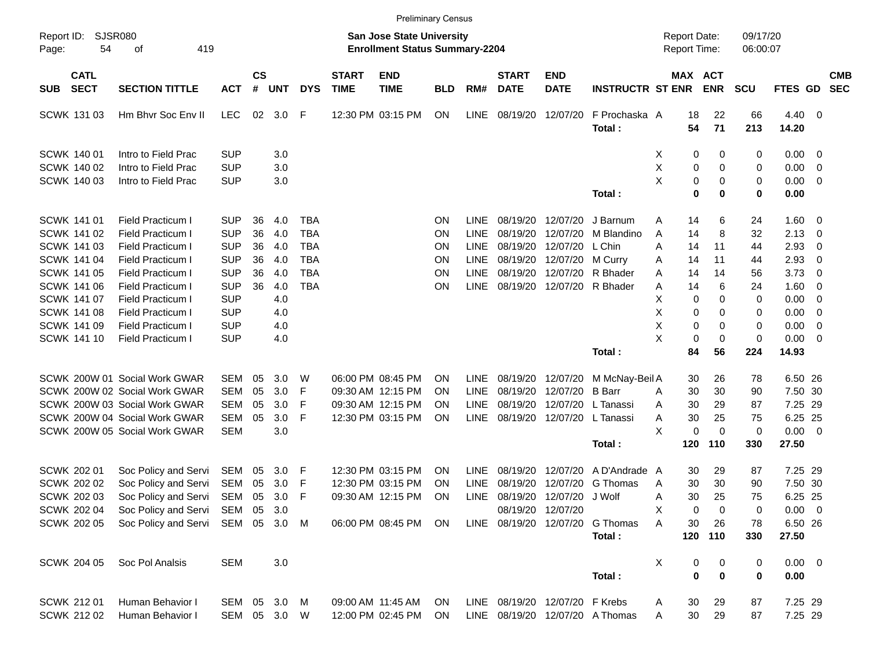|                     |                            |                                   |              |                    |            |            |                             |                                                                           | <b>Preliminary Census</b> |             |                                |                            |                                 |                                     |                              |                      |             |                          |                          |
|---------------------|----------------------------|-----------------------------------|--------------|--------------------|------------|------------|-----------------------------|---------------------------------------------------------------------------|---------------------------|-------------|--------------------------------|----------------------------|---------------------------------|-------------------------------------|------------------------------|----------------------|-------------|--------------------------|--------------------------|
| Report ID:<br>Page: | 54                         | <b>SJSR080</b><br>419<br>оf       |              |                    |            |            |                             | <b>San Jose State University</b><br><b>Enrollment Status Summary-2204</b> |                           |             |                                |                            |                                 | <b>Report Date:</b><br>Report Time: |                              | 09/17/20<br>06:00:07 |             |                          |                          |
| <b>SUB</b>          | <b>CATL</b><br><b>SECT</b> | <b>SECTION TITTLE</b>             | <b>ACT</b>   | $\mathsf{cs}$<br># | <b>UNT</b> | <b>DYS</b> | <b>START</b><br><b>TIME</b> | <b>END</b><br><b>TIME</b>                                                 | <b>BLD</b>                | RM#         | <b>START</b><br><b>DATE</b>    | <b>END</b><br><b>DATE</b>  | <b>INSTRUCTR ST ENR</b>         |                                     | <b>MAX ACT</b><br><b>ENR</b> | <b>SCU</b>           | FTES GD     |                          | <b>CMB</b><br><b>SEC</b> |
|                     | SCWK 131 03                | Hm Bhvr Soc Env II                | <b>LEC</b>   | 02                 | 3.0        | F          |                             | 12:30 PM 03:15 PM                                                         | <b>ON</b>                 | <b>LINE</b> | 08/19/20                       | 12/07/20                   | F Prochaska A                   | 18                                  | 22                           | 66                   | $4.40 \ 0$  |                          |                          |
|                     |                            |                                   |              |                    |            |            |                             |                                                                           |                           |             |                                |                            | Total:                          | 54                                  | 71                           | 213                  | 14.20       |                          |                          |
|                     | SCWK 140 01                | Intro to Field Prac               | <b>SUP</b>   |                    | 3.0        |            |                             |                                                                           |                           |             |                                |                            |                                 | 0<br>X                              | 0                            | 0                    | $0.00 \t 0$ |                          |                          |
|                     | <b>SCWK 140 02</b>         | Intro to Field Prac               | <b>SUP</b>   |                    | 3.0        |            |                             |                                                                           |                           |             |                                |                            |                                 | х<br>0                              | 0                            | 0                    | 0.00        | $\overline{\phantom{0}}$ |                          |
|                     | SCWK 140 03                | Intro to Field Prac               | <b>SUP</b>   |                    | 3.0        |            |                             |                                                                           |                           |             |                                |                            |                                 | X<br>0                              | 0                            | 0                    | 0.00        | $\overline{\phantom{0}}$ |                          |
|                     |                            |                                   |              |                    |            |            |                             |                                                                           |                           |             |                                |                            | Total:                          | 0                                   | 0                            | 0                    | 0.00        |                          |                          |
|                     | SCWK 141 01                | Field Practicum I                 | <b>SUP</b>   | 36                 | 4.0        | <b>TBA</b> |                             |                                                                           | ΟN                        | <b>LINE</b> | 08/19/20                       | 12/07/20                   | J Barnum                        | 14<br>Α                             | 6                            | 24                   | 1.60 0      |                          |                          |
|                     | <b>SCWK 141 02</b>         | Field Practicum I                 | <b>SUP</b>   | 36                 | 4.0        | <b>TBA</b> |                             |                                                                           | ΟN                        | <b>LINE</b> | 08/19/20                       | 12/07/20                   | M Blandino                      | Α<br>14                             | 8                            | 32                   | 2.13        | $\overline{\phantom{0}}$ |                          |
|                     | <b>SCWK 141 03</b>         | <b>Field Practicum I</b>          | <b>SUP</b>   | 36                 | 4.0        | <b>TBA</b> |                             |                                                                           | ΟN                        | <b>LINE</b> | 08/19/20                       | 12/07/20                   | L Chin                          | Α<br>14                             | 11                           | 44                   | 2.93        | $\overline{\mathbf{0}}$  |                          |
|                     | <b>SCWK 141 04</b>         | <b>Field Practicum I</b>          | <b>SUP</b>   | 36                 | 4.0        | <b>TBA</b> |                             |                                                                           | ON                        | <b>LINE</b> | 08/19/20                       | 12/07/20                   | M Curry                         | 14<br>Α                             | 11                           | 44                   | 2.93        | $\overline{\mathbf{0}}$  |                          |
|                     | <b>SCWK 141 05</b>         | Field Practicum I                 | <b>SUP</b>   | 36                 | 4.0        | <b>TBA</b> |                             |                                                                           | ΟN                        | <b>LINE</b> | 08/19/20                       | 12/07/20                   | R Bhader                        | 14<br>Α                             | 14                           | 56                   | 3.73        | $\overline{\mathbf{0}}$  |                          |
|                     | <b>SCWK 141 06</b>         | <b>Field Practicum I</b>          | <b>SUP</b>   | 36                 | 4.0        | <b>TBA</b> |                             |                                                                           | ΟN                        | <b>LINE</b> |                                | 08/19/20 12/07/20 R Bhader |                                 | Α<br>14                             | 6                            | 24                   | 1.60        | $\overline{\phantom{0}}$ |                          |
|                     | <b>SCWK 141 07</b>         | Field Practicum I                 | <b>SUP</b>   |                    | 4.0        |            |                             |                                                                           |                           |             |                                |                            |                                 | х<br>0                              | 0                            | 0                    | 0.00        | $\overline{\mathbf{0}}$  |                          |
|                     | <b>SCWK 141 08</b>         | Field Practicum I                 | <b>SUP</b>   |                    | 4.0        |            |                             |                                                                           |                           |             |                                |                            |                                 | х<br>0                              | 0                            | 0                    | 0.00        | $\overline{\mathbf{0}}$  |                          |
|                     | <b>SCWK 141 09</b>         | <b>Field Practicum I</b>          | <b>SUP</b>   |                    | 4.0        |            |                             |                                                                           |                           |             |                                |                            |                                 | х<br>0                              | 0                            | 0                    | 0.00        | $\overline{\mathbf{0}}$  |                          |
|                     | SCWK 141 10                | <b>Field Practicum I</b>          | <b>SUP</b>   |                    | 4.0        |            |                             |                                                                           |                           |             |                                |                            |                                 | X<br>0                              | $\mathbf 0$                  | 0                    | 0.00        | $\overline{\phantom{0}}$ |                          |
|                     |                            |                                   |              |                    |            |            |                             |                                                                           |                           |             |                                |                            | Total:                          | 84                                  | 56                           | 224                  | 14.93       |                          |                          |
|                     |                            | SCWK 200W 01 Social Work GWAR     | SEM          | 05                 | 3.0        | W          |                             | 06:00 PM 08:45 PM                                                         | ΟN                        | <b>LINE</b> | 08/19/20                       | 12/07/20                   | M McNay-Beil A                  | 30                                  | 26                           | 78                   | 6.50 26     |                          |                          |
|                     |                            | SCWK 200W 02 Social Work GWAR     | <b>SEM</b>   | 05                 | 3.0        | F          |                             | 09:30 AM 12:15 PM                                                         | ON                        | <b>LINE</b> | 08/19/20                       | 12/07/20                   | <b>B</b> Barr                   | 30<br>Α                             | 30                           | 90                   | 7.50 30     |                          |                          |
|                     |                            | SCWK 200W 03 Social Work GWAR     | <b>SEM</b>   | 05                 | 3.0        | F          |                             | 09:30 AM 12:15 PM                                                         | ON                        | <b>LINE</b> | 08/19/20                       | 12/07/20                   | L Tanassi                       | 30<br>Α                             | 29                           | 87                   | 7.25 29     |                          |                          |
|                     |                            | SCWK 200W 04 Social Work GWAR     | <b>SEM</b>   | 05                 | 3.0        | F          |                             | 12:30 PM 03:15 PM                                                         | ON                        | LINE        |                                | 08/19/20 12/07/20          | L Tanassi                       | 30<br>Α                             | 25                           | 75                   | 6.25 25     |                          |                          |
|                     |                            | SCWK 200W 05 Social Work GWAR     | <b>SEM</b>   |                    | 3.0        |            |                             |                                                                           |                           |             |                                |                            |                                 | X<br>0                              | $\Omega$                     | 0                    | $0.00 \t 0$ |                          |                          |
|                     |                            |                                   |              |                    |            |            |                             |                                                                           |                           |             |                                |                            | Total:                          | 120                                 | 110                          | 330                  | 27.50       |                          |                          |
|                     |                            |                                   |              |                    |            |            |                             |                                                                           |                           |             |                                |                            |                                 |                                     |                              |                      |             |                          |                          |
|                     | SCWK 202 01                | Soc Policy and Servi              | SEM          | 05                 | 3.0        | F          |                             | 12:30 PM 03:15 PM                                                         | ON                        | <b>LINE</b> | 08/19/20                       | 12/07/20                   | A D'Andrade A                   | 30                                  | 29                           | 87                   | 7.25 29     |                          |                          |
|                     | <b>SCWK 202 02</b>         | Soc Policy and Servi              | SEM          | 05                 | 3.0        | F          |                             | 12:30 PM 03:15 PM                                                         | OΝ                        | <b>LINE</b> | 08/19/20                       | 12/07/20                   | G Thomas                        | 30<br>A                             | 30                           | 90                   | 7.50 30     |                          |                          |
|                     | SCWK 202 03                | Soc Policy and Servi              | SEM          | 05                 | 3.0        | F          |                             | 09:30 AM 12:15 PM                                                         | ON                        | <b>LINE</b> |                                | 08/19/20 12/07/20 J Wolf   |                                 | 30<br>Α                             | 25                           | 75                   | 6.25 25     |                          |                          |
|                     | SCWK 202 04                | Soc Policy and Servi SEM 05 3.0   |              |                    |            |            |                             |                                                                           |                           |             |                                | 08/19/20 12/07/20          |                                 | 0<br>х                              | 0                            | 0                    | $0.00 \t 0$ |                          |                          |
|                     | <b>SCWK 202 05</b>         | Soc Policy and Servi SEM 05 3.0 M |              |                    |            |            |                             | 06:00 PM 08:45 PM                                                         | <b>ON</b>                 |             | LINE 08/19/20 12/07/20         |                            | G Thomas                        | Α<br>30                             | 26                           | 78                   | 6.50 26     |                          |                          |
|                     |                            |                                   |              |                    |            |            |                             |                                                                           |                           |             |                                |                            | Total:                          |                                     | 120 110                      | 330                  | 27.50       |                          |                          |
|                     | SCWK 204 05                | Soc Pol Analsis                   | <b>SEM</b>   |                    | 3.0        |            |                             |                                                                           |                           |             |                                |                            |                                 | X<br>0                              | 0                            | 0                    | $0.00 \t 0$ |                          |                          |
|                     |                            |                                   |              |                    |            |            |                             |                                                                           |                           |             |                                |                            | Total:                          | $\mathbf 0$                         | $\mathbf 0$                  | 0                    | 0.00        |                          |                          |
|                     | <b>SCWK 212 01</b>         | Human Behavior I                  | SEM 05 3.0 M |                    |            |            |                             | 09:00 AM 11:45 AM                                                         | <b>ON</b>                 |             | LINE 08/19/20 12/07/20 F Krebs |                            |                                 | 30<br>Α                             | 29                           | 87                   | 7.25 29     |                          |                          |
|                     | SCWK 212 02                | Human Behavior I                  | SEM 05 3.0 W |                    |            |            |                             | 12:00 PM 02:45 PM                                                         | ON.                       |             |                                |                            | LINE 08/19/20 12/07/20 A Thomas | 30<br>Α                             | 29                           | 87                   | 7.25 29     |                          |                          |
|                     |                            |                                   |              |                    |            |            |                             |                                                                           |                           |             |                                |                            |                                 |                                     |                              |                      |             |                          |                          |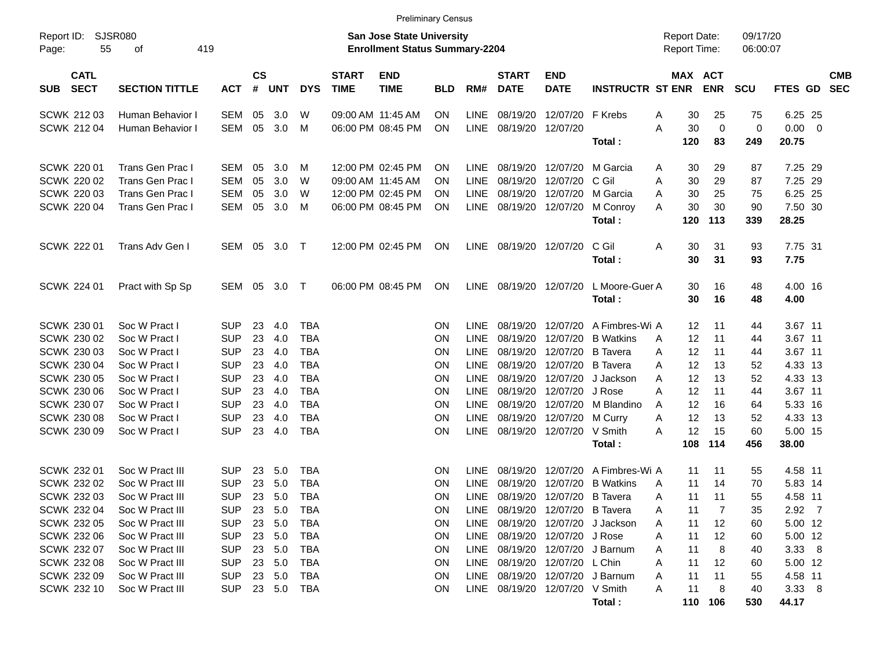| <b>Preliminary Census</b>                |                       |            |                    |        |            |                             |                                                                           |            |             |                                |                            |                             |                                            |             |                      |                |  |                          |
|------------------------------------------|-----------------------|------------|--------------------|--------|------------|-----------------------------|---------------------------------------------------------------------------|------------|-------------|--------------------------------|----------------------------|-----------------------------|--------------------------------------------|-------------|----------------------|----------------|--|--------------------------|
| Report ID:<br>55<br>Page:                | SJSR080<br>419<br>οf  |            |                    |        |            |                             | <b>San Jose State University</b><br><b>Enrollment Status Summary-2204</b> |            |             |                                |                            |                             | <b>Report Date:</b><br><b>Report Time:</b> |             | 09/17/20<br>06:00:07 |                |  |                          |
| <b>CATL</b><br><b>SECT</b><br><b>SUB</b> | <b>SECTION TITTLE</b> | <b>ACT</b> | $\mathsf{cs}$<br># | UNT    | <b>DYS</b> | <b>START</b><br><b>TIME</b> | <b>END</b><br><b>TIME</b>                                                 | <b>BLD</b> | RM#         | <b>START</b><br><b>DATE</b>    | <b>END</b><br><b>DATE</b>  | <b>INSTRUCTR ST ENR</b>     | MAX ACT                                    | <b>ENR</b>  | <b>SCU</b>           | FTES GD        |  | <b>CMB</b><br><b>SEC</b> |
| <b>SCWK 21203</b>                        | Human Behavior I      | SEM        | 05                 | 3.0    | W          |                             | 09:00 AM 11:45 AM                                                         | <b>ON</b>  | LINE        | 08/19/20                       | 12/07/20 F Krebs           |                             | 30<br>Α                                    | 25          | 75                   | 6.25 25        |  |                          |
| <b>SCWK 212 04</b>                       | Human Behavior I      | SEM        | 05                 | 3.0    | M          |                             | 06:00 PM 08:45 PM                                                         | <b>ON</b>  | LINE        | 08/19/20                       | 12/07/20                   |                             | A<br>30                                    | $\mathbf 0$ | 0                    | $0.00 \t 0$    |  |                          |
|                                          |                       |            |                    |        |            |                             |                                                                           |            |             |                                |                            | Total:                      | 120                                        | 83          | 249                  | 20.75          |  |                          |
| <b>SCWK 220 01</b>                       | Trans Gen Prac I      | SEM        | 05                 | 3.0    | M          |                             | 12:00 PM 02:45 PM                                                         | <b>ON</b>  | <b>LINE</b> | 08/19/20                       |                            | 12/07/20 M Garcia           | 30<br>Α                                    | 29          | 87                   | 7.25 29        |  |                          |
| <b>SCWK 220 02</b>                       | Trans Gen Prac I      | <b>SEM</b> | 05                 | 3.0    | W          |                             | 09:00 AM 11:45 AM                                                         | ON         | <b>LINE</b> | 08/19/20                       | 12/07/20 C Gil             |                             | 30<br>Α                                    | 29          | 87                   | 7.25 29        |  |                          |
| <b>SCWK 22003</b>                        | Trans Gen Prac I      | <b>SEM</b> | 05                 | 3.0    | W          |                             | 12:00 PM 02:45 PM                                                         | ON         | <b>LINE</b> | 08/19/20                       |                            | 12/07/20 M Garcia           | 30<br>A                                    | 25          | 75                   | 6.25 25        |  |                          |
| <b>SCWK 220 04</b>                       | Trans Gen Prac I      | SEM        | 05                 | 3.0    | M          |                             | 06:00 PM 08:45 PM                                                         | <b>ON</b>  | <b>LINE</b> | 08/19/20                       | 12/07/20                   | M Conroy                    | A<br>30                                    | 30          | 90                   | 7.50 30        |  |                          |
|                                          |                       |            |                    |        |            |                             |                                                                           |            |             |                                |                            | Total:                      | 120                                        | 113         | 339                  | 28.25          |  |                          |
| SCWK 222 01                              | Trans Adv Gen I       | SEM        | 05                 | 3.0    | $\top$     |                             | 12:00 PM 02:45 PM                                                         | ON         | LINE        | 08/19/20 12/07/20              |                            | C Gil                       | Α<br>30                                    | 31          | 93                   | 7.75 31        |  |                          |
|                                          |                       |            |                    |        |            |                             |                                                                           |            |             |                                |                            | Total:                      | 30                                         | 31          | 93                   | 7.75           |  |                          |
|                                          |                       |            |                    |        |            |                             |                                                                           |            |             |                                |                            |                             |                                            |             |                      |                |  |                          |
| <b>SCWK 224 01</b>                       | Pract with Sp Sp      | SEM        | 05                 | 3.0    | $\top$     |                             | 06:00 PM 08:45 PM                                                         | ON         | LINE        | 08/19/20 12/07/20              |                            | L Moore-Guer A              | 30                                         | 16          | 48                   | 4.00 16        |  |                          |
|                                          |                       |            |                    |        |            |                             |                                                                           |            |             |                                |                            | Total:                      | 30                                         | 16          | 48                   | 4.00           |  |                          |
| SCWK 230 01                              | Soc W Pract I         | <b>SUP</b> | 23                 | 4.0    | <b>TBA</b> |                             |                                                                           | <b>ON</b>  | LINE        | 08/19/20                       |                            | 12/07/20 A Fimbres-Wi A     | 12                                         | 11          | 44                   | 3.67 11        |  |                          |
| SCWK 230 02                              | Soc W Pract I         | <b>SUP</b> | 23                 | 4.0    | <b>TBA</b> |                             |                                                                           | ΟN         | <b>LINE</b> | 08/19/20                       | 12/07/20                   | <b>B</b> Watkins            | 12<br>A                                    | 11          | 44                   | 3.67 11        |  |                          |
| <b>SCWK 230 03</b>                       | Soc W Pract I         | <b>SUP</b> | 23                 | 4.0    | <b>TBA</b> |                             |                                                                           | ΟN         | <b>LINE</b> | 08/19/20                       | 12/07/20                   | <b>B</b> Tavera             | 12<br>A                                    | 11          | 44                   | 3.67 11        |  |                          |
| <b>SCWK 230 04</b>                       | Soc W Pract I         | <b>SUP</b> | 23                 | 4.0    | <b>TBA</b> |                             |                                                                           | ΟN         | <b>LINE</b> | 08/19/20                       | 12/07/20                   | <b>B</b> Tavera             | 12<br>A                                    | 13          | 52                   | 4.33 13        |  |                          |
| <b>SCWK 230 05</b>                       | Soc W Pract I         | <b>SUP</b> | 23                 | 4.0    | <b>TBA</b> |                             |                                                                           | ΟN         | <b>LINE</b> | 08/19/20                       | 12/07/20                   | J Jackson                   | 12<br>A                                    | 13          | 52                   | 4.33 13        |  |                          |
| <b>SCWK 230 06</b>                       | Soc W Pract I         | <b>SUP</b> | 23                 | 4.0    | <b>TBA</b> |                             |                                                                           | ΟN         | <b>LINE</b> | 08/19/20                       | 12/07/20                   | J Rose                      | A<br>12                                    | 11          | 44                   | 3.67 11        |  |                          |
| SCWK 230 07                              | Soc W Pract I         | <b>SUP</b> | 23                 | 4.0    | <b>TBA</b> |                             |                                                                           | ΟN         | <b>LINE</b> | 08/19/20                       |                            | 12/07/20 M Blandino         | 12<br>Α                                    | 16          | 64                   | 5.33 16        |  |                          |
| <b>SCWK 230 08</b>                       | Soc W Pract I         | <b>SUP</b> | 23                 | 4.0    | <b>TBA</b> |                             |                                                                           | <b>ON</b>  | <b>LINE</b> | 08/19/20                       | 12/07/20 M Curry           |                             | 12<br>Α                                    | 13          | 52                   | 4.33 13        |  |                          |
| SCWK 230 09                              | Soc W Pract I         | <b>SUP</b> | 23                 | 4.0    | <b>TBA</b> |                             |                                                                           | <b>ON</b>  | <b>LINE</b> |                                | 08/19/20 12/07/20 V Smith  |                             | 12<br>A                                    | 15          | 60                   | 5.00 15        |  |                          |
|                                          |                       |            |                    |        |            |                             |                                                                           |            |             |                                |                            | Total:                      | 108                                        | 114         | 456                  | 38.00          |  |                          |
| SCWK 232 01                              | Soc W Pract III       | <b>SUP</b> | 23                 | 5.0    | <b>TBA</b> |                             |                                                                           | <b>ON</b>  | LINE        | 08/19/20                       | 12/07/20                   | A Fimbres-Wi A              | 11                                         | 11          | 55                   | 4.58 11        |  |                          |
| SCWK 232 02                              | Soc W Pract III       | <b>SUP</b> | 23                 | 5.0    | <b>TBA</b> |                             |                                                                           | ΟN         | <b>LINE</b> | 08/19/20                       | 12/07/20                   | <b>B</b> Watkins            | 11<br>A                                    | 14          | 70                   | 5.83 14        |  |                          |
| SCWK 232 03                              | Soc W Pract III       | <b>SUP</b> | 23                 | 5.0    | <b>TBA</b> |                             |                                                                           | ΟN         | <b>LINE</b> |                                | 08/19/20 12/07/20 B Tavera |                             | Α<br>11                                    | 11          | 55                   | 4.58 11        |  |                          |
| SCWK 232 04                              | Soc W Pract III       | <b>SUP</b> | 23                 | 5.0    | <b>TBA</b> |                             |                                                                           | <b>ON</b>  | <b>LINE</b> | 08/19/20 12/07/20 B Tavera     |                            |                             | 11<br>Α                                    |             | 35                   | $2.92 \quad 7$ |  |                          |
| SCWK 232 05                              | Soc W Pract III       | <b>SUP</b> | 23                 | 5.0    | <b>TBA</b> |                             |                                                                           | <b>ON</b>  | LINE        |                                |                            | 08/19/20 12/07/20 J Jackson | 11<br>Α                                    | 12          | 60                   | 5.00 12        |  |                          |
| SCWK 232 06                              | Soc W Pract III       | <b>SUP</b> | 23                 | 5.0    | TBA        |                             |                                                                           | ON         | LINE        |                                | 08/19/20 12/07/20 J Rose   |                             | 11<br>Α                                    | 12          | 60                   | 5.00 12        |  |                          |
| SCWK 232 07                              | Soc W Pract III       | <b>SUP</b> | 23                 | 5.0    | TBA        |                             |                                                                           | ON         | LINE        |                                |                            | 08/19/20 12/07/20 J Barnum  | 11<br>Α                                    | 8           | 40                   | 3.33 8         |  |                          |
| SCWK 232 08                              | Soc W Pract III       | <b>SUP</b> | 23                 | 5.0    | TBA        |                             |                                                                           | ON         | LINE        |                                | 08/19/20 12/07/20 L Chin   |                             | 11<br>Α                                    | 12          | 60                   | 5.00 12        |  |                          |
| SCWK 232 09                              | Soc W Pract III       | <b>SUP</b> | 23                 | 5.0    | TBA        |                             |                                                                           | ON         | LINE        |                                |                            | 08/19/20 12/07/20 J Barnum  | 11<br>Α                                    | 11          | 55                   | 4.58 11        |  |                          |
| <b>SCWK 232 10</b>                       | Soc W Pract III       | <b>SUP</b> |                    | 23 5.0 | TBA        |                             |                                                                           | ON         |             | LINE 08/19/20 12/07/20 V Smith |                            |                             | 11<br>Α                                    | 8           | 40                   | 3.33 8         |  |                          |
|                                          |                       |            |                    |        |            |                             |                                                                           |            |             |                                |                            | Total:                      |                                            | 110 106     | 530                  | 44.17          |  |                          |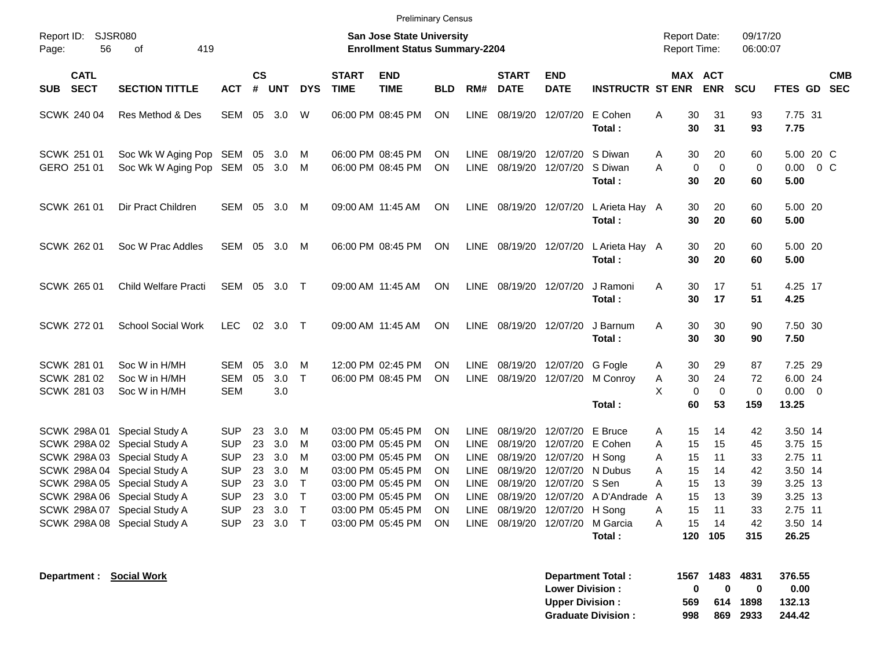| <b>Preliminary Census</b>                                                                                                                                                                                                                                    |                                                                                                              |                                                                                                                                                                   |                                                                                                                                                                      |                                                                                                                                                                                                  |                                                                                                                                                                  |                                                                                                   |                                                                                 |                                                                                              |                                                                                               |  |  |
|--------------------------------------------------------------------------------------------------------------------------------------------------------------------------------------------------------------------------------------------------------------|--------------------------------------------------------------------------------------------------------------|-------------------------------------------------------------------------------------------------------------------------------------------------------------------|----------------------------------------------------------------------------------------------------------------------------------------------------------------------|--------------------------------------------------------------------------------------------------------------------------------------------------------------------------------------------------|------------------------------------------------------------------------------------------------------------------------------------------------------------------|---------------------------------------------------------------------------------------------------|---------------------------------------------------------------------------------|----------------------------------------------------------------------------------------------|-----------------------------------------------------------------------------------------------|--|--|
| Report ID:<br>SJSR080<br>Page:<br>56                                                                                                                                                                                                                         | 419<br>of                                                                                                    |                                                                                                                                                                   | <b>San Jose State University</b><br><b>Enrollment Status Summary-2204</b>                                                                                            |                                                                                                                                                                                                  |                                                                                                                                                                  |                                                                                                   | <b>Report Date:</b><br>Report Time:                                             | 09/17/20<br>06:00:07                                                                         |                                                                                               |  |  |
| <b>CATL</b><br><b>SECT</b><br><b>SUB</b>                                                                                                                                                                                                                     | <b>SECTION TITTLE</b><br><b>ACT</b>                                                                          | <b>CS</b><br>#<br>UNT<br><b>DYS</b>                                                                                                                               | <b>END</b><br><b>START</b><br><b>TIME</b><br><b>TIME</b>                                                                                                             | <b>BLD</b><br>RM#                                                                                                                                                                                | <b>START</b><br><b>END</b><br><b>DATE</b><br><b>DATE</b>                                                                                                         | <b>INSTRUCTR ST ENR</b>                                                                           | MAX ACT                                                                         | <b>ENR</b><br><b>SCU</b>                                                                     | <b>CMB</b><br>FTES GD SEC                                                                     |  |  |
| <b>SCWK 240 04</b>                                                                                                                                                                                                                                           | Res Method & Des<br><b>SEM</b>                                                                               | 05<br>3.0<br>W                                                                                                                                                    | 06:00 PM 08:45 PM                                                                                                                                                    | <b>ON</b><br><b>LINE</b>                                                                                                                                                                         | 08/19/20<br>12/07/20                                                                                                                                             | E Cohen<br>Total:                                                                                 | 30<br>Α<br>30                                                                   | 31<br>93<br>31<br>93                                                                         | 7.75 31<br>7.75                                                                               |  |  |
| <b>SCWK 251 01</b><br>GERO 251 01                                                                                                                                                                                                                            | Soc Wk W Aging Pop SEM 05<br>Soc Wk W Aging Pop SEM                                                          | - 3.0<br>M<br>05<br>3.0<br>M                                                                                                                                      | 06:00 PM 08:45 PM<br>06:00 PM 08:45 PM                                                                                                                               | <b>ON</b><br><b>LINE</b><br>ON<br><b>LINE</b>                                                                                                                                                    | 08/19/20 12/07/20<br>08/19/20<br>12/07/20                                                                                                                        | S Diwan<br>S Diwan<br>A<br>Total:                                                                 | 30<br>Α<br>$\mathbf 0$<br>30                                                    | 20<br>60<br>$\mathbf 0$<br>$\mathbf 0$<br>20<br>60                                           | 5.00 20 C<br>0.00<br>$0\,C$<br>5.00                                                           |  |  |
| <b>SCWK 261 01</b>                                                                                                                                                                                                                                           | Dir Pract Children<br>SEM                                                                                    | 05 3.0<br>M                                                                                                                                                       | 09:00 AM 11:45 AM                                                                                                                                                    | <b>ON</b><br>LINE                                                                                                                                                                                | 08/19/20                                                                                                                                                         | 12/07/20 L Arieta Hay A<br>Total :                                                                | 30<br>30                                                                        | 20<br>60<br>20<br>60                                                                         | 5.00 20<br>5.00                                                                               |  |  |
| <b>SCWK 262 01</b>                                                                                                                                                                                                                                           | Soc W Prac Addles<br><b>SEM</b>                                                                              | 05<br>3.0<br>M                                                                                                                                                    | 06:00 PM 08:45 PM                                                                                                                                                    | <b>ON</b><br><b>LINE</b>                                                                                                                                                                         | 12/07/20<br>08/19/20                                                                                                                                             | L Arieta Hay A<br>Total:                                                                          | 30<br>30                                                                        | 20<br>60<br>20<br>60                                                                         | 5.00 20<br>5.00                                                                               |  |  |
| SCWK 265 01                                                                                                                                                                                                                                                  | Child Welfare Practi<br>SEM                                                                                  | 05<br>- 3.0<br>$\top$                                                                                                                                             | 09:00 AM 11:45 AM                                                                                                                                                    | <b>ON</b><br><b>LINE</b>                                                                                                                                                                         | 08/19/20 12/07/20                                                                                                                                                | J Ramoni<br>Total :                                                                               | A<br>30<br>30                                                                   | 17<br>51<br>17<br>51                                                                         | 4.25 17<br>4.25                                                                               |  |  |
| <b>SCWK 27201</b>                                                                                                                                                                                                                                            | <b>School Social Work</b><br><b>LEC</b>                                                                      | 02 3.0 T                                                                                                                                                          | 09:00 AM 11:45 AM                                                                                                                                                    | <b>LINE</b><br><b>ON</b>                                                                                                                                                                         | 08/19/20 12/07/20                                                                                                                                                | J Barnum<br>Total:                                                                                | A<br>30<br>30                                                                   | 30<br>90<br>30<br>90                                                                         | 7.50 30<br>7.50                                                                               |  |  |
| <b>SCWK 281 01</b><br>SCWK 281 02<br><b>SCWK 281 03</b>                                                                                                                                                                                                      | Soc W in H/MH<br><b>SEM</b><br>Soc W in H/MH<br>SEM<br>SEM<br>Soc W in H/MH                                  | 05<br>3.0<br>M<br>$\top$<br>05<br>3.0<br>3.0                                                                                                                      | 12:00 PM 02:45 PM<br>06:00 PM 08:45 PM                                                                                                                               | <b>ON</b><br>LINE<br><b>ON</b>                                                                                                                                                                   | 08/19/20 12/07/20 G Fogle<br>LINE 08/19/20 12/07/20 M Conroy                                                                                                     | Total:                                                                                            | 30<br>Α<br>30<br>Α<br>X<br>$\mathbf 0$<br>60                                    | 29<br>87<br>24<br>72<br>$\mathbf 0$<br>$\mathbf 0$<br>53<br>159                              | 7.25 29<br>6.00 24<br>$0.00 \t 0$<br>13.25                                                    |  |  |
| SCWK 298A 01 Special Study A<br>SCWK 298A 02 Special Study A<br>SCWK 298A 03 Special Study A<br>SCWK 298A 04 Special Study A<br>SCWK 298A 05 Special Study A<br>SCWK 298A 06 Special Study A<br>SCWK 298A 07 Special Study A<br>SCWK 298A 08 Special Study A | <b>SUP</b><br><b>SUP</b><br><b>SUP</b><br><b>SUP</b><br><b>SUP</b><br><b>SUP</b><br><b>SUP</b><br><b>SUP</b> | 23<br>3.0<br>M<br>23<br>3.0<br>м<br>23<br>3.0<br>M<br>3.0<br>23<br>м<br>$\mathsf{T}$<br>23<br>3.0<br>$\top$<br>23<br>3.0<br>T<br>23<br>3.0<br>$\top$<br>23<br>3.0 | 03:00 PM 05:45 PM<br>03:00 PM 05:45 PM<br>03:00 PM 05:45 PM<br>03:00 PM 05:45 PM<br>03:00 PM 05:45 PM<br>03:00 PM 05:45 PM<br>03:00 PM 05:45 PM<br>03:00 PM 05:45 PM | <b>ON</b><br><b>LINE</b><br>LINE<br><b>ON</b><br><b>LINE</b><br><b>ON</b><br><b>LINE</b><br><b>ON</b><br><b>LINE</b><br>ON<br>LINE<br><b>ON</b><br><b>LINE</b><br><b>ON</b><br>LINE<br><b>ON</b> | 12/07/20<br>08/19/20<br>08/19/20<br>08/19/20<br>12/07/20 H Song<br>08/19/20<br>12/07/20 S Sen<br>08/19/20<br>08/19/20<br>08/19/20<br>12/07/20 H Song<br>08/19/20 | E Bruce<br>12/07/20 E Cohen<br>12/07/20 N Dubus<br>12/07/20 A D'Andrade<br>A<br>12/07/20 M Garcia | 15<br>Α<br>A<br>15<br>A<br>15<br>A<br>15<br>A<br>15<br>15<br>15<br>A<br>A<br>15 | 14<br>42<br>15<br>45<br>11<br>33<br>14<br>42<br>13<br>39<br>13<br>39<br>11<br>33<br>14<br>42 | 3.50 14<br>3.75 15<br>2.75 11<br>3.50 14<br>3.25 13<br>3.25 13<br>2.75 11<br>3.50 14<br>26.25 |  |  |
|                                                                                                                                                                                                                                                              |                                                                                                              |                                                                                                                                                                   |                                                                                                                                                                      |                                                                                                                                                                                                  |                                                                                                                                                                  | Total:                                                                                            | 120                                                                             | 105<br>315                                                                                   |                                                                                               |  |  |

| <b>Department Total:</b>  |              | 1567 1483 | - 4831   | 376.55 |
|---------------------------|--------------|-----------|----------|--------|
| <b>Lower Division:</b>    | $\mathbf{u}$ | n         | 0        | 0.00   |
| <b>Upper Division:</b>    | 569          |           | 614 1898 | 132.13 |
| <b>Graduate Division:</b> | 998          |           | 869 2933 | 244.42 |

**Department : Social Work**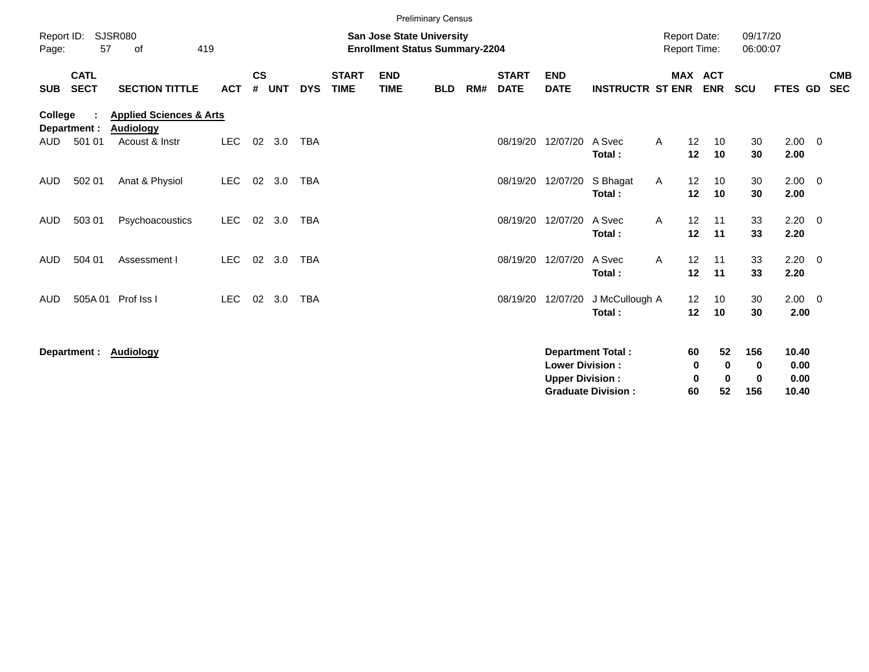|                       |                            |                                                                          |            |                                                                           |            |            |                             | <b>Preliminary Census</b> |            |     |                             |                                                  |                                                       |                                     |                                   |                                  |                                |                                |  |                          |
|-----------------------|----------------------------|--------------------------------------------------------------------------|------------|---------------------------------------------------------------------------|------------|------------|-----------------------------|---------------------------|------------|-----|-----------------------------|--------------------------------------------------|-------------------------------------------------------|-------------------------------------|-----------------------------------|----------------------------------|--------------------------------|--------------------------------|--|--------------------------|
| Report ID:<br>Page:   | 57                         | <b>SJSR080</b><br>419<br>of                                              |            | <b>San Jose State University</b><br><b>Enrollment Status Summary-2204</b> |            |            |                             |                           |            |     |                             |                                                  |                                                       | <b>Report Date:</b><br>Report Time: |                                   |                                  | 09/17/20<br>06:00:07           |                                |  |                          |
| <b>SUB</b>            | <b>CATL</b><br><b>SECT</b> | <b>SECTION TITTLE</b>                                                    | <b>ACT</b> | $\mathsf{cs}$<br>#                                                        | <b>UNT</b> | <b>DYS</b> | <b>START</b><br><b>TIME</b> | <b>END</b><br><b>TIME</b> | <b>BLD</b> | RM# | <b>START</b><br><b>DATE</b> | <b>END</b><br><b>DATE</b>                        | <b>INSTRUCTR ST ENR</b>                               |                                     | <b>MAX ACT</b><br><b>ENR</b>      |                                  | SCU                            | FTES GD                        |  | <b>CMB</b><br><b>SEC</b> |
| <b>College</b><br>AUD | Department :<br>501 01     | <b>Health &amp; Human Sciences</b><br><b>Audiology</b><br>Acoust & Instr | <b>LEC</b> | 02                                                                        | 3.0        | <b>TBA</b> |                             |                           |            |     | 08/19/20                    | 12/07/20                                         | A Svec                                                | A                                   | 12<br>10                          |                                  | 30                             | $2.00 \t 0$                    |  |                          |
|                       |                            |                                                                          |            |                                                                           |            |            |                             |                           |            |     |                             |                                                  | Total:                                                |                                     | 12<br>10                          |                                  | 30                             | 2.00                           |  |                          |
| <b>AUD</b>            | 502 01                     | Anat & Physiol                                                           | <b>LEC</b> | 02                                                                        | 3.0        | <b>TBA</b> |                             |                           |            |     |                             | 08/19/20 12/07/20                                | S Bhagat<br>Total:                                    | A                                   | 12<br>10<br>10<br>12              |                                  | 30<br>30                       | $2.00 \t 0$<br>2.00            |  |                          |
| <b>AUD</b>            | 503 01                     | Psychoacoustics                                                          | <b>LEC</b> | 02                                                                        | 3.0        | <b>TBA</b> |                             |                           |            |     | 08/19/20                    | 12/07/20                                         | A Svec<br>Total:                                      | A                                   | 12<br>11<br>11<br>12              |                                  | 33<br>33                       | $2.20 \t 0$<br>2.20            |  |                          |
| <b>AUD</b>            | 504 01                     | Assessment I                                                             | <b>LEC</b> |                                                                           | 02 3.0     | <b>TBA</b> |                             |                           |            |     |                             | 08/19/20 12/07/20                                | A Svec<br>Total:                                      | A                                   | 12<br>11<br>12<br>11              |                                  | 33<br>33                       | $2.20 \t 0$<br>2.20            |  |                          |
| <b>AUD</b>            |                            | 505A 01 Prof Iss I                                                       | <b>LEC</b> | 02                                                                        | 3.0        | <b>TBA</b> |                             |                           |            |     | 08/19/20 12/07/20           |                                                  | J McCullough A<br>Total:                              |                                     | 12 <sup>2</sup><br>10<br>12<br>10 |                                  | 30<br>30                       | $2.00 \t 0$<br>2.00            |  |                          |
|                       |                            | Department : Audiology                                                   |            |                                                                           |            |            |                             |                           |            |     |                             | <b>Lower Division:</b><br><b>Upper Division:</b> | <b>Department Total:</b><br><b>Graduate Division:</b> | 60                                  | 60<br>0<br>0                      | 52<br>$\bf{0}$<br>$\bf{0}$<br>52 | 156<br>0<br>$\mathbf 0$<br>156 | 10.40<br>0.00<br>0.00<br>10.40 |  |                          |